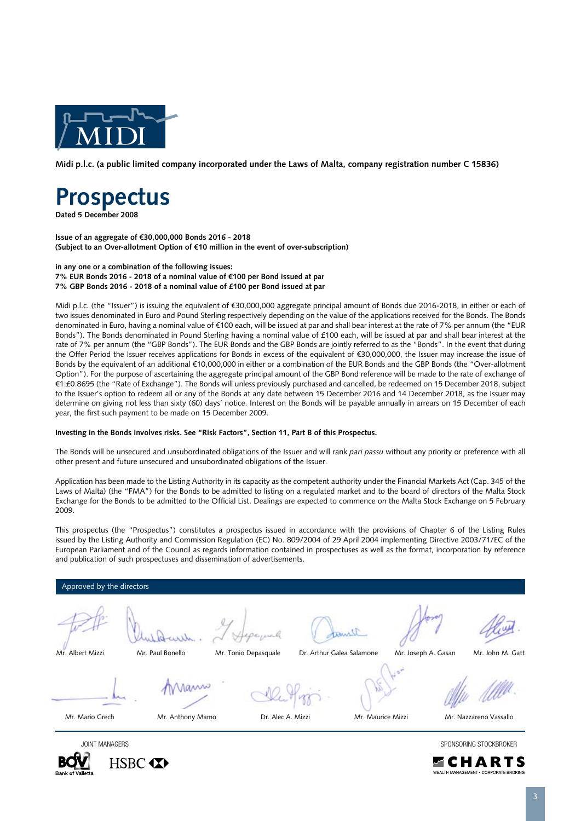

**Midi p.l.c. (a public limited company incorporated under the Laws of Malta, company registration number C 15836)**

# **Prospectus**

**HSBC 4XX** 

**Dated 5 December 2008**

**Issue of an aggregate of €30,000,000 Bonds 2016 - 2018 (Subject to an Over-allotment Option of €10 million in the event of over-subscription)**

**in any one or a combination of the following issues: 7% EUR Bonds 2016 - 2018 of a nominal value of €100 per Bond issued at par 7% GBP Bonds 2016 - 2018 of a nominal value of £100 per Bond issued at par**

Midi p.l.c. (the "Issuer") is issuing the equivalent of €30,000,000 aggregate principal amount of Bonds due 2016-2018, in either or each of two issues denominated in Euro and Pound Sterling respectively depending on the value of the applications received for the Bonds. The Bonds denominated in Euro, having a nominal value of €100 each, will be issued at par and shall bear interest at the rate of 7% per annum (the "EUR Bonds"). The Bonds denominated in Pound Sterling having a nominal value of £100 each, will be issued at par and shall bear interest at the rate of 7% per annum (the "GBP Bonds"). The EUR Bonds and the GBP Bonds are jointly referred to as the "Bonds". In the event that during the Offer Period the Issuer receives applications for Bonds in excess of the equivalent of €30,000,000, the Issuer may increase the issue of Bonds by the equivalent of an additional €10,000,000 in either or a combination of the EUR Bonds and the GBP Bonds (the "Over-allotment Option"). For the purpose of ascertaining the aggregate principal amount of the GBP Bond reference will be made to the rate of exchange of €1:£0.8695 (the "Rate of Exchange"). The Bonds will unless previously purchased and cancelled, be redeemed on 15 December 2018, subject to the Issuer's option to redeem all or any of the Bonds at any date between 15 December 2016 and 14 December 2018, as the Issuer may determine on giving not less than sixty (60) days' notice. Interest on the Bonds will be payable annually in arrears on 15 December of each year, the first such payment to be made on 15 December 2009.

#### **Investing in the Bonds involves risks. See "Risk Factors", Section 11, Part B of this Prospectus.**

The Bonds will be unsecured and unsubordinated obligations of the Issuer and will rank *pari passu* without any priority or preference with all other present and future unsecured and unsubordinated obligations of the Issuer.

Application has been made to the Listing Authority in its capacity as the competent authority under the Financial Markets Act (Cap. 345 of the Laws of Malta) (the "FMA") for the Bonds to be admitted to listing on a regulated market and to the board of directors of the Malta Stock Exchange for the Bonds to be admitted to the Official List. Dealings are expected to commence on the Malta Stock Exchange on 5 February 2009.

This prospectus (the "Prospectus") constitutes a prospectus issued in accordance with the provisions of Chapter 6 of the Listing Rules issued by the Listing Authority and Commission Regulation (EC) No. 809/2004 of 29 April 2004 implementing Directive 2003/71/EC of the European Parliament and of the Council as regards information contained in prospectuses as well as the format, incorporation by reference and publication of such prospectuses and dissemination of advertisements.

| Approved by the directors |                  |                      |                           |                   |                     |                        |
|---------------------------|------------------|----------------------|---------------------------|-------------------|---------------------|------------------------|
|                           |                  |                      |                           |                   |                     |                        |
| Mr. Albert Mizzi          | Mr. Paul Bonello | Mr. Tonio Depasquale | Dr. Arthur Galea Salamone |                   | Mr. Joseph A. Gasan | Mr. John M. Gatt       |
|                           | <b>MANNO</b>     |                      |                           |                   |                     |                        |
| Mr. Mario Grech           | Mr. Anthony Mamo | Dr. Alec A. Mizzi    |                           | Mr. Maurice Mizzi |                     | Mr. Nazzareno Vassallo |
| <b>JOINT MANAGERS</b>     |                  |                      |                           |                   |                     | SPONSORING STOCKBROKER |



ECHARTS **EALTH MANAGEMENT • CORPORATE BROKING** 

3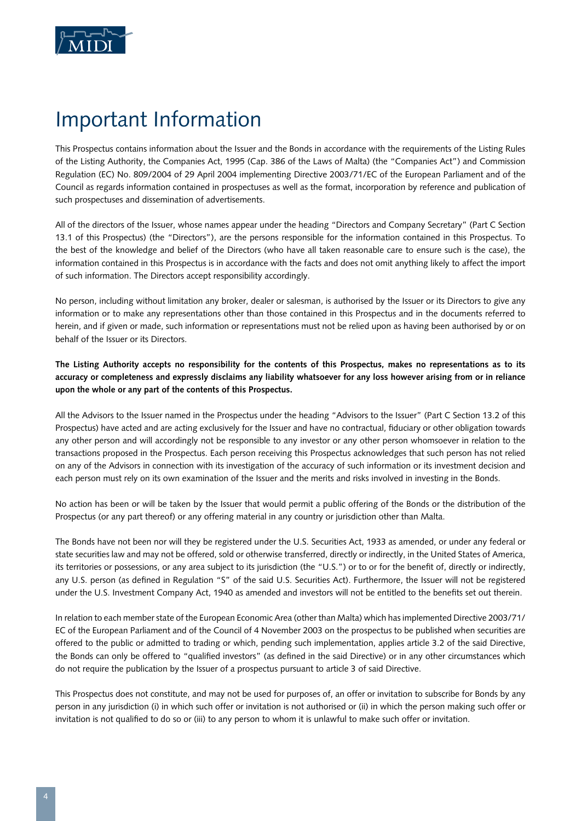

# Important Information

This Prospectus contains information about the Issuer and the Bonds in accordance with the requirements of the Listing Rules of the Listing Authority, the Companies Act, 1995 (Cap. 386 of the Laws of Malta) (the "Companies Act") and Commission Regulation (EC) No. 809/2004 of 29 April 2004 implementing Directive 2003/71/EC of the European Parliament and of the Council as regards information contained in prospectuses as well as the format, incorporation by reference and publication of such prospectuses and dissemination of advertisements.

All of the directors of the Issuer, whose names appear under the heading "Directors and Company Secretary" (Part C Section 13.1 of this Prospectus) (the "Directors"), are the persons responsible for the information contained in this Prospectus. To the best of the knowledge and belief of the Directors (who have all taken reasonable care to ensure such is the case), the information contained in this Prospectus is in accordance with the facts and does not omit anything likely to affect the import of such information. The Directors accept responsibility accordingly.

No person, including without limitation any broker, dealer or salesman, is authorised by the Issuer or its Directors to give any information or to make any representations other than those contained in this Prospectus and in the documents referred to herein, and if given or made, such information or representations must not be relied upon as having been authorised by or on behalf of the Issuer or its Directors.

**The Listing Authority accepts no responsibility for the contents of this Prospectus, makes no representations as to its accuracy or completeness and expressly disclaims any liability whatsoever for any loss however arising from or in reliance upon the whole or any part of the contents of this Prospectus.**

All the Advisors to the Issuer named in the Prospectus under the heading "Advisors to the Issuer" (Part C Section 13.2 of this Prospectus) have acted and are acting exclusively for the Issuer and have no contractual, fiduciary or other obligation towards any other person and will accordingly not be responsible to any investor or any other person whomsoever in relation to the transactions proposed in the Prospectus. Each person receiving this Prospectus acknowledges that such person has not relied on any of the Advisors in connection with its investigation of the accuracy of such information or its investment decision and each person must rely on its own examination of the Issuer and the merits and risks involved in investing in the Bonds.

No action has been or will be taken by the Issuer that would permit a public offering of the Bonds or the distribution of the Prospectus (or any part thereof) or any offering material in any country or jurisdiction other than Malta.

The Bonds have not been nor will they be registered under the U.S. Securities Act, 1933 as amended, or under any federal or state securities law and may not be offered, sold or otherwise transferred, directly or indirectly, in the United States of America, its territories or possessions, or any area subject to its jurisdiction (the "U.S.") or to or for the benefit of, directly or indirectly, any U.S. person (as defined in Regulation "S" of the said U.S. Securities Act). Furthermore, the Issuer will not be registered under the U.S. Investment Company Act, 1940 as amended and investors will not be entitled to the benefits set out therein.

In relation to each member state of the European Economic Area (other than Malta) which has implemented Directive 2003/71/ EC of the European Parliament and of the Council of 4 November 2003 on the prospectus to be published when securities are offered to the public or admitted to trading or which, pending such implementation, applies article 3.2 of the said Directive, the Bonds can only be offered to "qualified investors" (as defined in the said Directive) or in any other circumstances which do not require the publication by the Issuer of a prospectus pursuant to article 3 of said Directive.

This Prospectus does not constitute, and may not be used for purposes of, an offer or invitation to subscribe for Bonds by any person in any jurisdiction (i) in which such offer or invitation is not authorised or (ii) in which the person making such offer or invitation is not qualified to do so or (iii) to any person to whom it is unlawful to make such offer or invitation.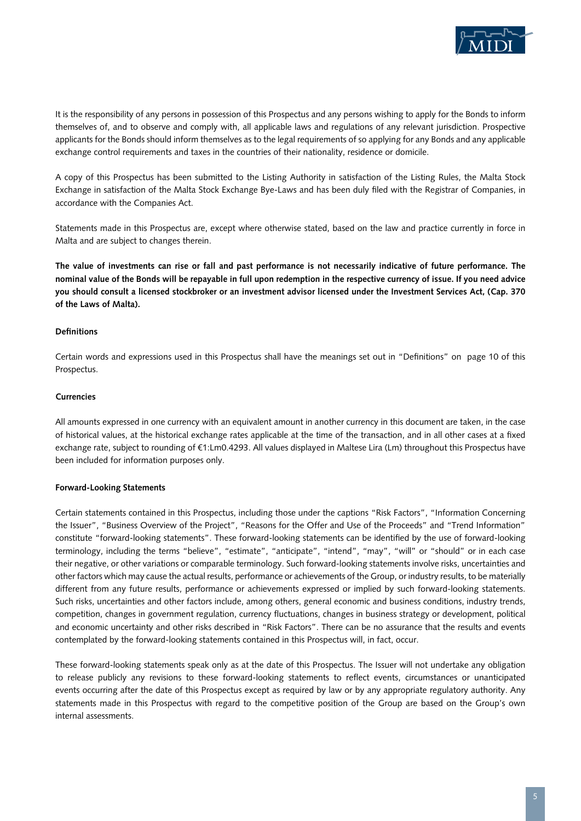

It is the responsibility of any persons in possession of this Prospectus and any persons wishing to apply for the Bonds to inform themselves of, and to observe and comply with, all applicable laws and regulations of any relevant jurisdiction. Prospective applicants for the Bonds should inform themselves as to the legal requirements of so applying for any Bonds and any applicable exchange control requirements and taxes in the countries of their nationality, residence or domicile.

A copy of this Prospectus has been submitted to the Listing Authority in satisfaction of the Listing Rules, the Malta Stock Exchange in satisfaction of the Malta Stock Exchange Bye-Laws and has been duly filed with the Registrar of Companies, in accordance with the Companies Act.

Statements made in this Prospectus are, except where otherwise stated, based on the law and practice currently in force in Malta and are subject to changes therein.

**The value of investments can rise or fall and past performance is not necessarily indicative of future performance. The nominal value of the Bonds will be repayable in full upon redemption in the respective currency of issue. If you need advice you should consult a licensed stockbroker or an investment advisor licensed under the Investment Services Act, (Cap. 370 of the Laws of Malta).**

## **Definitions**

Certain words and expressions used in this Prospectus shall have the meanings set out in "Definitions" on page 10 of this Prospectus.

#### **Currencies**

All amounts expressed in one currency with an equivalent amount in another currency in this document are taken, in the case of historical values, at the historical exchange rates applicable at the time of the transaction, and in all other cases at a fixed exchange rate, subject to rounding of €1:Lm0.4293. All values displayed in Maltese Lira (Lm) throughout this Prospectus have been included for information purposes only.

#### **Forward-Looking Statements**

Certain statements contained in this Prospectus, including those under the captions "Risk Factors", "Information Concerning the Issuer", "Business Overview of the Project", "Reasons for the Offer and Use of the Proceeds" and "Trend Information" constitute "forward-looking statements". These forward-looking statements can be identified by the use of forward-looking terminology, including the terms "believe", "estimate", "anticipate", "intend", "may", "will" or "should" or in each case their negative, or other variations or comparable terminology. Such forward-looking statements involve risks, uncertainties and other factors which may cause the actual results, performance or achievements of the Group, or industry results, to be materially different from any future results, performance or achievements expressed or implied by such forward-looking statements. Such risks, uncertainties and other factors include, among others, general economic and business conditions, industry trends, competition, changes in government regulation, currency fluctuations, changes in business strategy or development, political and economic uncertainty and other risks described in "Risk Factors". There can be no assurance that the results and events contemplated by the forward-looking statements contained in this Prospectus will, in fact, occur.

These forward-looking statements speak only as at the date of this Prospectus. The Issuer will not undertake any obligation to release publicly any revisions to these forward-looking statements to reflect events, circumstances or unanticipated events occurring after the date of this Prospectus except as required by law or by any appropriate regulatory authority. Any statements made in this Prospectus with regard to the competitive position of the Group are based on the Group's own internal assessments.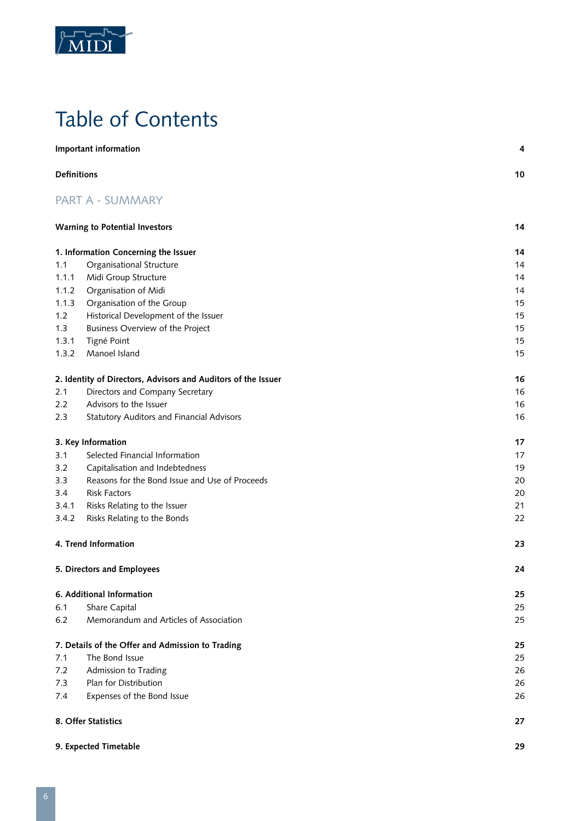

# Table of Contents

|                    | Important information                                         | 4  |  |
|--------------------|---------------------------------------------------------------|----|--|
| <b>Definitions</b> |                                                               | 10 |  |
|                    | <b>PART A - SUMMARY</b>                                       |    |  |
|                    | <b>Warning to Potential Investors</b>                         | 14 |  |
|                    | 1. Information Concerning the Issuer                          | 14 |  |
| 1.1                | Organisational Structure                                      | 14 |  |
| 1.1.1              | Midi Group Structure                                          | 14 |  |
| 1.1.2              | Organisation of Midi                                          | 14 |  |
| 1.1.3              | Organisation of the Group                                     | 15 |  |
| 1.2                | Historical Development of the Issuer                          | 15 |  |
| 1.3                | Business Overview of the Project                              | 15 |  |
| 1.3.1              | Tigné Point                                                   | 15 |  |
| 1.3.2              | Manoel Island                                                 | 15 |  |
|                    | 2. Identity of Directors, Advisors and Auditors of the Issuer | 16 |  |
| 2.1                | Directors and Company Secretary                               | 16 |  |
| $2.2\phantom{0}$   | Advisors to the Issuer                                        | 16 |  |
| 2.3                | Statutory Auditors and Financial Advisors                     | 16 |  |
|                    | 3. Key Information                                            | 17 |  |
| 3.1                | Selected Financial Information                                | 17 |  |
| 3.2                | Capitalisation and Indebtedness                               | 19 |  |
| 3.3                | Reasons for the Bond Issue and Use of Proceeds                | 20 |  |
| 3.4                | <b>Risk Factors</b>                                           | 20 |  |
| 3.4.1              | Risks Relating to the Issuer                                  | 21 |  |
| 3.4.2              | Risks Relating to the Bonds                                   | 22 |  |
|                    | 4. Trend Information                                          | 23 |  |
|                    | 5. Directors and Employees                                    | 24 |  |
|                    | 6. Additional Information                                     | 25 |  |
| 6.1                | Share Capital                                                 | 25 |  |
| 6.2                | Memorandum and Articles of Association                        | 25 |  |
|                    | 7. Details of the Offer and Admission to Trading              | 25 |  |
| 7.1                | The Bond Issue                                                | 25 |  |
| 7.2                | Admission to Trading                                          | 26 |  |
| 7.3                | Plan for Distribution                                         | 26 |  |
| 7.4                | Expenses of the Bond Issue                                    | 26 |  |
|                    | 8. Offer Statistics<br>27                                     |    |  |
|                    | 9. Expected Timetable                                         | 29 |  |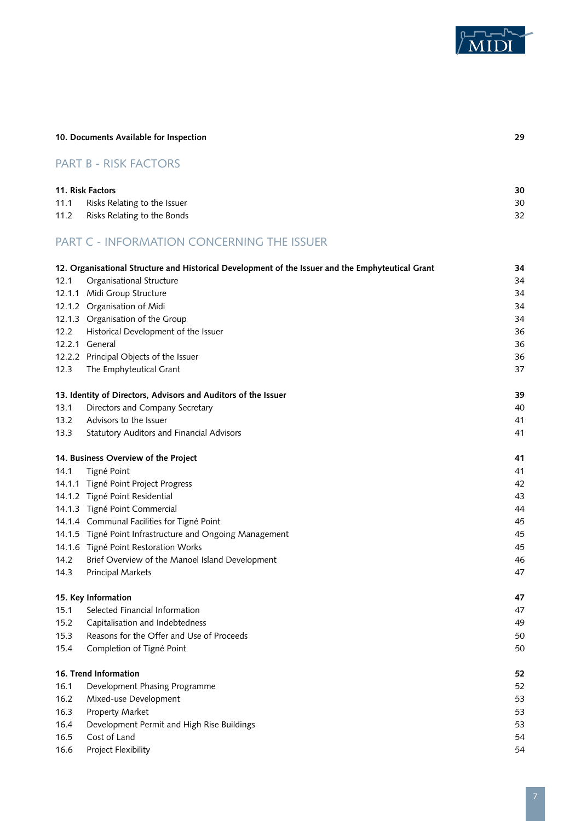

|      | 10. Documents Available for Inspection                                                            |    |
|------|---------------------------------------------------------------------------------------------------|----|
|      | <b>PART B - RISK FACTORS</b>                                                                      |    |
|      | 11. Risk Factors                                                                                  | 30 |
| 11.1 | Risks Relating to the Issuer                                                                      | 30 |
| 11.2 | Risks Relating to the Bonds                                                                       | 32 |
|      | <b>PART C - INFORMATION CONCERNING THE ISSUER</b>                                                 |    |
|      | 12. Organisational Structure and Historical Development of the Issuer and the Emphyteutical Grant | 34 |
| 12.1 | Organisational Structure                                                                          | 34 |
|      | 12.1.1 Midi Group Structure                                                                       | 34 |
|      | 12.1.2 Organisation of Midi                                                                       | 34 |
|      | 12.1.3 Organisation of the Group                                                                  | 34 |
| 12.2 | Historical Development of the Issuer                                                              | 36 |
|      | 12.2.1 General                                                                                    | 36 |
|      | 12.2.2 Principal Objects of the Issuer                                                            | 36 |
| 12.3 | The Emphyteutical Grant                                                                           | 37 |
|      | 13. Identity of Directors, Advisors and Auditors of the Issuer                                    | 39 |
| 13.1 | Directors and Company Secretary                                                                   | 40 |
| 13.2 | Advisors to the Issuer                                                                            | 41 |
| 13.3 | <b>Statutory Auditors and Financial Advisors</b>                                                  | 41 |
|      | 14. Business Overview of the Project                                                              | 41 |
| 14.1 | Tigné Point                                                                                       | 41 |
|      | 14.1.1 Tigné Point Project Progress                                                               | 42 |
|      | 14.1.2 Tigné Point Residential                                                                    | 43 |
|      | 14.1.3 Tigné Point Commercial                                                                     | 44 |
|      | 14.1.4 Communal Facilities for Tigné Point                                                        | 45 |
|      | 14.1.5 Tigné Point Infrastructure and Ongoing Management                                          | 45 |
|      | 14.1.6 Tigné Point Restoration Works                                                              | 45 |
| 14.2 | Brief Overview of the Manoel Island Development                                                   | 46 |
| 14.3 | <b>Principal Markets</b>                                                                          | 47 |
|      | 15. Key Information                                                                               | 47 |
| 15.1 | Selected Financial Information                                                                    | 47 |
| 15.2 | Capitalisation and Indebtedness                                                                   | 49 |
| 15.3 | Reasons for the Offer and Use of Proceeds                                                         | 50 |
| 15.4 | Completion of Tigné Point                                                                         | 50 |
|      | 16. Trend Information                                                                             | 52 |
| 16.1 | Development Phasing Programme                                                                     | 52 |
| 16.2 | Mixed-use Development                                                                             | 53 |
| 16.3 | Property Market                                                                                   | 53 |
| 16.4 | Development Permit and High Rise Buildings                                                        | 53 |
| 16.5 | Cost of Land                                                                                      | 54 |
| 16.6 | Project Flexibility                                                                               | 54 |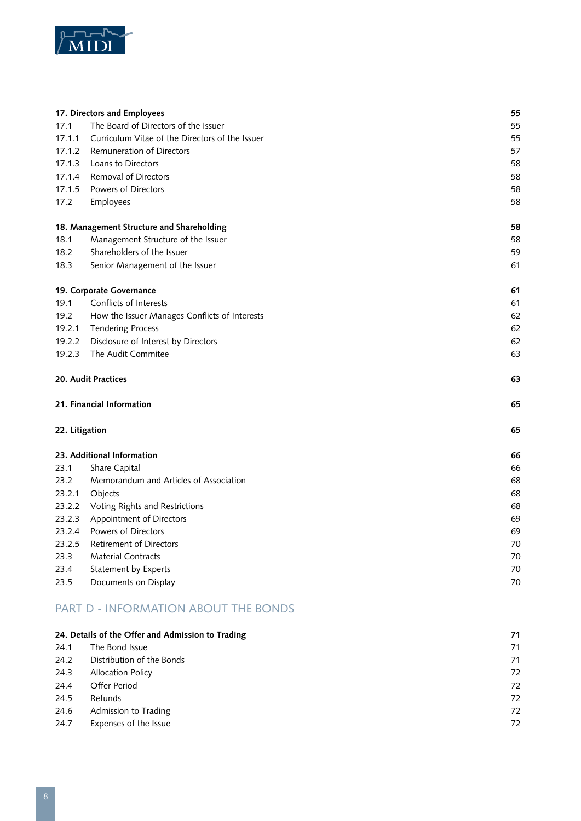

|                | 17. Directors and Employees                     | 55 |
|----------------|-------------------------------------------------|----|
| 17.1           | The Board of Directors of the Issuer            | 55 |
| 17.1.1         | Curriculum Vitae of the Directors of the Issuer | 55 |
| 17.1.2         | Remuneration of Directors                       | 57 |
| 17.1.3         | Loans to Directors                              | 58 |
| 17.1.4         | Removal of Directors                            | 58 |
| 17.1.5         | Powers of Directors                             | 58 |
| 17.2           | Employees                                       | 58 |
|                | 18. Management Structure and Shareholding       | 58 |
| 18.1           | Management Structure of the Issuer              | 58 |
| 18.2           | Shareholders of the Issuer                      | 59 |
| 18.3           | Senior Management of the Issuer                 | 61 |
|                | 19. Corporate Governance                        | 61 |
| 19.1           | Conflicts of Interests                          | 61 |
| 19.2           | How the Issuer Manages Conflicts of Interests   | 62 |
| 19.2.1         | <b>Tendering Process</b>                        | 62 |
| 19.2.2         | Disclosure of Interest by Directors             | 62 |
| 19.2.3         | The Audit Commitee                              | 63 |
|                | 20. Audit Practices                             | 63 |
|                | 21. Financial Information                       | 65 |
| 22. Litigation |                                                 | 65 |
|                | 23. Additional Information                      | 66 |
| 23.1           | Share Capital                                   | 66 |
| 23.2           | Memorandum and Articles of Association          | 68 |
| 23.2.1         | Objects                                         | 68 |
| 23.2.2         | Voting Rights and Restrictions                  | 68 |
| 23.2.3         | Appointment of Directors                        | 69 |
| 23.2.4         | <b>Powers of Directors</b>                      | 69 |
| 23.2.5         | <b>Retirement of Directors</b>                  | 70 |
| 23.3           | <b>Material Contracts</b>                       | 70 |
| 23.4           | Statement by Experts                            | 70 |
| 23.5           | Documents on Display                            | 70 |

# PART D - INFORMATION ABOUT THE BONDS

|      | 24. Details of the Offer and Admission to Trading | 71 |
|------|---------------------------------------------------|----|
| 24.1 | The Bond Issue                                    | 71 |
| 24.2 | Distribution of the Bonds                         | 71 |
| 24.3 | <b>Allocation Policy</b>                          | 72 |
| 24.4 | Offer Period                                      | 72 |
| 24.5 | Refunds                                           | 72 |
| 24.6 | Admission to Trading                              | 72 |
| 24.7 | Expenses of the Issue                             | 72 |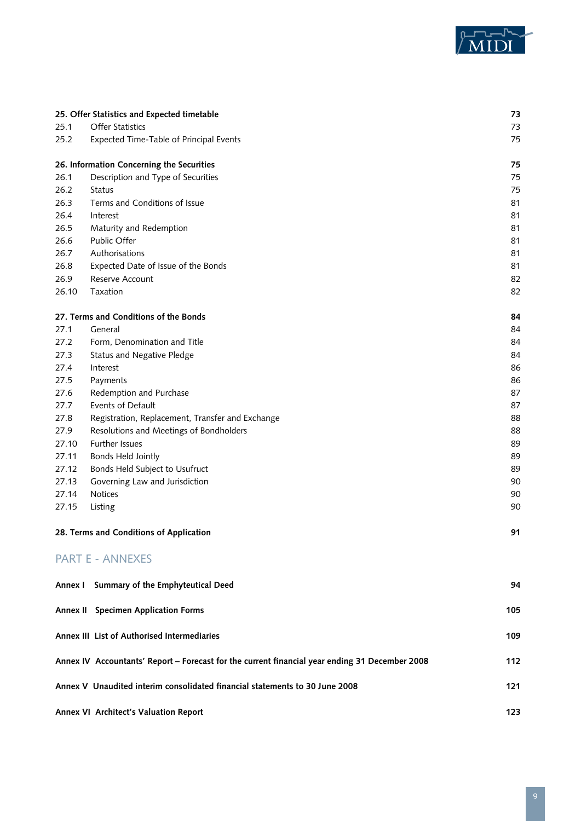

|       | 25. Offer Statistics and Expected timetable                                                    | 73  |
|-------|------------------------------------------------------------------------------------------------|-----|
| 25.1  | Offer Statistics                                                                               | 73  |
| 25.2  | Expected Time-Table of Principal Events                                                        | 75  |
|       | 26. Information Concerning the Securities                                                      | 75  |
| 26.1  | Description and Type of Securities                                                             | 75  |
| 26.2  | <b>Status</b>                                                                                  | 75  |
| 26.3  | Terms and Conditions of Issue                                                                  | 81  |
| 26.4  | Interest                                                                                       | 81  |
| 26.5  | Maturity and Redemption                                                                        | 81  |
| 26.6  | Public Offer                                                                                   | 81  |
| 26.7  | Authorisations                                                                                 | 81  |
| 26.8  | Expected Date of Issue of the Bonds                                                            | 81  |
| 26.9  | Reserve Account                                                                                | 82  |
| 26.10 | Taxation                                                                                       | 82  |
|       | 27. Terms and Conditions of the Bonds                                                          | 84  |
| 27.1  | General                                                                                        | 84  |
| 27.2  | Form, Denomination and Title                                                                   | 84  |
| 27.3  | <b>Status and Negative Pledge</b>                                                              | 84  |
| 27.4  | Interest                                                                                       | 86  |
| 27.5  | Payments                                                                                       | 86  |
| 27.6  | Redemption and Purchase                                                                        | 87  |
| 27.7  | Events of Default                                                                              | 87  |
| 27.8  | Registration, Replacement, Transfer and Exchange                                               | 88  |
| 27.9  | Resolutions and Meetings of Bondholders                                                        | 88  |
| 27.10 | <b>Further Issues</b>                                                                          | 89  |
| 27.11 | <b>Bonds Held Jointly</b>                                                                      | 89  |
| 27.12 | Bonds Held Subject to Usufruct                                                                 | 89  |
| 27.13 | Governing Law and Jurisdiction                                                                 | 90  |
| 27.14 | <b>Notices</b>                                                                                 | 90  |
| 27.15 | Listing                                                                                        | 90  |
|       | 28. Terms and Conditions of Application                                                        | 91  |
|       | <b>PART E - ANNEXES</b>                                                                        |     |
|       | Annex I Summary of the Emphyteutical Deed                                                      | 94  |
|       | Annex II Specimen Application Forms                                                            | 105 |
|       | Annex III List of Authorised Intermediaries                                                    | 109 |
|       | Annex IV Accountants' Report - Forecast for the current financial year ending 31 December 2008 | 112 |
|       | Annex V Unaudited interim consolidated financial statements to 30 June 2008                    | 121 |

**Annex VI Architect's Valuation Report 123**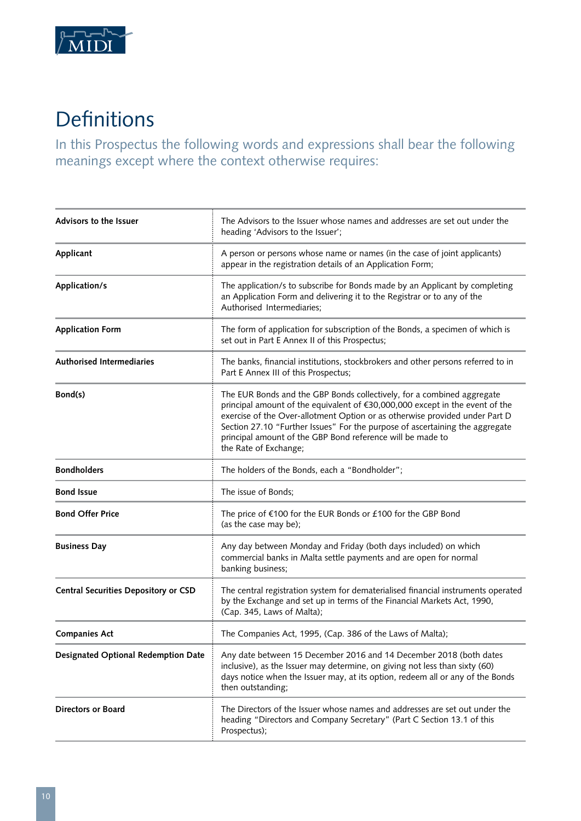

# Definitions

In this Prospectus the following words and expressions shall bear the following meanings except where the context otherwise requires:

| <b>Advisors to the Issuer</b>               | The Advisors to the Issuer whose names and addresses are set out under the<br>heading 'Advisors to the Issuer';                                                                                                                                                                                                                                                                                              |
|---------------------------------------------|--------------------------------------------------------------------------------------------------------------------------------------------------------------------------------------------------------------------------------------------------------------------------------------------------------------------------------------------------------------------------------------------------------------|
| Applicant                                   | A person or persons whose name or names (in the case of joint applicants)<br>appear in the registration details of an Application Form;                                                                                                                                                                                                                                                                      |
| Application/s                               | The application/s to subscribe for Bonds made by an Applicant by completing<br>an Application Form and delivering it to the Registrar or to any of the<br>Authorised Intermediaries;                                                                                                                                                                                                                         |
| <b>Application Form</b>                     | The form of application for subscription of the Bonds, a specimen of which is<br>set out in Part E Annex II of this Prospectus;                                                                                                                                                                                                                                                                              |
| <b>Authorised Intermediaries</b>            | The banks, financial institutions, stockbrokers and other persons referred to in<br>Part E Annex III of this Prospectus;                                                                                                                                                                                                                                                                                     |
| Bond(s)                                     | The EUR Bonds and the GBP Bonds collectively, for a combined aggregate<br>principal amount of the equivalent of €30,000,000 except in the event of the<br>exercise of the Over-allotment Option or as otherwise provided under Part D<br>Section 27.10 "Further Issues" For the purpose of ascertaining the aggregate<br>principal amount of the GBP Bond reference will be made to<br>the Rate of Exchange; |
| <b>Bondholders</b>                          | The holders of the Bonds, each a "Bondholder";                                                                                                                                                                                                                                                                                                                                                               |
| <b>Bond Issue</b>                           | The issue of Bonds;                                                                                                                                                                                                                                                                                                                                                                                          |
| <b>Bond Offer Price</b>                     | The price of €100 for the EUR Bonds or £100 for the GBP Bond<br>(as the case may be);                                                                                                                                                                                                                                                                                                                        |
| <b>Business Day</b>                         | Any day between Monday and Friday (both days included) on which<br>commercial banks in Malta settle payments and are open for normal<br>banking business;                                                                                                                                                                                                                                                    |
| <b>Central Securities Depository or CSD</b> | The central registration system for dematerialised financial instruments operated<br>by the Exchange and set up in terms of the Financial Markets Act, 1990,<br>(Cap. 345, Laws of Malta);                                                                                                                                                                                                                   |
| <b>Companies Act</b>                        | The Companies Act, 1995, (Cap. 386 of the Laws of Malta);                                                                                                                                                                                                                                                                                                                                                    |
| <b>Designated Optional Redemption Date</b>  | Any date between 15 December 2016 and 14 December 2018 (both dates<br>inclusive), as the Issuer may determine, on giving not less than sixty (60)<br>days notice when the Issuer may, at its option, redeem all or any of the Bonds<br>then outstanding;                                                                                                                                                     |
| <b>Directors or Board</b>                   | The Directors of the Issuer whose names and addresses are set out under the<br>heading "Directors and Company Secretary" (Part C Section 13.1 of this<br>Prospectus);                                                                                                                                                                                                                                        |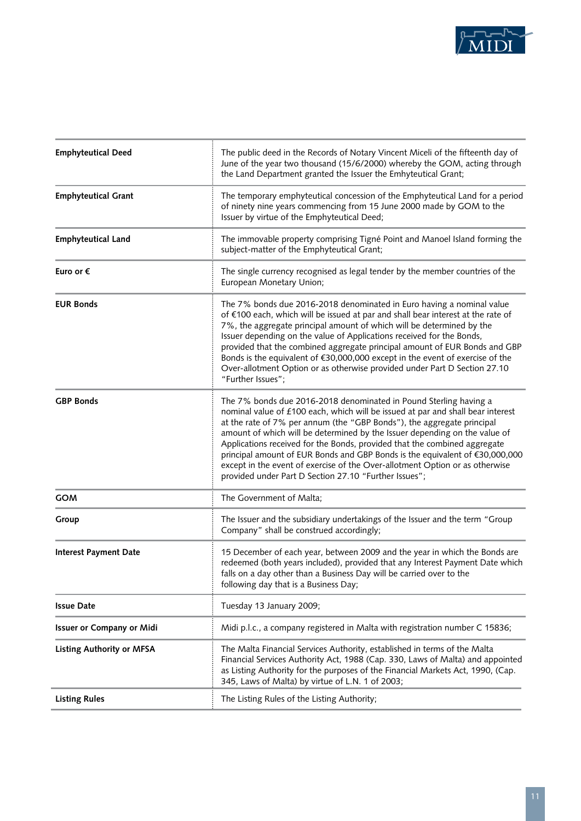

| <b>Emphyteutical Deed</b>        | The public deed in the Records of Notary Vincent Miceli of the fifteenth day of<br>June of the year two thousand (15/6/2000) whereby the GOM, acting through<br>the Land Department granted the Issuer the Emhyteutical Grant;                                                                                                                                                                                                                                                                                                                                                                                     |
|----------------------------------|--------------------------------------------------------------------------------------------------------------------------------------------------------------------------------------------------------------------------------------------------------------------------------------------------------------------------------------------------------------------------------------------------------------------------------------------------------------------------------------------------------------------------------------------------------------------------------------------------------------------|
| <b>Emphyteutical Grant</b>       | The temporary emphyteutical concession of the Emphyteutical Land for a period<br>of ninety nine years commencing from 15 June 2000 made by GOM to the<br>Issuer by virtue of the Emphyteutical Deed;                                                                                                                                                                                                                                                                                                                                                                                                               |
| <b>Emphyteutical Land</b>        | The immovable property comprising Tigné Point and Manoel Island forming the<br>subject-matter of the Emphyteutical Grant;                                                                                                                                                                                                                                                                                                                                                                                                                                                                                          |
| Euro or €                        | The single currency recognised as legal tender by the member countries of the<br>European Monetary Union;                                                                                                                                                                                                                                                                                                                                                                                                                                                                                                          |
| <b>EUR Bonds</b>                 | The 7% bonds due 2016-2018 denominated in Euro having a nominal value<br>of €100 each, which will be issued at par and shall bear interest at the rate of<br>7%, the aggregate principal amount of which will be determined by the<br>Issuer depending on the value of Applications received for the Bonds,<br>provided that the combined aggregate principal amount of EUR Bonds and GBP<br>Bonds is the equivalent of €30,000,000 except in the event of exercise of the<br>Over-allotment Option or as otherwise provided under Part D Section 27.10<br>"Further Issues";                                       |
| <b>GBP Bonds</b>                 | The 7% bonds due 2016-2018 denominated in Pound Sterling having a<br>nominal value of £100 each, which will be issued at par and shall bear interest<br>at the rate of 7% per annum (the "GBP Bonds"), the aggregate principal<br>amount of which will be determined by the Issuer depending on the value of<br>Applications received for the Bonds, provided that the combined aggregate<br>principal amount of EUR Bonds and GBP Bonds is the equivalent of €30,000,000<br>except in the event of exercise of the Over-allotment Option or as otherwise<br>provided under Part D Section 27.10 "Further Issues"; |
| <b>GOM</b>                       | The Government of Malta;                                                                                                                                                                                                                                                                                                                                                                                                                                                                                                                                                                                           |
| Group                            | The Issuer and the subsidiary undertakings of the Issuer and the term "Group<br>Company" shall be construed accordingly;                                                                                                                                                                                                                                                                                                                                                                                                                                                                                           |
| <b>Interest Payment Date</b>     | 15 December of each year, between 2009 and the year in which the Bonds are<br>redeemed (both years included), provided that any Interest Payment Date which<br>falls on a day other than a Business Day will be carried over to the<br>following day that is a Business Day;                                                                                                                                                                                                                                                                                                                                       |
| <b>Issue Date</b>                | Tuesday 13 January 2009;                                                                                                                                                                                                                                                                                                                                                                                                                                                                                                                                                                                           |
| <b>Issuer or Company or Midi</b> | Midi p.l.c., a company registered in Malta with registration number C 15836;                                                                                                                                                                                                                                                                                                                                                                                                                                                                                                                                       |
| <b>Listing Authority or MFSA</b> | The Malta Financial Services Authority, established in terms of the Malta<br>Financial Services Authority Act, 1988 (Cap. 330, Laws of Malta) and appointed<br>as Listing Authority for the purposes of the Financial Markets Act, 1990, (Cap.<br>345, Laws of Malta) by virtue of L.N. 1 of 2003;                                                                                                                                                                                                                                                                                                                 |
| <b>Listing Rules</b>             | The Listing Rules of the Listing Authority;                                                                                                                                                                                                                                                                                                                                                                                                                                                                                                                                                                        |
|                                  |                                                                                                                                                                                                                                                                                                                                                                                                                                                                                                                                                                                                                    |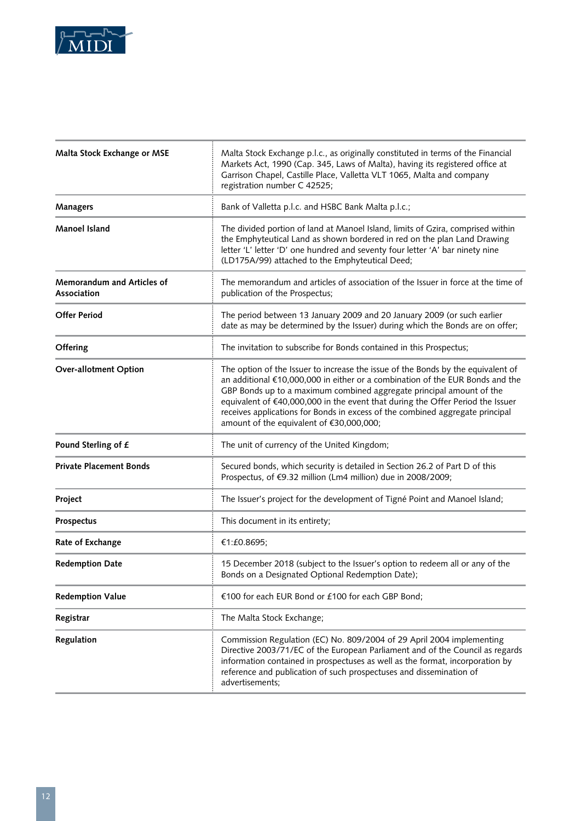

| Malta Stock Exchange or MSE                      | Malta Stock Exchange p.l.c., as originally constituted in terms of the Financial<br>Markets Act, 1990 (Cap. 345, Laws of Malta), having its registered office at<br>Garrison Chapel, Castille Place, Valletta VLT 1065, Malta and company<br>registration number C 42525;                                                                                                                                                                                |
|--------------------------------------------------|----------------------------------------------------------------------------------------------------------------------------------------------------------------------------------------------------------------------------------------------------------------------------------------------------------------------------------------------------------------------------------------------------------------------------------------------------------|
| <b>Managers</b>                                  | Bank of Valletta p.l.c. and HSBC Bank Malta p.l.c.;                                                                                                                                                                                                                                                                                                                                                                                                      |
| <b>Manoel Island</b>                             | The divided portion of land at Manoel Island, limits of Gzira, comprised within<br>the Emphyteutical Land as shown bordered in red on the plan Land Drawing<br>letter 'L' letter 'D' one hundred and seventy four letter 'A' bar ninety nine<br>(LD175A/99) attached to the Emphyteutical Deed;                                                                                                                                                          |
| <b>Memorandum and Articles of</b><br>Association | The memorandum and articles of association of the Issuer in force at the time of<br>publication of the Prospectus;                                                                                                                                                                                                                                                                                                                                       |
| <b>Offer Period</b>                              | The period between 13 January 2009 and 20 January 2009 (or such earlier<br>date as may be determined by the Issuer) during which the Bonds are on offer;                                                                                                                                                                                                                                                                                                 |
| Offering                                         | The invitation to subscribe for Bonds contained in this Prospectus;                                                                                                                                                                                                                                                                                                                                                                                      |
| <b>Over-allotment Option</b>                     | The option of the Issuer to increase the issue of the Bonds by the equivalent of<br>an additional €10,000,000 in either or a combination of the EUR Bonds and the<br>GBP Bonds up to a maximum combined aggregate principal amount of the<br>equivalent of €40,000,000 in the event that during the Offer Period the Issuer<br>receives applications for Bonds in excess of the combined aggregate principal<br>amount of the equivalent of €30,000,000; |
| Pound Sterling of £                              | The unit of currency of the United Kingdom;                                                                                                                                                                                                                                                                                                                                                                                                              |
| <b>Private Placement Bonds</b>                   | Secured bonds, which security is detailed in Section 26.2 of Part D of this<br>Prospectus, of €9.32 million (Lm4 million) due in 2008/2009;                                                                                                                                                                                                                                                                                                              |
| Project                                          | The Issuer's project for the development of Tigné Point and Manoel Island;                                                                                                                                                                                                                                                                                                                                                                               |
| Prospectus                                       | This document in its entirety;                                                                                                                                                                                                                                                                                                                                                                                                                           |
| Rate of Exchange                                 | €1:£0.8695;                                                                                                                                                                                                                                                                                                                                                                                                                                              |
| <b>Redemption Date</b>                           | 15 December 2018 (subject to the Issuer's option to redeem all or any of the<br>Bonds on a Designated Optional Redemption Date);                                                                                                                                                                                                                                                                                                                         |
| <b>Redemption Value</b>                          | €100 for each EUR Bond or £100 for each GBP Bond;                                                                                                                                                                                                                                                                                                                                                                                                        |
| Registrar                                        | The Malta Stock Exchange;                                                                                                                                                                                                                                                                                                                                                                                                                                |
| Regulation                                       | Commission Regulation (EC) No. 809/2004 of 29 April 2004 implementing<br>Directive 2003/71/EC of the European Parliament and of the Council as regards<br>information contained in prospectuses as well as the format, incorporation by<br>reference and publication of such prospectuses and dissemination of<br>advertisements;                                                                                                                        |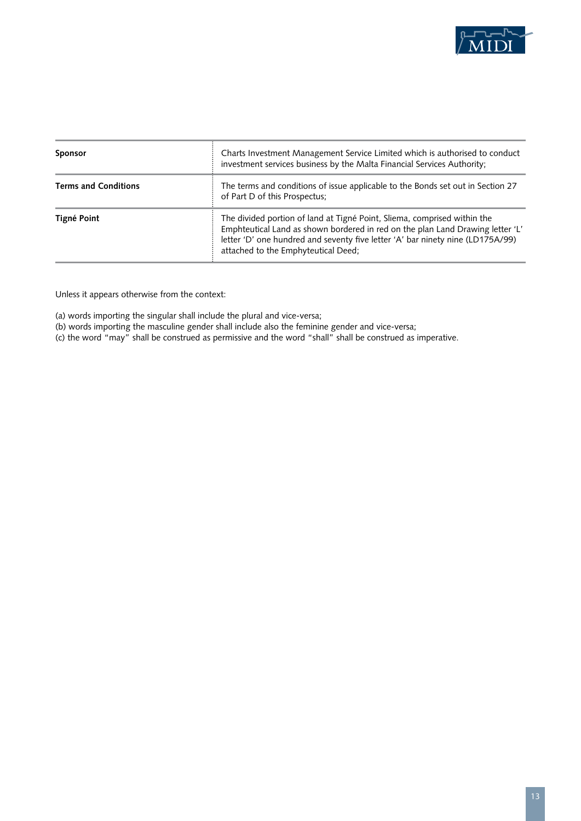

| <b>Sponsor</b>              | Charts Investment Management Service Limited which is authorised to conduct<br>investment services business by the Malta Financial Services Authority;                                                                                                                              |
|-----------------------------|-------------------------------------------------------------------------------------------------------------------------------------------------------------------------------------------------------------------------------------------------------------------------------------|
| <b>Terms and Conditions</b> | The terms and conditions of issue applicable to the Bonds set out in Section 27<br>of Part D of this Prospectus;                                                                                                                                                                    |
| Tigné Point                 | The divided portion of land at Tigné Point, Sliema, comprised within the<br>Emphteutical Land as shown bordered in red on the plan Land Drawing letter 'L'<br>letter 'D' one hundred and seventy five letter 'A' bar ninety nine (LD175A/99)<br>attached to the Emphyteutical Deed; |

Unless it appears otherwise from the context:

(a) words importing the singular shall include the plural and vice-versa;

(b) words importing the masculine gender shall include also the feminine gender and vice-versa;

(c) the word "may" shall be construed as permissive and the word "shall" shall be construed as imperative.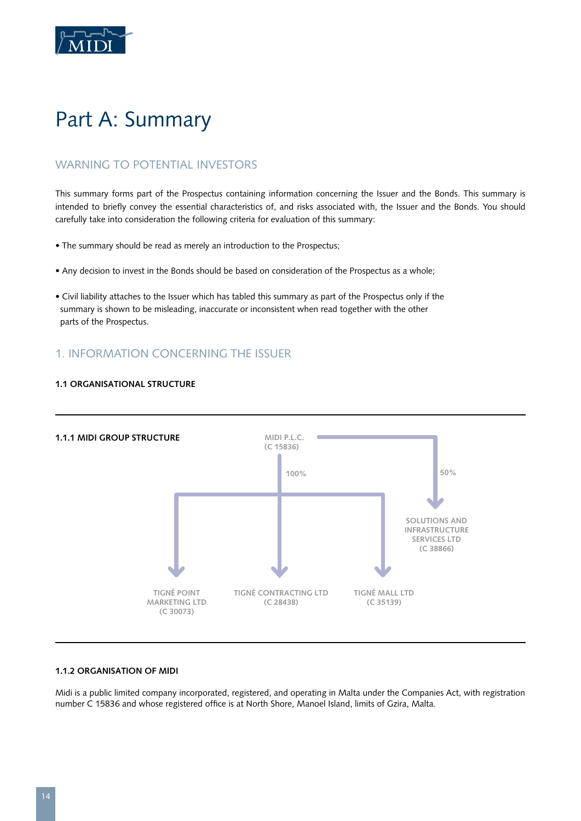

# Part A: Summary

# WARNING TO POTENTIAL INVESTORS

This summary forms part of the Prospectus containing information concerning the Issuer and the Bonds. This summary is intended to briefly convey the essential characteristics of, and risks associated with, the Issuer and the Bonds. You should carefully take into consideration the following criteria for evaluation of this summary:

- The summary should be read as merely an introduction to the Prospectus;
- Any decision to invest in the Bonds should be based on consideration of the Prospectus as a whole;
- Civil liability attaches to the Issuer which has tabled this summary as part of the Prospectus only if the summary is shown to be misleading, inaccurate or inconsistent when read together with the other parts of the Prospectus.

# 1. INFORMATION CONCERNING THE ISSUER





# **1.1.2 ORGANISATION OF MIDI**

Midi is a public limited company incorporated, registered, and operating in Malta under the Companies Act, with registration number C 15836 and whose registered office is at North Shore, Manoel Island, limits of Gzira, Malta.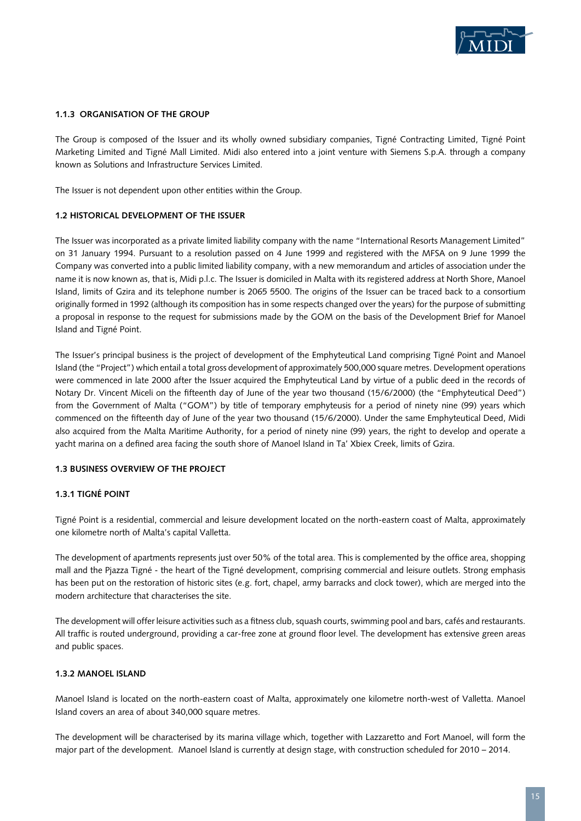

## **1.1.3 Organisation of the Group**

The Group is composed of the Issuer and its wholly owned subsidiary companies, Tigné Contracting Limited, Tigné Point Marketing Limited and Tigné Mall Limited. Midi also entered into a joint venture with Siemens S.p.A. through a company known as Solutions and Infrastructure Services Limited.

The Issuer is not dependent upon other entities within the Group.

## **1.2 Historical Development of the Issuer**

The Issuer was incorporated as a private limited liability company with the name "International Resorts Management Limited" on 31 January 1994. Pursuant to a resolution passed on 4 June 1999 and registered with the MFSA on 9 June 1999 the Company was converted into a public limited liability company, with a new memorandum and articles of association under the name it is now known as, that is, Midi p.l.c. The Issuer is domiciled in Malta with its registered address at North Shore, Manoel Island, limits of Gzira and its telephone number is 2065 5500. The origins of the Issuer can be traced back to a consortium originally formed in 1992 (although its composition has in some respects changed over the years) for the purpose of submitting a proposal in response to the request for submissions made by the GOM on the basis of the Development Brief for Manoel Island and Tigné Point.

The Issuer's principal business is the project of development of the Emphyteutical Land comprising Tigné Point and Manoel Island (the "Project") which entail a total gross development of approximately 500,000 square metres. Development operations were commenced in late 2000 after the Issuer acquired the Emphyteutical Land by virtue of a public deed in the records of Notary Dr. Vincent Miceli on the fifteenth day of June of the year two thousand (15/6/2000) (the "Emphyteutical Deed") from the Government of Malta ("GOM") by title of temporary emphyteusis for a period of ninety nine (99) years which commenced on the fifteenth day of June of the year two thousand (15/6/2000). Under the same Emphyteutical Deed, Midi also acquired from the Malta Maritime Authority, for a period of ninety nine (99) years, the right to develop and operate a yacht marina on a defined area facing the south shore of Manoel Island in Ta' Xbiex Creek, limits of Gzira.

## **1.3 Business Overview of the Project**

## **1.3.1 Tigné Point**

Tigné Point is a residential, commercial and leisure development located on the north-eastern coast of Malta, approximately one kilometre north of Malta's capital Valletta.

The development of apartments represents just over 50% of the total area. This is complemented by the office area, shopping mall and the Pjazza Tigné - the heart of the Tigné development, comprising commercial and leisure outlets. Strong emphasis has been put on the restoration of historic sites (e.g. fort, chapel, army barracks and clock tower), which are merged into the modern architecture that characterises the site.

The development will offer leisure activities such as a fitness club, squash courts, swimming pool and bars, cafés and restaurants. All traffic is routed underground, providing a car-free zone at ground floor level. The development has extensive green areas and public spaces.

#### **1.3.2 Manoel Island**

Manoel Island is located on the north-eastern coast of Malta, approximately one kilometre north-west of Valletta. Manoel Island covers an area of about 340,000 square metres.

The development will be characterised by its marina village which, together with Lazzaretto and Fort Manoel, will form the major part of the development. Manoel Island is currently at design stage, with construction scheduled for 2010 – 2014.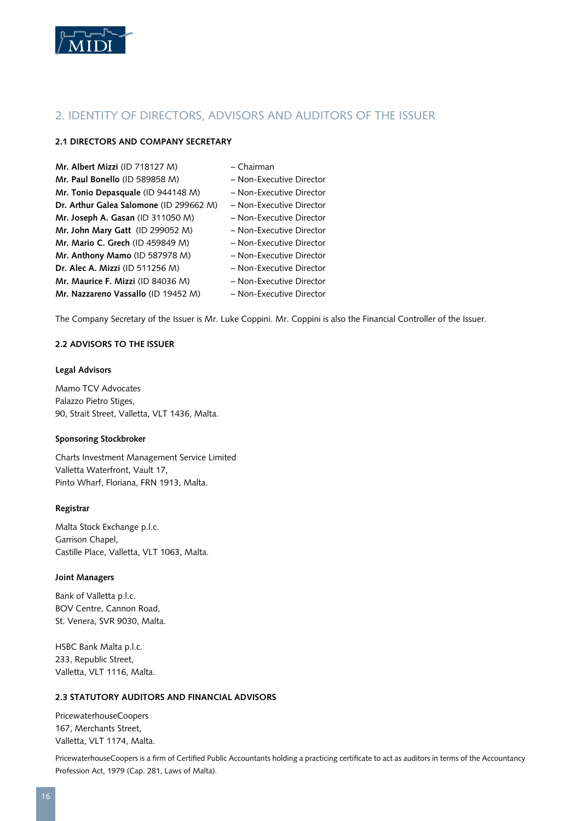

# 2. IDENTITY OF DIRECTORS, ADVISORS AND AUDITORS OF THE ISSUER

# **2.1 Directors and Company Secretary**

| Mr. Albert Mizzi (ID 718127 M)          | – Chairman               |
|-----------------------------------------|--------------------------|
| Mr. Paul Bonello (ID 589858 M)          | - Non-Executive Director |
| Mr. Tonio Depasquale (ID 944148 M)      | - Non-Executive Director |
| Dr. Arthur Galea Salomone (ID 299662 M) | - Non-Executive Director |
| Mr. Joseph A. Gasan (ID 311050 M)       | - Non-Executive Director |
| Mr. John Mary Gatt (ID 299052 M)        | - Non-Executive Director |
| Mr. Mario C. Grech (ID 459849 M)        | - Non-Executive Director |
| Mr. Anthony Mamo (ID 587978 M)          | - Non-Executive Director |
| Dr. Alec A. Mizzi (ID 511256 M)         | - Non-Executive Director |
| Mr. Maurice F. Mizzi (ID 84036 M)       | - Non-Executive Director |
| Mr. Nazzareno Vassallo (ID 19452 M)     | - Non-Executive Director |

The Company Secretary of the Issuer is Mr. Luke Coppini. Mr. Coppini is also the Financial Controller of the Issuer.

# **2.2 Advisors to the Issuer**

# **Legal Advisors**

Mamo TCV Advocates Palazzo Pietro Stiges, 90, Strait Street, Valletta, VLT 1436, Malta.

# **Sponsoring Stockbroker**

Charts Investment Management Service Limited Valletta Waterfront, Vault 17, Pinto Wharf, Floriana, FRN 1913, Malta.

# **Registrar**

Malta Stock Exchange p.l.c. Garrison Chapel, Castille Place, Valletta, VLT 1063, Malta.

# **Joint Managers**

Bank of Valletta p.l.c. BOV Centre, Cannon Road, St. Venera, SVR 9030, Malta.

HSBC Bank Malta p.l.c. 233, Republic Street, Valletta, VLT 1116, Malta.

# **2.3 Statutory Auditors and Financial Advisors**

PricewaterhouseCoopers 167, Merchants Street, Valletta, VLT 1174, Malta.

PricewaterhouseCoopers is a firm of Certified Public Accountants holding a practicing certificate to act as auditors in terms of the Accountancy Profession Act, 1979 (Cap. 281, Laws of Malta).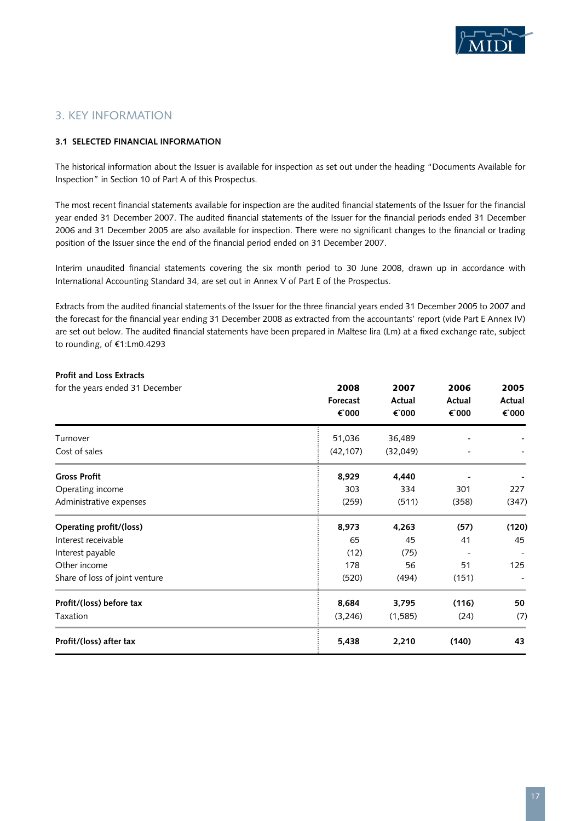

# 3. KEY INFORMATION

# **3.1 Selected Financial Information**

The historical information about the Issuer is available for inspection as set out under the heading "Documents Available for Inspection" in Section 10 of Part A of this Prospectus.

The most recent financial statements available for inspection are the audited financial statements of the Issuer for the financial year ended 31 December 2007. The audited financial statements of the Issuer for the financial periods ended 31 December 2006 and 31 December 2005 are also available for inspection. There were no significant changes to the financial or trading position of the Issuer since the end of the financial period ended on 31 December 2007.

Interim unaudited financial statements covering the six month period to 30 June 2008, drawn up in accordance with International Accounting Standard 34, are set out in Annex V of Part E of the Prospectus.

Extracts from the audited financial statements of the Issuer for the three financial years ended 31 December 2005 to 2007 and the forecast for the financial year ending 31 December 2008 as extracted from the accountants' report (vide Part E Annex IV) are set out below. The audited financial statements have been prepared in Maltese lira (Lm) at a fixed exchange rate, subject to rounding, of €1:Lm0.4293

| <b>Profit and Loss Extracts</b> |           |          |        |        |
|---------------------------------|-----------|----------|--------|--------|
| for the years ended 31 December | 2008      | 2007     | 2006   | 2005   |
|                                 | Forecast  | Actual   | Actual | Actual |
|                                 | € 000     | € 000    | € 000  | € 000  |
| Turnover                        | 51,036    | 36,489   |        |        |
| Cost of sales                   | (42, 107) | (32,049) |        |        |
| <b>Gross Profit</b>             | 8,929     | 4,440    |        |        |
| Operating income                | 303       | 334      | 301    | 227    |
| Administrative expenses         | (259)     | (511)    | (358)  | (347)  |
| Operating profit/(loss)         | 8,973     | 4,263    | (57)   | (120)  |
| Interest receivable             | 65        | 45       | 41     | 45     |
| Interest payable                | (12)      | (75)     |        |        |
| Other income                    | 178       | 56       | 51     | 125    |
| Share of loss of joint venture  | (520)     | (494)    | (151)  |        |
| Profit/(loss) before tax        | 8,684     | 3,795    | (116)  | 50     |
| Taxation                        | (3, 246)  | (1,585)  | (24)   | (7)    |
| Profit/(loss) after tax         | 5,438     | 2,210    | (140)  | 43     |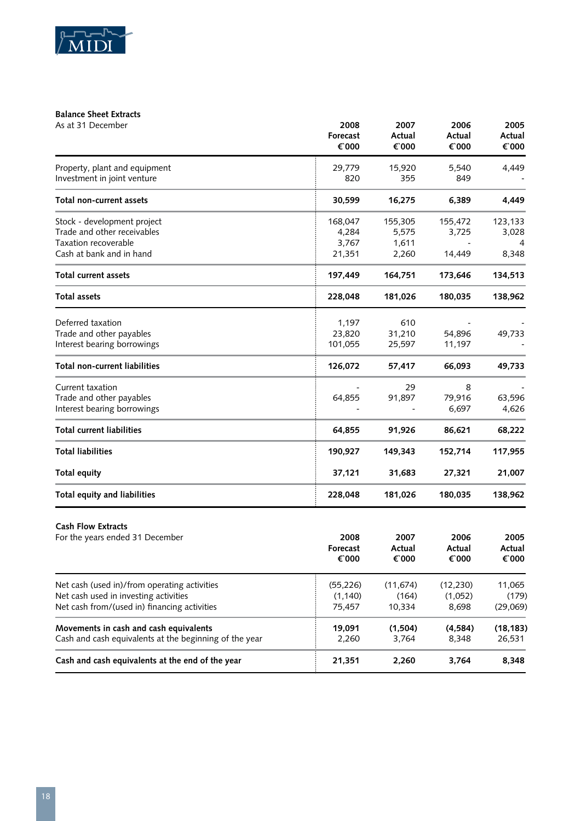

# **Balance Sheet Extracts**

| As at 31 December                                                                                                                     | 2008<br>Forecast<br>€ 000           | 2007<br>Actual<br>€ 000            | 2006<br>Actual<br>€ 000       | 2005<br>Actual<br>€ 000     |
|---------------------------------------------------------------------------------------------------------------------------------------|-------------------------------------|------------------------------------|-------------------------------|-----------------------------|
| Property, plant and equipment<br>Investment in joint venture                                                                          | 29,779<br>820                       | 15,920<br>355                      | 5,540<br>849                  | 4,449                       |
| Total non-current assets                                                                                                              | 30,599                              | 16,275                             | 6,389                         | 4,449                       |
| Stock - development project<br>Trade and other receivables<br>Taxation recoverable<br>Cash at bank and in hand                        | 168,047<br>4,284<br>3,767<br>21,351 | 155,305<br>5,575<br>1,611<br>2,260 | 155,472<br>3,725<br>14,449    | 123,133<br>3,028<br>8,348   |
| <b>Total current assets</b>                                                                                                           | 197,449                             | 164,751                            | 173,646                       | 134,513                     |
| <b>Total assets</b>                                                                                                                   | 228,048                             | 181,026                            | 180,035                       | 138,962                     |
| Deferred taxation<br>Trade and other payables<br>Interest bearing borrowings                                                          | 1,197<br>23,820<br>101,055          | 610<br>31,210<br>25,597            | 54,896<br>11,197              | 49,733                      |
| <b>Total non-current liabilities</b>                                                                                                  | 126,072                             | 57,417                             | 66,093                        | 49,733                      |
| Current taxation<br>Trade and other payables<br>Interest bearing borrowings                                                           | 64,855                              | 29<br>91,897                       | 8<br>79,916<br>6,697          | 63,596<br>4,626             |
| <b>Total current liabilities</b>                                                                                                      | 64,855                              | 91,926                             | 86,621                        | 68,222                      |
| <b>Total liabilities</b>                                                                                                              | 190,927                             | 149,343                            | 152,714                       | 117,955                     |
| Total equity                                                                                                                          | 37,121                              | 31,683                             | 27,321                        | 21,007                      |
| Total equity and liabilities                                                                                                          | 228,048                             | 181,026                            | 180,035                       | 138,962                     |
| <b>Cash Flow Extracts</b><br>For the years ended 31 December                                                                          | 2008<br>Forecast<br>$\epsilon$ 000  | 2007<br>Actual<br>€ 000            | 2006<br>Actual<br>€ 000       | 2005<br>Actual<br>€ 000     |
| Net cash (used in)/from operating activities<br>Net cash used in investing activities<br>Net cash from/(used in) financing activities | (55, 226)<br>(1, 140)<br>75,457     | (11, 674)<br>(164)<br>10,334       | (12, 230)<br>(1,052)<br>8,698 | 11,065<br>(179)<br>(29,069) |
| Movements in cash and cash equivalents<br>Cash and cash equivalents at the beginning of the year                                      | 19,091<br>2,260                     | (1,504)<br>3,764                   | (4, 584)<br>8,348             | (18, 183)<br>26,531         |
| Cash and cash equivalents at the end of the year                                                                                      | 21,351                              | 2,260                              | 3,764                         | 8,348                       |
|                                                                                                                                       |                                     |                                    |                               |                             |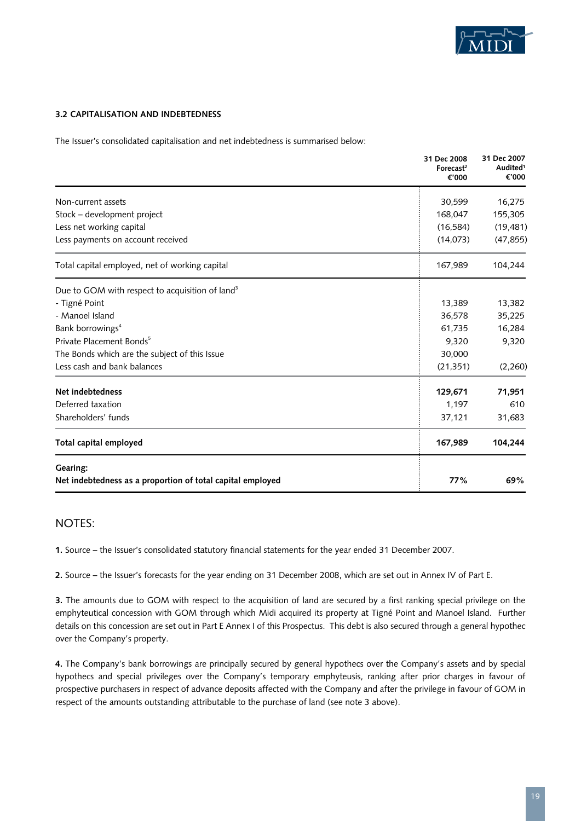

# **3.2 Capitalisation and Indebtedness**

The Issuer's consolidated capitalisation and net indebtedness is summarised below:

|                                                                        | 31 Dec 2008<br>Forecast <sup>2</sup><br>€'000 | 31 Dec 2007<br>Audited <sup>1</sup><br>€'000 |
|------------------------------------------------------------------------|-----------------------------------------------|----------------------------------------------|
| Non-current assets                                                     | 30,599                                        | 16,275                                       |
| Stock - development project                                            | 168,047                                       | 155,305                                      |
| Less net working capital                                               | (16, 584)                                     | (19, 481)                                    |
| Less payments on account received                                      | (14,073)                                      | (47, 855)                                    |
| Total capital employed, net of working capital                         | 167,989                                       | 104,244                                      |
| Due to GOM with respect to acquisition of land <sup>3</sup>            |                                               |                                              |
| - Tigné Point                                                          | 13,389                                        | 13,382                                       |
| - Manoel Island                                                        | 36,578                                        | 35,225                                       |
| Bank borrowings <sup>4</sup>                                           | 61,735                                        | 16,284                                       |
| Private Placement Bonds <sup>5</sup>                                   | 9,320                                         | 9,320                                        |
| The Bonds which are the subject of this Issue                          | 30,000                                        |                                              |
| Less cash and bank balances                                            | (21, 351)                                     | (2,260)                                      |
| Net indebtedness                                                       | 129,671                                       | 71,951                                       |
| Deferred taxation                                                      | 1,197                                         | 610                                          |
| Shareholders' funds                                                    | 37,121                                        | 31,683                                       |
| Total capital employed                                                 | 167,989                                       | 104,244                                      |
| Gearing:<br>Net indebtedness as a proportion of total capital employed | 77%                                           | 69%                                          |

# NOTES:

**1.** Source – the Issuer's consolidated statutory financial statements for the year ended 31 December 2007.

**2.** Source – the Issuer's forecasts for the year ending on 31 December 2008, which are set out in Annex IV of Part E.

**3.** The amounts due to GOM with respect to the acquisition of land are secured by a first ranking special privilege on the emphyteutical concession with GOM through which Midi acquired its property at Tigné Point and Manoel Island. Further details on this concession are set out in Part E Annex I of this Prospectus. This debt is also secured through a general hypothec over the Company's property.

**4.** The Company's bank borrowings are principally secured by general hypothecs over the Company's assets and by special hypothecs and special privileges over the Company's temporary emphyteusis, ranking after prior charges in favour of prospective purchasers in respect of advance deposits affected with the Company and after the privilege in favour of GOM in respect of the amounts outstanding attributable to the purchase of land (see note 3 above).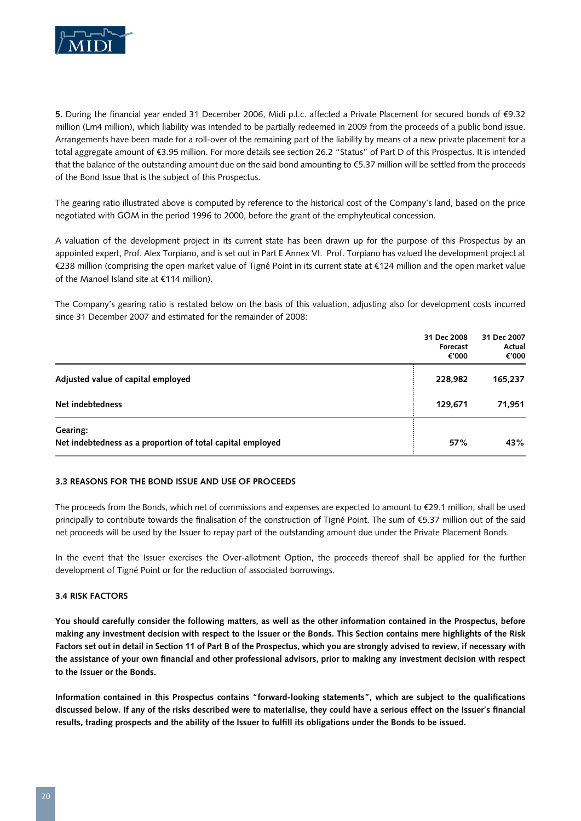

**5.** During the financial year ended 31 December 2006, Midi p.l.c. affected a Private Placement for secured bonds of €9.32 million (Lm4 million), which liability was intended to be partially redeemed in 2009 from the proceeds of a public bond issue. Arrangements have been made for a roll-over of the remaining part of the liability by means of a new private placement for a total aggregate amount of €3.95 million. For more details see section 26.2 "Status" of Part D of this Prospectus. It is intended that the balance of the outstanding amount due on the said bond amounting to €5.37 million will be settled from the proceeds of the Bond Issue that is the subject of this Prospectus.

The gearing ratio illustrated above is computed by reference to the historical cost of the Company's land, based on the price negotiated with GOM in the period 1996 to 2000, before the grant of the emphyteutical concession.

A valuation of the development project in its current state has been drawn up for the purpose of this Prospectus by an appointed expert, Prof. Alex Torpiano, and is set out in Part E Annex VI. Prof. Torpiano has valued the development project at €238 million (comprising the open market value of Tigné Point in its current state at €124 million and the open market value of the Manoel Island site at €114 million).

The Company's gearing ratio is restated below on the basis of this valuation, adjusting also for development costs incurred since 31 December 2007 and estimated for the remainder of 2008:

|                                                                        | 31 Dec 2008<br>Forecast<br>€'000 | 31 Dec 2007<br>Actual<br>€'000 |
|------------------------------------------------------------------------|----------------------------------|--------------------------------|
| Adjusted value of capital employed                                     | 228,982                          | 165,237                        |
| Net indebtedness                                                       | 129,671                          | 71,951                         |
| Gearing:<br>Net indebtedness as a proportion of total capital employed | 57%                              | 43%                            |

# **3.3 Reasons for the Bond Issue and Use of Proceeds**

The proceeds from the Bonds, which net of commissions and expenses are expected to amount to €29.1 million, shall be used principally to contribute towards the finalisation of the construction of Tigné Point. The sum of €5.37 million out of the said net proceeds will be used by the Issuer to repay part of the outstanding amount due under the Private Placement Bonds.

In the event that the Issuer exercises the Over-allotment Option, the proceeds thereof shall be applied for the further development of Tigné Point or for the reduction of associated borrowings.

#### **3.4 Risk Factors**

**You should carefully consider the following matters, as well as the other information contained in the Prospectus, before making any investment decision with respect to the Issuer or the Bonds. This Section contains mere highlights of the Risk Factors set out in detail in Section 11 of Part B of the Prospectus, which you are strongly advised to review, if necessary with the assistance of your own financial and other professional advisors, prior to making any investment decision with respect to the Issuer or the Bonds.**

**Information contained in this Prospectus contains "forward-looking statements", which are subject to the qualifications discussed below. If any of the risks described were to materialise, they could have a serious effect on the Issuer's financial results, trading prospects and the ability of the Issuer to fulfill its obligations under the Bonds to be issued.**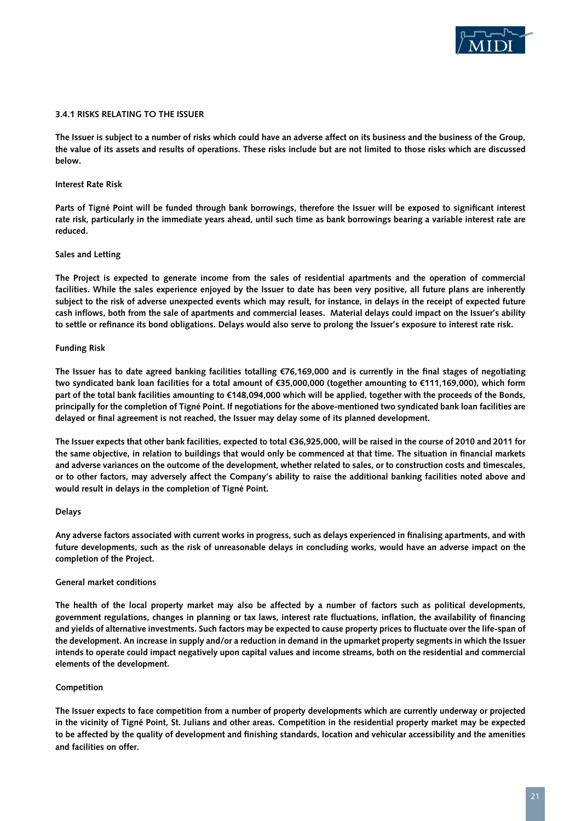

#### **3.4.1 Risks relating to the Issuer**

**The Issuer is subject to a number of risks which could have an adverse affect on its business and the business of the Group, the value of its assets and results of operations. These risks include but are not limited to those risks which are discussed below.** 

#### **Interest Rate Risk**

**Parts of Tigné Point will be funded through bank borrowings, therefore the Issuer will be exposed to significant interest rate risk, particularly in the immediate years ahead, until such time as bank borrowings bearing a variable interest rate are reduced.** 

#### **Sales and Letting**

**The Project is expected to generate income from the sales of residential apartments and the operation of commercial facilities. While the sales experience enjoyed by the Issuer to date has been very positive, all future plans are inherently subject to the risk of adverse unexpected events which may result, for instance, in delays in the receipt of expected future cash inflows, both from the sale of apartments and commercial leases. Material delays could impact on the Issuer's ability to settle or refinance its bond obligations. Delays would also serve to prolong the Issuer's exposure to interest rate risk.**

#### **Funding Risk**

**The Issuer has to date agreed banking facilities totalling €76,169,000 and is currently in the final stages of negotiating two syndicated bank loan facilities for a total amount of €35,000,000 (together amounting to €111,169,000), which form part of the total bank facilities amounting to €148,094,000 which will be applied, together with the proceeds of the Bonds, principally for the completion of Tigné Point. If negotiations for the above-mentioned two syndicated bank loan facilities are delayed or final agreement is not reached, the Issuer may delay some of its planned development.** 

**The Issuer expects that other bank facilities, expected to total €36,925,000, will be raised in the course of 2010 and 2011 for the same objective, in relation to buildings that would only be commenced at that time. The situation in financial markets and adverse variances on the outcome of the development, whether related to sales, or to construction costs and timescales, or to other factors, may adversely affect the Company's ability to raise the additional banking facilities noted above and would result in delays in the completion of Tigné Point.**

#### **Delays**

**Any adverse factors associated with current works in progress, such as delays experienced in finalising apartments, and with future developments, such as the risk of unreasonable delays in concluding works, would have an adverse impact on the completion of the Project.** 

#### **General market conditions**

**The health of the local property market may also be affected by a number of factors such as political developments, government regulations, changes in planning or tax laws, interest rate fluctuations, inflation, the availability of financing and yields of alternative investments. Such factors may be expected to cause property prices to fluctuate over the life-span of the development. An increase in supply and/or a reduction in demand in the upmarket property segments in which the Issuer intends to operate could impact negatively upon capital values and income streams, both on the residential and commercial elements of the development.**

#### **Competition**

**The Issuer expects to face competition from a number of property developments which are currently underway or projected in the vicinity of Tigné Point, St. Julians and other areas. Competition in the residential property market may be expected to be affected by the quality of development and finishing standards, location and vehicular accessibility and the amenities and facilities on offer.**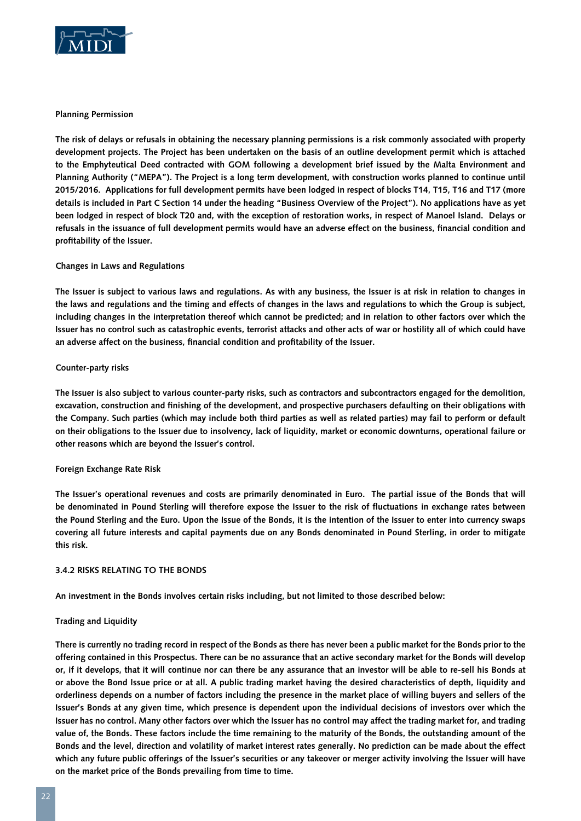

## **Planning Permission**

**The risk of delays or refusals in obtaining the necessary planning permissions is a risk commonly associated with property development projects. The Project has been undertaken on the basis of an outline development permit which is attached to the Emphyteutical Deed contracted with GOM following a development brief issued by the Malta Environment and Planning Authority ("MEPA"). The Project is a long term development, with construction works planned to continue until 2015/2016. Applications for full development permits have been lodged in respect of blocks T14, T15, T16 and T17 (more details is included in Part C Section 14 under the heading "Business Overview of the Project"). No applications have as yet been lodged in respect of block T20 and, with the exception of restoration works, in respect of Manoel Island. Delays or refusals in the issuance of full development permits would have an adverse effect on the business, financial condition and profitability of the Issuer.**

# **Changes in Laws and Regulations**

**The Issuer is subject to various laws and regulations. As with any business, the Issuer is at risk in relation to changes in the laws and regulations and the timing and effects of changes in the laws and regulations to which the Group is subject, including changes in the interpretation thereof which cannot be predicted; and in relation to other factors over which the Issuer has no control such as catastrophic events, terrorist attacks and other acts of war or hostility all of which could have an adverse affect on the business, financial condition and profitability of the Issuer.**

## **Counter-party risks**

**The Issuer is also subject to various counter-party risks, such as contractors and subcontractors engaged for the demolition, excavation, construction and finishing of the development, and prospective purchasers defaulting on their obligations with the Company. Such parties (which may include both third parties as well as related parties) may fail to perform or default on their obligations to the Issuer due to insolvency, lack of liquidity, market or economic downturns, operational failure or other reasons which are beyond the Issuer's control.**

#### **Foreign Exchange Rate Risk**

**The Issuer's operational revenues and costs are primarily denominated in Euro. The partial issue of the Bonds that will be denominated in Pound Sterling will therefore expose the Issuer to the risk of fluctuations in exchange rates between the Pound Sterling and the Euro. Upon the Issue of the Bonds, it is the intention of the Issuer to enter into currency swaps covering all future interests and capital payments due on any Bonds denominated in Pound Sterling, in order to mitigate this risk.**

#### **3.4.2 Risks relating to the Bonds**

**An investment in the Bonds involves certain risks including, but not limited to those described below:**

#### **Trading and Liquidity**

**There is currently no trading record in respect of the Bonds as there has never been a public market for the Bonds prior to the offering contained in this Prospectus. There can be no assurance that an active secondary market for the Bonds will develop or, if it develops, that it will continue nor can there be any assurance that an investor will be able to re-sell his Bonds at or above the Bond Issue price or at all. A public trading market having the desired characteristics of depth, liquidity and orderliness depends on a number of factors including the presence in the market place of willing buyers and sellers of the Issuer's Bonds at any given time, which presence is dependent upon the individual decisions of investors over which the Issuer has no control. Many other factors over which the Issuer has no control may affect the trading market for, and trading value of, the Bonds. These factors include the time remaining to the maturity of the Bonds, the outstanding amount of the Bonds and the level, direction and volatility of market interest rates generally. No prediction can be made about the effect which any future public offerings of the Issuer's securities or any takeover or merger activity involving the Issuer will have on the market price of the Bonds prevailing from time to time.**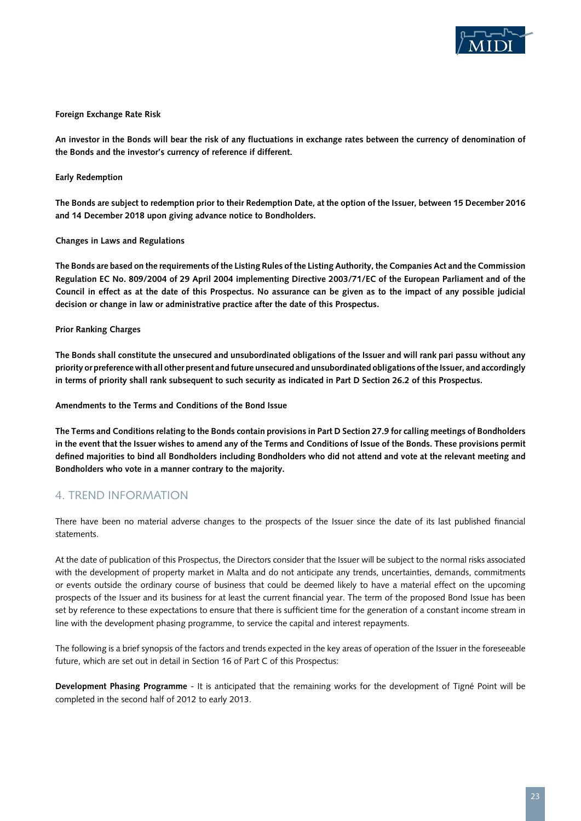

## **Foreign Exchange Rate Risk**

**An investor in the Bonds will bear the risk of any fluctuations in exchange rates between the currency of denomination of the Bonds and the investor's currency of reference if different.**

## **Early Redemption**

**The Bonds are subject to redemption prior to their Redemption Date, at the option of the Issuer, between 15 December 2016 and 14 December 2018 upon giving advance notice to Bondholders.**

#### **Changes in Laws and Regulations**

**The Bonds are based on the requirements of the Listing Rules of the Listing Authority, the Companies Act and the Commission Regulation EC No. 809/2004 of 29 April 2004 implementing Directive 2003/71/EC of the European Parliament and of the Council in effect as at the date of this Prospectus. No assurance can be given as to the impact of any possible judicial decision or change in law or administrative practice after the date of this Prospectus.**

## **Prior Ranking Charges**

**The Bonds shall constitute the unsecured and unsubordinated obligations of the Issuer and will rank pari passu without any priority or preference with all other present and future unsecured and unsubordinated obligations of the Issuer, and accordingly in terms of priority shall rank subsequent to such security as indicated in Part D Section 26.2 of this Prospectus.**

**Amendments to the Terms and Conditions of the Bond Issue**

**The Terms and Conditions relating to the Bonds contain provisions in Part D Section 27.9 for calling meetings of Bondholders in the event that the Issuer wishes to amend any of the Terms and Conditions of Issue of the Bonds. These provisions permit defined majorities to bind all Bondholders including Bondholders who did not attend and vote at the relevant meeting and Bondholders who vote in a manner contrary to the majority.**

# 4. TREND INFORMATION

There have been no material adverse changes to the prospects of the Issuer since the date of its last published financial statements.

At the date of publication of this Prospectus, the Directors consider that the Issuer will be subject to the normal risks associated with the development of property market in Malta and do not anticipate any trends, uncertainties, demands, commitments or events outside the ordinary course of business that could be deemed likely to have a material effect on the upcoming prospects of the Issuer and its business for at least the current financial year. The term of the proposed Bond Issue has been set by reference to these expectations to ensure that there is sufficient time for the generation of a constant income stream in line with the development phasing programme, to service the capital and interest repayments.

The following is a brief synopsis of the factors and trends expected in the key areas of operation of the Issuer in the foreseeable future, which are set out in detail in Section 16 of Part C of this Prospectus:

**Development Phasing Programme** - It is anticipated that the remaining works for the development of Tigné Point will be completed in the second half of 2012 to early 2013.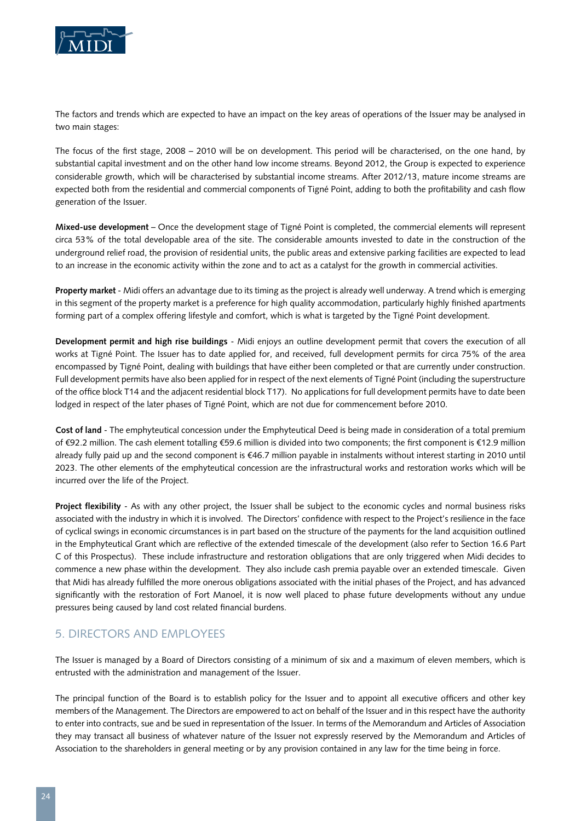

The factors and trends which are expected to have an impact on the key areas of operations of the Issuer may be analysed in two main stages:

The focus of the first stage, 2008 – 2010 will be on development. This period will be characterised, on the one hand, by substantial capital investment and on the other hand low income streams. Beyond 2012, the Group is expected to experience considerable growth, which will be characterised by substantial income streams. After 2012/13, mature income streams are expected both from the residential and commercial components of Tigné Point, adding to both the profitability and cash flow generation of the Issuer.

**Mixed-use development** – Once the development stage of Tigné Point is completed, the commercial elements will represent circa 53% of the total developable area of the site. The considerable amounts invested to date in the construction of the underground relief road, the provision of residential units, the public areas and extensive parking facilities are expected to lead to an increase in the economic activity within the zone and to act as a catalyst for the growth in commercial activities.

**Property market** - Midi offers an advantage due to its timing as the project is already well underway. A trend which is emerging in this segment of the property market is a preference for high quality accommodation, particularly highly finished apartments forming part of a complex offering lifestyle and comfort, which is what is targeted by the Tigné Point development.

**Development permit and high rise buildings** - Midi enjoys an outline development permit that covers the execution of all works at Tigné Point. The Issuer has to date applied for, and received, full development permits for circa 75% of the area encompassed by Tigné Point, dealing with buildings that have either been completed or that are currently under construction. Full development permits have also been applied for in respect of the next elements of Tigné Point (including the superstructure of the office block T14 and the adjacent residential block T17). No applications for full development permits have to date been lodged in respect of the later phases of Tigné Point, which are not due for commencement before 2010.

**Cost of land** - The emphyteutical concession under the Emphyteutical Deed is being made in consideration of a total premium of €92.2 million. The cash element totalling €59.6 million is divided into two components; the first component is €12.9 million already fully paid up and the second component is €46.7 million payable in instalments without interest starting in 2010 until 2023. The other elements of the emphyteutical concession are the infrastructural works and restoration works which will be incurred over the life of the Project.

**Project flexibility** - As with any other project, the Issuer shall be subject to the economic cycles and normal business risks associated with the industry in which it is involved. The Directors' confidence with respect to the Project's resilience in the face of cyclical swings in economic circumstances is in part based on the structure of the payments for the land acquisition outlined in the Emphyteutical Grant which are reflective of the extended timescale of the development (also refer to Section 16.6 Part C of this Prospectus). These include infrastructure and restoration obligations that are only triggered when Midi decides to commence a new phase within the development. They also include cash premia payable over an extended timescale. Given that Midi has already fulfilled the more onerous obligations associated with the initial phases of the Project, and has advanced significantly with the restoration of Fort Manoel, it is now well placed to phase future developments without any undue pressures being caused by land cost related financial burdens.

# 5. DIRECTORS AND EMPLOYEES

The Issuer is managed by a Board of Directors consisting of a minimum of six and a maximum of eleven members, which is entrusted with the administration and management of the Issuer.

The principal function of the Board is to establish policy for the Issuer and to appoint all executive officers and other key members of the Management. The Directors are empowered to act on behalf of the Issuer and in this respect have the authority to enter into contracts, sue and be sued in representation of the Issuer. In terms of the Memorandum and Articles of Association they may transact all business of whatever nature of the Issuer not expressly reserved by the Memorandum and Articles of Association to the shareholders in general meeting or by any provision contained in any law for the time being in force.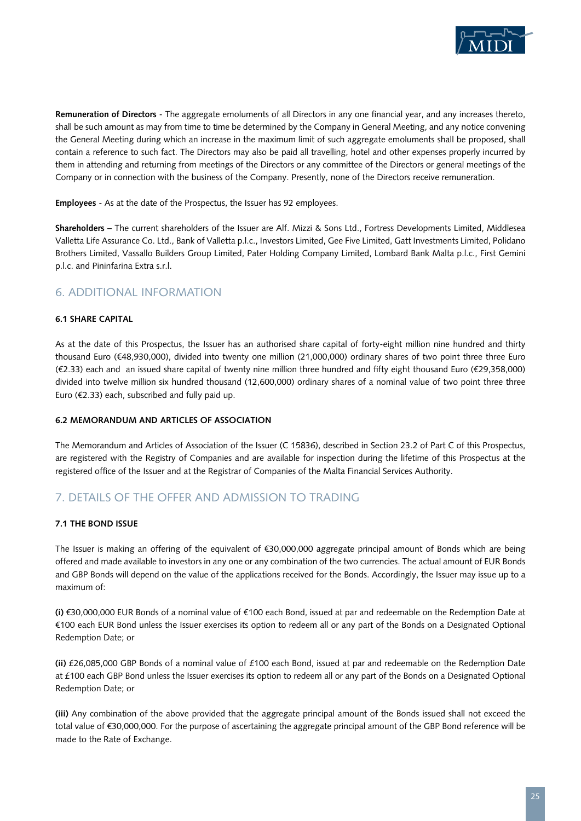

**Remuneration of Directors** - The aggregate emoluments of all Directors in any one financial year, and any increases thereto, shall be such amount as may from time to time be determined by the Company in General Meeting, and any notice convening the General Meeting during which an increase in the maximum limit of such aggregate emoluments shall be proposed, shall contain a reference to such fact. The Directors may also be paid all travelling, hotel and other expenses properly incurred by them in attending and returning from meetings of the Directors or any committee of the Directors or general meetings of the Company or in connection with the business of the Company. Presently, none of the Directors receive remuneration.

**Employees** - As at the date of the Prospectus, the Issuer has 92 employees.

**Shareholders** – The current shareholders of the Issuer are Alf. Mizzi & Sons Ltd., Fortress Developments Limited, Middlesea Valletta Life Assurance Co. Ltd., Bank of Valletta p.l.c., Investors Limited, Gee Five Limited, Gatt Investments Limited, Polidano Brothers Limited, Vassallo Builders Group Limited, Pater Holding Company Limited, Lombard Bank Malta p.l.c., First Gemini p.l.c. and Pininfarina Extra s.r.l.

# 6. ADDITIONAL INFORMATION

# **6.1 Share Capital**

As at the date of this Prospectus, the Issuer has an authorised share capital of forty-eight million nine hundred and thirty thousand Euro (€48,930,000), divided into twenty one million (21,000,000) ordinary shares of two point three three Euro (€2.33) each and an issued share capital of twenty nine million three hundred and fifty eight thousand Euro (€29,358,000) divided into twelve million six hundred thousand (12,600,000) ordinary shares of a nominal value of two point three three Euro (€2.33) each, subscribed and fully paid up.

# **6.2 Memorandum and Articles of Association**

The Memorandum and Articles of Association of the Issuer (C 15836), described in Section 23.2 of Part C of this Prospectus, are registered with the Registry of Companies and are available for inspection during the lifetime of this Prospectus at the registered office of the Issuer and at the Registrar of Companies of the Malta Financial Services Authority.

# 7. DETAILS OF THE OFFER AND ADMISSION TO TRADING

# **7.1 The Bond Issue**

The Issuer is making an offering of the equivalent of €30,000,000 aggregate principal amount of Bonds which are being offered and made available to investors in any one or any combination of the two currencies. The actual amount of EUR Bonds and GBP Bonds will depend on the value of the applications received for the Bonds. Accordingly, the Issuer may issue up to a maximum of:

**(i)** €30,000,000 EUR Bonds of a nominal value of €100 each Bond, issued at par and redeemable on the Redemption Date at €100 each EUR Bond unless the Issuer exercises its option to redeem all or any part of the Bonds on a Designated Optional Redemption Date; or

**(ii)** £26,085,000 GBP Bonds of a nominal value of £100 each Bond, issued at par and redeemable on the Redemption Date at £100 each GBP Bond unless the Issuer exercises its option to redeem all or any part of the Bonds on a Designated Optional Redemption Date; or

**(iii)** Any combination of the above provided that the aggregate principal amount of the Bonds issued shall not exceed the total value of €30,000,000. For the purpose of ascertaining the aggregate principal amount of the GBP Bond reference will be made to the Rate of Exchange.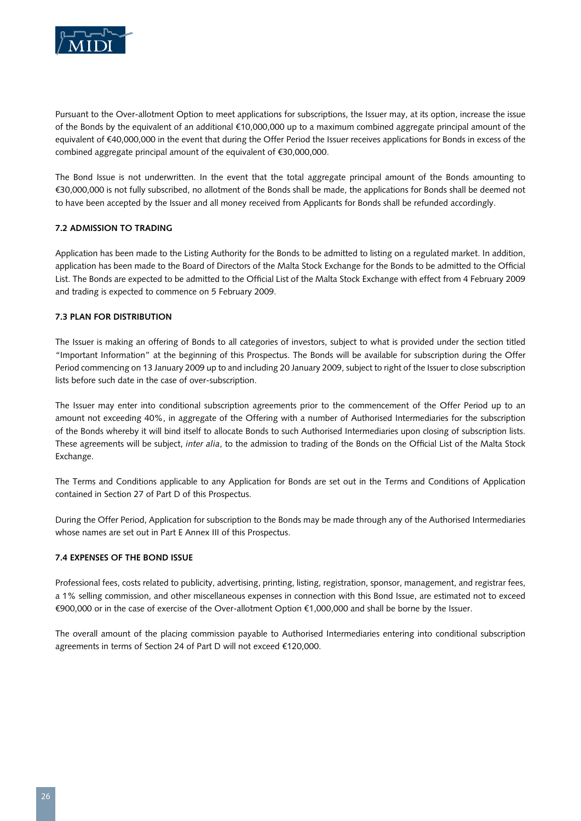

Pursuant to the Over-allotment Option to meet applications for subscriptions, the Issuer may, at its option, increase the issue of the Bonds by the equivalent of an additional €10,000,000 up to a maximum combined aggregate principal amount of the equivalent of €40,000,000 in the event that during the Offer Period the Issuer receives applications for Bonds in excess of the combined aggregate principal amount of the equivalent of €30,000,000.

The Bond Issue is not underwritten. In the event that the total aggregate principal amount of the Bonds amounting to €30,000,000 is not fully subscribed, no allotment of the Bonds shall be made, the applications for Bonds shall be deemed not to have been accepted by the Issuer and all money received from Applicants for Bonds shall be refunded accordingly.

# **7.2 Admission to Trading**

Application has been made to the Listing Authority for the Bonds to be admitted to listing on a regulated market. In addition, application has been made to the Board of Directors of the Malta Stock Exchange for the Bonds to be admitted to the Official List. The Bonds are expected to be admitted to the Official List of the Malta Stock Exchange with effect from 4 February 2009 and trading is expected to commence on 5 February 2009.

## **7.3 Plan for Distribution**

The Issuer is making an offering of Bonds to all categories of investors, subject to what is provided under the section titled "Important Information" at the beginning of this Prospectus. The Bonds will be available for subscription during the Offer Period commencing on 13 January 2009 up to and including 20 January 2009, subject to right of the Issuer to close subscription lists before such date in the case of over-subscription.

The Issuer may enter into conditional subscription agreements prior to the commencement of the Offer Period up to an amount not exceeding 40%, in aggregate of the Offering with a number of Authorised Intermediaries for the subscription of the Bonds whereby it will bind itself to allocate Bonds to such Authorised Intermediaries upon closing of subscription lists. These agreements will be subject, *inter alia*, to the admission to trading of the Bonds on the Official List of the Malta Stock Exchange.

The Terms and Conditions applicable to any Application for Bonds are set out in the Terms and Conditions of Application contained in Section 27 of Part D of this Prospectus.

During the Offer Period, Application for subscription to the Bonds may be made through any of the Authorised Intermediaries whose names are set out in Part E Annex III of this Prospectus.

#### **7.4 Expenses of the Bond Issue**

Professional fees, costs related to publicity, advertising, printing, listing, registration, sponsor, management, and registrar fees, a 1% selling commission, and other miscellaneous expenses in connection with this Bond Issue, are estimated not to exceed €900,000 or in the case of exercise of the Over-allotment Option €1,000,000 and shall be borne by the Issuer.

The overall amount of the placing commission payable to Authorised Intermediaries entering into conditional subscription agreements in terms of Section 24 of Part D will not exceed €120,000.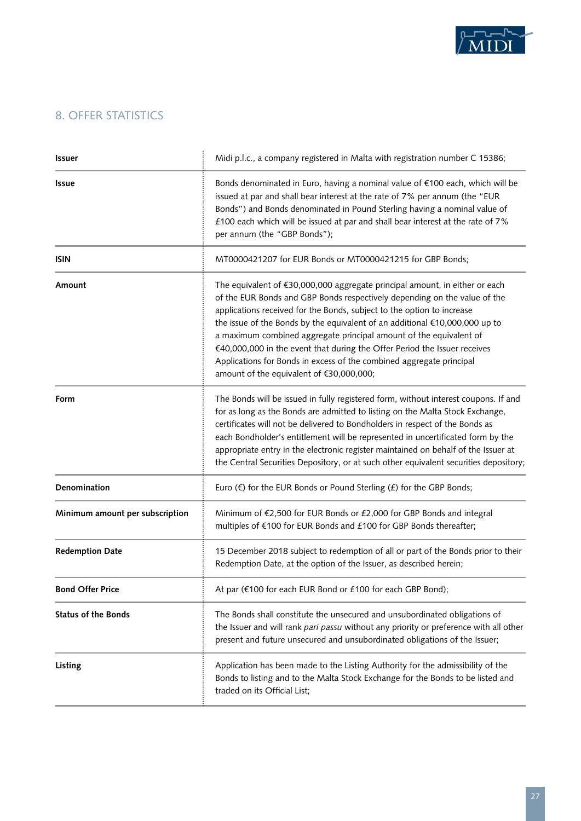

# 8. OFFER STATISTICS

| <b>Issuer</b>                   | Midi p.l.c., a company registered in Malta with registration number C 15386;                                                                                                                                                                                                                                                                                                                                                                                                                                                                                                             |
|---------------------------------|------------------------------------------------------------------------------------------------------------------------------------------------------------------------------------------------------------------------------------------------------------------------------------------------------------------------------------------------------------------------------------------------------------------------------------------------------------------------------------------------------------------------------------------------------------------------------------------|
| <b>Issue</b>                    | Bonds denominated in Euro, having a nominal value of €100 each, which will be<br>issued at par and shall bear interest at the rate of 7% per annum (the "EUR<br>Bonds") and Bonds denominated in Pound Sterling having a nominal value of<br>£100 each which will be issued at par and shall bear interest at the rate of 7%<br>per annum (the "GBP Bonds");                                                                                                                                                                                                                             |
| <b>ISIN</b>                     | MT0000421207 for EUR Bonds or MT0000421215 for GBP Bonds;                                                                                                                                                                                                                                                                                                                                                                                                                                                                                                                                |
| Amount                          | The equivalent of €30,000,000 aggregate principal amount, in either or each<br>of the EUR Bonds and GBP Bonds respectively depending on the value of the<br>applications received for the Bonds, subject to the option to increase<br>the issue of the Bonds by the equivalent of an additional €10,000,000 up to<br>a maximum combined aggregate principal amount of the equivalent of<br>€40,000,000 in the event that during the Offer Period the Issuer receives<br>Applications for Bonds in excess of the combined aggregate principal<br>amount of the equivalent of €30,000,000; |
| Form                            | The Bonds will be issued in fully registered form, without interest coupons. If and<br>for as long as the Bonds are admitted to listing on the Malta Stock Exchange,<br>certificates will not be delivered to Bondholders in respect of the Bonds as<br>each Bondholder's entitlement will be represented in uncertificated form by the<br>appropriate entry in the electronic register maintained on behalf of the Issuer at<br>the Central Securities Depository, or at such other equivalent securities depository;                                                                   |
| Denomination                    | Euro $(\epsilon)$ for the EUR Bonds or Pound Sterling $(E)$ for the GBP Bonds;                                                                                                                                                                                                                                                                                                                                                                                                                                                                                                           |
| Minimum amount per subscription | Minimum of €2,500 for EUR Bonds or £2,000 for GBP Bonds and integral<br>multiples of €100 for EUR Bonds and £100 for GBP Bonds thereafter;                                                                                                                                                                                                                                                                                                                                                                                                                                               |
| <b>Redemption Date</b>          | 15 December 2018 subject to redemption of all or part of the Bonds prior to their<br>Redemption Date, at the option of the Issuer, as described herein;                                                                                                                                                                                                                                                                                                                                                                                                                                  |
| <b>Bond Offer Price</b>         | At par (€100 for each EUR Bond or £100 for each GBP Bond);                                                                                                                                                                                                                                                                                                                                                                                                                                                                                                                               |
| <b>Status of the Bonds</b>      | The Bonds shall constitute the unsecured and unsubordinated obligations of<br>the Issuer and will rank pari passu without any priority or preference with all other<br>present and future unsecured and unsubordinated obligations of the Issuer;                                                                                                                                                                                                                                                                                                                                        |
| Listing                         | Application has been made to the Listing Authority for the admissibility of the<br>Bonds to listing and to the Malta Stock Exchange for the Bonds to be listed and<br>traded on its Official List;                                                                                                                                                                                                                                                                                                                                                                                       |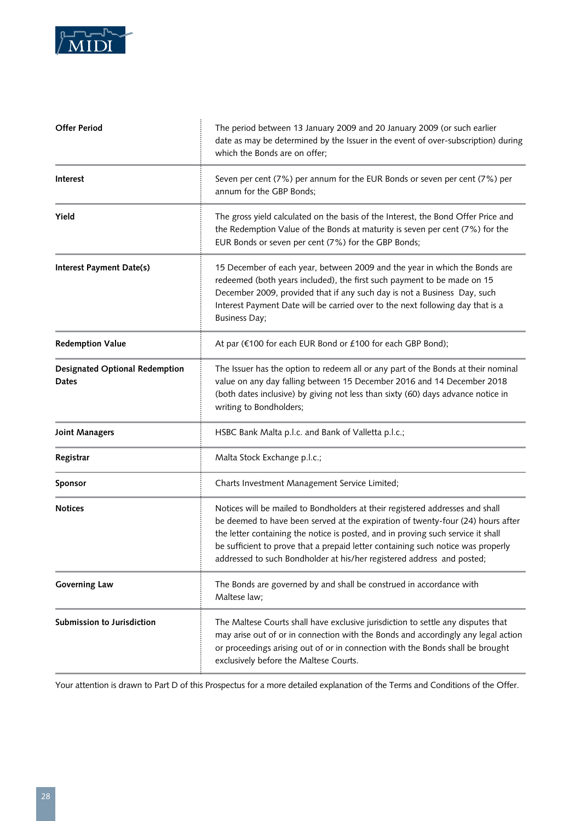

| <b>Offer Period</b>                            | The period between 13 January 2009 and 20 January 2009 (or such earlier<br>date as may be determined by the Issuer in the event of over-subscription) during<br>which the Bonds are on offer;                                                                                                                                                                                                                      |
|------------------------------------------------|--------------------------------------------------------------------------------------------------------------------------------------------------------------------------------------------------------------------------------------------------------------------------------------------------------------------------------------------------------------------------------------------------------------------|
| Interest                                       | Seven per cent (7%) per annum for the EUR Bonds or seven per cent (7%) per<br>annum for the GBP Bonds;                                                                                                                                                                                                                                                                                                             |
| Yield                                          | The gross yield calculated on the basis of the Interest, the Bond Offer Price and<br>the Redemption Value of the Bonds at maturity is seven per cent (7%) for the<br>EUR Bonds or seven per cent (7%) for the GBP Bonds;                                                                                                                                                                                           |
| Interest Payment Date(s)                       | 15 December of each year, between 2009 and the year in which the Bonds are<br>redeemed (both years included), the first such payment to be made on 15<br>December 2009, provided that if any such day is not a Business Day, such<br>Interest Payment Date will be carried over to the next following day that is a<br><b>Business Day;</b>                                                                        |
| <b>Redemption Value</b>                        | At par (€100 for each EUR Bond or £100 for each GBP Bond);                                                                                                                                                                                                                                                                                                                                                         |
| <b>Designated Optional Redemption</b><br>Dates | The Issuer has the option to redeem all or any part of the Bonds at their nominal<br>value on any day falling between 15 December 2016 and 14 December 2018<br>(both dates inclusive) by giving not less than sixty (60) days advance notice in<br>writing to Bondholders;                                                                                                                                         |
| <b>Joint Managers</b>                          | HSBC Bank Malta p.l.c. and Bank of Valletta p.l.c.;                                                                                                                                                                                                                                                                                                                                                                |
| Registrar                                      | Malta Stock Exchange p.l.c.;                                                                                                                                                                                                                                                                                                                                                                                       |
| Sponsor                                        | Charts Investment Management Service Limited;                                                                                                                                                                                                                                                                                                                                                                      |
| <b>Notices</b>                                 | Notices will be mailed to Bondholders at their registered addresses and shall<br>be deemed to have been served at the expiration of twenty-four (24) hours after<br>the letter containing the notice is posted, and in proving such service it shall<br>be sufficient to prove that a prepaid letter containing such notice was properly<br>addressed to such Bondholder at his/her registered address and posted; |
| <b>Governing Law</b>                           | The Bonds are governed by and shall be construed in accordance with<br>Maltese law;                                                                                                                                                                                                                                                                                                                                |
| Submission to Jurisdiction                     | The Maltese Courts shall have exclusive jurisdiction to settle any disputes that<br>may arise out of or in connection with the Bonds and accordingly any legal action<br>or proceedings arising out of or in connection with the Bonds shall be brought<br>exclusively before the Maltese Courts.                                                                                                                  |

Your attention is drawn to Part D of this Prospectus for a more detailed explanation of the Terms and Conditions of the Offer.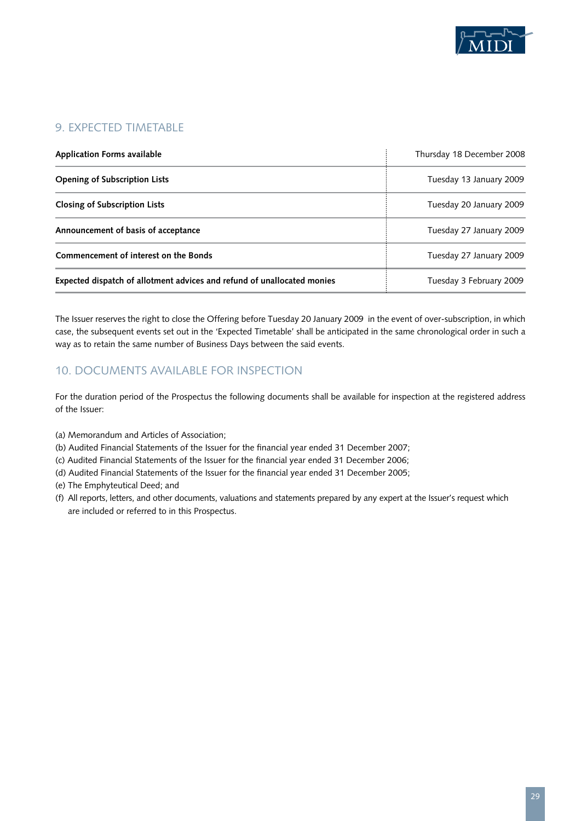

# 9. EXPECTED TIMETABLE

| <b>Application Forms available</b>                                      | Thursday 18 December 2008 |
|-------------------------------------------------------------------------|---------------------------|
| <b>Opening of Subscription Lists</b>                                    | Tuesday 13 January 2009   |
| <b>Closing of Subscription Lists</b>                                    | Tuesday 20 January 2009   |
| Announcement of basis of acceptance                                     | Tuesday 27 January 2009   |
| Commencement of interest on the Bonds                                   | Tuesday 27 January 2009   |
| Expected dispatch of allotment advices and refund of unallocated monies | Tuesday 3 February 2009   |

The Issuer reserves the right to close the Offering before Tuesday 20 January 2009 in the event of over-subscription, in which case, the subsequent events set out in the 'Expected Timetable' shall be anticipated in the same chronological order in such a way as to retain the same number of Business Days between the said events.

# 10. DOCUMENTS AVAILABLE FOR INSPECTION

For the duration period of the Prospectus the following documents shall be available for inspection at the registered address of the Issuer:

- (a) Memorandum and Articles of Association;
- (b) Audited Financial Statements of the Issuer for the financial year ended 31 December 2007;
- (c) Audited Financial Statements of the Issuer for the financial year ended 31 December 2006;
- (d) Audited Financial Statements of the Issuer for the financial year ended 31 December 2005;
- (e) The Emphyteutical Deed; and
- (f) All reports, letters, and other documents, valuations and statements prepared by any expert at the Issuer's request which are included or referred to in this Prospectus.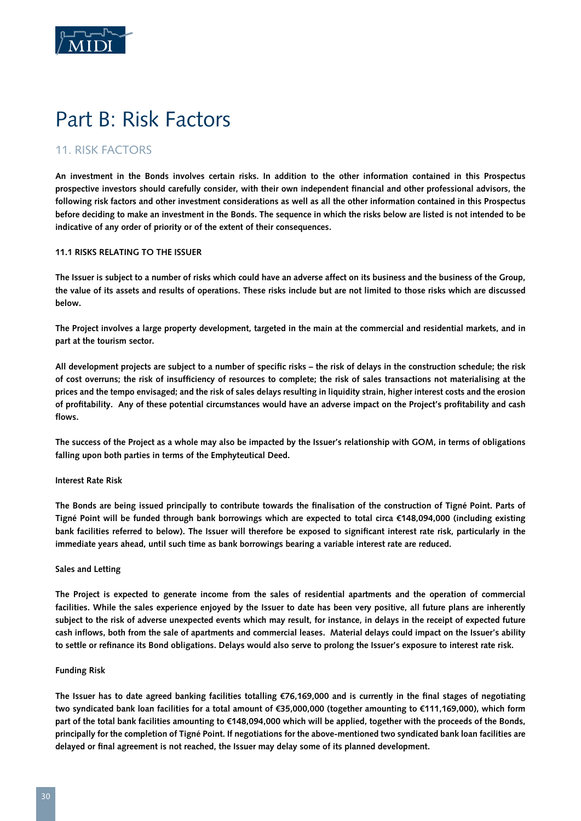

# Part B: Risk Factors

# 11. RISK FACTORS

**An investment in the Bonds involves certain risks. In addition to the other information contained in this Prospectus prospective investors should carefully consider, with their own independent financial and other professional advisors, the following risk factors and other investment considerations as well as all the other information contained in this Prospectus before deciding to make an investment in the Bonds. The sequence in which the risks below are listed is not intended to be indicative of any order of priority or of the extent of their consequences.**

# **11.1 Risks Relating to the Issuer**

**The Issuer is subject to a number of risks which could have an adverse affect on its business and the business of the Group, the value of its assets and results of operations. These risks include but are not limited to those risks which are discussed below.** 

**The Project involves a large property development, targeted in the main at the commercial and residential markets, and in part at the tourism sector.**

**All development projects are subject to a number of specific risks – the risk of delays in the construction schedule; the risk of cost overruns; the risk of insufficiency of resources to complete; the risk of sales transactions not materialising at the prices and the tempo envisaged; and the risk of sales delays resulting in liquidity strain, higher interest costs and the erosion of profitability. Any of these potential circumstances would have an adverse impact on the Project's profitability and cash flows.** 

**The success of the Project as a whole may also be impacted by the Issuer's relationship with GOM, in terms of obligations falling upon both parties in terms of the Emphyteutical Deed.**

# **Interest Rate Risk**

**The Bonds are being issued principally to contribute towards the finalisation of the construction of Tigné Point. Parts of Tigné Point will be funded through bank borrowings which are expected to total circa €148,094,000 (including existing bank facilities referred to below). The Issuer will therefore be exposed to significant interest rate risk, particularly in the immediate years ahead, until such time as bank borrowings bearing a variable interest rate are reduced.** 

# **Sales and Letting**

**The Project is expected to generate income from the sales of residential apartments and the operation of commercial facilities. While the sales experience enjoyed by the Issuer to date has been very positive, all future plans are inherently subject to the risk of adverse unexpected events which may result, for instance, in delays in the receipt of expected future cash inflows, both from the sale of apartments and commercial leases. Material delays could impact on the Issuer's ability to settle or refinance its Bond obligations. Delays would also serve to prolong the Issuer's exposure to interest rate risk.**

# **Funding Risk**

**The Issuer has to date agreed banking facilities totalling €76,169,000 and is currently in the final stages of negotiating two syndicated bank loan facilities for a total amount of €35,000,000 (together amounting to €111,169,000), which form part of the total bank facilities amounting to €148,094,000 which will be applied, together with the proceeds of the Bonds, principally for the completion of Tigné Point. If negotiations for the above-mentioned two syndicated bank loan facilities are delayed or final agreement is not reached, the Issuer may delay some of its planned development.**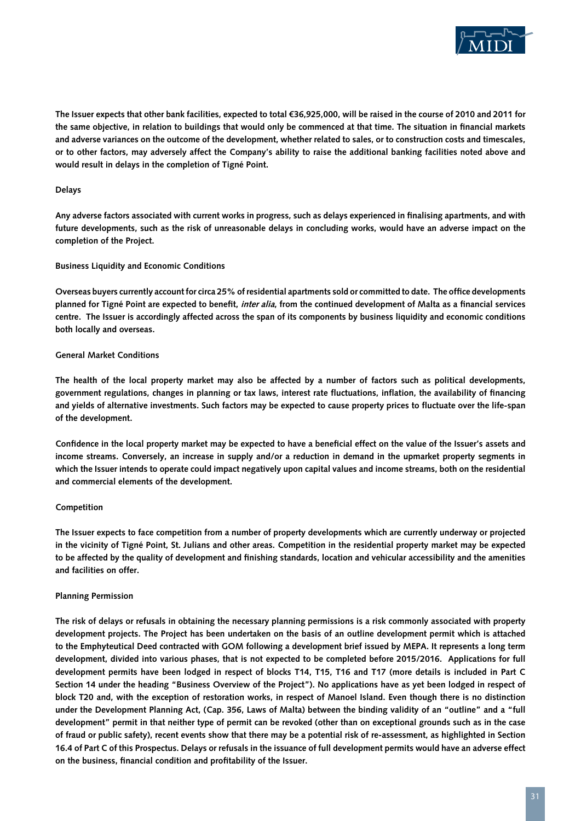

**The Issuer expects that other bank facilities, expected to total €36,925,000, will be raised in the course of 2010 and 2011 for the same objective, in relation to buildings that would only be commenced at that time. The situation in financial markets and adverse variances on the outcome of the development, whether related to sales, or to construction costs and timescales, or to other factors, may adversely affect the Company's ability to raise the additional banking facilities noted above and would result in delays in the completion of Tigné Point.**

## **Delays**

**Any adverse factors associated with current works in progress, such as delays experienced in finalising apartments, and with future developments, such as the risk of unreasonable delays in concluding works, would have an adverse impact on the completion of the Project.** 

## **Business Liquidity and Economic Conditions**

**Overseas buyers currently account for circa 25% of residential apartments sold or committed to date. The office developments planned for Tigné Point are expected to benefit, inter alia, from the continued development of Malta as a financial services centre. The Issuer is accordingly affected across the span of its components by business liquidity and economic conditions both locally and overseas.** 

## **General Market Conditions**

**The health of the local property market may also be affected by a number of factors such as political developments, government regulations, changes in planning or tax laws, interest rate fluctuations, inflation, the availability of financing and yields of alternative investments. Such factors may be expected to cause property prices to fluctuate over the life-span of the development.**

**Confidence in the local property market may be expected to have a beneficial effect on the value of the Issuer's assets and income streams. Conversely, an increase in supply and/or a reduction in demand in the upmarket property segments in which the Issuer intends to operate could impact negatively upon capital values and income streams, both on the residential and commercial elements of the development.**

#### **Competition**

**The Issuer expects to face competition from a number of property developments which are currently underway or projected in the vicinity of Tigné Point, St. Julians and other areas. Competition in the residential property market may be expected to be affected by the quality of development and finishing standards, location and vehicular accessibility and the amenities and facilities on offer.**

# **Planning Permission**

**The risk of delays or refusals in obtaining the necessary planning permissions is a risk commonly associated with property development projects. The Project has been undertaken on the basis of an outline development permit which is attached to the Emphyteutical Deed contracted with GOM following a development brief issued by MEPA. It represents a long term development, divided into various phases, that is not expected to be completed before 2015/2016. Applications for full development permits have been lodged in respect of blocks T14, T15, T16 and T17 (more details is included in Part C Section 14 under the heading "Business Overview of the Project"). No applications have as yet been lodged in respect of block T20 and, with the exception of restoration works, in respect of Manoel Island. Even though there is no distinction under the Development Planning Act, (Cap. 356, Laws of Malta) between the binding validity of an "outline" and a "full development" permit in that neither type of permit can be revoked (other than on exceptional grounds such as in the case of fraud or public safety), recent events show that there may be a potential risk of re-assessment, as highlighted in Section 16.4 of Part C of this Prospectus. Delays or refusals in the issuance of full development permits would have an adverse effect on the business, financial condition and profitability of the Issuer.**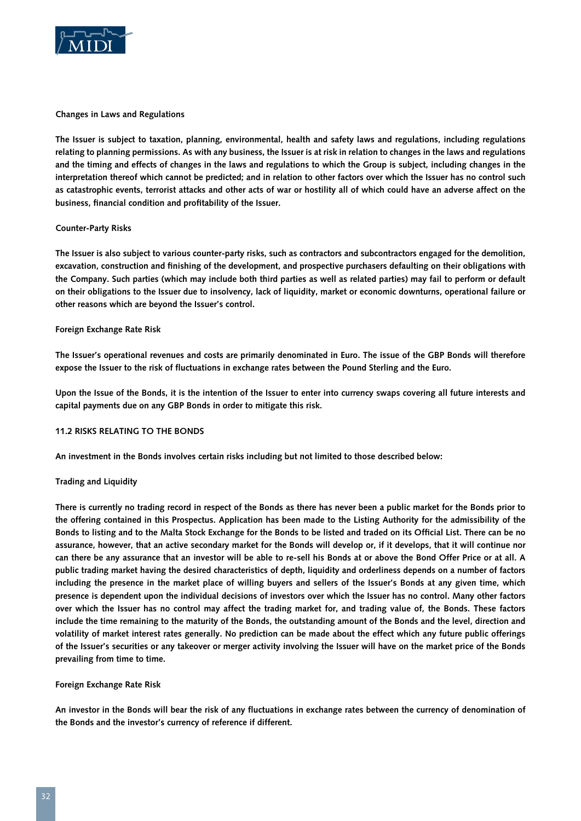

**Changes in Laws and Regulations**

**The Issuer is subject to taxation, planning, environmental, health and safety laws and regulations, including regulations relating to planning permissions. As with any business, the Issuer is at risk in relation to changes in the laws and regulations and the timing and effects of changes in the laws and regulations to which the Group is subject, including changes in the interpretation thereof which cannot be predicted; and in relation to other factors over which the Issuer has no control such as catastrophic events, terrorist attacks and other acts of war or hostility all of which could have an adverse affect on the business, financial condition and profitability of the Issuer.**

## **Counter-Party Risks**

**The Issuer is also subject to various counter-party risks, such as contractors and subcontractors engaged for the demolition, excavation, construction and finishing of the development, and prospective purchasers defaulting on their obligations with the Company. Such parties (which may include both third parties as well as related parties) may fail to perform or default on their obligations to the Issuer due to insolvency, lack of liquidity, market or economic downturns, operational failure or other reasons which are beyond the Issuer's control.**

## **Foreign Exchange Rate Risk**

**The Issuer's operational revenues and costs are primarily denominated in Euro. The issue of the GBP Bonds will therefore expose the Issuer to the risk of fluctuations in exchange rates between the Pound Sterling and the Euro.** 

**Upon the Issue of the Bonds, it is the intention of the Issuer to enter into currency swaps covering all future interests and capital payments due on any GBP Bonds in order to mitigate this risk.**

#### **11.2 Risks relating to the Bonds**

**An investment in the Bonds involves certain risks including but not limited to those described below:**

#### **Trading and Liquidity**

**There is currently no trading record in respect of the Bonds as there has never been a public market for the Bonds prior to the offering contained in this Prospectus. Application has been made to the Listing Authority for the admissibility of the Bonds to listing and to the Malta Stock Exchange for the Bonds to be listed and traded on its Official List. There can be no assurance, however, that an active secondary market for the Bonds will develop or, if it develops, that it will continue nor can there be any assurance that an investor will be able to re-sell his Bonds at or above the Bond Offer Price or at all. A public trading market having the desired characteristics of depth, liquidity and orderliness depends on a number of factors including the presence in the market place of willing buyers and sellers of the Issuer's Bonds at any given time, which presence is dependent upon the individual decisions of investors over which the Issuer has no control. Many other factors over which the Issuer has no control may affect the trading market for, and trading value of, the Bonds. These factors include the time remaining to the maturity of the Bonds, the outstanding amount of the Bonds and the level, direction and volatility of market interest rates generally. No prediction can be made about the effect which any future public offerings of the Issuer's securities or any takeover or merger activity involving the Issuer will have on the market price of the Bonds prevailing from time to time.**

#### **Foreign Exchange Rate Risk**

**An investor in the Bonds will bear the risk of any fluctuations in exchange rates between the currency of denomination of the Bonds and the investor's currency of reference if different.**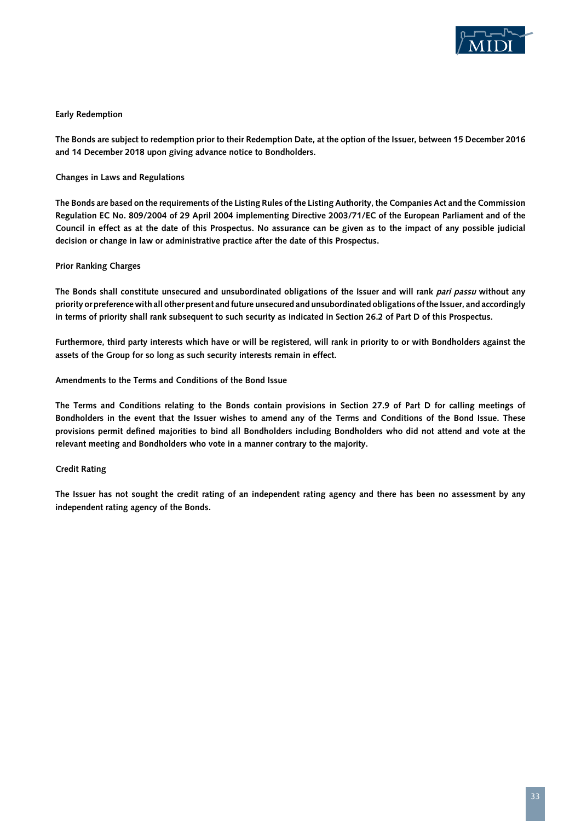

## **Early Redemption**

**The Bonds are subject to redemption prior to their Redemption Date, at the option of the Issuer, between 15 December 2016 and 14 December 2018 upon giving advance notice to Bondholders.**

**Changes in Laws and Regulations**

**The Bonds are based on the requirements of the Listing Rules of the Listing Authority, the Companies Act and the Commission Regulation EC No. 809/2004 of 29 April 2004 implementing Directive 2003/71/EC of the European Parliament and of the Council in effect as at the date of this Prospectus. No assurance can be given as to the impact of any possible judicial decision or change in law or administrative practice after the date of this Prospectus.**

## **Prior Ranking Charges**

**The Bonds shall constitute unsecured and unsubordinated obligations of the Issuer and will rank pari passu without any priority or preference with all other present and future unsecured and unsubordinated obligations of the Issuer, and accordingly in terms of priority shall rank subsequent to such security as indicated in Section 26.2 of Part D of this Prospectus.**

**Furthermore, third party interests which have or will be registered, will rank in priority to or with Bondholders against the assets of the Group for so long as such security interests remain in effect.**

**Amendments to the Terms and Conditions of the Bond Issue**

**The Terms and Conditions relating to the Bonds contain provisions in Section 27.9 of Part D for calling meetings of Bondholders in the event that the Issuer wishes to amend any of the Terms and Conditions of the Bond Issue. These provisions permit defined majorities to bind all Bondholders including Bondholders who did not attend and vote at the relevant meeting and Bondholders who vote in a manner contrary to the majority.**

#### **Credit Rating**

**The Issuer has not sought the credit rating of an independent rating agency and there has been no assessment by any independent rating agency of the Bonds.**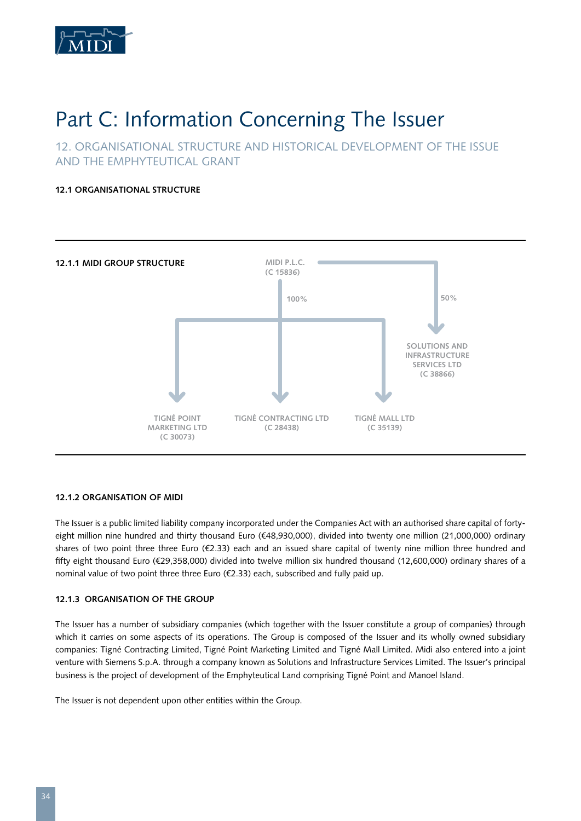

# Part C: Information Concerning The Issuer

12. ORGANISATIONAL STRUCTURE AND HISTORICAL DEVELOPMENT OF THE ISSUE AND THE EMPHYTEUTICAL GRANT

**12.1 Organisational Structure**



# **12.1.2 Organisation of Midi**

The Issuer is a public limited liability company incorporated under the Companies Act with an authorised share capital of fortyeight million nine hundred and thirty thousand Euro (€48,930,000), divided into twenty one million (21,000,000) ordinary shares of two point three three Euro (€2.33) each and an issued share capital of twenty nine million three hundred and fifty eight thousand Euro (€29,358,000) divided into twelve million six hundred thousand (12,600,000) ordinary shares of a nominal value of two point three three Euro (€2.33) each, subscribed and fully paid up.

# **12.1.3 Organisation of the Group**

The Issuer has a number of subsidiary companies (which together with the Issuer constitute a group of companies) through which it carries on some aspects of its operations. The Group is composed of the Issuer and its wholly owned subsidiary companies: Tigné Contracting Limited, Tigné Point Marketing Limited and Tigné Mall Limited. Midi also entered into a joint venture with Siemens S.p.A. through a company known as Solutions and Infrastructure Services Limited. The Issuer's principal business is the project of development of the Emphyteutical Land comprising Tigné Point and Manoel Island.

The Issuer is not dependent upon other entities within the Group.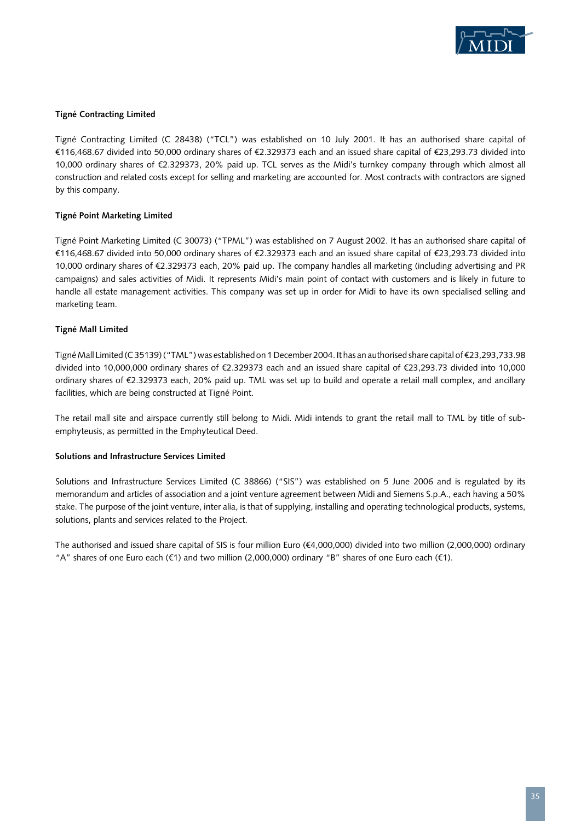

# **Tigné Contracting Limited**

Tigné Contracting Limited (C 28438) ("TCL") was established on 10 July 2001. It has an authorised share capital of €116,468.67 divided into 50,000 ordinary shares of €2.329373 each and an issued share capital of €23,293.73 divided into 10,000 ordinary shares of €2.329373, 20% paid up. TCL serves as the Midi's turnkey company through which almost all construction and related costs except for selling and marketing are accounted for. Most contracts with contractors are signed by this company.

# **Tigné Point Marketing Limited**

Tigné Point Marketing Limited (C 30073) ("TPML") was established on 7 August 2002. It has an authorised share capital of €116,468.67 divided into 50,000 ordinary shares of €2.329373 each and an issued share capital of €23,293.73 divided into 10,000 ordinary shares of €2.329373 each, 20% paid up. The company handles all marketing (including advertising and PR campaigns) and sales activities of Midi. It represents Midi's main point of contact with customers and is likely in future to handle all estate management activities. This company was set up in order for Midi to have its own specialised selling and marketing team.

# **Tigné Mall Limited**

Tigné Mall Limited (C 35139) ("TML") was established on 1 December 2004. It has an authorised share capital of €23,293,733.98 divided into 10,000,000 ordinary shares of €2.329373 each and an issued share capital of €23,293.73 divided into 10,000 ordinary shares of €2.329373 each, 20% paid up. TML was set up to build and operate a retail mall complex, and ancillary facilities, which are being constructed at Tigné Point.

The retail mall site and airspace currently still belong to Midi. Midi intends to grant the retail mall to TML by title of subemphyteusis, as permitted in the Emphyteutical Deed.

# **Solutions and Infrastructure Services Limited**

Solutions and Infrastructure Services Limited (C 38866) ("SIS") was established on 5 June 2006 and is regulated by its memorandum and articles of association and a joint venture agreement between Midi and Siemens S.p.A., each having a 50% stake. The purpose of the joint venture, inter alia, is that of supplying, installing and operating technological products, systems, solutions, plants and services related to the Project.

The authorised and issued share capital of SIS is four million Euro (€4,000,000) divided into two million (2,000,000) ordinary "A" shares of one Euro each (€1) and two million (2,000,000) ordinary "B" shares of one Euro each (€1).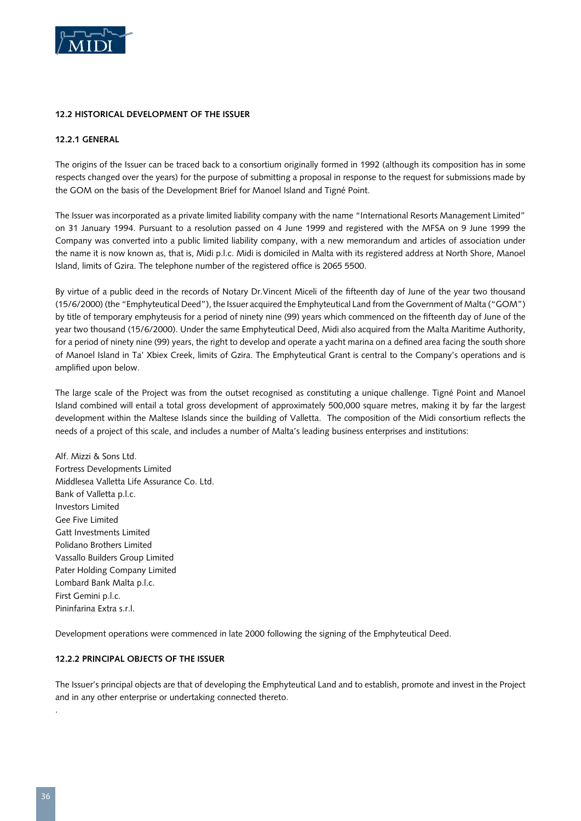

## **12.2 Historical Development of the Issuer**

## **12.2.1 General**

The origins of the Issuer can be traced back to a consortium originally formed in 1992 (although its composition has in some respects changed over the years) for the purpose of submitting a proposal in response to the request for submissions made by the GOM on the basis of the Development Brief for Manoel Island and Tigné Point.

The Issuer was incorporated as a private limited liability company with the name "International Resorts Management Limited" on 31 January 1994. Pursuant to a resolution passed on 4 June 1999 and registered with the MFSA on 9 June 1999 the Company was converted into a public limited liability company, with a new memorandum and articles of association under the name it is now known as, that is, Midi p.l.c. Midi is domiciled in Malta with its registered address at North Shore, Manoel Island, limits of Gzira. The telephone number of the registered office is 2065 5500.

By virtue of a public deed in the records of Notary Dr.Vincent Miceli of the fifteenth day of June of the year two thousand (15/6/2000) (the "Emphyteutical Deed"), the Issuer acquired the Emphyteutical Land from the Government of Malta ("GOM") by title of temporary emphyteusis for a period of ninety nine (99) years which commenced on the fifteenth day of June of the year two thousand (15/6/2000). Under the same Emphyteutical Deed, Midi also acquired from the Malta Maritime Authority, for a period of ninety nine (99) years, the right to develop and operate a yacht marina on a defined area facing the south shore of Manoel Island in Ta' Xbiex Creek, limits of Gzira. The Emphyteutical Grant is central to the Company's operations and is amplified upon below.

The large scale of the Project was from the outset recognised as constituting a unique challenge. Tigné Point and Manoel Island combined will entail a total gross development of approximately 500,000 square metres, making it by far the largest development within the Maltese Islands since the building of Valletta. The composition of the Midi consortium reflects the needs of a project of this scale, and includes a number of Malta's leading business enterprises and institutions:

Alf. Mizzi & Sons Ltd. Fortress Developments Limited Middlesea Valletta Life Assurance Co. Ltd. Bank of Valletta p.l.c. Investors Limited Gee Five Limited Gatt Investments Limited Polidano Brothers Limited Vassallo Builders Group Limited Pater Holding Company Limited Lombard Bank Malta p.l.c. First Gemini p.l.c. Pininfarina Extra s.r.l.

Development operations were commenced in late 2000 following the signing of the Emphyteutical Deed.

#### **12.2.2 Principal Objects of the Issuer**

The Issuer's principal objects are that of developing the Emphyteutical Land and to establish, promote and invest in the Project and in any other enterprise or undertaking connected thereto.

.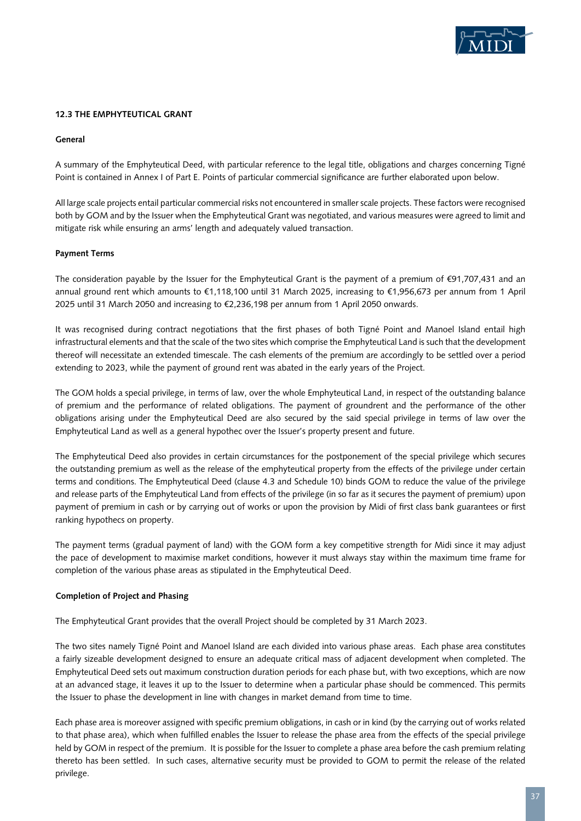

#### **12.3 The Emphyteutical Grant**

## **General**

A summary of the Emphyteutical Deed, with particular reference to the legal title, obligations and charges concerning Tigné Point is contained in Annex I of Part E. Points of particular commercial significance are further elaborated upon below.

All large scale projects entail particular commercial risks not encountered in smaller scale projects. These factors were recognised both by GOM and by the Issuer when the Emphyteutical Grant was negotiated, and various measures were agreed to limit and mitigate risk while ensuring an arms' length and adequately valued transaction.

## **Payment Terms**

The consideration payable by the Issuer for the Emphyteutical Grant is the payment of a premium of €91,707,431 and an annual ground rent which amounts to €1,118,100 until 31 March 2025, increasing to €1,956,673 per annum from 1 April 2025 until 31 March 2050 and increasing to €2,236,198 per annum from 1 April 2050 onwards.

It was recognised during contract negotiations that the first phases of both Tigné Point and Manoel Island entail high infrastructural elements and that the scale of the two sites which comprise the Emphyteutical Land is such that the development thereof will necessitate an extended timescale. The cash elements of the premium are accordingly to be settled over a period extending to 2023, while the payment of ground rent was abated in the early years of the Project.

The GOM holds a special privilege, in terms of law, over the whole Emphyteutical Land, in respect of the outstanding balance of premium and the performance of related obligations. The payment of groundrent and the performance of the other obligations arising under the Emphyteutical Deed are also secured by the said special privilege in terms of law over the Emphyteutical Land as well as a general hypothec over the Issuer's property present and future.

The Emphyteutical Deed also provides in certain circumstances for the postponement of the special privilege which secures the outstanding premium as well as the release of the emphyteutical property from the effects of the privilege under certain terms and conditions. The Emphyteutical Deed (clause 4.3 and Schedule 10) binds GOM to reduce the value of the privilege and release parts of the Emphyteutical Land from effects of the privilege (in so far as it secures the payment of premium) upon payment of premium in cash or by carrying out of works or upon the provision by Midi of first class bank guarantees or first ranking hypothecs on property.

The payment terms (gradual payment of land) with the GOM form a key competitive strength for Midi since it may adjust the pace of development to maximise market conditions, however it must always stay within the maximum time frame for completion of the various phase areas as stipulated in the Emphyteutical Deed.

#### **Completion of Project and Phasing**

The Emphyteutical Grant provides that the overall Project should be completed by 31 March 2023.

The two sites namely Tigné Point and Manoel Island are each divided into various phase areas. Each phase area constitutes a fairly sizeable development designed to ensure an adequate critical mass of adjacent development when completed. The Emphyteutical Deed sets out maximum construction duration periods for each phase but, with two exceptions, which are now at an advanced stage, it leaves it up to the Issuer to determine when a particular phase should be commenced. This permits the Issuer to phase the development in line with changes in market demand from time to time.

Each phase area is moreover assigned with specific premium obligations, in cash or in kind (by the carrying out of works related to that phase area), which when fulfilled enables the Issuer to release the phase area from the effects of the special privilege held by GOM in respect of the premium. It is possible for the Issuer to complete a phase area before the cash premium relating thereto has been settled. In such cases, alternative security must be provided to GOM to permit the release of the related privilege.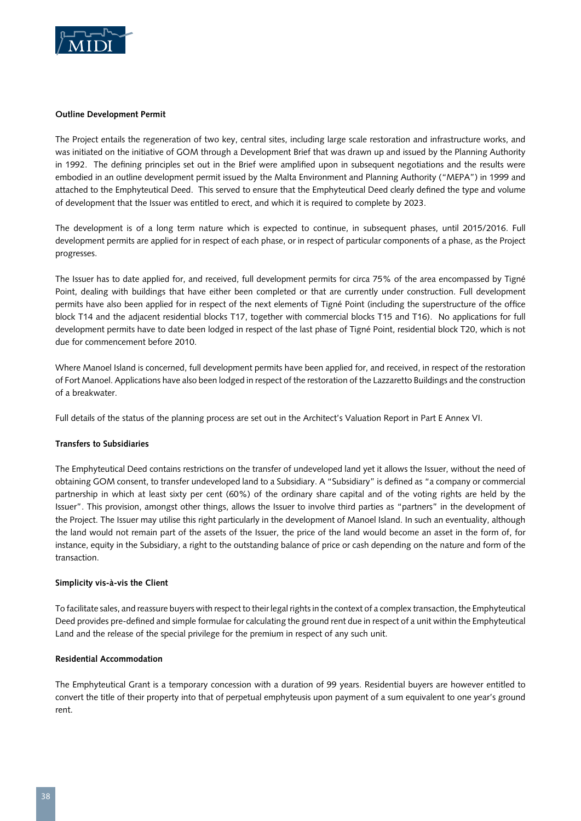

#### **Outline Development Permit**

The Project entails the regeneration of two key, central sites, including large scale restoration and infrastructure works, and was initiated on the initiative of GOM through a Development Brief that was drawn up and issued by the Planning Authority in 1992. The defining principles set out in the Brief were amplified upon in subsequent negotiations and the results were embodied in an outline development permit issued by the Malta Environment and Planning Authority ("MEPA") in 1999 and attached to the Emphyteutical Deed. This served to ensure that the Emphyteutical Deed clearly defined the type and volume of development that the Issuer was entitled to erect, and which it is required to complete by 2023.

The development is of a long term nature which is expected to continue, in subsequent phases, until 2015/2016. Full development permits are applied for in respect of each phase, or in respect of particular components of a phase, as the Project progresses.

The Issuer has to date applied for, and received, full development permits for circa 75% of the area encompassed by Tigné Point, dealing with buildings that have either been completed or that are currently under construction. Full development permits have also been applied for in respect of the next elements of Tigné Point (including the superstructure of the office block T14 and the adjacent residential blocks T17, together with commercial blocks T15 and T16). No applications for full development permits have to date been lodged in respect of the last phase of Tigné Point, residential block T20, which is not due for commencement before 2010.

Where Manoel Island is concerned, full development permits have been applied for, and received, in respect of the restoration of Fort Manoel. Applications have also been lodged in respect of the restoration of the Lazzaretto Buildings and the construction of a breakwater.

Full details of the status of the planning process are set out in the Architect's Valuation Report in Part E Annex VI.

# **Transfers to Subsidiaries**

The Emphyteutical Deed contains restrictions on the transfer of undeveloped land yet it allows the Issuer, without the need of obtaining GOM consent, to transfer undeveloped land to a Subsidiary. A "Subsidiary" is defined as "a company or commercial partnership in which at least sixty per cent (60%) of the ordinary share capital and of the voting rights are held by the Issuer". This provision, amongst other things, allows the Issuer to involve third parties as "partners" in the development of the Project. The Issuer may utilise this right particularly in the development of Manoel Island. In such an eventuality, although the land would not remain part of the assets of the Issuer, the price of the land would become an asset in the form of, for instance, equity in the Subsidiary, a right to the outstanding balance of price or cash depending on the nature and form of the transaction.

# **Simplicity vis-à-vis the Client**

To facilitate sales, and reassure buyers with respect to their legal rights in the context of a complex transaction, the Emphyteutical Deed provides pre-defined and simple formulae for calculating the ground rent due in respect of a unit within the Emphyteutical Land and the release of the special privilege for the premium in respect of any such unit.

# **Residential Accommodation**

The Emphyteutical Grant is a temporary concession with a duration of 99 years. Residential buyers are however entitled to convert the title of their property into that of perpetual emphyteusis upon payment of a sum equivalent to one year's ground rent.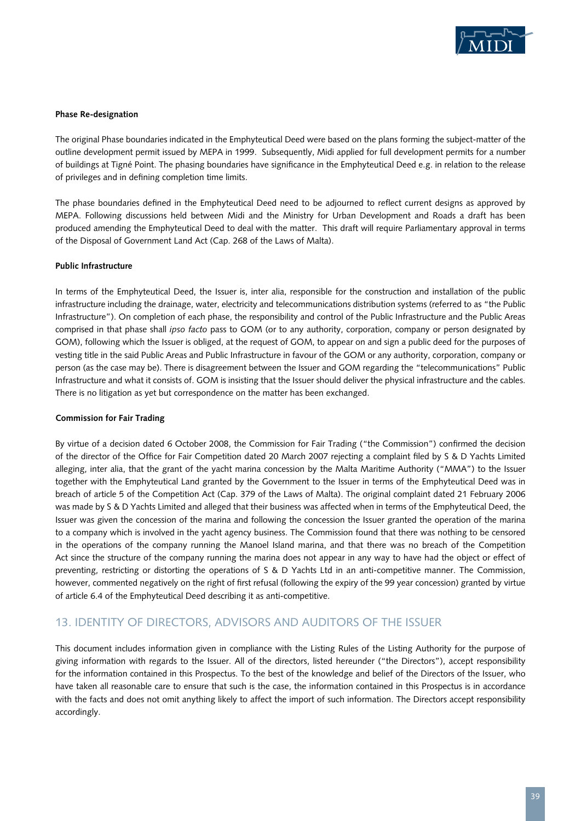

#### **Phase Re-designation**

The original Phase boundaries indicated in the Emphyteutical Deed were based on the plans forming the subject-matter of the outline development permit issued by MEPA in 1999. Subsequently, Midi applied for full development permits for a number of buildings at Tigné Point. The phasing boundaries have significance in the Emphyteutical Deed e.g. in relation to the release of privileges and in defining completion time limits.

The phase boundaries defined in the Emphyteutical Deed need to be adjourned to reflect current designs as approved by MEPA. Following discussions held between Midi and the Ministry for Urban Development and Roads a draft has been produced amending the Emphyteutical Deed to deal with the matter. This draft will require Parliamentary approval in terms of the Disposal of Government Land Act (Cap. 268 of the Laws of Malta).

#### **Public Infrastructure**

In terms of the Emphyteutical Deed, the Issuer is, inter alia, responsible for the construction and installation of the public infrastructure including the drainage, water, electricity and telecommunications distribution systems (referred to as "the Public Infrastructure"). On completion of each phase, the responsibility and control of the Public Infrastructure and the Public Areas comprised in that phase shall *ipso facto* pass to GOM (or to any authority, corporation, company or person designated by GOM), following which the Issuer is obliged, at the request of GOM, to appear on and sign a public deed for the purposes of vesting title in the said Public Areas and Public Infrastructure in favour of the GOM or any authority, corporation, company or person (as the case may be). There is disagreement between the Issuer and GOM regarding the "telecommunications" Public Infrastructure and what it consists of. GOM is insisting that the Issuer should deliver the physical infrastructure and the cables. There is no litigation as yet but correspondence on the matter has been exchanged.

#### **Commission for Fair Trading**

By virtue of a decision dated 6 October 2008, the Commission for Fair Trading ("the Commission") confirmed the decision of the director of the Office for Fair Competition dated 20 March 2007 rejecting a complaint filed by S & D Yachts Limited alleging, inter alia, that the grant of the yacht marina concession by the Malta Maritime Authority ("MMA") to the Issuer together with the Emphyteutical Land granted by the Government to the Issuer in terms of the Emphyteutical Deed was in breach of article 5 of the Competition Act (Cap. 379 of the Laws of Malta). The original complaint dated 21 February 2006 was made by S & D Yachts Limited and alleged that their business was affected when in terms of the Emphyteutical Deed, the Issuer was given the concession of the marina and following the concession the Issuer granted the operation of the marina to a company which is involved in the yacht agency business. The Commission found that there was nothing to be censored in the operations of the company running the Manoel Island marina, and that there was no breach of the Competition Act since the structure of the company running the marina does not appear in any way to have had the object or effect of preventing, restricting or distorting the operations of S & D Yachts Ltd in an anti-competitive manner. The Commission, however, commented negatively on the right of first refusal (following the expiry of the 99 year concession) granted by virtue of article 6.4 of the Emphyteutical Deed describing it as anti-competitive.

## 13. IDENTITY OF DIRECTORS, ADVISORS AND AUDITORS OF THE ISSUER

This document includes information given in compliance with the Listing Rules of the Listing Authority for the purpose of giving information with regards to the Issuer. All of the directors, listed hereunder ("the Directors"), accept responsibility for the information contained in this Prospectus. To the best of the knowledge and belief of the Directors of the Issuer, who have taken all reasonable care to ensure that such is the case, the information contained in this Prospectus is in accordance with the facts and does not omit anything likely to affect the import of such information. The Directors accept responsibility accordingly.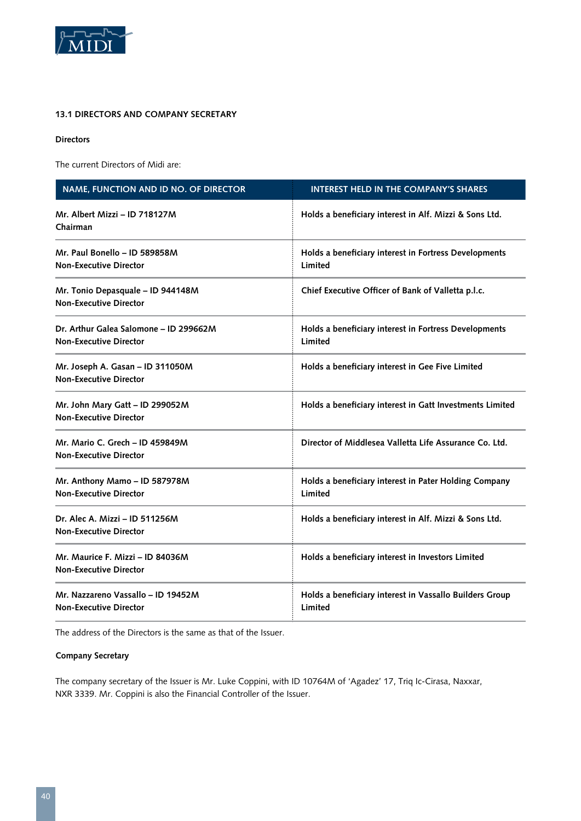

### **13.1 Directors and Company Secretary**

#### **Directors**

The current Directors of Midi are:

| NAME, FUNCTION AND ID NO. OF DIRECTOR                                   | <b>INTEREST HELD IN THE COMPANY'S SHARES</b>                       |
|-------------------------------------------------------------------------|--------------------------------------------------------------------|
| Mr. Albert Mizzi - ID 718127M<br>Chairman                               | Holds a beneficiary interest in Alf. Mizzi & Sons Ltd.             |
| Mr. Paul Bonello - ID 589858M<br><b>Non-Executive Director</b>          | Holds a beneficiary interest in Fortress Developments<br>Limited   |
| Mr. Tonio Depasquale - ID 944148M<br><b>Non-Executive Director</b>      | Chief Executive Officer of Bank of Valletta p.l.c.                 |
| Dr. Arthur Galea Salomone - ID 299662M<br><b>Non-Executive Director</b> | Holds a beneficiary interest in Fortress Developments<br>Limited   |
| Mr. Joseph A. Gasan - ID 311050M<br><b>Non-Executive Director</b>       | Holds a beneficiary interest in Gee Five Limited                   |
| Mr. John Mary Gatt - ID 299052M<br><b>Non-Executive Director</b>        | Holds a beneficiary interest in Gatt Investments Limited           |
| Mr. Mario C. Grech - ID 459849M<br><b>Non-Executive Director</b>        | Director of Middlesea Valletta Life Assurance Co. Ltd.             |
| Mr. Anthony Mamo - ID 587978M<br><b>Non-Executive Director</b>          | Holds a beneficiary interest in Pater Holding Company<br>Limited   |
| Dr. Alec A. Mizzi - ID 511256M<br><b>Non-Executive Director</b>         | Holds a beneficiary interest in Alf. Mizzi & Sons Ltd.             |
| Mr. Maurice F. Mizzi - ID 84036M<br><b>Non-Executive Director</b>       | Holds a beneficiary interest in Investors Limited                  |
| Mr. Nazzareno Vassallo - ID 19452M<br><b>Non-Executive Director</b>     | Holds a beneficiary interest in Vassallo Builders Group<br>Limited |

The address of the Directors is the same as that of the Issuer.

#### **Company Secretary**

The company secretary of the Issuer is Mr. Luke Coppini, with ID 10764M of 'Agadez' 17, Triq Ic-Cirasa, Naxxar, NXR 3339. Mr. Coppini is also the Financial Controller of the Issuer.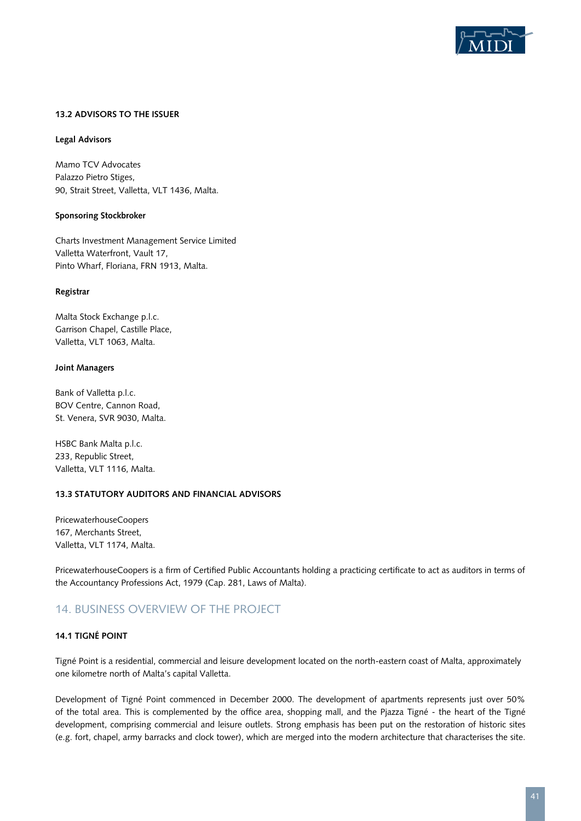

#### **13.2 Advisors to the Issuer**

#### **Legal Advisors**

Mamo TCV Advocates Palazzo Pietro Stiges, 90, Strait Street, Valletta, VLT 1436, Malta.

#### **Sponsoring Stockbroker**

Charts Investment Management Service Limited Valletta Waterfront, Vault 17, Pinto Wharf, Floriana, FRN 1913, Malta.

#### **Registrar**

Malta Stock Exchange p.l.c. Garrison Chapel, Castille Place, Valletta, VLT 1063, Malta.

#### **Joint Managers**

Bank of Valletta p.l.c. BOV Centre, Cannon Road, St. Venera, SVR 9030, Malta.

HSBC Bank Malta p.l.c. 233, Republic Street, Valletta, VLT 1116, Malta.

#### **13.3 Statutory Auditors and Financial Advisors**

PricewaterhouseCoopers 167, Merchants Street, Valletta, VLT 1174, Malta.

PricewaterhouseCoopers is a firm of Certified Public Accountants holding a practicing certificate to act as auditors in terms of the Accountancy Professions Act, 1979 (Cap. 281, Laws of Malta).

## 14. BUSINESS OVERVIEW OF THE PROJECT

#### **14.1 Tigné Point**

Tigné Point is a residential, commercial and leisure development located on the north-eastern coast of Malta, approximately one kilometre north of Malta's capital Valletta.

Development of Tigné Point commenced in December 2000. The development of apartments represents just over 50% of the total area. This is complemented by the office area, shopping mall, and the Pjazza Tigné - the heart of the Tigné development, comprising commercial and leisure outlets. Strong emphasis has been put on the restoration of historic sites (e.g. fort, chapel, army barracks and clock tower), which are merged into the modern architecture that characterises the site.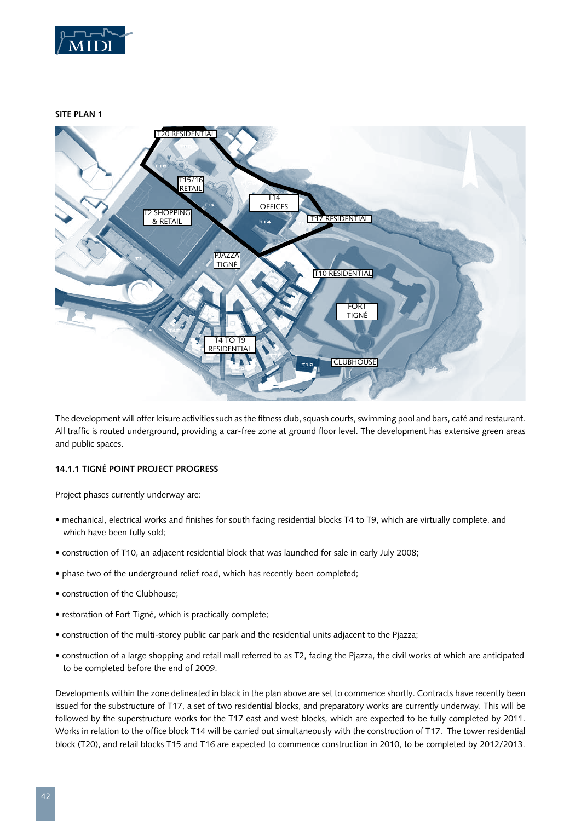

**SITE PLAN 1**



The development will offer leisure activities such as the fitness club, squash courts, swimming pool and bars, café and restaurant. All traffic is routed underground, providing a car-free zone at ground floor level. The development has extensive green areas and public spaces.

#### **14.1.1 Tigné Point Project Progress**

Project phases currently underway are:

- mechanical, electrical works and finishes for south facing residential blocks T4 to T9, which are virtually complete, and which have been fully sold;
- construction of T10, an adjacent residential block that was launched for sale in early July 2008;
- phase two of the underground relief road, which has recently been completed;
- construction of the Clubhouse;
- restoration of Fort Tigné, which is practically complete;
- construction of the multi-storey public car park and the residential units adjacent to the Pjazza;
- construction of a large shopping and retail mall referred to as T2, facing the Pjazza, the civil works of which are anticipated to be completed before the end of 2009.

Developments within the zone delineated in black in the plan above are set to commence shortly. Contracts have recently been issued for the substructure of T17, a set of two residential blocks, and preparatory works are currently underway. This will be followed by the superstructure works for the T17 east and west blocks, which are expected to be fully completed by 2011. Works in relation to the office block T14 will be carried out simultaneously with the construction of T17. The tower residential block (T20), and retail blocks T15 and T16 are expected to commence construction in 2010, to be completed by 2012/2013.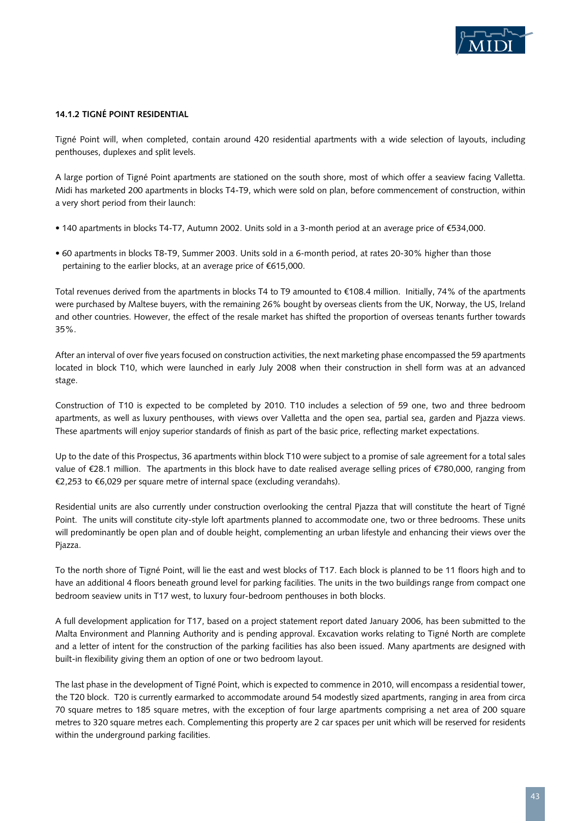

#### **14.1.2 Tigné Point Residential**

Tigné Point will, when completed, contain around 420 residential apartments with a wide selection of layouts, including penthouses, duplexes and split levels.

A large portion of Tigné Point apartments are stationed on the south shore, most of which offer a seaview facing Valletta. Midi has marketed 200 apartments in blocks T4-T9, which were sold on plan, before commencement of construction, within a very short period from their launch:

- 140 apartments in blocks T4-T7, Autumn 2002. Units sold in a 3-month period at an average price of €534,000.
- 60 apartments in blocks T8-T9, Summer 2003. Units sold in a 6-month period, at rates 20-30% higher than those pertaining to the earlier blocks, at an average price of €615,000.

Total revenues derived from the apartments in blocks T4 to T9 amounted to €108.4 million. Initially, 74% of the apartments were purchased by Maltese buyers, with the remaining 26% bought by overseas clients from the UK, Norway, the US, Ireland and other countries. However, the effect of the resale market has shifted the proportion of overseas tenants further towards 35%.

After an interval of over five years focused on construction activities, the next marketing phase encompassed the 59 apartments located in block T10, which were launched in early July 2008 when their construction in shell form was at an advanced stage.

Construction of T10 is expected to be completed by 2010. T10 includes a selection of 59 one, two and three bedroom apartments, as well as luxury penthouses, with views over Valletta and the open sea, partial sea, garden and Pjazza views. These apartments will enjoy superior standards of finish as part of the basic price, reflecting market expectations.

Up to the date of this Prospectus, 36 apartments within block T10 were subject to a promise of sale agreement for a total sales value of €28.1 million. The apartments in this block have to date realised average selling prices of €780,000, ranging from €2,253 to €6,029 per square metre of internal space (excluding verandahs).

Residential units are also currently under construction overlooking the central Pjazza that will constitute the heart of Tigné Point. The units will constitute city-style loft apartments planned to accommodate one, two or three bedrooms. These units will predominantly be open plan and of double height, complementing an urban lifestyle and enhancing their views over the Pjazza.

To the north shore of Tigné Point, will lie the east and west blocks of T17. Each block is planned to be 11 floors high and to have an additional 4 floors beneath ground level for parking facilities. The units in the two buildings range from compact one bedroom seaview units in T17 west, to luxury four-bedroom penthouses in both blocks.

A full development application for T17, based on a project statement report dated January 2006, has been submitted to the Malta Environment and Planning Authority and is pending approval. Excavation works relating to Tigné North are complete and a letter of intent for the construction of the parking facilities has also been issued. Many apartments are designed with built-in flexibility giving them an option of one or two bedroom layout.

The last phase in the development of Tigné Point, which is expected to commence in 2010, will encompass a residential tower, the T20 block. T20 is currently earmarked to accommodate around 54 modestly sized apartments, ranging in area from circa 70 square metres to 185 square metres, with the exception of four large apartments comprising a net area of 200 square metres to 320 square metres each. Complementing this property are 2 car spaces per unit which will be reserved for residents within the underground parking facilities.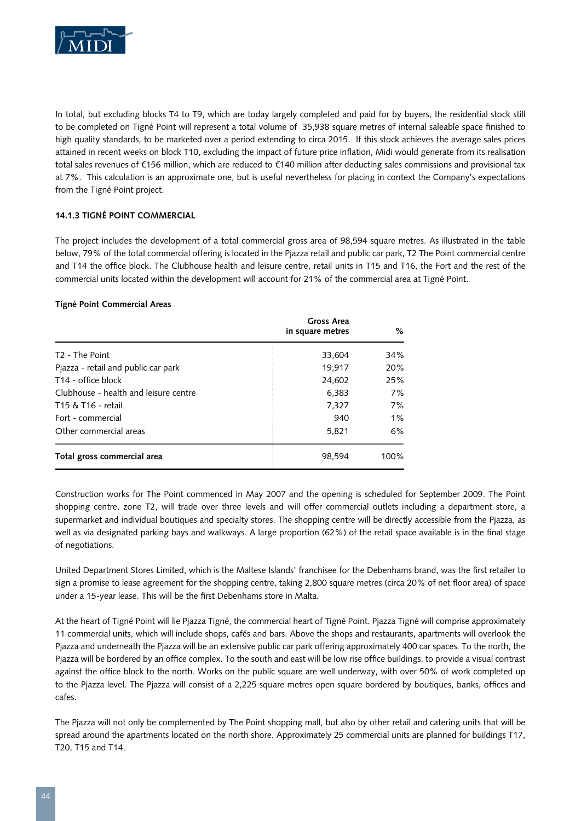

In total, but excluding blocks T4 to T9, which are today largely completed and paid for by buyers, the residential stock still to be completed on Tigné Point will represent a total volume of 35,938 square metres of internal saleable space finished to high quality standards, to be marketed over a period extending to circa 2015. If this stock achieves the average sales prices attained in recent weeks on block T10, excluding the impact of future price inflation, Midi would generate from its realisation total sales revenues of €156 million, which are reduced to €140 million after deducting sales commissions and provisional tax at 7%. This calculation is an approximate one, but is useful nevertheless for placing in context the Company's expectations from the Tigné Point project.

#### **14.1.3 Tigné Point Commercial**

The project includes the development of a total commercial gross area of 98,594 square metres. As illustrated in the table below, 79% of the total commercial offering is located in the Pjazza retail and public car park, T2 The Point commercial centre and T14 the office block. The Clubhouse health and leisure centre, retail units in T15 and T16, the Fort and the rest of the commercial units located within the development will account for 21% of the commercial area at Tigné Point.

#### **Tigné Point Commercial Areas**

|                                       | Gross Area<br>in square metres | %     |
|---------------------------------------|--------------------------------|-------|
| T <sub>2</sub> - The Point            | 33,604                         | 34%   |
| Pjazza - retail and public car park   | 19,917                         | 20%   |
| T <sub>14</sub> - office block        | 24,602                         | 25%   |
| Clubhouse - health and leisure centre | 6,383                          | 7%    |
| T15 & T16 - retail                    | 7,327                          | 7%    |
| Fort - commercial                     | 940                            | $1\%$ |
| Other commercial areas                | 5,821                          | 6%    |
| Total gross commercial area           | 98,594                         | 100%  |

Construction works for The Point commenced in May 2007 and the opening is scheduled for September 2009. The Point shopping centre, zone T2, will trade over three levels and will offer commercial outlets including a department store, a supermarket and individual boutiques and specialty stores. The shopping centre will be directly accessible from the Pjazza, as well as via designated parking bays and walkways. A large proportion (62%) of the retail space available is in the final stage of negotiations.

United Department Stores Limited, which is the Maltese Islands' franchisee for the Debenhams brand, was the first retailer to sign a promise to lease agreement for the shopping centre, taking 2,800 square metres (circa 20% of net floor area) of space under a 15-year lease. This will be the first Debenhams store in Malta.

At the heart of Tigné Point will lie Pjazza Tigné, the commercial heart of Tigné Point. Pjazza Tigné will comprise approximately 11 commercial units, which will include shops, cafés and bars. Above the shops and restaurants, apartments will overlook the Pjazza and underneath the Pjazza will be an extensive public car park offering approximately 400 car spaces. To the north, the Pjazza will be bordered by an office complex. To the south and east will be low rise office buildings, to provide a visual contrast against the office block to the north. Works on the public square are well underway, with over 50% of work completed up to the Pjazza level. The Pjazza will consist of a 2,225 square metres open square bordered by boutiques, banks, offices and cafes.

The Pjazza will not only be complemented by The Point shopping mall, but also by other retail and catering units that will be spread around the apartments located on the north shore. Approximately 25 commercial units are planned for buildings T17, T20, T15 and T14.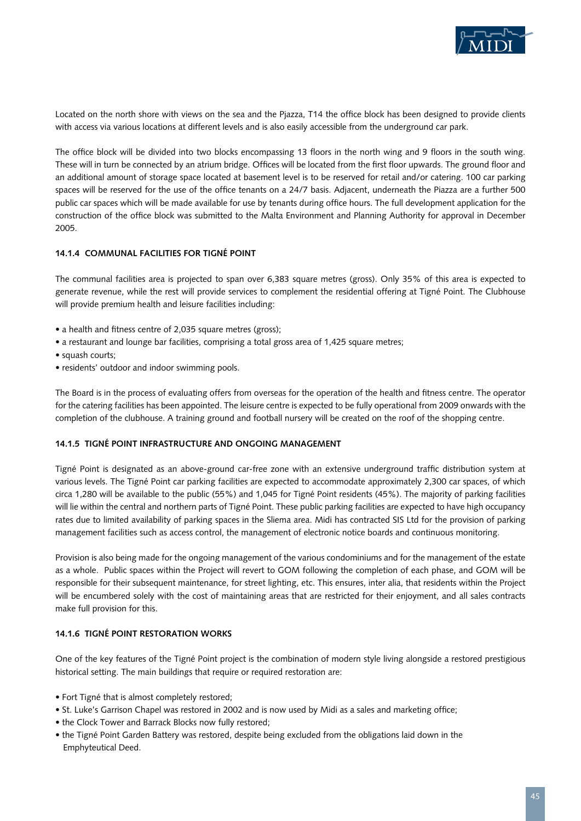

Located on the north shore with views on the sea and the Pjazza, T14 the office block has been designed to provide clients with access via various locations at different levels and is also easily accessible from the underground car park.

The office block will be divided into two blocks encompassing 13 floors in the north wing and 9 floors in the south wing. These will in turn be connected by an atrium bridge. Offices will be located from the first floor upwards. The ground floor and an additional amount of storage space located at basement level is to be reserved for retail and/or catering. 100 car parking spaces will be reserved for the use of the office tenants on a 24/7 basis. Adjacent, underneath the Piazza are a further 500 public car spaces which will be made available for use by tenants during office hours. The full development application for the construction of the office block was submitted to the Malta Environment and Planning Authority for approval in December 2005.

#### **14.1.4 Communal Facilities for Tigné Point**

The communal facilities area is projected to span over 6,383 square metres (gross). Only 35% of this area is expected to generate revenue, while the rest will provide services to complement the residential offering at Tigné Point. The Clubhouse will provide premium health and leisure facilities including:

- a health and fitness centre of 2,035 square metres (gross);
- a restaurant and lounge bar facilities, comprising a total gross area of 1,425 square metres;
- squash courts;
- residents' outdoor and indoor swimming pools.

The Board is in the process of evaluating offers from overseas for the operation of the health and fitness centre. The operator for the catering facilities has been appointed. The leisure centre is expected to be fully operational from 2009 onwards with the completion of the clubhouse. A training ground and football nursery will be created on the roof of the shopping centre.

#### **14.1.5 Tigné Point Infrastructure and ongoing management**

Tigné Point is designated as an above-ground car-free zone with an extensive underground traffic distribution system at various levels. The Tigné Point car parking facilities are expected to accommodate approximately 2,300 car spaces, of which circa 1,280 will be available to the public (55%) and 1,045 for Tigné Point residents (45%). The majority of parking facilities will lie within the central and northern parts of Tigné Point. These public parking facilities are expected to have high occupancy rates due to limited availability of parking spaces in the Sliema area. Midi has contracted SIS Ltd for the provision of parking management facilities such as access control, the management of electronic notice boards and continuous monitoring.

Provision is also being made for the ongoing management of the various condominiums and for the management of the estate as a whole. Public spaces within the Project will revert to GOM following the completion of each phase, and GOM will be responsible for their subsequent maintenance, for street lighting, etc. This ensures, inter alia, that residents within the Project will be encumbered solely with the cost of maintaining areas that are restricted for their enjoyment, and all sales contracts make full provision for this.

#### **14.1.6 Tigné Point Restoration Works**

One of the key features of the Tigné Point project is the combination of modern style living alongside a restored prestigious historical setting. The main buildings that require or required restoration are:

- Fort Tigné that is almost completely restored;
- St. Luke's Garrison Chapel was restored in 2002 and is now used by Midi as a sales and marketing office;
- the Clock Tower and Barrack Blocks now fully restored:
- the Tigné Point Garden Battery was restored, despite being excluded from the obligations laid down in the Emphyteutical Deed.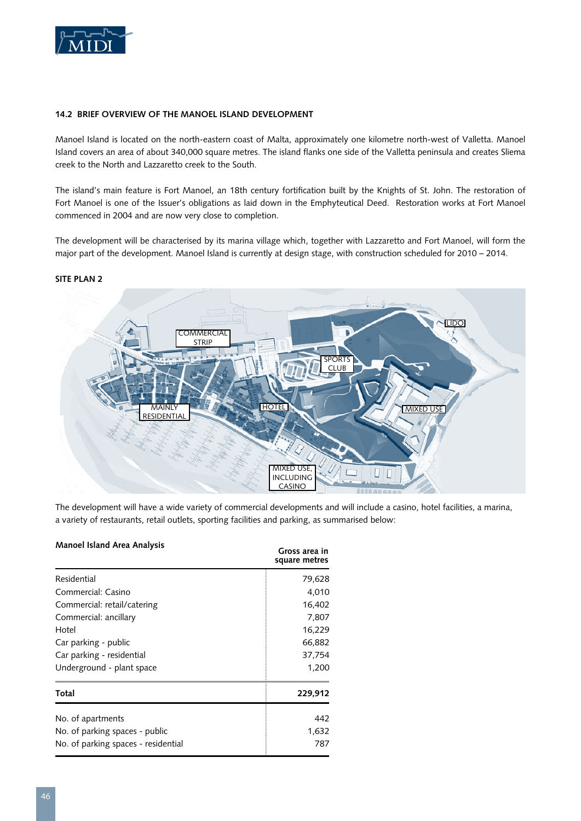

#### **14.2 Brief Overview of the Manoel Island Development**

Manoel Island is located on the north-eastern coast of Malta, approximately one kilometre north-west of Valletta. Manoel Island covers an area of about 340,000 square metres. The island flanks one side of the Valletta peninsula and creates Sliema creek to the North and Lazzaretto creek to the South.

The island's main feature is Fort Manoel, an 18th century fortification built by the Knights of St. John. The restoration of Fort Manoel is one of the Issuer's obligations as laid down in the Emphyteutical Deed. Restoration works at Fort Manoel commenced in 2004 and are now very close to completion.

The development will be characterised by its marina village which, together with Lazzaretto and Fort Manoel, will form the major part of the development. Manoel Island is currently at design stage, with construction scheduled for 2010 – 2014.



#### **SITE PLAN 2**

The development will have a wide variety of commercial developments and will include a casino, hotel facilities, a marina, a variety of restaurants, retail outlets, sporting facilities and parking, as summarised below:

#### **Manoel Island Area Analysis**

| <b><i>IVIAIIUCI ISIAIIU AICA AIIAIVSIS</i></b> | Gross area in<br>square metres |
|------------------------------------------------|--------------------------------|
| Residential                                    | 79,628                         |
| Commercial: Casino                             | 4,010                          |
| Commercial: retail/catering                    | 16,402                         |
| Commercial: ancillary                          | 7,807                          |
| Hotel                                          | 16,229                         |
| Car parking - public                           | 66,882                         |
| Car parking - residential                      | 37,754                         |
| Underground - plant space                      | 1,200                          |
| Total                                          | 229,912                        |
| No. of apartments                              | 442                            |
| No. of parking spaces - public                 | 1,632                          |
| No. of parking spaces - residential            | 787                            |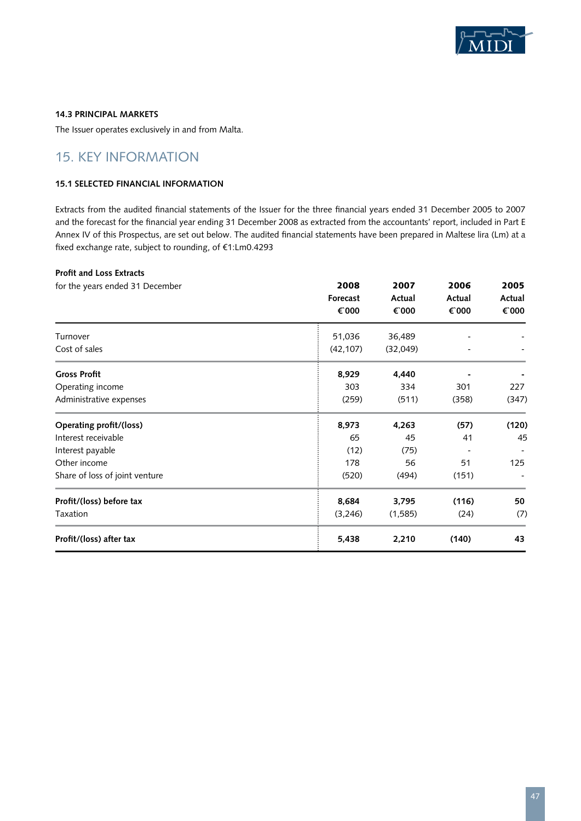

#### **14.3 Principal markets**

The Issuer operates exclusively in and from Malta.

# 15. KEY INFORMATION

#### **15.1 Selected Financial Information**

Extracts from the audited financial statements of the Issuer for the three financial years ended 31 December 2005 to 2007 and the forecast for the financial year ending 31 December 2008 as extracted from the accountants' report, included in Part E Annex IV of this Prospectus, are set out below. The audited financial statements have been prepared in Maltese lira (Lm) at a fixed exchange rate, subject to rounding, of €1:Lm0.4293

# **Profit and Loss Extracts**

| for the years ended 31 December | 2008<br>Forecast<br>€ 000 | 2007<br>Actual<br>€ 000 | 2006<br>Actual<br>€ 000 | 2005<br>Actual<br>€ 000 |
|---------------------------------|---------------------------|-------------------------|-------------------------|-------------------------|
| Turnover                        | 51,036                    | 36,489                  |                         |                         |
| Cost of sales                   | (42, 107)                 | (32,049)                |                         |                         |
| <b>Gross Profit</b>             | 8,929                     | 4,440                   |                         |                         |
| Operating income                | 303                       | 334                     | 301                     | 227                     |
| Administrative expenses         | (259)                     | (511)                   | (358)                   | (347)                   |
| Operating profit/(loss)         | 8,973                     | 4,263                   | (57)                    | (120)                   |
| Interest receivable             | 65                        | 45                      | 41                      | 45                      |
| Interest payable                | (12)                      | (75)                    |                         |                         |
| Other income                    | 178                       | 56                      | 51                      | 125                     |
| Share of loss of joint venture  | (520)                     | (494)                   | (151)                   |                         |
| Profit/(loss) before tax        | 8,684                     | 3,795                   | (116)                   | 50                      |
| Taxation                        | (3,246)                   | (1,585)                 | (24)                    | (7)                     |
| Profit/(loss) after tax         | 5,438                     | 2,210                   | (140)                   | 43                      |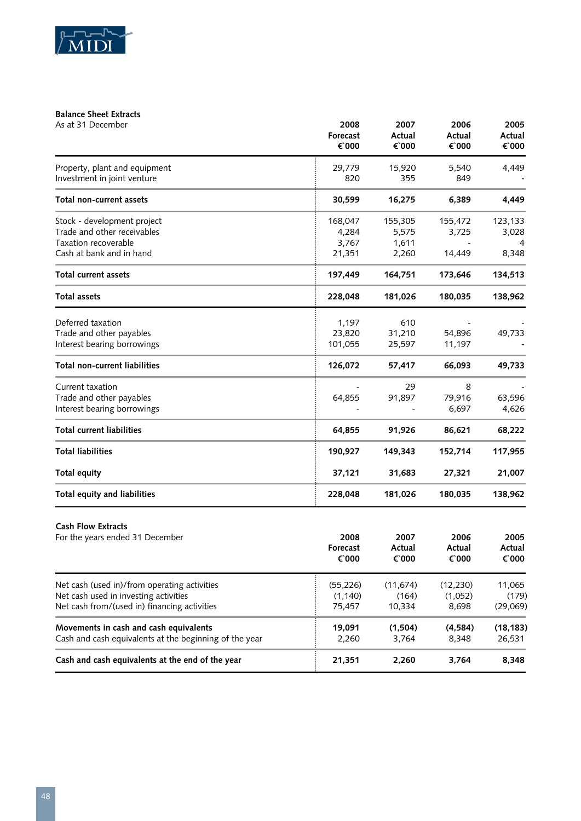

## **Balance Sheet Extracts**

| As at 31 December                                                                                                                     | 2008<br>Forecast<br>€ 000           | 2007<br>Actual<br>€ 000            | 2006<br>Actual<br>€ 000       | 2005<br>Actual<br>€ 000     |
|---------------------------------------------------------------------------------------------------------------------------------------|-------------------------------------|------------------------------------|-------------------------------|-----------------------------|
| Property, plant and equipment<br>Investment in joint venture                                                                          | 29,779<br>820                       | 15,920<br>355                      | 5,540<br>849                  | 4,449                       |
| Total non-current assets                                                                                                              | 30,599                              | 16,275                             | 6,389                         | 4,449                       |
| Stock - development project<br>Trade and other receivables<br>Taxation recoverable<br>Cash at bank and in hand                        | 168,047<br>4,284<br>3,767<br>21,351 | 155,305<br>5,575<br>1,611<br>2,260 | 155,472<br>3,725<br>14,449    | 123,133<br>3,028<br>8,348   |
| <b>Total current assets</b>                                                                                                           | 197,449                             | 164,751                            | 173,646                       | 134,513                     |
| <b>Total assets</b>                                                                                                                   | 228,048                             | 181,026                            | 180,035                       | 138,962                     |
| Deferred taxation<br>Trade and other payables<br>Interest bearing borrowings                                                          | 1,197<br>23,820<br>101,055          | 610<br>31,210<br>25,597            | 54,896<br>11,197              | 49,733                      |
| <b>Total non-current liabilities</b>                                                                                                  | 126,072                             | 57,417                             | 66,093                        | 49,733                      |
| Current taxation<br>Trade and other payables<br>Interest bearing borrowings                                                           | 64,855                              | 29<br>91,897                       | 8<br>79,916<br>6,697          | 63,596<br>4,626             |
| <b>Total current liabilities</b>                                                                                                      | 64,855                              | 91,926                             | 86,621                        | 68,222                      |
| <b>Total liabilities</b>                                                                                                              | 190,927                             | 149,343                            | 152,714                       | 117,955                     |
| Total equity                                                                                                                          | 37,121                              | 31,683                             | 27,321                        | 21,007                      |
| Total equity and liabilities                                                                                                          | 228,048                             | 181,026                            | 180,035                       | 138,962                     |
| <b>Cash Flow Extracts</b><br>For the years ended 31 December                                                                          | 2008<br>Forecast<br>€ 000           | 2007<br>Actual<br>€`000            | 2006<br>Actual<br>€ 000       | 2005<br>Actual<br>€ 000     |
| Net cash (used in)/from operating activities<br>Net cash used in investing activities<br>Net cash from/(used in) financing activities | (55, 226)<br>(1, 140)<br>75,457     | (11, 674)<br>(164)<br>10,334       | (12, 230)<br>(1,052)<br>8,698 | 11,065<br>(179)<br>(29,069) |
| Movements in cash and cash equivalents<br>Cash and cash equivalents at the beginning of the year                                      | 19,091<br>2,260                     | (1,504)<br>3,764                   | (4, 584)<br>8,348             | (18, 183)<br>26,531         |
| Cash and cash equivalents at the end of the year                                                                                      | 21,351                              | 2,260                              | 3,764                         | 8,348                       |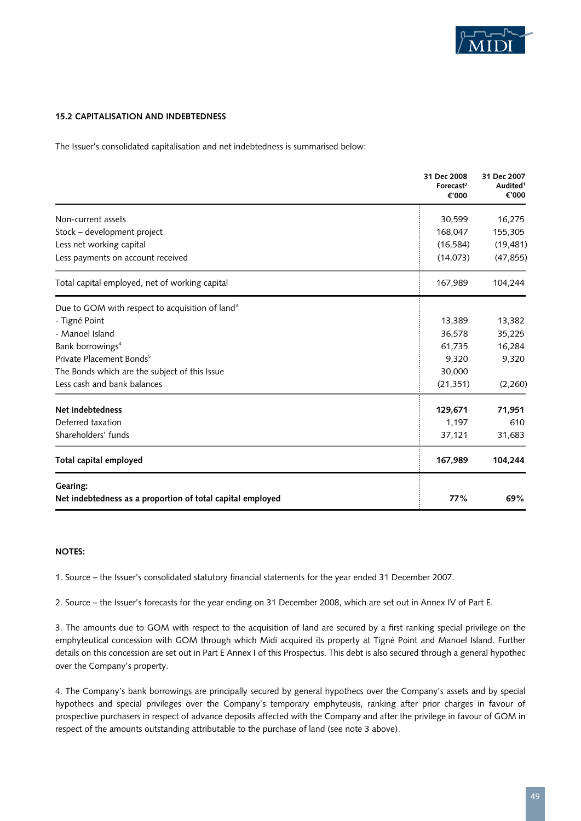

#### **15.2 Capitalisation and Indebtedness**

The Issuer's consolidated capitalisation and net indebtedness is summarised below:

|                                                             | 31 Dec 2008<br>Forecast <sup>2</sup><br>€'000 | 31 Dec 2007<br>Audited <sup>1</sup><br>€'000 |
|-------------------------------------------------------------|-----------------------------------------------|----------------------------------------------|
| Non-current assets                                          | 30,599                                        | 16,275                                       |
| Stock - development project                                 | 168,047                                       | 155,305                                      |
| Less net working capital                                    | (16, 584)                                     | (19, 481)                                    |
| Less payments on account received                           | (14,073)                                      | (47, 855)                                    |
| Total capital employed, net of working capital              | 167,989                                       | 104,244                                      |
| Due to GOM with respect to acquisition of land <sup>3</sup> |                                               |                                              |
| - Tigné Point                                               | 13,389                                        | 13,382                                       |
| - Manoel Island                                             | 36,578                                        | 35,225                                       |
| Bank borrowings <sup>4</sup>                                | 61,735                                        | 16,284                                       |
| Private Placement Bonds <sup>5</sup>                        | 9,320                                         | 9,320                                        |
| The Bonds which are the subject of this Issue               | 30,000                                        |                                              |
| Less cash and bank balances                                 | (21, 351)                                     | (2,260)                                      |
| Net indebtedness                                            | 129,671                                       | 71,951                                       |
| Deferred taxation                                           | 1,197                                         | 610                                          |
| Shareholders' funds                                         | 37,121                                        | 31,683                                       |
| Total capital employed                                      | 167,989                                       | 104,244                                      |
| Gearing:                                                    |                                               |                                              |
| Net indebtedness as a proportion of total capital employed  | 77%                                           | 69%                                          |

#### **Notes:**

1. Source – the Issuer's consolidated statutory financial statements for the year ended 31 December 2007.

2. Source – the Issuer's forecasts for the year ending on 31 December 2008, which are set out in Annex IV of Part E.

3. The amounts due to GOM with respect to the acquisition of land are secured by a first ranking special privilege on the emphyteutical concession with GOM through which Midi acquired its property at Tigné Point and Manoel Island. Further details on this concession are set out in Part E Annex I of this Prospectus. This debt is also secured through a general hypothec over the Company's property.

4. The Company's bank borrowings are principally secured by general hypothecs over the Company's assets and by special hypothecs and special privileges over the Company's temporary emphyteusis, ranking after prior charges in favour of prospective purchasers in respect of advance deposits affected with the Company and after the privilege in favour of GOM in respect of the amounts outstanding attributable to the purchase of land (see note 3 above).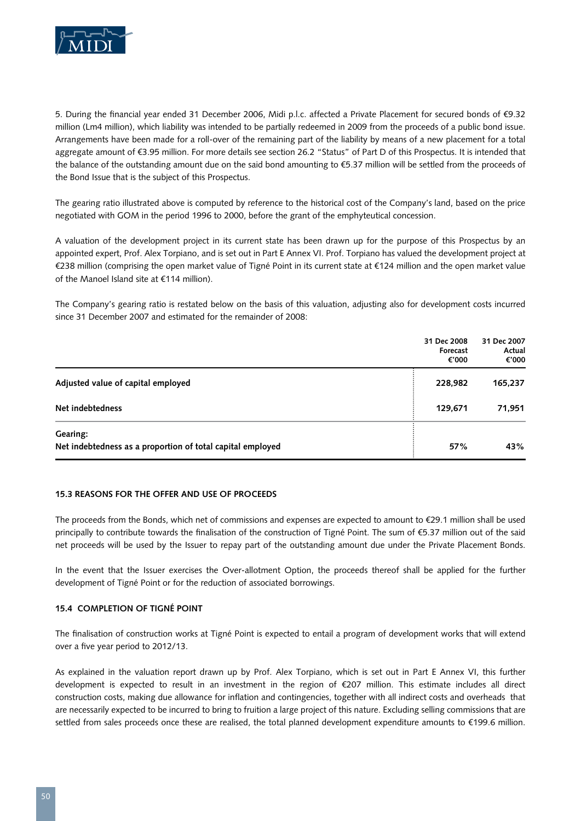

5. During the financial year ended 31 December 2006, Midi p.l.c. affected a Private Placement for secured bonds of €9.32 million (Lm4 million), which liability was intended to be partially redeemed in 2009 from the proceeds of a public bond issue. Arrangements have been made for a roll-over of the remaining part of the liability by means of a new placement for a total aggregate amount of €3.95 million. For more details see section 26.2 "Status" of Part D of this Prospectus. It is intended that the balance of the outstanding amount due on the said bond amounting to €5.37 million will be settled from the proceeds of the Bond Issue that is the subject of this Prospectus.

The gearing ratio illustrated above is computed by reference to the historical cost of the Company's land, based on the price negotiated with GOM in the period 1996 to 2000, before the grant of the emphyteutical concession.

A valuation of the development project in its current state has been drawn up for the purpose of this Prospectus by an appointed expert, Prof. Alex Torpiano, and is set out in Part E Annex VI. Prof. Torpiano has valued the development project at €238 million (comprising the open market value of Tigné Point in its current state at €124 million and the open market value of the Manoel Island site at €114 million).

The Company's gearing ratio is restated below on the basis of this valuation, adjusting also for development costs incurred since 31 December 2007 and estimated for the remainder of 2008:

|                                                                        | 31 Dec 2008<br>Forecast<br>€'000 | 31 Dec 2007<br>Actual<br>€'000 |
|------------------------------------------------------------------------|----------------------------------|--------------------------------|
| Adjusted value of capital employed                                     | 228,982                          | 165,237                        |
| Net indebtedness                                                       | 129,671                          | 71,951                         |
| Gearing:<br>Net indebtedness as a proportion of total capital employed | 57%                              | 43%                            |

#### **15.3 Reasons for the Offer and Use of Proceeds**

The proceeds from the Bonds, which net of commissions and expenses are expected to amount to €29.1 million shall be used principally to contribute towards the finalisation of the construction of Tigné Point. The sum of €5.37 million out of the said net proceeds will be used by the Issuer to repay part of the outstanding amount due under the Private Placement Bonds.

In the event that the Issuer exercises the Over-allotment Option, the proceeds thereof shall be applied for the further development of Tigné Point or for the reduction of associated borrowings.

#### **15.4 Completion of Tigné Point**

The finalisation of construction works at Tigné Point is expected to entail a program of development works that will extend over a five year period to 2012/13.

As explained in the valuation report drawn up by Prof. Alex Torpiano, which is set out in Part E Annex VI, this further development is expected to result in an investment in the region of €207 million. This estimate includes all direct construction costs, making due allowance for inflation and contingencies, together with all indirect costs and overheads that are necessarily expected to be incurred to bring to fruition a large project of this nature. Excluding selling commissions that are settled from sales proceeds once these are realised, the total planned development expenditure amounts to €199.6 million.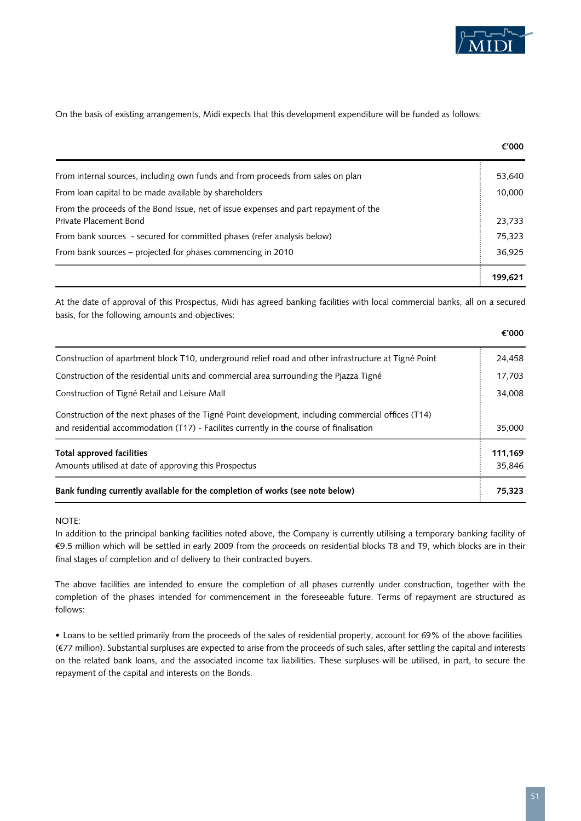

On the basis of existing arrangements, Midi expects that this development expenditure will be funded as follows:

|                                                                                                                | €'000   |
|----------------------------------------------------------------------------------------------------------------|---------|
| From internal sources, including own funds and from proceeds from sales on plan                                | 53,640  |
| From loan capital to be made available by shareholders                                                         | 10,000  |
| From the proceeds of the Bond Issue, net of issue expenses and part repayment of the<br>Private Placement Bond | 23,733  |
| From bank sources - secured for committed phases (refer analysis below)                                        | 75,323  |
| From bank sources - projected for phases commencing in 2010                                                    | 36,925  |
|                                                                                                                | 199.621 |

At the date of approval of this Prospectus, Midi has agreed banking facilities with local commercial banks, all on a secured basis, for the following amounts and objectives:

**€'000**

| Bank funding currently available for the completion of works (see note below)                                                                                                                 | 75.323  |
|-----------------------------------------------------------------------------------------------------------------------------------------------------------------------------------------------|---------|
| Amounts utilised at date of approving this Prospectus                                                                                                                                         | 35,846  |
| Total approved facilities                                                                                                                                                                     | 111,169 |
| Construction of the next phases of the Tigné Point development, including commercial offices (T14)<br>and residential accommodation (T17) - Facilites currently in the course of finalisation | 35,000  |
| Construction of Tigné Retail and Leisure Mall                                                                                                                                                 | 34,008  |
| Construction of the residential units and commercial area surrounding the Pjazza Tigné                                                                                                        | 17,703  |
| Construction of apartment block T10, underground relief road and other infrastructure at Tigné Point                                                                                          | 24,458  |

#### NOTE:

In addition to the principal banking facilities noted above, the Company is currently utilising a temporary banking facility of €9.5 million which will be settled in early 2009 from the proceeds on residential blocks T8 and T9, which blocks are in their final stages of completion and of delivery to their contracted buyers.

The above facilities are intended to ensure the completion of all phases currently under construction, together with the completion of the phases intended for commencement in the foreseeable future. Terms of repayment are structured as follows:

• Loans to be settled primarily from the proceeds of the sales of residential property, account for 69% of the above facilities (€77 million). Substantial surpluses are expected to arise from the proceeds of such sales, after settling the capital and interests on the related bank loans, and the associated income tax liabilities. These surpluses will be utilised, in part, to secure the repayment of the capital and interests on the Bonds.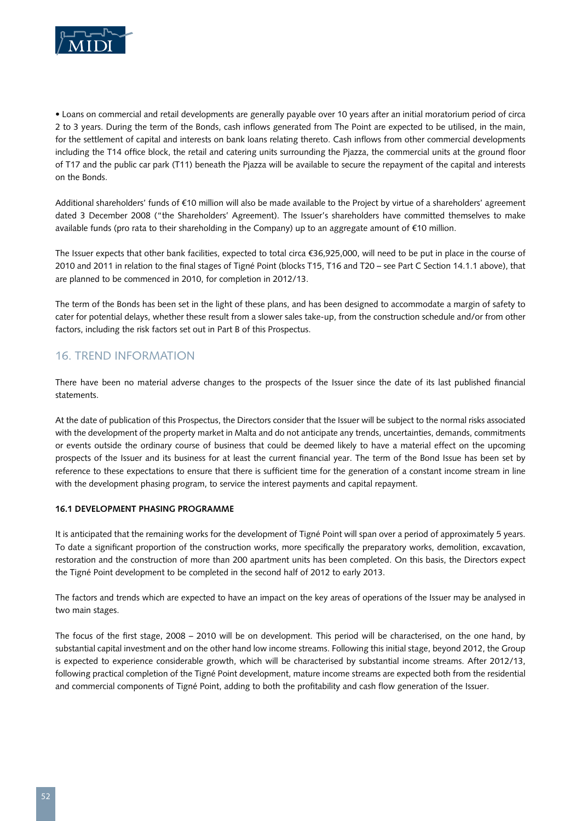

• Loans on commercial and retail developments are generally payable over 10 years after an initial moratorium period of circa 2 to 3 years. During the term of the Bonds, cash inflows generated from The Point are expected to be utilised, in the main, for the settlement of capital and interests on bank loans relating thereto. Cash inflows from other commercial developments including the T14 office block, the retail and catering units surrounding the Pjazza, the commercial units at the ground floor of T17 and the public car park (T11) beneath the Pjazza will be available to secure the repayment of the capital and interests on the Bonds.

Additional shareholders' funds of €10 million will also be made available to the Project by virtue of a shareholders' agreement dated 3 December 2008 ("the Shareholders' Agreement). The Issuer's shareholders have committed themselves to make available funds (pro rata to their shareholding in the Company) up to an aggregate amount of €10 million.

The Issuer expects that other bank facilities, expected to total circa €36,925,000, will need to be put in place in the course of 2010 and 2011 in relation to the final stages of Tigné Point (blocks T15, T16 and T20 – see Part C Section 14.1.1 above), that are planned to be commenced in 2010, for completion in 2012/13.

The term of the Bonds has been set in the light of these plans, and has been designed to accommodate a margin of safety to cater for potential delays, whether these result from a slower sales take-up, from the construction schedule and/or from other factors, including the risk factors set out in Part B of this Prospectus.

## 16. TREND INFORMATION

There have been no material adverse changes to the prospects of the Issuer since the date of its last published financial statements.

At the date of publication of this Prospectus, the Directors consider that the Issuer will be subject to the normal risks associated with the development of the property market in Malta and do not anticipate any trends, uncertainties, demands, commitments or events outside the ordinary course of business that could be deemed likely to have a material effect on the upcoming prospects of the Issuer and its business for at least the current financial year. The term of the Bond Issue has been set by reference to these expectations to ensure that there is sufficient time for the generation of a constant income stream in line with the development phasing program, to service the interest payments and capital repayment.

### **16.1 Development Phasing ProgramME**

It is anticipated that the remaining works for the development of Tigné Point will span over a period of approximately 5 years. To date a significant proportion of the construction works, more specifically the preparatory works, demolition, excavation, restoration and the construction of more than 200 apartment units has been completed. On this basis, the Directors expect the Tigné Point development to be completed in the second half of 2012 to early 2013.

The factors and trends which are expected to have an impact on the key areas of operations of the Issuer may be analysed in two main stages.

The focus of the first stage, 2008 – 2010 will be on development. This period will be characterised, on the one hand, by substantial capital investment and on the other hand low income streams. Following this initial stage, beyond 2012, the Group is expected to experience considerable growth, which will be characterised by substantial income streams. After 2012/13, following practical completion of the Tigné Point development, mature income streams are expected both from the residential and commercial components of Tigné Point, adding to both the profitability and cash flow generation of the Issuer.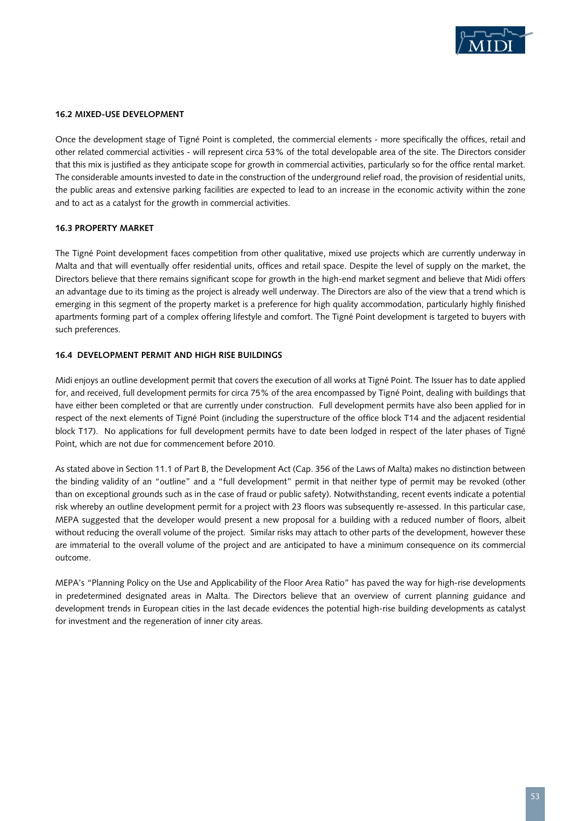

#### **16.2 Mixed-use Development**

Once the development stage of Tigné Point is completed, the commercial elements - more specifically the offices, retail and other related commercial activities - will represent circa 53% of the total developable area of the site. The Directors consider that this mix is justified as they anticipate scope for growth in commercial activities, particularly so for the office rental market. The considerable amounts invested to date in the construction of the underground relief road, the provision of residential units, the public areas and extensive parking facilities are expected to lead to an increase in the economic activity within the zone and to act as a catalyst for the growth in commercial activities.

#### **16.3 Property Market**

The Tigné Point development faces competition from other qualitative, mixed use projects which are currently underway in Malta and that will eventually offer residential units, offices and retail space. Despite the level of supply on the market, the Directors believe that there remains significant scope for growth in the high-end market segment and believe that Midi offers an advantage due to its timing as the project is already well underway. The Directors are also of the view that a trend which is emerging in this segment of the property market is a preference for high quality accommodation, particularly highly finished apartments forming part of a complex offering lifestyle and comfort. The Tigné Point development is targeted to buyers with such preferences.

#### **16.4 Development Permit and High Rise Buildings**

Midi enjoys an outline development permit that covers the execution of all works at Tigné Point. The Issuer has to date applied for, and received, full development permits for circa 75% of the area encompassed by Tigné Point, dealing with buildings that have either been completed or that are currently under construction. Full development permits have also been applied for in respect of the next elements of Tigné Point (including the superstructure of the office block T14 and the adjacent residential block T17). No applications for full development permits have to date been lodged in respect of the later phases of Tigné Point, which are not due for commencement before 2010.

As stated above in Section 11.1 of Part B, the Development Act (Cap. 356 of the Laws of Malta) makes no distinction between the binding validity of an "outline" and a "full development" permit in that neither type of permit may be revoked (other than on exceptional grounds such as in the case of fraud or public safety). Notwithstanding, recent events indicate a potential risk whereby an outline development permit for a project with 23 floors was subsequently re-assessed. In this particular case, MEPA suggested that the developer would present a new proposal for a building with a reduced number of floors, albeit without reducing the overall volume of the project. Similar risks may attach to other parts of the development, however these are immaterial to the overall volume of the project and are anticipated to have a minimum consequence on its commercial outcome.

MEPA's "Planning Policy on the Use and Applicability of the Floor Area Ratio" has paved the way for high-rise developments in predetermined designated areas in Malta. The Directors believe that an overview of current planning guidance and development trends in European cities in the last decade evidences the potential high-rise building developments as catalyst for investment and the regeneration of inner city areas.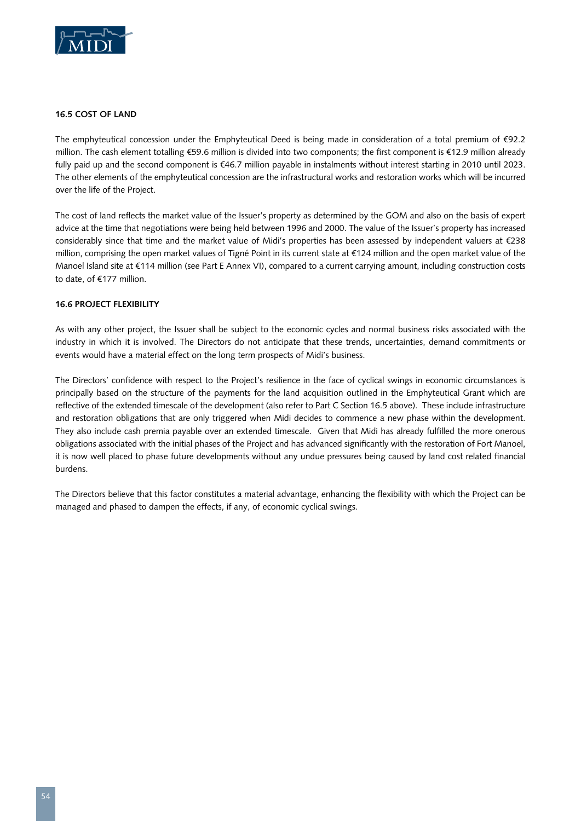

#### **16.5 Cost of Land**

The emphyteutical concession under the Emphyteutical Deed is being made in consideration of a total premium of  $\epsilon$ 92.2 million. The cash element totalling €59.6 million is divided into two components; the first component is €12.9 million already fully paid up and the second component is €46.7 million payable in instalments without interest starting in 2010 until 2023. The other elements of the emphyteutical concession are the infrastructural works and restoration works which will be incurred over the life of the Project.

The cost of land reflects the market value of the Issuer's property as determined by the GOM and also on the basis of expert advice at the time that negotiations were being held between 1996 and 2000. The value of the Issuer's property has increased considerably since that time and the market value of Midi's properties has been assessed by independent valuers at €238 million, comprising the open market values of Tigné Point in its current state at €124 million and the open market value of the Manoel Island site at €114 million (see Part E Annex VI), compared to a current carrying amount, including construction costs to date, of €177 million.

#### **16.6 Project Flexibility**

As with any other project, the Issuer shall be subject to the economic cycles and normal business risks associated with the industry in which it is involved. The Directors do not anticipate that these trends, uncertainties, demand commitments or events would have a material effect on the long term prospects of Midi's business.

The Directors' confidence with respect to the Project's resilience in the face of cyclical swings in economic circumstances is principally based on the structure of the payments for the land acquisition outlined in the Emphyteutical Grant which are reflective of the extended timescale of the development (also refer to Part C Section 16.5 above). These include infrastructure and restoration obligations that are only triggered when Midi decides to commence a new phase within the development. They also include cash premia payable over an extended timescale. Given that Midi has already fulfilled the more onerous obligations associated with the initial phases of the Project and has advanced significantly with the restoration of Fort Manoel, it is now well placed to phase future developments without any undue pressures being caused by land cost related financial burdens.

The Directors believe that this factor constitutes a material advantage, enhancing the flexibility with which the Project can be managed and phased to dampen the effects, if any, of economic cyclical swings.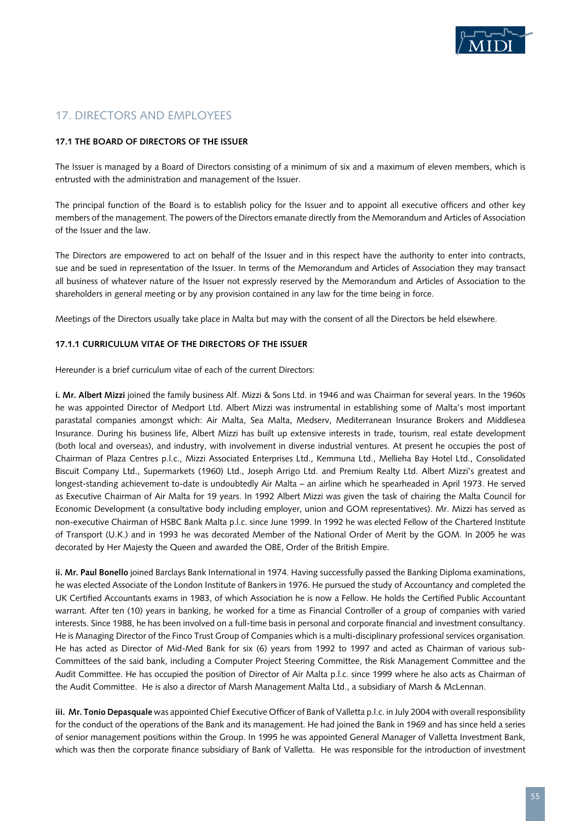

## 17. DIRECTORS AND EMPLOYEES

#### **17.1 The Board of Directors of the Issuer**

The Issuer is managed by a Board of Directors consisting of a minimum of six and a maximum of eleven members, which is entrusted with the administration and management of the Issuer.

The principal function of the Board is to establish policy for the Issuer and to appoint all executive officers and other key members of the management. The powers of the Directors emanate directly from the Memorandum and Articles of Association of the Issuer and the law.

The Directors are empowered to act on behalf of the Issuer and in this respect have the authority to enter into contracts, sue and be sued in representation of the Issuer. In terms of the Memorandum and Articles of Association they may transact all business of whatever nature of the Issuer not expressly reserved by the Memorandum and Articles of Association to the shareholders in general meeting or by any provision contained in any law for the time being in force.

Meetings of the Directors usually take place in Malta but may with the consent of all the Directors be held elsewhere.

#### **17.1.1 Curriculum Vitae of the Directors of the Issuer**

Hereunder is a brief curriculum vitae of each of the current Directors:

**i. Mr. Albert Mizzi** joined the family business Alf. Mizzi & Sons Ltd. in 1946 and was Chairman for several years. In the 1960s he was appointed Director of Medport Ltd. Albert Mizzi was instrumental in establishing some of Malta's most important parastatal companies amongst which: Air Malta, Sea Malta, Medserv, Mediterranean Insurance Brokers and Middlesea Insurance. During his business life, Albert Mizzi has built up extensive interests in trade, tourism, real estate development (both local and overseas), and industry, with involvement in diverse industrial ventures. At present he occupies the post of Chairman of Plaza Centres p.l.c., Mizzi Associated Enterprises Ltd., Kemmuna Ltd., Mellieha Bay Hotel Ltd., Consolidated Biscuit Company Ltd., Supermarkets (1960) Ltd., Joseph Arrigo Ltd. and Premium Realty Ltd. Albert Mizzi's greatest and longest-standing achievement to-date is undoubtedly Air Malta – an airline which he spearheaded in April 1973. He served as Executive Chairman of Air Malta for 19 years. In 1992 Albert Mizzi was given the task of chairing the Malta Council for Economic Development (a consultative body including employer, union and GOM representatives). Mr. Mizzi has served as non-executive Chairman of HSBC Bank Malta p.l.c. since June 1999. In 1992 he was elected Fellow of the Chartered Institute of Transport (U.K.) and in 1993 he was decorated Member of the National Order of Merit by the GOM. In 2005 he was decorated by Her Majesty the Queen and awarded the OBE, Order of the British Empire.

**ii. Mr. Paul Bonello** joined Barclays Bank International in 1974. Having successfully passed the Banking Diploma examinations, he was elected Associate of the London Institute of Bankers in 1976. He pursued the study of Accountancy and completed the UK Certified Accountants exams in 1983, of which Association he is now a Fellow. He holds the Certified Public Accountant warrant. After ten (10) years in banking, he worked for a time as Financial Controller of a group of companies with varied interests. Since 1988, he has been involved on a full-time basis in personal and corporate financial and investment consultancy. He is Managing Director of the Finco Trust Group of Companies which is a multi-disciplinary professional services organisation. He has acted as Director of Mid-Med Bank for six (6) years from 1992 to 1997 and acted as Chairman of various sub-Committees of the said bank, including a Computer Project Steering Committee, the Risk Management Committee and the Audit Committee. He has occupied the position of Director of Air Malta p.l.c. since 1999 where he also acts as Chairman of the Audit Committee. He is also a director of Marsh Management Malta Ltd., a subsidiary of Marsh & McLennan.

**iii. Mr. Tonio Depasquale** was appointed Chief Executive Officer of Bank of Valletta p.l.c. in July 2004 with overall responsibility for the conduct of the operations of the Bank and its management. He had joined the Bank in 1969 and has since held a series of senior management positions within the Group. In 1995 he was appointed General Manager of Valletta Investment Bank, which was then the corporate finance subsidiary of Bank of Valletta. He was responsible for the introduction of investment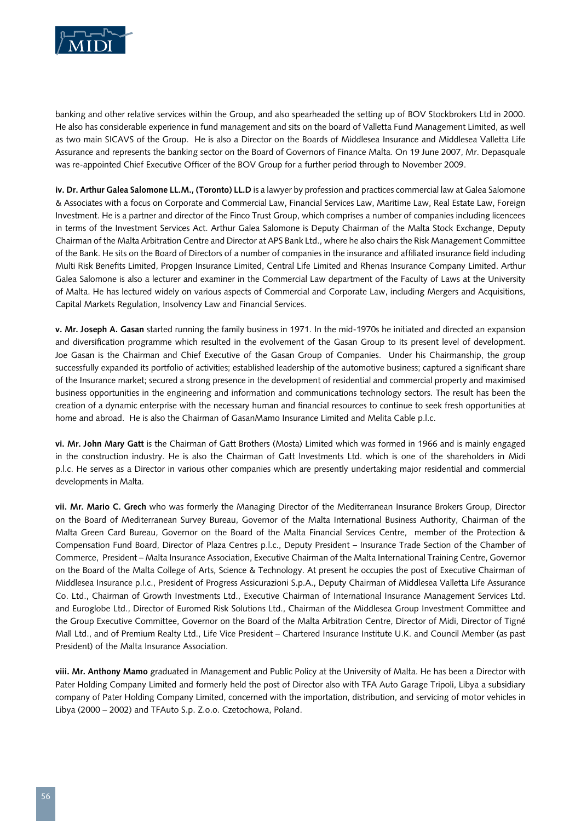

banking and other relative services within the Group, and also spearheaded the setting up of BOV Stockbrokers Ltd in 2000. He also has considerable experience in fund management and sits on the board of Valletta Fund Management Limited, as well as two main SICAVS of the Group. He is also a Director on the Boards of Middlesea Insurance and Middlesea Valletta Life Assurance and represents the banking sector on the Board of Governors of Finance Malta. On 19 June 2007, Mr. Depasquale was re-appointed Chief Executive Officer of the BOV Group for a further period through to November 2009.

**iv. Dr. Arthur Galea Salomone LL.M., (Toronto) LL.D** is a lawyer by profession and practices commercial law at Galea Salomone & Associates with a focus on Corporate and Commercial Law, Financial Services Law, Maritime Law, Real Estate Law, Foreign Investment. He is a partner and director of the Finco Trust Group, which comprises a number of companies including licencees in terms of the Investment Services Act. Arthur Galea Salomone is Deputy Chairman of the Malta Stock Exchange, Deputy Chairman of the Malta Arbitration Centre and Director at APS Bank Ltd., where he also chairs the Risk Management Committee of the Bank. He sits on the Board of Directors of a number of companies in the insurance and affiliated insurance field including Multi Risk Benefits Limited, Propgen Insurance Limited, Central Life Limited and Rhenas Insurance Company Limited. Arthur Galea Salomone is also a lecturer and examiner in the Commercial Law department of the Faculty of Laws at the University of Malta. He has lectured widely on various aspects of Commercial and Corporate Law, including Mergers and Acquisitions, Capital Markets Regulation, Insolvency Law and Financial Services.

**v. Mr. Joseph A. Gasan** started running the family business in 1971. In the mid-1970s he initiated and directed an expansion and diversification programme which resulted in the evolvement of the Gasan Group to its present level of development. Joe Gasan is the Chairman and Chief Executive of the Gasan Group of Companies. Under his Chairmanship, the group successfully expanded its portfolio of activities; established leadership of the automotive business; captured a significant share of the Insurance market; secured a strong presence in the development of residential and commercial property and maximised business opportunities in the engineering and information and communications technology sectors. The result has been the creation of a dynamic enterprise with the necessary human and financial resources to continue to seek fresh opportunities at home and abroad. He is also the Chairman of GasanMamo Insurance Limited and Melita Cable p.l.c.

**vi. Mr. John Mary Gatt** is the Chairman of Gatt Brothers (Mosta) Limited which was formed in 1966 and is mainly engaged in the construction industry. He is also the Chairman of Gatt lnvestments Ltd. which is one of the shareholders in Midi p.l.c. He serves as a Director in various other companies which are presently undertaking major residential and commercial developments in Malta.

**vii. Mr. Mario C. Grech** who was formerly the Managing Director of the Mediterranean Insurance Brokers Group, Director on the Board of Mediterranean Survey Bureau, Governor of the Malta International Business Authority, Chairman of the Malta Green Card Bureau, Governor on the Board of the Malta Financial Services Centre, member of the Protection & Compensation Fund Board, Director of Plaza Centres p.l.c., Deputy President – Insurance Trade Section of the Chamber of Commerce, President – Malta Insurance Association, Executive Chairman of the Malta International Training Centre, Governor on the Board of the Malta College of Arts, Science & Technology. At present he occupies the post of Executive Chairman of Middlesea Insurance p.l.c., President of Progress Assicurazioni S.p.A., Deputy Chairman of Middlesea Valletta Life Assurance Co. Ltd., Chairman of Growth Investments Ltd., Executive Chairman of International Insurance Management Services Ltd. and Euroglobe Ltd., Director of Euromed Risk Solutions Ltd., Chairman of the Middlesea Group Investment Committee and the Group Executive Committee, Governor on the Board of the Malta Arbitration Centre, Director of Midi, Director of Tigné Mall Ltd., and of Premium Realty Ltd., Life Vice President – Chartered Insurance Institute U.K. and Council Member (as past President) of the Malta Insurance Association.

**viii. Mr. Anthony Mamo** graduated in Management and Public Policy at the University of Malta. He has been a Director with Pater Holding Company Limited and formerly held the post of Director also with TFA Auto Garage Tripoli, Libya a subsidiary company of Pater Holding Company Limited, concerned with the importation, distribution, and servicing of motor vehicles in Libya (2000 – 2002) and TFAuto S.p. Z.o.o. Czetochowa, Poland.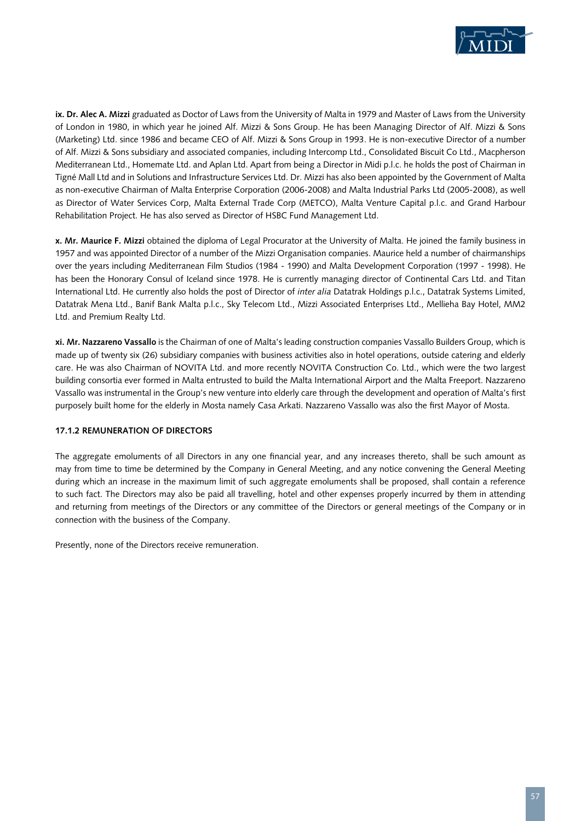

**ix. Dr. Alec A. Mizzi** graduated as Doctor of Laws from the University of Malta in 1979 and Master of Laws from the University of London in 1980, in which year he joined Alf. Mizzi & Sons Group. He has been Managing Director of Alf. Mizzi & Sons (Marketing) Ltd. since 1986 and became CEO of Alf. Mizzi & Sons Group in 1993. He is non-executive Director of a number of Alf. Mizzi & Sons subsidiary and associated companies, including Intercomp Ltd., Consolidated Biscuit Co Ltd., Macpherson Mediterranean Ltd., Homemate Ltd. and Aplan Ltd. Apart from being a Director in Midi p.l.c. he holds the post of Chairman in Tigné Mall Ltd and in Solutions and Infrastructure Services Ltd. Dr. Mizzi has also been appointed by the Government of Malta as non-executive Chairman of Malta Enterprise Corporation (2006-2008) and Malta Industrial Parks Ltd (2005-2008), as well as Director of Water Services Corp, Malta External Trade Corp (METCO), Malta Venture Capital p.l.c. and Grand Harbour Rehabilitation Project. He has also served as Director of HSBC Fund Management Ltd.

**x. Mr. Maurice F. Mizzi** obtained the diploma of Legal Procurator at the University of Malta. He joined the family business in 1957 and was appointed Director of a number of the Mizzi Organisation companies. Maurice held a number of chairmanships over the years including Mediterranean Film Studios (1984 - 1990) and Malta Development Corporation (1997 - 1998). He has been the Honorary Consul of Iceland since 1978. He is currently managing director of Continental Cars Ltd. and Titan International Ltd. He currently also holds the post of Director of *inter alia* Datatrak Holdings p.l.c., Datatrak Systems Limited, Datatrak Mena Ltd., Banif Bank Malta p.l.c., Sky Telecom Ltd., Mizzi Associated Enterprises Ltd., Mellieha Bay Hotel, MM2 Ltd. and Premium Realty Ltd.

**xi. Mr. Nazzareno Vassallo** is the Chairman of one of Malta's leading construction companies Vassallo Builders Group, which is made up of twenty six (26) subsidiary companies with business activities also in hotel operations, outside catering and elderly care. He was also Chairman of NOVITA Ltd. and more recently NOVITA Construction Co. Ltd., which were the two largest building consortia ever formed in Malta entrusted to build the Malta International Airport and the Malta Freeport. Nazzareno Vassallo was instrumental in the Group's new venture into elderly care through the development and operation of Malta's first purposely built home for the elderly in Mosta namely Casa Arkati. Nazzareno Vassallo was also the first Mayor of Mosta.

#### **17.1.2 Remuneration of Directors**

The aggregate emoluments of all Directors in any one financial year, and any increases thereto, shall be such amount as may from time to time be determined by the Company in General Meeting, and any notice convening the General Meeting during which an increase in the maximum limit of such aggregate emoluments shall be proposed, shall contain a reference to such fact. The Directors may also be paid all travelling, hotel and other expenses properly incurred by them in attending and returning from meetings of the Directors or any committee of the Directors or general meetings of the Company or in connection with the business of the Company.

Presently, none of the Directors receive remuneration.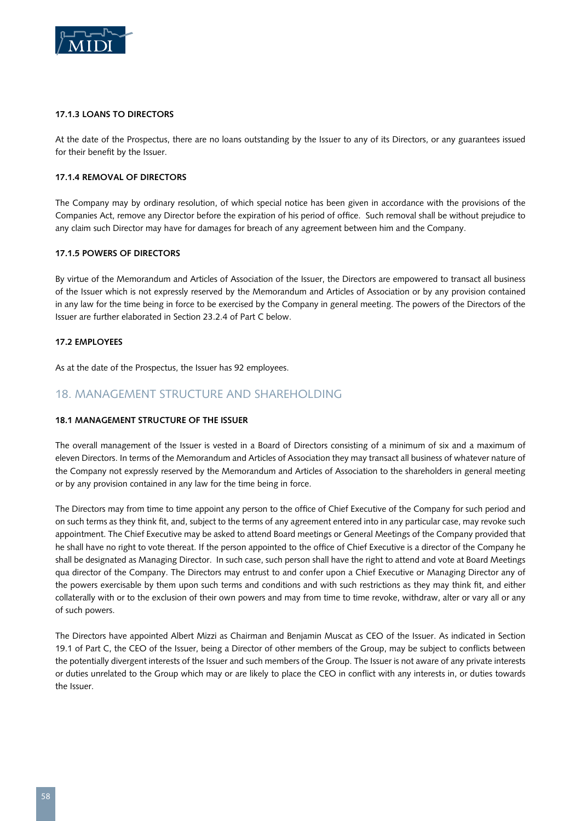

#### **17.1.3 Loans to Directors**

At the date of the Prospectus, there are no loans outstanding by the Issuer to any of its Directors, or any guarantees issued for their benefit by the Issuer.

#### **17.1.4 Removal of Directors**

The Company may by ordinary resolution, of which special notice has been given in accordance with the provisions of the Companies Act, remove any Director before the expiration of his period of office. Such removal shall be without prejudice to any claim such Director may have for damages for breach of any agreement between him and the Company.

#### **17.1.5 Powers of Directors**

By virtue of the Memorandum and Articles of Association of the Issuer, the Directors are empowered to transact all business of the Issuer which is not expressly reserved by the Memorandum and Articles of Association or by any provision contained in any law for the time being in force to be exercised by the Company in general meeting. The powers of the Directors of the Issuer are further elaborated in Section 23.2.4 of Part C below.

#### **17.2 Employees**

As at the date of the Prospectus, the Issuer has 92 employees.

## 18. MANAGEMENT STRUCTURE AND SHAREHOLDING

#### **18.1 Management structure of the Issuer**

The overall management of the Issuer is vested in a Board of Directors consisting of a minimum of six and a maximum of eleven Directors. In terms of the Memorandum and Articles of Association they may transact all business of whatever nature of the Company not expressly reserved by the Memorandum and Articles of Association to the shareholders in general meeting or by any provision contained in any law for the time being in force.

The Directors may from time to time appoint any person to the office of Chief Executive of the Company for such period and on such terms as they think fit, and, subject to the terms of any agreement entered into in any particular case, may revoke such appointment. The Chief Executive may be asked to attend Board meetings or General Meetings of the Company provided that he shall have no right to vote thereat. If the person appointed to the office of Chief Executive is a director of the Company he shall be designated as Managing Director. In such case, such person shall have the right to attend and vote at Board Meetings qua director of the Company. The Directors may entrust to and confer upon a Chief Executive or Managing Director any of the powers exercisable by them upon such terms and conditions and with such restrictions as they may think fit, and either collaterally with or to the exclusion of their own powers and may from time to time revoke, withdraw, alter or vary all or any of such powers.

The Directors have appointed Albert Mizzi as Chairman and Benjamin Muscat as CEO of the Issuer. As indicated in Section 19.1 of Part C, the CEO of the Issuer, being a Director of other members of the Group, may be subject to conflicts between the potentially divergent interests of the Issuer and such members of the Group. The Issuer is not aware of any private interests or duties unrelated to the Group which may or are likely to place the CEO in conflict with any interests in, or duties towards the Issuer.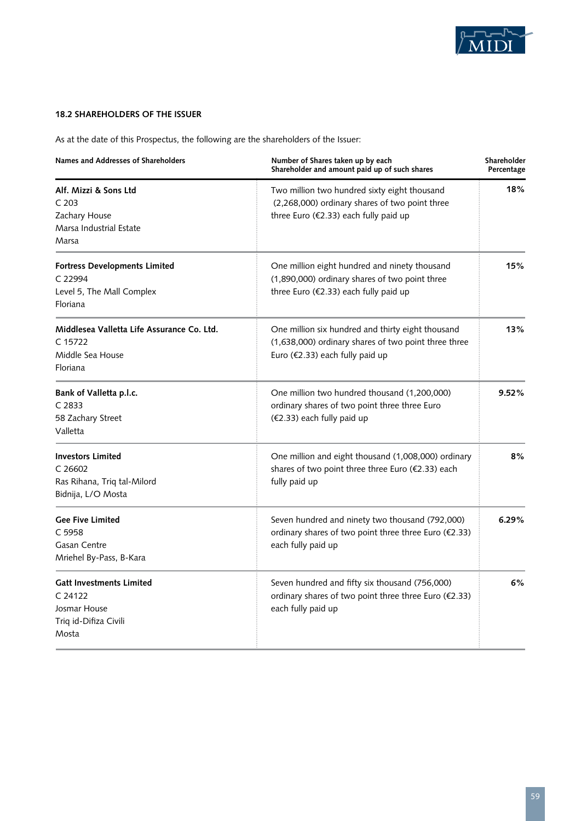

## **18.2 Shareholders of the Issuer**

As at the date of this Prospectus, the following are the shareholders of the Issuer:

| Names and Addresses of Shareholders                                                                 | Number of Shares taken up by each<br>Shareholder and amount paid up of such shares                                                           | Shareholder<br>Percentage |
|-----------------------------------------------------------------------------------------------------|----------------------------------------------------------------------------------------------------------------------------------------------|---------------------------|
| Alf. Mizzi & Sons Ltd<br>C.203<br>Zachary House<br>Marsa Industrial Estate<br>Marsa                 | Two million two hundred sixty eight thousand<br>(2,268,000) ordinary shares of two point three<br>three Euro (€2.33) each fully paid up      | 18%                       |
| <b>Fortress Developments Limited</b><br>C 22994<br>Level 5, The Mall Complex<br><b>Floriana</b>     | One million eight hundred and ninety thousand<br>(1,890,000) ordinary shares of two point three<br>three Euro (€2.33) each fully paid up     | 15%                       |
| Middlesea Valletta Life Assurance Co. Ltd.<br>$C$ 15722<br>Middle Sea House<br>Floriana             | One million six hundred and thirty eight thousand<br>(1,638,000) ordinary shares of two point three three<br>Euro (€2.33) each fully paid up | 13%                       |
| Bank of Valletta p.l.c.<br>C <sub>2833</sub><br>58 Zachary Street<br>Valletta                       | One million two hundred thousand (1,200,000)<br>ordinary shares of two point three three Euro<br>(€2.33) each fully paid up                  | 9.52%                     |
| <b>Investors Limited</b><br>C <sub>26602</sub><br>Ras Rihana, Triq tal-Milord<br>Bidnija, L/O Mosta | One million and eight thousand (1,008,000) ordinary<br>shares of two point three three Euro (€2.33) each<br>fully paid up                    | 8%                        |
| <b>Gee Five Limited</b><br>C 5958<br>Gasan Centre<br>Mriehel By-Pass, B-Kara                        | Seven hundred and ninety two thousand (792,000)<br>ordinary shares of two point three three Euro (€2.33)<br>each fully paid up               | 6.29%                     |
| <b>Gatt Investments Limited</b><br>C.24122<br>Josmar House<br>Triq id-Difiza Civili<br>Mosta        | Seven hundred and fifty six thousand (756,000)<br>ordinary shares of two point three three Euro (€2.33)<br>each fully paid up                | 6%                        |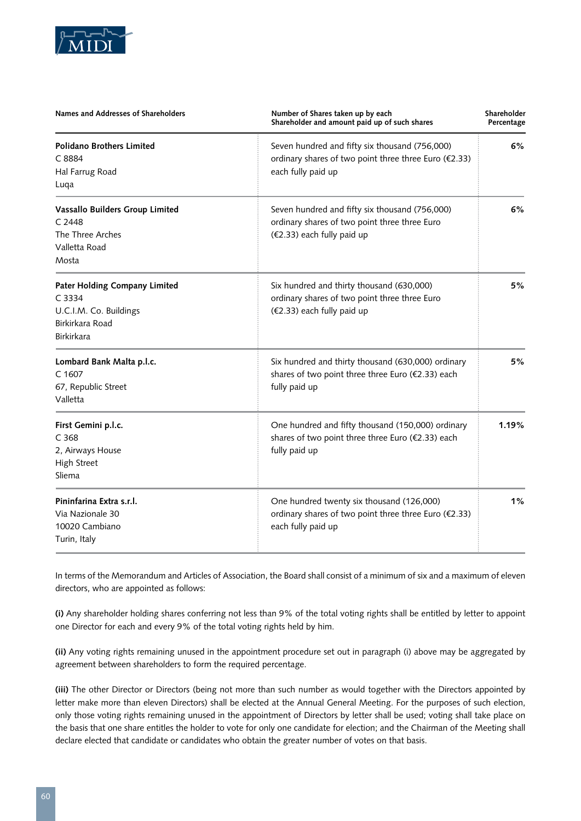

| Names and Addresses of Shareholders                                                                              | Number of Shares taken up by each<br>Shareholder and amount paid up of such shares                                            |    | Shareholder<br>Percentage |  |
|------------------------------------------------------------------------------------------------------------------|-------------------------------------------------------------------------------------------------------------------------------|----|---------------------------|--|
| <b>Polidano Brothers Limited</b><br>C 8884<br>Hal Farrug Road<br>Luqa                                            | Seven hundred and fifty six thousand (756,000)<br>ordinary shares of two point three three Euro (€2.33)<br>each fully paid up | 6% |                           |  |
| Vassallo Builders Group Limited<br>C <sub>2448</sub><br>The Three Arches<br>Valletta Road<br>Mosta               | Seven hundred and fifty six thousand (756,000)<br>ordinary shares of two point three three Euro<br>(€2.33) each fully paid up | 6% |                           |  |
| <b>Pater Holding Company Limited</b><br>C 3334<br>U.C.I.M. Co. Buildings<br>Birkirkara Road<br><b>Birkirkara</b> | Six hundred and thirty thousand (630,000)<br>ordinary shares of two point three three Euro<br>(€2.33) each fully paid up      | 5% |                           |  |
| Lombard Bank Malta p.l.c.<br>C <sub>1607</sub><br>67, Republic Street<br>Valletta                                | Six hundred and thirty thousand (630,000) ordinary<br>shares of two point three three Euro (€2.33) each<br>fully paid up      | 5% |                           |  |
| First Gemini p.l.c.<br>C <sub>368</sub><br>2, Airways House<br><b>High Street</b><br>Sliema                      | One hundred and fifty thousand (150,000) ordinary<br>shares of two point three three Euro (€2.33) each<br>fully paid up       |    |                           |  |
| Pininfarina Extra s.r.l.<br>Via Nazionale 30<br>10020 Cambiano<br>Turin, Italy                                   | One hundred twenty six thousand (126,000)<br>ordinary shares of two point three three Euro (€2.33)<br>each fully paid up      | 1% |                           |  |

In terms of the Memorandum and Articles of Association, the Board shall consist of a minimum of six and a maximum of eleven directors, who are appointed as follows:

**(i)** Any shareholder holding shares conferring not less than 9% of the total voting rights shall be entitled by letter to appoint one Director for each and every 9% of the total voting rights held by him.

**(ii)** Any voting rights remaining unused in the appointment procedure set out in paragraph (i) above may be aggregated by agreement between shareholders to form the required percentage.

**(iii)** The other Director or Directors (being not more than such number as would together with the Directors appointed by letter make more than eleven Directors) shall be elected at the Annual General Meeting. For the purposes of such election, only those voting rights remaining unused in the appointment of Directors by letter shall be used; voting shall take place on the basis that one share entitles the holder to vote for only one candidate for election; and the Chairman of the Meeting shall declare elected that candidate or candidates who obtain the greater number of votes on that basis.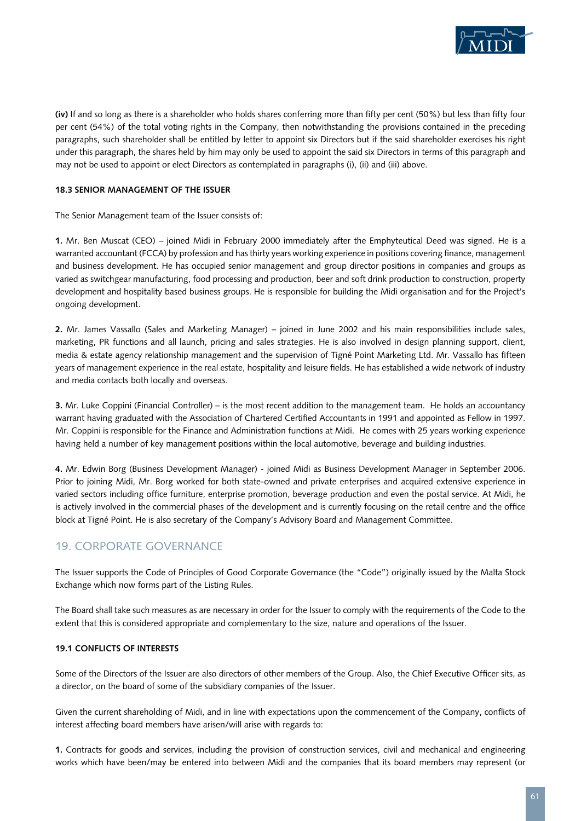

**(iv)** If and so long as there is a shareholder who holds shares conferring more than fifty per cent (50%) but less than fifty four per cent (54%) of the total voting rights in the Company, then notwithstanding the provisions contained in the preceding paragraphs, such shareholder shall be entitled by letter to appoint six Directors but if the said shareholder exercises his right under this paragraph, the shares held by him may only be used to appoint the said six Directors in terms of this paragraph and may not be used to appoint or elect Directors as contemplated in paragraphs (i), (ii) and (iii) above.

#### **18.3 Senior Management of the Issuer**

The Senior Management team of the Issuer consists of:

**1.** Mr. Ben Muscat (CEO) – joined Midi in February 2000 immediately after the Emphyteutical Deed was signed. He is a warranted accountant (FCCA) by profession and has thirty years working experience in positions covering finance, management and business development. He has occupied senior management and group director positions in companies and groups as varied as switchgear manufacturing, food processing and production, beer and soft drink production to construction, property development and hospitality based business groups. He is responsible for building the Midi organisation and for the Project's ongoing development.

**2.** Mr. James Vassallo (Sales and Marketing Manager) – joined in June 2002 and his main responsibilities include sales, marketing, PR functions and all launch, pricing and sales strategies. He is also involved in design planning support, client, media & estate agency relationship management and the supervision of Tigné Point Marketing Ltd. Mr. Vassallo has fifteen years of management experience in the real estate, hospitality and leisure fields. He has established a wide network of industry and media contacts both locally and overseas.

**3.** Mr. Luke Coppini (Financial Controller) – is the most recent addition to the management team. He holds an accountancy warrant having graduated with the Association of Chartered Certified Accountants in 1991 and appointed as Fellow in 1997. Mr. Coppini is responsible for the Finance and Administration functions at Midi. He comes with 25 years working experience having held a number of key management positions within the local automotive, beverage and building industries.

**4.** Mr. Edwin Borg (Business Development Manager) - joined Midi as Business Development Manager in September 2006. Prior to joining Midi, Mr. Borg worked for both state-owned and private enterprises and acquired extensive experience in varied sectors including office furniture, enterprise promotion, beverage production and even the postal service. At Midi, he is actively involved in the commercial phases of the development and is currently focusing on the retail centre and the office block at Tigné Point. He is also secretary of the Company's Advisory Board and Management Committee.

## 19. CORPORATE GOVERNANCE

The Issuer supports the Code of Principles of Good Corporate Governance (the "Code") originally issued by the Malta Stock Exchange which now forms part of the Listing Rules.

The Board shall take such measures as are necessary in order for the Issuer to comply with the requirements of the Code to the extent that this is considered appropriate and complementary to the size, nature and operations of the Issuer.

#### **19.1 Conflicts of Interests**

Some of the Directors of the Issuer are also directors of other members of the Group. Also, the Chief Executive Officer sits, as a director, on the board of some of the subsidiary companies of the Issuer.

Given the current shareholding of Midi, and in line with expectations upon the commencement of the Company, conflicts of interest affecting board members have arisen/will arise with regards to:

**1.** Contracts for goods and services, including the provision of construction services, civil and mechanical and engineering works which have been/may be entered into between Midi and the companies that its board members may represent (or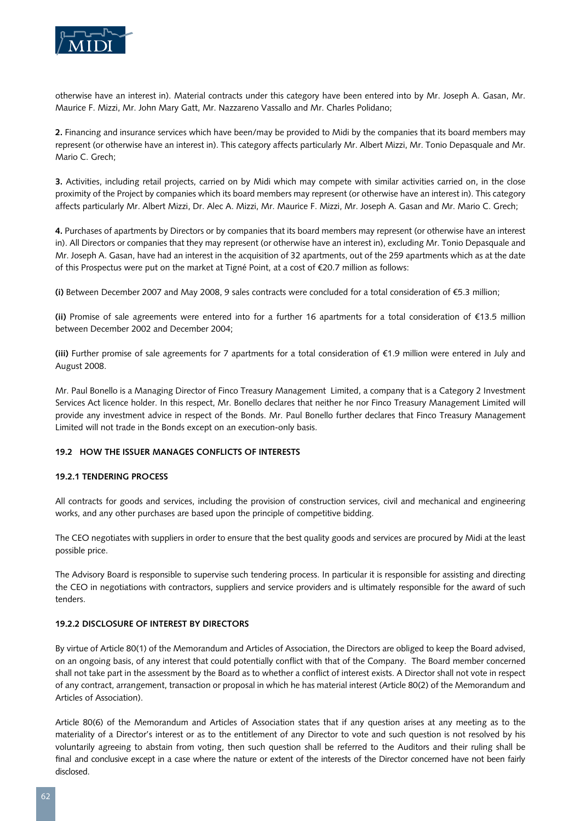

otherwise have an interest in). Material contracts under this category have been entered into by Mr. Joseph A. Gasan, Mr. Maurice F. Mizzi, Mr. John Mary Gatt, Mr. Nazzareno Vassallo and Mr. Charles Polidano;

**2.** Financing and insurance services which have been/may be provided to Midi by the companies that its board members may represent (or otherwise have an interest in). This category affects particularly Mr. Albert Mizzi, Mr. Tonio Depasquale and Mr. Mario C. Grech;

**3.** Activities, including retail projects, carried on by Midi which may compete with similar activities carried on, in the close proximity of the Project by companies which its board members may represent (or otherwise have an interest in). This category affects particularly Mr. Albert Mizzi, Dr. Alec A. Mizzi, Mr. Maurice F. Mizzi, Mr. Joseph A. Gasan and Mr. Mario C. Grech;

**4.** Purchases of apartments by Directors or by companies that its board members may represent (or otherwise have an interest in). All Directors or companies that they may represent (or otherwise have an interest in), excluding Mr. Tonio Depasquale and Mr. Joseph A. Gasan, have had an interest in the acquisition of 32 apartments, out of the 259 apartments which as at the date of this Prospectus were put on the market at Tigné Point, at a cost of €20.7 million as follows:

**(i)** Between December 2007 and May 2008, 9 sales contracts were concluded for a total consideration of €5.3 million;

**(ii)** Promise of sale agreements were entered into for a further 16 apartments for a total consideration of €13.5 million between December 2002 and December 2004;

**(iii)** Further promise of sale agreements for 7 apartments for a total consideration of €1.9 million were entered in July and August 2008.

Mr. Paul Bonello is a Managing Director of Finco Treasury Management Limited, a company that is a Category 2 Investment Services Act licence holder. In this respect, Mr. Bonello declares that neither he nor Finco Treasury Management Limited will provide any investment advice in respect of the Bonds. Mr. Paul Bonello further declares that Finco Treasury Management Limited will not trade in the Bonds except on an execution-only basis.

#### **19.2 How the Issuer Manages Conflicts of Interests**

#### **19.2.1 Tendering Process**

All contracts for goods and services, including the provision of construction services, civil and mechanical and engineering works, and any other purchases are based upon the principle of competitive bidding.

The CEO negotiates with suppliers in order to ensure that the best quality goods and services are procured by Midi at the least possible price.

The Advisory Board is responsible to supervise such tendering process. In particular it is responsible for assisting and directing the CEO in negotiations with contractors, suppliers and service providers and is ultimately responsible for the award of such tenders.

#### **19.2.2 Disclosure of Interest by Directors**

By virtue of Article 80(1) of the Memorandum and Articles of Association, the Directors are obliged to keep the Board advised, on an ongoing basis, of any interest that could potentially conflict with that of the Company. The Board member concerned shall not take part in the assessment by the Board as to whether a conflict of interest exists. A Director shall not vote in respect of any contract, arrangement, transaction or proposal in which he has material interest (Article 80(2) of the Memorandum and Articles of Association).

Article 80(6) of the Memorandum and Articles of Association states that if any question arises at any meeting as to the materiality of a Director's interest or as to the entitlement of any Director to vote and such question is not resolved by his voluntarily agreeing to abstain from voting, then such question shall be referred to the Auditors and their ruling shall be final and conclusive except in a case where the nature or extent of the interests of the Director concerned have not been fairly disclosed.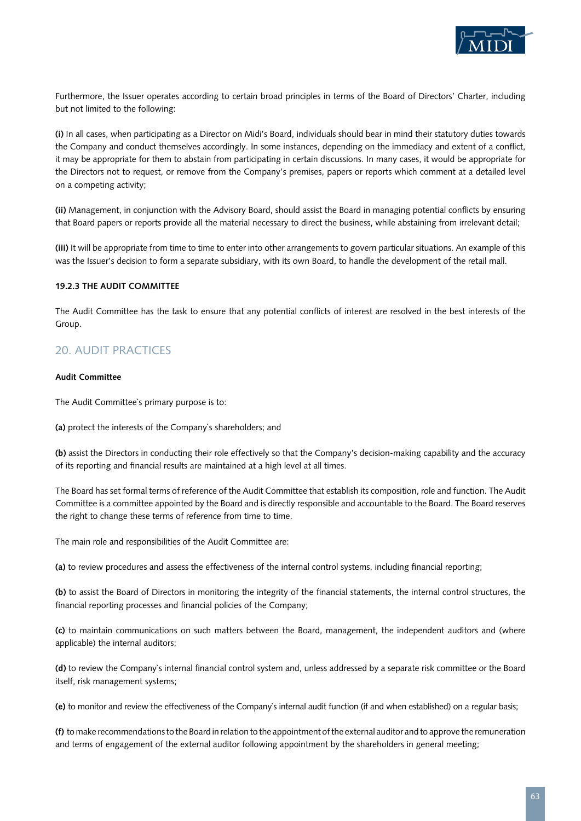

Furthermore, the Issuer operates according to certain broad principles in terms of the Board of Directors' Charter, including but not limited to the following:

**(i)** In all cases, when participating as a Director on Midi's Board, individuals should bear in mind their statutory duties towards the Company and conduct themselves accordingly. In some instances, depending on the immediacy and extent of a conflict, it may be appropriate for them to abstain from participating in certain discussions. In many cases, it would be appropriate for the Directors not to request, or remove from the Company's premises, papers or reports which comment at a detailed level on a competing activity;

**(ii)** Management, in conjunction with the Advisory Board, should assist the Board in managing potential conflicts by ensuring that Board papers or reports provide all the material necessary to direct the business, while abstaining from irrelevant detail;

**(iii)** It will be appropriate from time to time to enter into other arrangements to govern particular situations. An example of this was the Issuer's decision to form a separate subsidiary, with its own Board, to handle the development of the retail mall.

#### **19.2.3 The Audit Committee**

The Audit Committee has the task to ensure that any potential conflicts of interest are resolved in the best interests of the Group.

## 20. AUDIT PRACTICES

#### **Audit Committee**

The Audit Committee`s primary purpose is to:

**(a)** protect the interests of the Company`s shareholders; and

**(b)** assist the Directors in conducting their role effectively so that the Company's decision-making capability and the accuracy of its reporting and financial results are maintained at a high level at all times.

The Board has set formal terms of reference of the Audit Committee that establish its composition, role and function. The Audit Committee is a committee appointed by the Board and is directly responsible and accountable to the Board. The Board reserves the right to change these terms of reference from time to time.

The main role and responsibilities of the Audit Committee are:

**(a)** to review procedures and assess the effectiveness of the internal control systems, including financial reporting;

**(b)** to assist the Board of Directors in monitoring the integrity of the financial statements, the internal control structures, the financial reporting processes and financial policies of the Company;

**(c)** to maintain communications on such matters between the Board, management, the independent auditors and (where applicable) the internal auditors;

**(d)** to review the Company`s internal financial control system and, unless addressed by a separate risk committee or the Board itself, risk management systems;

**(e)** to monitor and review the effectiveness of the Company`s internal audit function (if and when established) on a regular basis;

**(f)** to make recommendations to the Board in relation to the appointment of the external auditor and to approve the remuneration and terms of engagement of the external auditor following appointment by the shareholders in general meeting;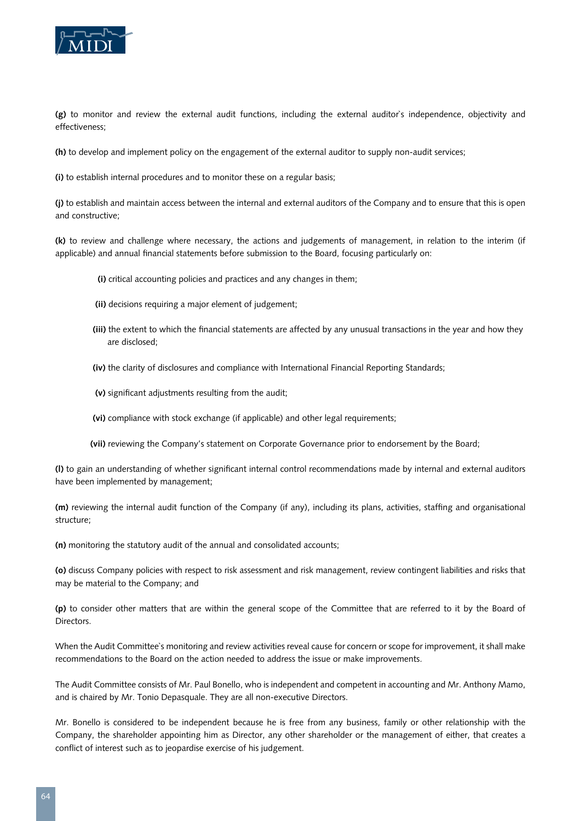

**(g)** to monitor and review the external audit functions, including the external auditor`s independence, objectivity and effectiveness;

**(h)** to develop and implement policy on the engagement of the external auditor to supply non-audit services;

**(i)** to establish internal procedures and to monitor these on a regular basis;

**(j)** to establish and maintain access between the internal and external auditors of the Company and to ensure that this is open and constructive;

**(k)** to review and challenge where necessary, the actions and judgements of management, in relation to the interim (if applicable) and annual financial statements before submission to the Board, focusing particularly on:

- **(i)** critical accounting policies and practices and any changes in them;
- **(ii)** decisions requiring a major element of judgement;
- **(iii)** the extent to which the financial statements are affected by any unusual transactions in the year and how they are disclosed;
- **(iv)** the clarity of disclosures and compliance with International Financial Reporting Standards;
- **(v)** significant adjustments resulting from the audit;
- **(vi)** compliance with stock exchange (if applicable) and other legal requirements;
- **(vii)** reviewing the Company's statement on Corporate Governance prior to endorsement by the Board;

**(l)** to gain an understanding of whether significant internal control recommendations made by internal and external auditors have been implemented by management;

**(m)** reviewing the internal audit function of the Company (if any), including its plans, activities, staffing and organisational structure;

**(n)** monitoring the statutory audit of the annual and consolidated accounts;

**(o)** discuss Company policies with respect to risk assessment and risk management, review contingent liabilities and risks that may be material to the Company; and

**(p)** to consider other matters that are within the general scope of the Committee that are referred to it by the Board of Directors.

When the Audit Committee`s monitoring and review activities reveal cause for concern or scope for improvement, it shall make recommendations to the Board on the action needed to address the issue or make improvements.

The Audit Committee consists of Mr. Paul Bonello, who is independent and competent in accounting and Mr. Anthony Mamo, and is chaired by Mr. Tonio Depasquale. They are all non-executive Directors.

Mr. Bonello is considered to be independent because he is free from any business, family or other relationship with the Company, the shareholder appointing him as Director, any other shareholder or the management of either, that creates a conflict of interest such as to jeopardise exercise of his judgement.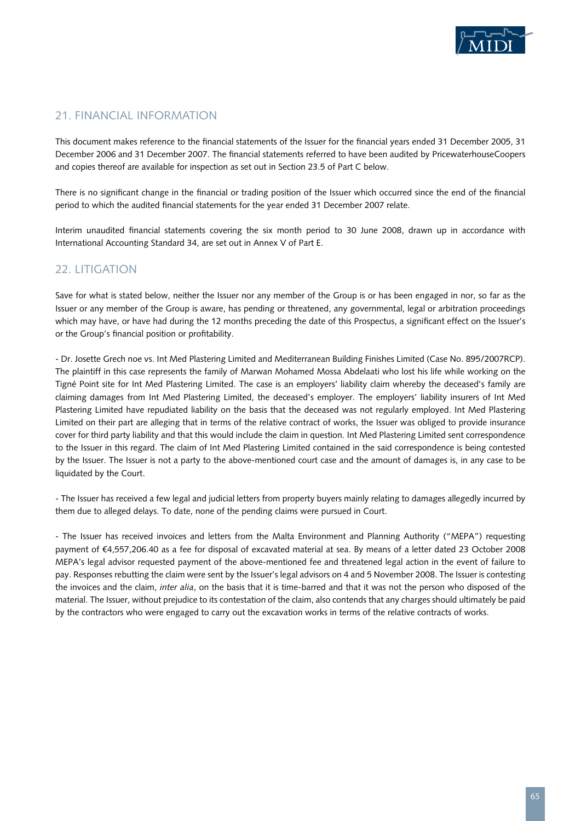

## 21. FINANCIAL INFORMATION

This document makes reference to the financial statements of the Issuer for the financial years ended 31 December 2005, 31 December 2006 and 31 December 2007. The financial statements referred to have been audited by PricewaterhouseCoopers and copies thereof are available for inspection as set out in Section 23.5 of Part C below.

There is no significant change in the financial or trading position of the Issuer which occurred since the end of the financial period to which the audited financial statements for the year ended 31 December 2007 relate.

Interim unaudited financial statements covering the six month period to 30 June 2008, drawn up in accordance with International Accounting Standard 34, are set out in Annex V of Part E.

## 22. LITIGATION

Save for what is stated below, neither the Issuer nor any member of the Group is or has been engaged in nor, so far as the Issuer or any member of the Group is aware, has pending or threatened, any governmental, legal or arbitration proceedings which may have, or have had during the 12 months preceding the date of this Prospectus, a significant effect on the Issuer's or the Group's financial position or profitability.

- Dr. Josette Grech noe vs. Int Med Plastering Limited and Mediterranean Building Finishes Limited (Case No. 895/2007RCP). The plaintiff in this case represents the family of Marwan Mohamed Mossa Abdelaati who lost his life while working on the Tigné Point site for Int Med Plastering Limited. The case is an employers' liability claim whereby the deceased's family are claiming damages from Int Med Plastering Limited, the deceased's employer. The employers' liability insurers of Int Med Plastering Limited have repudiated liability on the basis that the deceased was not regularly employed. Int Med Plastering Limited on their part are alleging that in terms of the relative contract of works, the Issuer was obliged to provide insurance cover for third party liability and that this would include the claim in question. Int Med Plastering Limited sent correspondence to the Issuer in this regard. The claim of Int Med Plastering Limited contained in the said correspondence is being contested by the Issuer. The Issuer is not a party to the above-mentioned court case and the amount of damages is, in any case to be liquidated by the Court.

- The Issuer has received a few legal and judicial letters from property buyers mainly relating to damages allegedly incurred by them due to alleged delays. To date, none of the pending claims were pursued in Court.

- The Issuer has received invoices and letters from the Malta Environment and Planning Authority ("MEPA") requesting payment of €4,557,206.40 as a fee for disposal of excavated material at sea. By means of a letter dated 23 October 2008 MEPA's legal advisor requested payment of the above-mentioned fee and threatened legal action in the event of failure to pay. Responses rebutting the claim were sent by the Issuer's legal advisors on 4 and 5 November 2008. The Issuer is contesting the invoices and the claim, *inter alia*, on the basis that it is time-barred and that it was not the person who disposed of the material. The Issuer, without prejudice to its contestation of the claim, also contends that any charges should ultimately be paid by the contractors who were engaged to carry out the excavation works in terms of the relative contracts of works.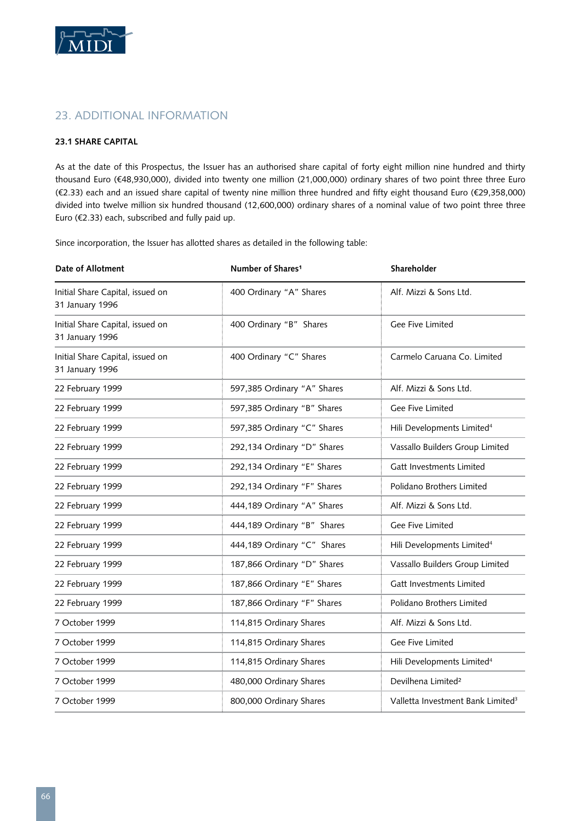

## 23. ADDITIONAL INFORMATION

#### **23.1 Share Capital**

As at the date of this Prospectus, the Issuer has an authorised share capital of forty eight million nine hundred and thirty thousand Euro (€48,930,000), divided into twenty one million (21,000,000) ordinary shares of two point three three Euro (€2.33) each and an issued share capital of twenty nine million three hundred and fifty eight thousand Euro (€29,358,000) divided into twelve million six hundred thousand (12,600,000) ordinary shares of a nominal value of two point three three Euro (€2.33) each, subscribed and fully paid up.

Since incorporation, the Issuer has allotted shares as detailed in the following table:

| Date of Allotment                                   | Number of Shares <sup>1</sup> | Shareholder                                   |
|-----------------------------------------------------|-------------------------------|-----------------------------------------------|
| Initial Share Capital, issued on<br>31 January 1996 | 400 Ordinary "A" Shares       | Alf. Mizzi & Sons Ltd.                        |
| Initial Share Capital, issued on<br>31 January 1996 | 400 Ordinary "B" Shares       | Gee Five Limited                              |
| Initial Share Capital, issued on<br>31 January 1996 | 400 Ordinary "C" Shares       | Carmelo Caruana Co. Limited                   |
| 22 February 1999                                    | 597,385 Ordinary "A" Shares   | Alf. Mizzi & Sons Ltd.                        |
| 22 February 1999                                    | 597,385 Ordinary "B" Shares   | Gee Five Limited                              |
| 22 February 1999                                    | 597,385 Ordinary "C" Shares   | Hili Developments Limited <sup>4</sup>        |
| 22 February 1999                                    | 292,134 Ordinary "D" Shares   | Vassallo Builders Group Limited               |
| 22 February 1999                                    | 292,134 Ordinary "E" Shares   | Gatt Investments Limited                      |
| 22 February 1999                                    | 292,134 Ordinary "F" Shares   | Polidano Brothers Limited                     |
| 22 February 1999                                    | 444,189 Ordinary "A" Shares   | Alf. Mizzi & Sons Ltd.                        |
| 22 February 1999                                    | 444,189 Ordinary "B" Shares   | Gee Five Limited                              |
| 22 February 1999                                    | 444,189 Ordinary "C" Shares   | Hili Developments Limited <sup>4</sup>        |
| 22 February 1999                                    | 187,866 Ordinary "D" Shares   | Vassallo Builders Group Limited               |
| 22 February 1999                                    | 187,866 Ordinary "E" Shares   | Gatt Investments Limited                      |
| 22 February 1999                                    | 187,866 Ordinary "F" Shares   | Polidano Brothers Limited                     |
| 7 October 1999                                      | 114,815 Ordinary Shares       | Alf. Mizzi & Sons Ltd.                        |
| 7 October 1999                                      | 114,815 Ordinary Shares       | Gee Five Limited                              |
| 7 October 1999                                      | 114,815 Ordinary Shares       | Hili Developments Limited <sup>4</sup>        |
| 7 October 1999                                      | 480,000 Ordinary Shares       | Devilhena Limited <sup>2</sup>                |
| 7 October 1999                                      | 800,000 Ordinary Shares       | Valletta Investment Bank Limited <sup>3</sup> |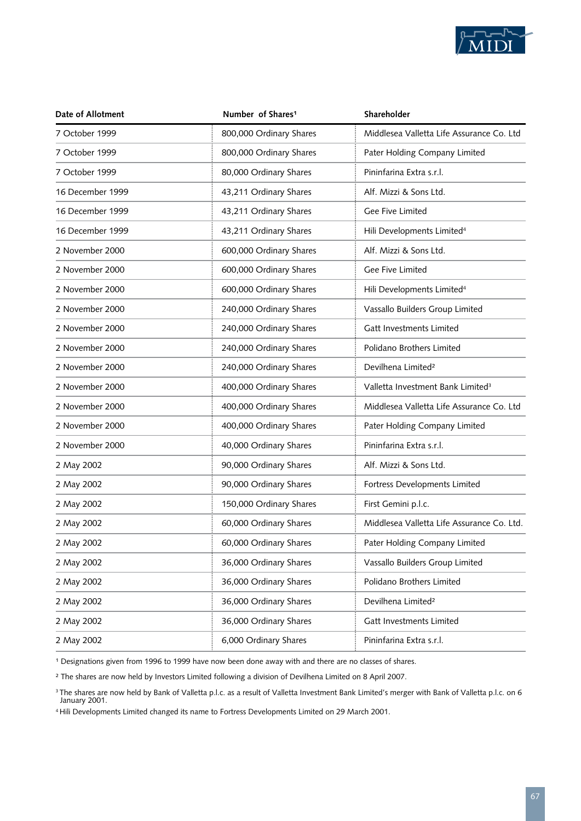

| Date of Allotment | Number of Shares <sup>1</sup> | Shareholder                                   |  |
|-------------------|-------------------------------|-----------------------------------------------|--|
| 7 October 1999    | 800,000 Ordinary Shares       | Middlesea Valletta Life Assurance Co. Ltd     |  |
| 7 October 1999    | 800,000 Ordinary Shares       | Pater Holding Company Limited                 |  |
| 7 October 1999    | 80,000 Ordinary Shares        | Pininfarina Extra s.r.l.                      |  |
| 16 December 1999  | 43,211 Ordinary Shares        | Alf. Mizzi & Sons Ltd.                        |  |
| 16 December 1999  | 43,211 Ordinary Shares        | Gee Five Limited                              |  |
| 16 December 1999  | 43,211 Ordinary Shares        | Hili Developments Limited <sup>4</sup>        |  |
| 2 November 2000   | 600,000 Ordinary Shares       | Alf. Mizzi & Sons Ltd.                        |  |
| 2 November 2000   | 600,000 Ordinary Shares       | Gee Five Limited                              |  |
| 2 November 2000   | 600,000 Ordinary Shares       | Hili Developments Limited <sup>4</sup>        |  |
| 2 November 2000   | 240,000 Ordinary Shares       | Vassallo Builders Group Limited               |  |
| 2 November 2000   | 240,000 Ordinary Shares       | Gatt Investments Limited                      |  |
| 2 November 2000   | 240,000 Ordinary Shares       | Polidano Brothers Limited                     |  |
| 2 November 2000   | 240,000 Ordinary Shares       | Devilhena Limited <sup>2</sup>                |  |
| 2 November 2000   | 400,000 Ordinary Shares       | Valletta Investment Bank Limited <sup>3</sup> |  |
| 2 November 2000   | 400,000 Ordinary Shares       | Middlesea Valletta Life Assurance Co. Ltd     |  |
| 2 November 2000   | 400,000 Ordinary Shares       | Pater Holding Company Limited                 |  |
| 2 November 2000   | 40,000 Ordinary Shares        | Pininfarina Extra s.r.l.                      |  |
| 2 May 2002        | 90,000 Ordinary Shares        | Alf. Mizzi & Sons Ltd.                        |  |
| 2 May 2002        | 90,000 Ordinary Shares        | Fortress Developments Limited                 |  |
| 2 May 2002        | 150,000 Ordinary Shares       | First Gemini p.l.c.                           |  |
| 2 May 2002        | 60,000 Ordinary Shares        | Middlesea Valletta Life Assurance Co. Ltd.    |  |
| 2 May 2002        | 60,000 Ordinary Shares        | Pater Holding Company Limited                 |  |
| 2 May 2002        | 36,000 Ordinary Shares        | Vassallo Builders Group Limited               |  |
| 2 May 2002        | 36,000 Ordinary Shares        | Polidano Brothers Limited                     |  |
| 2 May 2002        | 36,000 Ordinary Shares        | Devilhena Limited <sup>2</sup>                |  |
| 2 May 2002        | 36,000 Ordinary Shares        | Gatt Investments Limited                      |  |
| 2 May 2002        | 6,000 Ordinary Shares         | Pininfarina Extra s.r.l.                      |  |

<sup>1</sup> Designations given from 1996 to 1999 have now been done away with and there are no classes of shares.

² The shares are now held by Investors Limited following a division of Devilhena Limited on 8 April 2007.

4 Hili Developments Limited changed its name to Fortress Developments Limited on 29 March 2001.

 $^{\rm 3}$ The shares are now held by Bank of Valletta p.l.c. as a result of Valletta Investment Bank Limited's merger with Bank of Valletta p.l.c. on 6  $\,$ January 2001.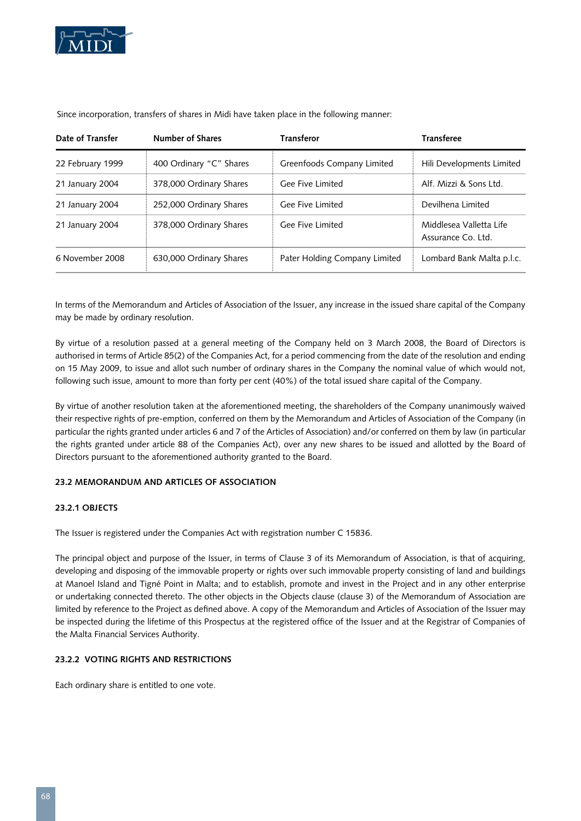

| Date of Transfer | <b>Number of Shares</b> | <b>Transferor</b>             | <b>Transferee</b>                             |
|------------------|-------------------------|-------------------------------|-----------------------------------------------|
| 22 February 1999 | 400 Ordinary "C" Shares | Greenfoods Company Limited    | Hili Developments Limited                     |
| 21 January 2004  | 378,000 Ordinary Shares | Gee Five Limited              | Alf. Mizzi & Sons Ltd.                        |
| 21 January 2004  | 252,000 Ordinary Shares | Gee Five Limited              | Devilhena Limited                             |
| 21 January 2004  | 378,000 Ordinary Shares | Gee Five Limited              | Middlesea Valletta Life<br>Assurance Co. Ltd. |
| 6 November 2008  | 630,000 Ordinary Shares | Pater Holding Company Limited | Lombard Bank Malta p.l.c.                     |

Since incorporation, transfers of shares in Midi have taken place in the following manner:

In terms of the Memorandum and Articles of Association of the Issuer, any increase in the issued share capital of the Company may be made by ordinary resolution.

By virtue of a resolution passed at a general meeting of the Company held on 3 March 2008, the Board of Directors is authorised in terms of Article 85(2) of the Companies Act, for a period commencing from the date of the resolution and ending on 15 May 2009, to issue and allot such number of ordinary shares in the Company the nominal value of which would not, following such issue, amount to more than forty per cent (40%) of the total issued share capital of the Company.

By virtue of another resolution taken at the aforementioned meeting, the shareholders of the Company unanimously waived their respective rights of pre-emption, conferred on them by the Memorandum and Articles of Association of the Company (in particular the rights granted under articles 6 and 7 of the Articles of Association) and/or conferred on them by law (in particular the rights granted under article 88 of the Companies Act), over any new shares to be issued and allotted by the Board of Directors pursuant to the aforementioned authority granted to the Board.

#### **23.2 Memorandum and Articles of Association**

#### **23.2.1 Objects**

The Issuer is registered under the Companies Act with registration number C 15836.

The principal object and purpose of the Issuer, in terms of Clause 3 of its Memorandum of Association, is that of acquiring, developing and disposing of the immovable property or rights over such immovable property consisting of land and buildings at Manoel Island and Tigné Point in Malta; and to establish, promote and invest in the Project and in any other enterprise or undertaking connected thereto. The other objects in the Objects clause (clause 3) of the Memorandum of Association are limited by reference to the Project as defined above. A copy of the Memorandum and Articles of Association of the Issuer may be inspected during the lifetime of this Prospectus at the registered office of the Issuer and at the Registrar of Companies of the Malta Financial Services Authority.

#### **23.2.2 Voting Rights and Restrictions**

Each ordinary share is entitled to one vote.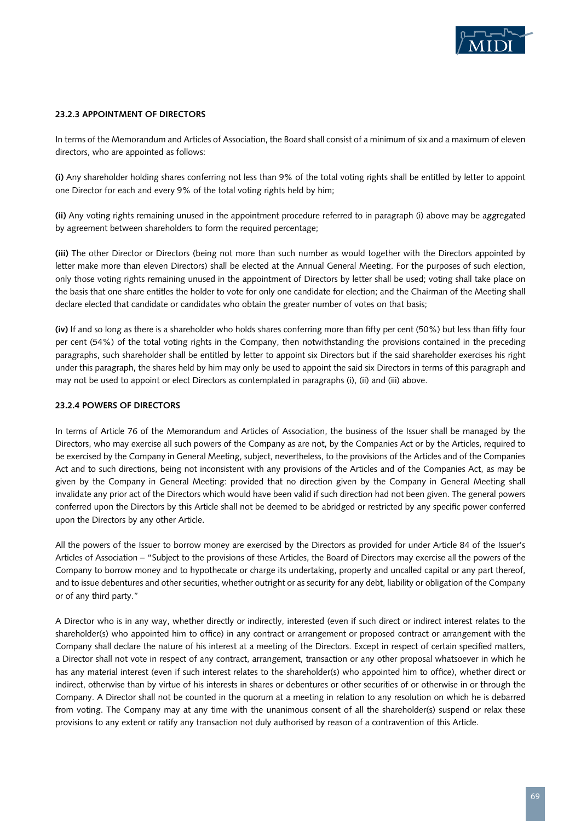

#### **23.2.3 Appointment of Directors**

In terms of the Memorandum and Articles of Association, the Board shall consist of a minimum of six and a maximum of eleven directors, who are appointed as follows:

**(i)** Any shareholder holding shares conferring not less than 9% of the total voting rights shall be entitled by letter to appoint one Director for each and every 9% of the total voting rights held by him;

**(ii)** Any voting rights remaining unused in the appointment procedure referred to in paragraph (i) above may be aggregated by agreement between shareholders to form the required percentage;

**(iii)** The other Director or Directors (being not more than such number as would together with the Directors appointed by letter make more than eleven Directors) shall be elected at the Annual General Meeting. For the purposes of such election, only those voting rights remaining unused in the appointment of Directors by letter shall be used; voting shall take place on the basis that one share entitles the holder to vote for only one candidate for election; and the Chairman of the Meeting shall declare elected that candidate or candidates who obtain the greater number of votes on that basis;

**(iv)** If and so long as there is a shareholder who holds shares conferring more than fifty per cent (50%) but less than fifty four per cent (54%) of the total voting rights in the Company, then notwithstanding the provisions contained in the preceding paragraphs, such shareholder shall be entitled by letter to appoint six Directors but if the said shareholder exercises his right under this paragraph, the shares held by him may only be used to appoint the said six Directors in terms of this paragraph and may not be used to appoint or elect Directors as contemplated in paragraphs (i), (ii) and (iii) above.

#### **23.2.4 Powers of Directors**

In terms of Article 76 of the Memorandum and Articles of Association, the business of the Issuer shall be managed by the Directors, who may exercise all such powers of the Company as are not, by the Companies Act or by the Articles, required to be exercised by the Company in General Meeting, subject, nevertheless, to the provisions of the Articles and of the Companies Act and to such directions, being not inconsistent with any provisions of the Articles and of the Companies Act, as may be given by the Company in General Meeting: provided that no direction given by the Company in General Meeting shall invalidate any prior act of the Directors which would have been valid if such direction had not been given. The general powers conferred upon the Directors by this Article shall not be deemed to be abridged or restricted by any specific power conferred upon the Directors by any other Article.

All the powers of the Issuer to borrow money are exercised by the Directors as provided for under Article 84 of the Issuer's Articles of Association – "Subject to the provisions of these Articles, the Board of Directors may exercise all the powers of the Company to borrow money and to hypothecate or charge its undertaking, property and uncalled capital or any part thereof, and to issue debentures and other securities, whether outright or as security for any debt, liability or obligation of the Company or of any third party."

A Director who is in any way, whether directly or indirectly, interested (even if such direct or indirect interest relates to the shareholder(s) who appointed him to office) in any contract or arrangement or proposed contract or arrangement with the Company shall declare the nature of his interest at a meeting of the Directors. Except in respect of certain specified matters, a Director shall not vote in respect of any contract, arrangement, transaction or any other proposal whatsoever in which he has any material interest (even if such interest relates to the shareholder(s) who appointed him to office), whether direct or indirect, otherwise than by virtue of his interests in shares or debentures or other securities of or otherwise in or through the Company. A Director shall not be counted in the quorum at a meeting in relation to any resolution on which he is debarred from voting. The Company may at any time with the unanimous consent of all the shareholder(s) suspend or relax these provisions to any extent or ratify any transaction not duly authorised by reason of a contravention of this Article.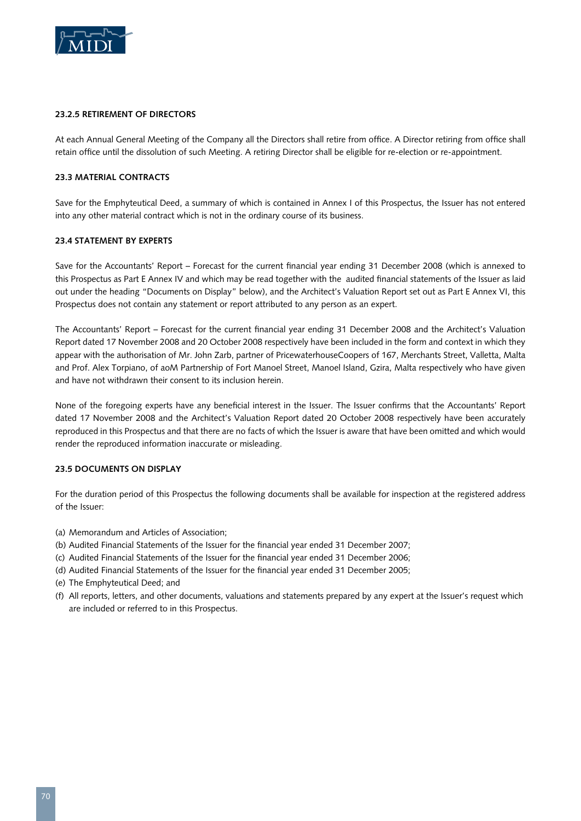

#### **23.2.5 Retirement of Directors**

At each Annual General Meeting of the Company all the Directors shall retire from office. A Director retiring from office shall retain office until the dissolution of such Meeting. A retiring Director shall be eligible for re-election or re-appointment.

#### **23.3 Material Contracts**

Save for the Emphyteutical Deed, a summary of which is contained in Annex I of this Prospectus, the Issuer has not entered into any other material contract which is not in the ordinary course of its business.

#### **23.4 Statement by Experts**

Save for the Accountants' Report – Forecast for the current financial year ending 31 December 2008 (which is annexed to this Prospectus as Part E Annex IV and which may be read together with the audited financial statements of the Issuer as laid out under the heading "Documents on Display" below), and the Architect's Valuation Report set out as Part E Annex VI, this Prospectus does not contain any statement or report attributed to any person as an expert.

The Accountants' Report – Forecast for the current financial year ending 31 December 2008 and the Architect's Valuation Report dated 17 November 2008 and 20 October 2008 respectively have been included in the form and context in which they appear with the authorisation of Mr. John Zarb, partner of PricewaterhouseCoopers of 167, Merchants Street, Valletta, Malta and Prof. Alex Torpiano, of aoM Partnership of Fort Manoel Street, Manoel Island, Gzira, Malta respectively who have given and have not withdrawn their consent to its inclusion herein.

None of the foregoing experts have any beneficial interest in the Issuer. The Issuer confirms that the Accountants' Report dated 17 November 2008 and the Architect's Valuation Report dated 20 October 2008 respectively have been accurately reproduced in this Prospectus and that there are no facts of which the Issuer is aware that have been omitted and which would render the reproduced information inaccurate or misleading.

#### **23.5 Documents on Display**

For the duration period of this Prospectus the following documents shall be available for inspection at the registered address of the Issuer:

- (a) Memorandum and Articles of Association;
- (b) Audited Financial Statements of the Issuer for the financial year ended 31 December 2007;
- (c) Audited Financial Statements of the Issuer for the financial year ended 31 December 2006;
- (d) Audited Financial Statements of the Issuer for the financial year ended 31 December 2005;
- (e) The Emphyteutical Deed; and
- (f) All reports, letters, and other documents, valuations and statements prepared by any expert at the Issuer's request which are included or referred to in this Prospectus.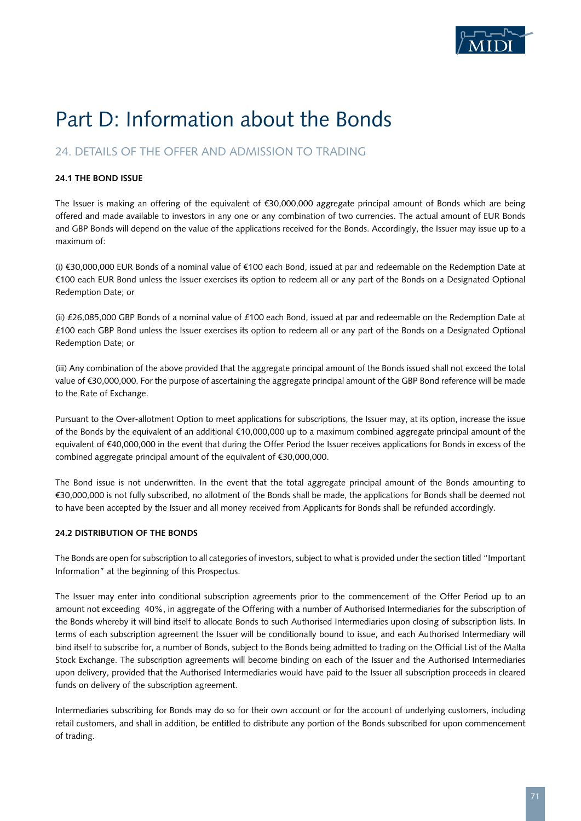

# Part D: Information about the Bonds

## 24. DETAILS OF THE OFFER AND ADMISSION TO TRADING

#### **24.1 The Bond Issue**

The Issuer is making an offering of the equivalent of €30,000,000 aggregate principal amount of Bonds which are being offered and made available to investors in any one or any combination of two currencies. The actual amount of EUR Bonds and GBP Bonds will depend on the value of the applications received for the Bonds. Accordingly, the Issuer may issue up to a maximum of:

(i) €30,000,000 EUR Bonds of a nominal value of €100 each Bond, issued at par and redeemable on the Redemption Date at €100 each EUR Bond unless the Issuer exercises its option to redeem all or any part of the Bonds on a Designated Optional Redemption Date; or

(ii)  $£26,085,000$  GBP Bonds of a nominal value of  $£100$  each Bond, issued at par and redeemable on the Redemption Date at £100 each GBP Bond unless the Issuer exercises its option to redeem all or any part of the Bonds on a Designated Optional Redemption Date; or

(iii) Any combination of the above provided that the aggregate principal amount of the Bonds issued shall not exceed the total value of €30,000,000. For the purpose of ascertaining the aggregate principal amount of the GBP Bond reference will be made to the Rate of Exchange.

Pursuant to the Over-allotment Option to meet applications for subscriptions, the Issuer may, at its option, increase the issue of the Bonds by the equivalent of an additional €10,000,000 up to a maximum combined aggregate principal amount of the equivalent of €40,000,000 in the event that during the Offer Period the Issuer receives applications for Bonds in excess of the combined aggregate principal amount of the equivalent of €30,000,000.

The Bond issue is not underwritten. In the event that the total aggregate principal amount of the Bonds amounting to €30,000,000 is not fully subscribed, no allotment of the Bonds shall be made, the applications for Bonds shall be deemed not to have been accepted by the Issuer and all money received from Applicants for Bonds shall be refunded accordingly.

#### **24.2 Distribution of the Bonds**

The Bonds are open for subscription to all categories of investors, subject to what is provided under the section titled "Important Information" at the beginning of this Prospectus.

The Issuer may enter into conditional subscription agreements prior to the commencement of the Offer Period up to an amount not exceeding 40%, in aggregate of the Offering with a number of Authorised Intermediaries for the subscription of the Bonds whereby it will bind itself to allocate Bonds to such Authorised Intermediaries upon closing of subscription lists. In terms of each subscription agreement the Issuer will be conditionally bound to issue, and each Authorised Intermediary will bind itself to subscribe for, a number of Bonds, subject to the Bonds being admitted to trading on the Official List of the Malta Stock Exchange. The subscription agreements will become binding on each of the Issuer and the Authorised Intermediaries upon delivery, provided that the Authorised Intermediaries would have paid to the Issuer all subscription proceeds in cleared funds on delivery of the subscription agreement.

Intermediaries subscribing for Bonds may do so for their own account or for the account of underlying customers, including retail customers, and shall in addition, be entitled to distribute any portion of the Bonds subscribed for upon commencement of trading.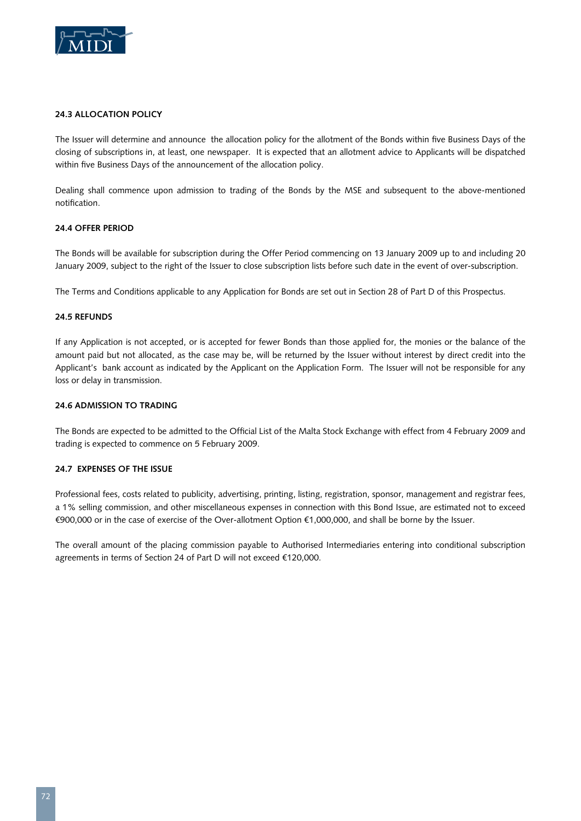

#### **24.3 Allocation Policy**

The Issuer will determine and announce the allocation policy for the allotment of the Bonds within five Business Days of the closing of subscriptions in, at least, one newspaper. It is expected that an allotment advice to Applicants will be dispatched within five Business Days of the announcement of the allocation policy.

Dealing shall commence upon admission to trading of the Bonds by the MSE and subsequent to the above-mentioned notification.

#### **24.4 Offer Period**

The Bonds will be available for subscription during the Offer Period commencing on 13 January 2009 up to and including 20 January 2009, subject to the right of the Issuer to close subscription lists before such date in the event of over-subscription.

The Terms and Conditions applicable to any Application for Bonds are set out in Section 28 of Part D of this Prospectus.

#### **24.5 Refunds**

If any Application is not accepted, or is accepted for fewer Bonds than those applied for, the monies or the balance of the amount paid but not allocated, as the case may be, will be returned by the Issuer without interest by direct credit into the Applicant's bank account as indicated by the Applicant on the Application Form. The Issuer will not be responsible for any loss or delay in transmission.

#### **24.6 Admission to Trading**

The Bonds are expected to be admitted to the Official List of the Malta Stock Exchange with effect from 4 February 2009 and trading is expected to commence on 5 February 2009.

#### **24.7 Expenses of the Issue**

Professional fees, costs related to publicity, advertising, printing, listing, registration, sponsor, management and registrar fees, a 1% selling commission, and other miscellaneous expenses in connection with this Bond Issue, are estimated not to exceed €900,000 or in the case of exercise of the Over-allotment Option €1,000,000, and shall be borne by the Issuer.

The overall amount of the placing commission payable to Authorised Intermediaries entering into conditional subscription agreements in terms of Section 24 of Part D will not exceed €120,000.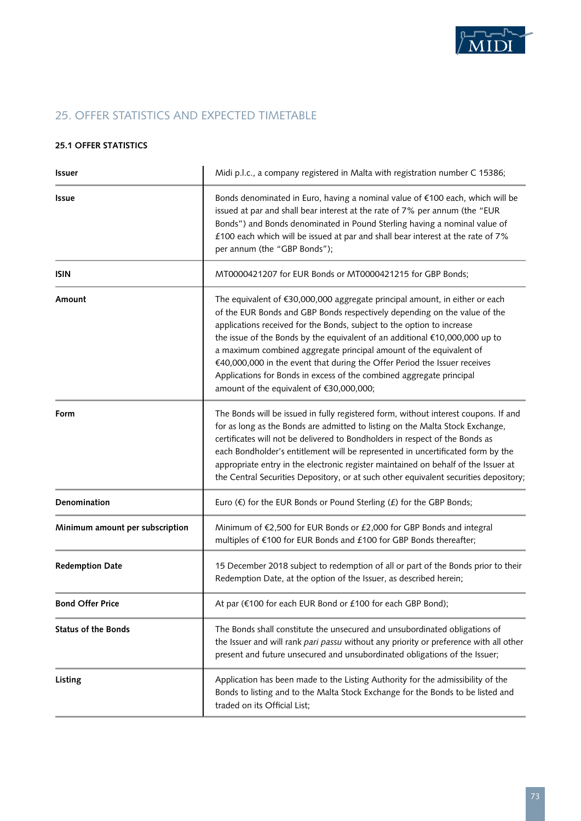

# 25. OFFER STATISTICS AND EXPECTED TIMETABLE

### **25.1 Offer Statistics**

| <b>Issuer</b>                   | Midi p.l.c., a company registered in Malta with registration number C 15386;                                                                                                                                                                                                                                                                                                                                                                                                                                                                                                             |  |
|---------------------------------|------------------------------------------------------------------------------------------------------------------------------------------------------------------------------------------------------------------------------------------------------------------------------------------------------------------------------------------------------------------------------------------------------------------------------------------------------------------------------------------------------------------------------------------------------------------------------------------|--|
| <b>Issue</b>                    | Bonds denominated in Euro, having a nominal value of €100 each, which will be<br>issued at par and shall bear interest at the rate of 7% per annum (the "EUR<br>Bonds") and Bonds denominated in Pound Sterling having a nominal value of<br>£100 each which will be issued at par and shall bear interest at the rate of 7%<br>per annum (the "GBP Bonds");                                                                                                                                                                                                                             |  |
| <b>ISIN</b>                     | MT0000421207 for EUR Bonds or MT0000421215 for GBP Bonds;                                                                                                                                                                                                                                                                                                                                                                                                                                                                                                                                |  |
| Amount                          | The equivalent of €30,000,000 aggregate principal amount, in either or each<br>of the EUR Bonds and GBP Bonds respectively depending on the value of the<br>applications received for the Bonds, subject to the option to increase<br>the issue of the Bonds by the equivalent of an additional €10,000,000 up to<br>a maximum combined aggregate principal amount of the equivalent of<br>€40,000,000 in the event that during the Offer Period the Issuer receives<br>Applications for Bonds in excess of the combined aggregate principal<br>amount of the equivalent of €30,000,000; |  |
| Form                            | The Bonds will be issued in fully registered form, without interest coupons. If and<br>for as long as the Bonds are admitted to listing on the Malta Stock Exchange,<br>certificates will not be delivered to Bondholders in respect of the Bonds as<br>each Bondholder's entitlement will be represented in uncertificated form by the<br>appropriate entry in the electronic register maintained on behalf of the Issuer at<br>the Central Securities Depository, or at such other equivalent securities depository;                                                                   |  |
| Denomination                    | Euro $(\epsilon)$ for the EUR Bonds or Pound Sterling $(f)$ for the GBP Bonds;                                                                                                                                                                                                                                                                                                                                                                                                                                                                                                           |  |
| Minimum amount per subscription | Minimum of €2,500 for EUR Bonds or £2,000 for GBP Bonds and integral<br>multiples of €100 for EUR Bonds and £100 for GBP Bonds thereafter;                                                                                                                                                                                                                                                                                                                                                                                                                                               |  |
| <b>Redemption Date</b>          | 15 December 2018 subject to redemption of all or part of the Bonds prior to their<br>Redemption Date, at the option of the Issuer, as described herein;                                                                                                                                                                                                                                                                                                                                                                                                                                  |  |
| <b>Bond Offer Price</b>         | At par (€100 for each EUR Bond or £100 for each GBP Bond);                                                                                                                                                                                                                                                                                                                                                                                                                                                                                                                               |  |
| <b>Status of the Bonds</b>      | The Bonds shall constitute the unsecured and unsubordinated obligations of<br>the Issuer and will rank pari passu without any priority or preference with all other<br>present and future unsecured and unsubordinated obligations of the Issuer;                                                                                                                                                                                                                                                                                                                                        |  |
| Listing                         | Application has been made to the Listing Authority for the admissibility of the<br>Bonds to listing and to the Malta Stock Exchange for the Bonds to be listed and<br>traded on its Official List;                                                                                                                                                                                                                                                                                                                                                                                       |  |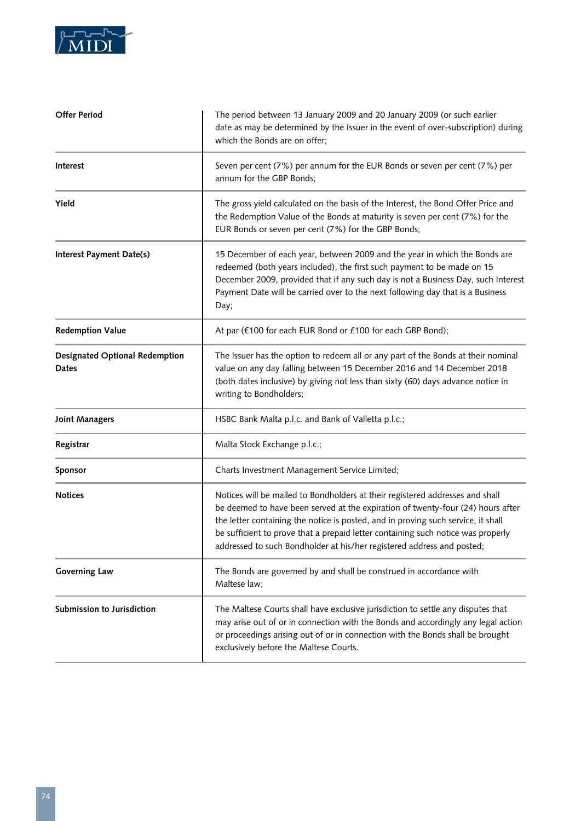

| <b>Offer Period</b>                                   | The period between 13 January 2009 and 20 January 2009 (or such earlier<br>date as may be determined by the Issuer in the event of over-subscription) during<br>which the Bonds are on offer;                                                                                                                                                                                                                       |  |
|-------------------------------------------------------|---------------------------------------------------------------------------------------------------------------------------------------------------------------------------------------------------------------------------------------------------------------------------------------------------------------------------------------------------------------------------------------------------------------------|--|
| Interest                                              | Seven per cent (7%) per annum for the EUR Bonds or seven per cent (7%) per<br>annum for the GBP Bonds;                                                                                                                                                                                                                                                                                                              |  |
| Yield                                                 | The gross yield calculated on the basis of the Interest, the Bond Offer Price and<br>the Redemption Value of the Bonds at maturity is seven per cent (7%) for the<br>EUR Bonds or seven per cent (7%) for the GBP Bonds;                                                                                                                                                                                            |  |
| Interest Payment Date(s)                              | 15 December of each year, between 2009 and the year in which the Bonds are<br>redeemed (both years included), the first such payment to be made on 15<br>December 2009, provided that if any such day is not a Business Day, such Interest<br>Payment Date will be carried over to the next following day that is a Business<br>Day;                                                                                |  |
| <b>Redemption Value</b>                               | At par (€100 for each EUR Bond or £100 for each GBP Bond);                                                                                                                                                                                                                                                                                                                                                          |  |
| <b>Designated Optional Redemption</b><br><b>Dates</b> | The Issuer has the option to redeem all or any part of the Bonds at their nominal<br>value on any day falling between 15 December 2016 and 14 December 2018<br>(both dates inclusive) by giving not less than sixty (60) days advance notice in<br>writing to Bondholders;                                                                                                                                          |  |
| <b>Joint Managers</b>                                 | HSBC Bank Malta p.l.c. and Bank of Valletta p.l.c.;                                                                                                                                                                                                                                                                                                                                                                 |  |
| Registrar                                             | Malta Stock Exchange p.l.c.;                                                                                                                                                                                                                                                                                                                                                                                        |  |
| Sponsor                                               | Charts Investment Management Service Limited;                                                                                                                                                                                                                                                                                                                                                                       |  |
| <b>Notices</b>                                        | Notices will be mailed to Bondholders at their registered addresses and shall<br>be deemed to have been served at the expiration of twenty-four (24) hours after<br>the letter containing the notice is posted, and in proving such service, it shall<br>be sufficient to prove that a prepaid letter containing such notice was properly<br>addressed to such Bondholder at his/her registered address and posted; |  |
| <b>Governing Law</b>                                  | The Bonds are governed by and shall be construed in accordance with<br>Maltese law;                                                                                                                                                                                                                                                                                                                                 |  |
| Submission to Jurisdiction                            | The Maltese Courts shall have exclusive jurisdiction to settle any disputes that<br>may arise out of or in connection with the Bonds and accordingly any legal action<br>or proceedings arising out of or in connection with the Bonds shall be brought<br>exclusively before the Maltese Courts.                                                                                                                   |  |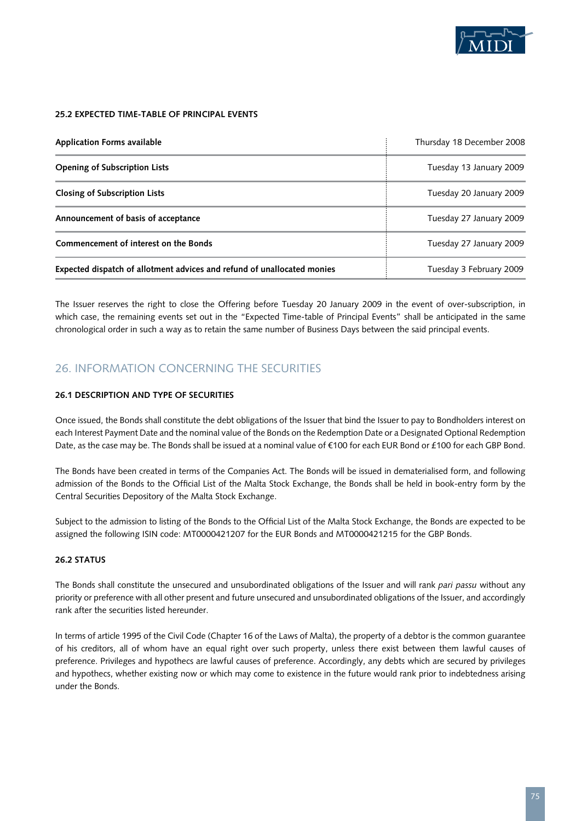

#### **25.2 Expected Time-table of Principal Events**

| <b>Application Forms available</b>                                      | Thursday 18 December 2008 |
|-------------------------------------------------------------------------|---------------------------|
| <b>Opening of Subscription Lists</b>                                    | Tuesday 13 January 2009   |
| <b>Closing of Subscription Lists</b>                                    | Tuesday 20 January 2009   |
| Announcement of basis of acceptance                                     | Tuesday 27 January 2009   |
| Commencement of interest on the Bonds                                   | Tuesday 27 January 2009   |
| Expected dispatch of allotment advices and refund of unallocated monies | Tuesday 3 February 2009   |

The Issuer reserves the right to close the Offering before Tuesday 20 January 2009 in the event of over-subscription, in which case, the remaining events set out in the "Expected Time-table of Principal Events" shall be anticipated in the same chronological order in such a way as to retain the same number of Business Days between the said principal events.

# 26. INFORMATION CONCERNING THE SECURITIES

#### **26.1 Description and Type of Securities**

Once issued, the Bonds shall constitute the debt obligations of the Issuer that bind the Issuer to pay to Bondholders interest on each Interest Payment Date and the nominal value of the Bonds on the Redemption Date or a Designated Optional Redemption Date, as the case may be. The Bonds shall be issued at a nominal value of €100 for each EUR Bond or £100 for each GBP Bond.

The Bonds have been created in terms of the Companies Act. The Bonds will be issued in dematerialised form, and following admission of the Bonds to the Official List of the Malta Stock Exchange, the Bonds shall be held in book-entry form by the Central Securities Depository of the Malta Stock Exchange.

Subject to the admission to listing of the Bonds to the Official List of the Malta Stock Exchange, the Bonds are expected to be assigned the following ISIN code: MT0000421207 for the EUR Bonds and MT0000421215 for the GBP Bonds.

# **26.2 Status**

The Bonds shall constitute the unsecured and unsubordinated obligations of the Issuer and will rank *pari passu* without any priority or preference with all other present and future unsecured and unsubordinated obligations of the Issuer, and accordingly rank after the securities listed hereunder.

In terms of article 1995 of the Civil Code (Chapter 16 of the Laws of Malta), the property of a debtor is the common guarantee of his creditors, all of whom have an equal right over such property, unless there exist between them lawful causes of preference. Privileges and hypothecs are lawful causes of preference. Accordingly, any debts which are secured by privileges and hypothecs, whether existing now or which may come to existence in the future would rank prior to indebtedness arising under the Bonds.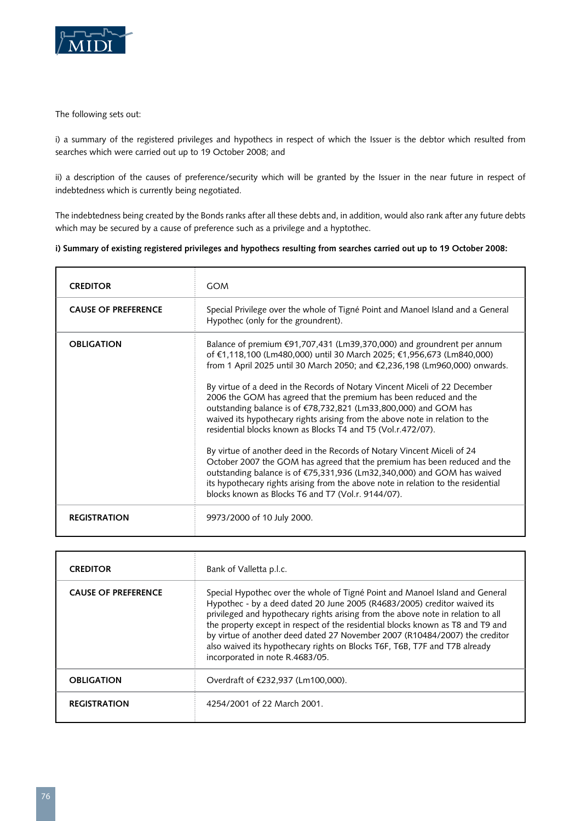

The following sets out:

i) a summary of the registered privileges and hypothecs in respect of which the Issuer is the debtor which resulted from searches which were carried out up to 19 October 2008; and

ii) a description of the causes of preference/security which will be granted by the Issuer in the near future in respect of indebtedness which is currently being negotiated.

The indebtedness being created by the Bonds ranks after all these debts and, in addition, would also rank after any future debts which may be secured by a cause of preference such as a privilege and a hyptothec.

# **i) Summary of existing registered privileges and hypothecs resulting from searches carried out up to 19 October 2008:**

| <b>CREDITOR</b>            | <b>GOM</b>                                                                                                                                                                                                                                                                                                                                                                                                                                                                                                                                                                                                                                                                                                                                                                                                                                                                                                                                                                                   |
|----------------------------|----------------------------------------------------------------------------------------------------------------------------------------------------------------------------------------------------------------------------------------------------------------------------------------------------------------------------------------------------------------------------------------------------------------------------------------------------------------------------------------------------------------------------------------------------------------------------------------------------------------------------------------------------------------------------------------------------------------------------------------------------------------------------------------------------------------------------------------------------------------------------------------------------------------------------------------------------------------------------------------------|
| <b>CAUSE OF PREFERENCE</b> | Special Privilege over the whole of Tigné Point and Manoel Island and a General<br>Hypothec (only for the groundrent).                                                                                                                                                                                                                                                                                                                                                                                                                                                                                                                                                                                                                                                                                                                                                                                                                                                                       |
| <b>OBLIGATION</b>          | Balance of premium €91,707,431 (Lm39,370,000) and groundrent per annum<br>of €1,118,100 (Lm480,000) until 30 March 2025; €1,956,673 (Lm840,000)<br>from 1 April 2025 until 30 March 2050; and $\epsilon$ 2,236,198 (Lm960,000) onwards.<br>By virtue of a deed in the Records of Notary Vincent Miceli of 22 December<br>2006 the GOM has agreed that the premium has been reduced and the<br>outstanding balance is of €78,732,821 (Lm33,800,000) and GOM has<br>waived its hypothecary rights arising from the above note in relation to the<br>residential blocks known as Blocks T4 and T5 (Vol.r.472/07).<br>By virtue of another deed in the Records of Notary Vincent Miceli of 24<br>October 2007 the GOM has agreed that the premium has been reduced and the<br>outstanding balance is of €75,331,936 (Lm32,340,000) and GOM has waived<br>its hypothecary rights arising from the above note in relation to the residential<br>blocks known as Blocks T6 and T7 (Vol.r. 9144/07). |
| <b>REGISTRATION</b>        | 9973/2000 of 10 July 2000.                                                                                                                                                                                                                                                                                                                                                                                                                                                                                                                                                                                                                                                                                                                                                                                                                                                                                                                                                                   |

| <b>CREDITOR</b>            | Bank of Valletta p.l.c.                                                                                                                                                                                                                                                                                                                                                                                                                                                                                                         |
|----------------------------|---------------------------------------------------------------------------------------------------------------------------------------------------------------------------------------------------------------------------------------------------------------------------------------------------------------------------------------------------------------------------------------------------------------------------------------------------------------------------------------------------------------------------------|
| <b>CAUSE OF PREFERENCE</b> | Special Hypothec over the whole of Tigné Point and Manoel Island and General<br>Hypothec - by a deed dated 20 June 2005 (R4683/2005) creditor waived its<br>privileged and hypothecary rights arising from the above note in relation to all<br>the property except in respect of the residential blocks known as T8 and T9 and<br>by virtue of another deed dated 27 November 2007 (R10484/2007) the creditor<br>also waived its hypothecary rights on Blocks T6F, T6B, T7F and T7B already<br>incorporated in note R.4683/05. |
| <b>OBLIGATION</b>          | Overdraft of €232,937 (Lm100,000).                                                                                                                                                                                                                                                                                                                                                                                                                                                                                              |
| <b>REGISTRATION</b>        | 4254/2001 of 22 March 2001.                                                                                                                                                                                                                                                                                                                                                                                                                                                                                                     |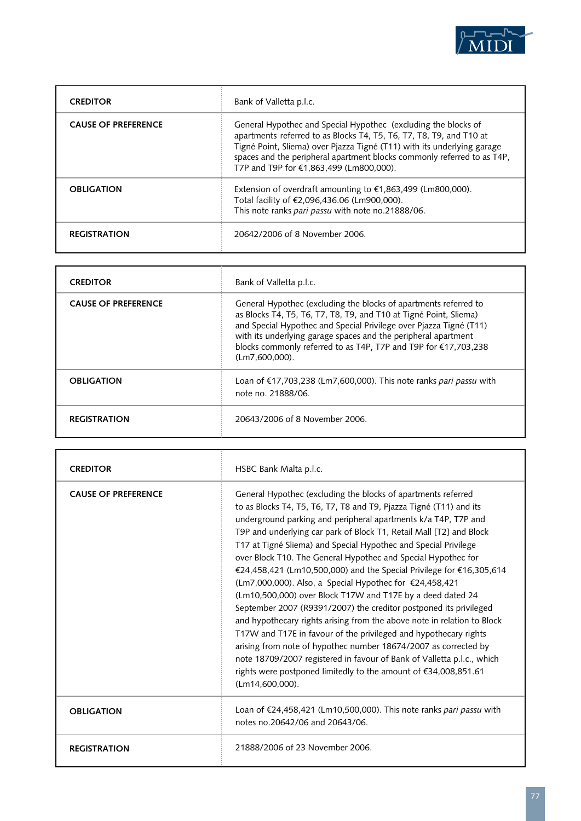

| <b>CREDITOR</b>            | Bank of Valletta p.l.c.                                                                                                                                                                                                                                                                                                                |
|----------------------------|----------------------------------------------------------------------------------------------------------------------------------------------------------------------------------------------------------------------------------------------------------------------------------------------------------------------------------------|
| <b>CAUSE OF PREFERENCE</b> | General Hypothec and Special Hypothec (excluding the blocks of<br>apartments referred to as Blocks T4, T5, T6, T7, T8, T9, and T10 at<br>Tigné Point, Sliema) over Pjazza Tigné (T11) with its underlying garage<br>spaces and the peripheral apartment blocks commonly referred to as T4P,<br>T7P and T9P for €1.863.499 (Lm800.000). |
| <b>OBLIGATION</b>          | Extension of overdraft amounting to $\epsilon$ 1,863,499 (Lm800,000).<br>Total facility of €2,096,436.06 (Lm900,000).<br>This note ranks pari passu with note no.21888/06.                                                                                                                                                             |
| <b>REGISTRATION</b>        | 20642/2006 of 8 November 2006.                                                                                                                                                                                                                                                                                                         |

| <b>CREDITOR</b>            | Bank of Valletta p.l.c.                                                                                                                                                                                                                                                                                                                                               |
|----------------------------|-----------------------------------------------------------------------------------------------------------------------------------------------------------------------------------------------------------------------------------------------------------------------------------------------------------------------------------------------------------------------|
| <b>CAUSE OF PREFERENCE</b> | General Hypothec (excluding the blocks of apartments referred to<br>as Blocks T4, T5, T6, T7, T8, T9, and T10 at Tigné Point, Sliema)<br>and Special Hypothec and Special Privilege over Pjazza Tigné (T11)<br>with its underlying garage spaces and the peripheral apartment<br>blocks commonly referred to as T4P, T7P and T9P for €17,703,238<br>$(Lm7,600,000)$ . |
| <b>OBLIGATION</b>          | Loan of €17,703,238 (Lm7,600,000). This note ranks pari passu with<br>note no. 21888/06.                                                                                                                                                                                                                                                                              |
| <b>REGISTRATION</b>        | 20643/2006 of 8 November 2006.                                                                                                                                                                                                                                                                                                                                        |

| <b>CREDITOR</b>            | HSBC Bank Malta p.l.c.                                                                                                                                                                                                                                                                                                                                                                                                                                                                                                                                                                                                                                                                                                                                                                                                                                                                                                                                                                                                                                                      |
|----------------------------|-----------------------------------------------------------------------------------------------------------------------------------------------------------------------------------------------------------------------------------------------------------------------------------------------------------------------------------------------------------------------------------------------------------------------------------------------------------------------------------------------------------------------------------------------------------------------------------------------------------------------------------------------------------------------------------------------------------------------------------------------------------------------------------------------------------------------------------------------------------------------------------------------------------------------------------------------------------------------------------------------------------------------------------------------------------------------------|
| <b>CAUSE OF PREFERENCE</b> | General Hypothec (excluding the blocks of apartments referred<br>to as Blocks T4, T5, T6, T7, T8 and T9, Pjazza Tigné (T11) and its<br>underground parking and peripheral apartments k/a T4P, T7P and<br>T9P and underlying car park of Block T1, Retail Mall [T2] and Block<br>T17 at Tigné Sliema) and Special Hypothec and Special Privilege<br>over Block T10. The General Hypothec and Special Hypothec for<br>€24,458,421 (Lm10,500,000) and the Special Privilege for €16,305,614<br>(Lm7,000,000). Also, a Special Hypothec for €24,458,421<br>(Lm10,500,000) over Block T17W and T17E by a deed dated 24<br>September 2007 (R9391/2007) the creditor postponed its privileged<br>and hypothecary rights arising from the above note in relation to Block<br>T17W and T17E in favour of the privileged and hypothecary rights<br>arising from note of hypothec number 18674/2007 as corrected by<br>note 18709/2007 registered in favour of Bank of Valletta p.l.c., which<br>rights were postponed limitedly to the amount of €34,008,851.61<br>$(Lm14,600,000)$ . |
| <b>OBLIGATION</b>          | Loan of €24,458,421 (Lm10,500,000). This note ranks pari passu with<br>notes no 20642/06 and 20643/06.                                                                                                                                                                                                                                                                                                                                                                                                                                                                                                                                                                                                                                                                                                                                                                                                                                                                                                                                                                      |
| <b>REGISTRATION</b>        | 21888/2006 of 23 November 2006.                                                                                                                                                                                                                                                                                                                                                                                                                                                                                                                                                                                                                                                                                                                                                                                                                                                                                                                                                                                                                                             |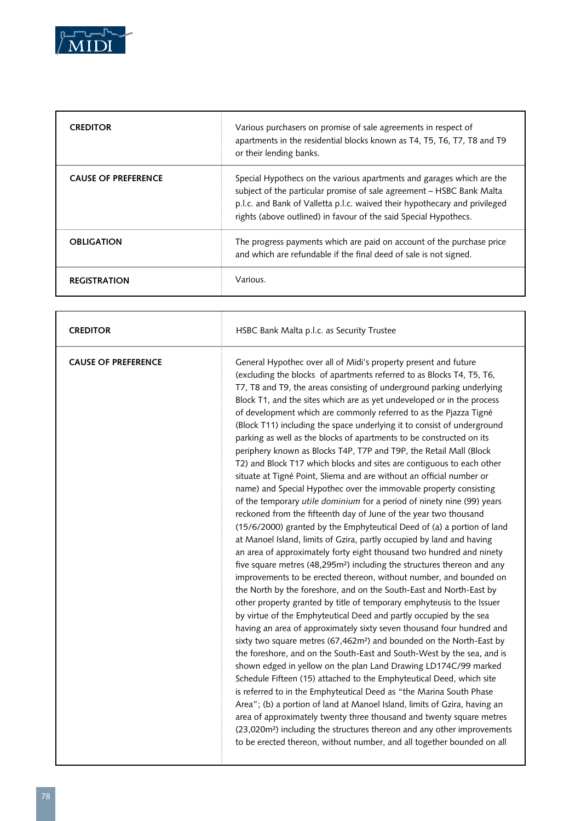

| <b>CREDITOR</b>            | Various purchasers on promise of sale agreements in respect of<br>apartments in the residential blocks known as T4, T5, T6, T7, T8 and T9<br>or their lending banks.                                                                                                                             |
|----------------------------|--------------------------------------------------------------------------------------------------------------------------------------------------------------------------------------------------------------------------------------------------------------------------------------------------|
| <b>CAUSE OF PREFERENCE</b> | Special Hypothecs on the various apartments and garages which are the<br>subject of the particular promise of sale agreement - HSBC Bank Malta<br>p.l.c. and Bank of Valletta p.l.c. waived their hypothecary and privileged<br>rights (above outlined) in favour of the said Special Hypothecs. |
| <b>OBLIGATION</b>          | The progress payments which are paid on account of the purchase price<br>and which are refundable if the final deed of sale is not signed.                                                                                                                                                       |
| <b>REGISTRATION</b>        | Various.                                                                                                                                                                                                                                                                                         |

| <b>CREDITOR</b>            | HSBC Bank Malta p.l.c. as Security Trustee                                                                                                                                                                                                                                                                                                                                                                                                                                                                                                                                                                                                                                                                                                                                                                                                                                                                                                                                                                                                                                                                                                                                                                                                                                                                                                                                                                                                                                                                                                                                                                                                                                                                                                                                                                                                                                                                                                                                                                                                                                                                                                                                                                                                                                                                                                                  |
|----------------------------|-------------------------------------------------------------------------------------------------------------------------------------------------------------------------------------------------------------------------------------------------------------------------------------------------------------------------------------------------------------------------------------------------------------------------------------------------------------------------------------------------------------------------------------------------------------------------------------------------------------------------------------------------------------------------------------------------------------------------------------------------------------------------------------------------------------------------------------------------------------------------------------------------------------------------------------------------------------------------------------------------------------------------------------------------------------------------------------------------------------------------------------------------------------------------------------------------------------------------------------------------------------------------------------------------------------------------------------------------------------------------------------------------------------------------------------------------------------------------------------------------------------------------------------------------------------------------------------------------------------------------------------------------------------------------------------------------------------------------------------------------------------------------------------------------------------------------------------------------------------------------------------------------------------------------------------------------------------------------------------------------------------------------------------------------------------------------------------------------------------------------------------------------------------------------------------------------------------------------------------------------------------------------------------------------------------------------------------------------------------|
| <b>CAUSE OF PREFERENCE</b> | General Hypothec over all of Midi's property present and future<br>(excluding the blocks of apartments referred to as Blocks T4, T5, T6,<br>T7, T8 and T9, the areas consisting of underground parking underlying<br>Block T1, and the sites which are as yet undeveloped or in the process<br>of development which are commonly referred to as the Pjazza Tigné<br>(Block T11) including the space underlying it to consist of underground<br>parking as well as the blocks of apartments to be constructed on its<br>periphery known as Blocks T4P, T7P and T9P, the Retail Mall (Block<br>T2) and Block T17 which blocks and sites are contiguous to each other<br>situate at Tigné Point, Sliema and are without an official number or<br>name) and Special Hypothec over the immovable property consisting<br>of the temporary utile dominium for a period of ninety nine (99) years<br>reckoned from the fifteenth day of June of the year two thousand<br>(15/6/2000) granted by the Emphyteutical Deed of (a) a portion of land<br>at Manoel Island, limits of Gzira, partly occupied by land and having<br>an area of approximately forty eight thousand two hundred and ninety<br>five square metres (48,295m <sup>2</sup> ) including the structures thereon and any<br>improvements to be erected thereon, without number, and bounded on<br>the North by the foreshore, and on the South-East and North-East by<br>other property granted by title of temporary emphyteusis to the Issuer<br>by virtue of the Emphyteutical Deed and partly occupied by the sea<br>having an area of approximately sixty seven thousand four hundred and<br>sixty two square metres (67,462m <sup>2</sup> ) and bounded on the North-East by<br>the foreshore, and on the South-East and South-West by the sea, and is<br>shown edged in yellow on the plan Land Drawing LD174C/99 marked<br>Schedule Fifteen (15) attached to the Emphyteutical Deed, which site<br>is referred to in the Emphyteutical Deed as "the Marina South Phase<br>Area"; (b) a portion of land at Manoel Island, limits of Gzira, having an<br>area of approximately twenty three thousand and twenty square metres<br>(23,020m <sup>2</sup> ) including the structures thereon and any other improvements<br>to be erected thereon, without number, and all together bounded on all |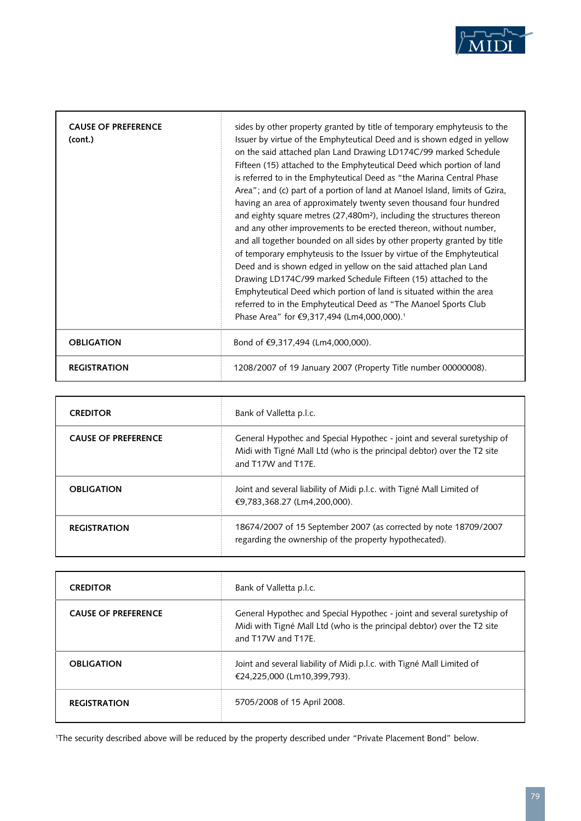

| <b>CAUSE OF PREFERENCE</b><br>(cont.) | sides by other property granted by title of temporary emphyteusis to the<br>Issuer by virtue of the Emphyteutical Deed and is shown edged in yellow<br>on the said attached plan Land Drawing LD174C/99 marked Schedule<br>Fifteen (15) attached to the Emphyteutical Deed which portion of land<br>is referred to in the Emphyteutical Deed as "the Marina Central Phase<br>Area"; and (c) part of a portion of land at Manoel Island, limits of Gzira,<br>having an area of approximately twenty seven thousand four hundred<br>and eighty square metres (27,480m <sup>2</sup> ), including the structures thereon<br>and any other improvements to be erected thereon, without number,<br>and all together bounded on all sides by other property granted by title<br>of temporary emphyteusis to the Issuer by virtue of the Emphyteutical<br>Deed and is shown edged in yellow on the said attached plan Land<br>Drawing LD174C/99 marked Schedule Fifteen (15) attached to the<br>Emphyteutical Deed which portion of land is situated within the area<br>referred to in the Emphyteutical Deed as "The Manoel Sports Club<br>Phase Area" for €9,317,494 (Lm4,000,000). <sup>1</sup> |
|---------------------------------------|--------------------------------------------------------------------------------------------------------------------------------------------------------------------------------------------------------------------------------------------------------------------------------------------------------------------------------------------------------------------------------------------------------------------------------------------------------------------------------------------------------------------------------------------------------------------------------------------------------------------------------------------------------------------------------------------------------------------------------------------------------------------------------------------------------------------------------------------------------------------------------------------------------------------------------------------------------------------------------------------------------------------------------------------------------------------------------------------------------------------------------------------------------------------------------------------|
| <b>OBLIGATION</b>                     | Bond of €9,317,494 (Lm4,000,000).                                                                                                                                                                                                                                                                                                                                                                                                                                                                                                                                                                                                                                                                                                                                                                                                                                                                                                                                                                                                                                                                                                                                                          |
| <b>REGISTRATION</b>                   | 1208/2007 of 19 January 2007 (Property Title number 00000008).                                                                                                                                                                                                                                                                                                                                                                                                                                                                                                                                                                                                                                                                                                                                                                                                                                                                                                                                                                                                                                                                                                                             |

| <b>CREDITOR</b>            | Bank of Valletta p.l.c.                                                                                                                                                  |
|----------------------------|--------------------------------------------------------------------------------------------------------------------------------------------------------------------------|
| <b>CAUSE OF PREFERENCE</b> | General Hypothec and Special Hypothec - joint and several suretyship of<br>Midi with Tigné Mall Ltd (who is the principal debtor) over the T2 site<br>and T17W and T17F. |
| <b>OBLIGATION</b>          | Joint and several liability of Midi p.l.c. with Tigné Mall Limited of<br>€9,783,368.27 (Lm4,200,000).                                                                    |
| <b>REGISTRATION</b>        | 18674/2007 of 15 September 2007 (as corrected by note 18709/2007<br>regarding the ownership of the property hypothecated).                                               |

| <b>CREDITOR</b>            | Bank of Valletta p.l.c.                                                                                                                                                  |
|----------------------------|--------------------------------------------------------------------------------------------------------------------------------------------------------------------------|
| <b>CAUSE OF PREFERENCE</b> | General Hypothec and Special Hypothec - joint and several suretyship of<br>Midi with Tigné Mall Ltd (who is the principal debtor) over the T2 site<br>and T17W and T17F. |
| <b>OBLIGATION</b>          | Joint and several liability of Midi p.l.c. with Tigné Mall Limited of<br>€24.225.000 (Lm10.399.793).                                                                     |
| <b>REGISTRATION</b>        | 5705/2008 of 15 April 2008.                                                                                                                                              |

1 The security described above will be reduced by the property described under "Private Placement Bond" below.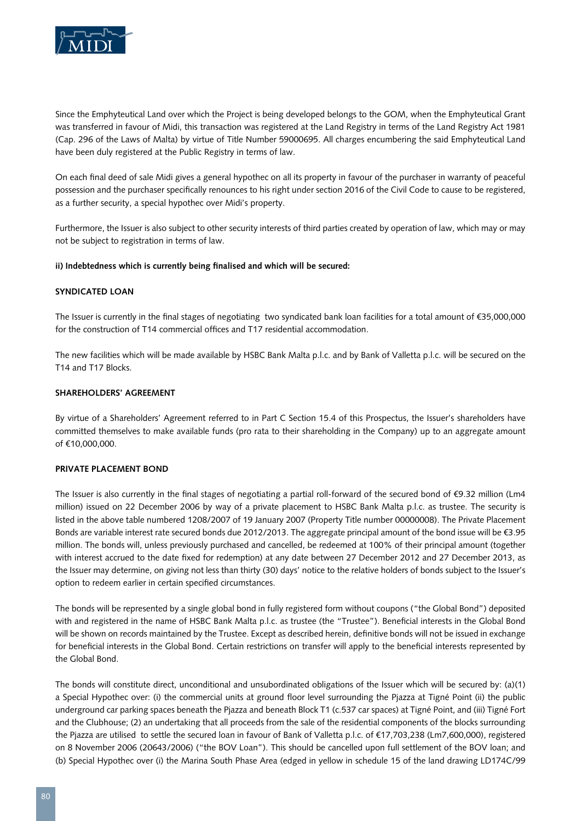

Since the Emphyteutical Land over which the Project is being developed belongs to the GOM, when the Emphyteutical Grant was transferred in favour of Midi, this transaction was registered at the Land Registry in terms of the Land Registry Act 1981 (Cap. 296 of the Laws of Malta) by virtue of Title Number 59000695. All charges encumbering the said Emphyteutical Land have been duly registered at the Public Registry in terms of law.

On each final deed of sale Midi gives a general hypothec on all its property in favour of the purchaser in warranty of peaceful possession and the purchaser specifically renounces to his right under section 2016 of the Civil Code to cause to be registered, as a further security, a special hypothec over Midi's property.

Furthermore, the Issuer is also subject to other security interests of third parties created by operation of law, which may or may not be subject to registration in terms of law.

# **ii) Indebtedness which is currently being finalised and which will be secured:**

#### **Syndicated Loan**

The Issuer is currently in the final stages of negotiating two syndicated bank loan facilities for a total amount of €35,000,000 for the construction of T14 commercial offices and T17 residential accommodation.

The new facilities which will be made available by HSBC Bank Malta p.l.c. and by Bank of Valletta p.l.c. will be secured on the T14 and T17 Blocks.

#### **Shareholders' Agreement**

By virtue of a Shareholders' Agreement referred to in Part C Section 15.4 of this Prospectus, the Issuer's shareholders have committed themselves to make available funds (pro rata to their shareholding in the Company) up to an aggregate amount of €10,000,000.

# **Private Placement Bond**

The Issuer is also currently in the final stages of negotiating a partial roll-forward of the secured bond of €9.32 million (Lm4 million) issued on 22 December 2006 by way of a private placement to HSBC Bank Malta p.l.c. as trustee. The security is listed in the above table numbered 1208/2007 of 19 January 2007 (Property Title number 00000008). The Private Placement Bonds are variable interest rate secured bonds due 2012/2013. The aggregate principal amount of the bond issue will be €3.95 million. The bonds will, unless previously purchased and cancelled, be redeemed at 100% of their principal amount (together with interest accrued to the date fixed for redemption) at any date between 27 December 2012 and 27 December 2013, as the Issuer may determine, on giving not less than thirty (30) days' notice to the relative holders of bonds subject to the Issuer's option to redeem earlier in certain specified circumstances.

The bonds will be represented by a single global bond in fully registered form without coupons ("the Global Bond") deposited with and registered in the name of HSBC Bank Malta p.l.c. as trustee (the "Trustee"). Beneficial interests in the Global Bond will be shown on records maintained by the Trustee. Except as described herein, definitive bonds will not be issued in exchange for beneficial interests in the Global Bond. Certain restrictions on transfer will apply to the beneficial interests represented by the Global Bond.

The bonds will constitute direct, unconditional and unsubordinated obligations of the Issuer which will be secured by: (a)(1) a Special Hypothec over: (i) the commercial units at ground floor level surrounding the Pjazza at Tigné Point (ii) the public underground car parking spaces beneath the Pjazza and beneath Block T1 (c.537 car spaces) at Tigné Point, and (iii) Tigné Fort and the Clubhouse; (2) an undertaking that all proceeds from the sale of the residential components of the blocks surrounding the Pjazza are utilised to settle the secured loan in favour of Bank of Valletta p.l.c. of €17,703,238 (Lm7,600,000), registered on 8 November 2006 (20643/2006) ("the BOV Loan"). This should be cancelled upon full settlement of the BOV loan; and (b) Special Hypothec over (i) the Marina South Phase Area (edged in yellow in schedule 15 of the land drawing LD174C/99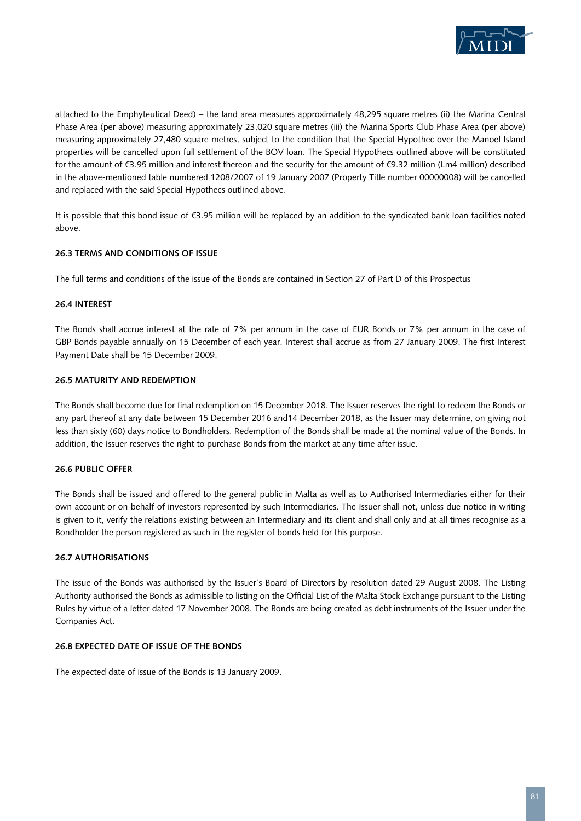

attached to the Emphyteutical Deed) – the land area measures approximately 48,295 square metres (ii) the Marina Central Phase Area (per above) measuring approximately 23,020 square metres (iii) the Marina Sports Club Phase Area (per above) measuring approximately 27,480 square metres, subject to the condition that the Special Hypothec over the Manoel Island properties will be cancelled upon full settlement of the BOV loan. The Special Hypothecs outlined above will be constituted for the amount of €3.95 million and interest thereon and the security for the amount of €9.32 million (Lm4 million) described in the above-mentioned table numbered 1208/2007 of 19 January 2007 (Property Title number 00000008) will be cancelled and replaced with the said Special Hypothecs outlined above.

It is possible that this bond issue of €3.95 million will be replaced by an addition to the syndicated bank loan facilities noted above.

# **26.3 Terms and Conditions of Issue**

The full terms and conditions of the issue of the Bonds are contained in Section 27 of Part D of this Prospectus

#### **26.4 Interest**

The Bonds shall accrue interest at the rate of 7% per annum in the case of EUR Bonds or 7% per annum in the case of GBP Bonds payable annually on 15 December of each year. Interest shall accrue as from 27 January 2009. The first Interest Payment Date shall be 15 December 2009.

#### **26.5 Maturity and Redemption**

The Bonds shall become due for final redemption on 15 December 2018. The Issuer reserves the right to redeem the Bonds or any part thereof at any date between 15 December 2016 and14 December 2018, as the Issuer may determine, on giving not less than sixty (60) days notice to Bondholders. Redemption of the Bonds shall be made at the nominal value of the Bonds. In addition, the Issuer reserves the right to purchase Bonds from the market at any time after issue.

#### **26.6 Public Offer**

The Bonds shall be issued and offered to the general public in Malta as well as to Authorised Intermediaries either for their own account or on behalf of investors represented by such Intermediaries. The Issuer shall not, unless due notice in writing is given to it, verify the relations existing between an Intermediary and its client and shall only and at all times recognise as a Bondholder the person registered as such in the register of bonds held for this purpose.

#### **26.7 Authorisations**

The issue of the Bonds was authorised by the Issuer's Board of Directors by resolution dated 29 August 2008. The Listing Authority authorised the Bonds as admissible to listing on the Official List of the Malta Stock Exchange pursuant to the Listing Rules by virtue of a letter dated 17 November 2008. The Bonds are being created as debt instruments of the Issuer under the Companies Act.

#### **26.8 Expected date of issue of the Bonds**

The expected date of issue of the Bonds is 13 January 2009.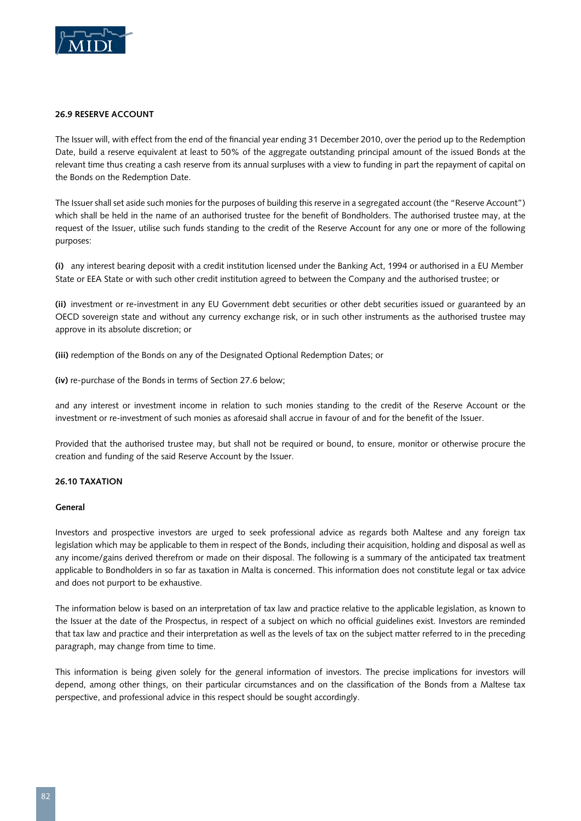

#### **26.9 Reserve Account**

The Issuer will, with effect from the end of the financial year ending 31 December 2010, over the period up to the Redemption Date, build a reserve equivalent at least to 50% of the aggregate outstanding principal amount of the issued Bonds at the relevant time thus creating a cash reserve from its annual surpluses with a view to funding in part the repayment of capital on the Bonds on the Redemption Date.

The Issuer shall set aside such monies for the purposes of building this reserve in a segregated account (the "Reserve Account") which shall be held in the name of an authorised trustee for the benefit of Bondholders. The authorised trustee may, at the request of the Issuer, utilise such funds standing to the credit of the Reserve Account for any one or more of the following purposes:

**(i)** any interest bearing deposit with a credit institution licensed under the Banking Act, 1994 or authorised in a EU Member State or EEA State or with such other credit institution agreed to between the Company and the authorised trustee; or

**(ii)** investment or re-investment in any EU Government debt securities or other debt securities issued or guaranteed by an OECD sovereign state and without any currency exchange risk, or in such other instruments as the authorised trustee may approve in its absolute discretion; or

**(iii)** redemption of the Bonds on any of the Designated Optional Redemption Dates; or

**(iv)** re-purchase of the Bonds in terms of Section 27.6 below;

and any interest or investment income in relation to such monies standing to the credit of the Reserve Account or the investment or re-investment of such monies as aforesaid shall accrue in favour of and for the benefit of the Issuer.

Provided that the authorised trustee may, but shall not be required or bound, to ensure, monitor or otherwise procure the creation and funding of the said Reserve Account by the Issuer.

#### **26.10 Taxation**

#### **General**

Investors and prospective investors are urged to seek professional advice as regards both Maltese and any foreign tax legislation which may be applicable to them in respect of the Bonds, including their acquisition, holding and disposal as well as any income/gains derived therefrom or made on their disposal. The following is a summary of the anticipated tax treatment applicable to Bondholders in so far as taxation in Malta is concerned. This information does not constitute legal or tax advice and does not purport to be exhaustive.

The information below is based on an interpretation of tax law and practice relative to the applicable legislation, as known to the Issuer at the date of the Prospectus, in respect of a subject on which no official guidelines exist. Investors are reminded that tax law and practice and their interpretation as well as the levels of tax on the subject matter referred to in the preceding paragraph, may change from time to time.

This information is being given solely for the general information of investors. The precise implications for investors will depend, among other things, on their particular circumstances and on the classification of the Bonds from a Maltese tax perspective, and professional advice in this respect should be sought accordingly.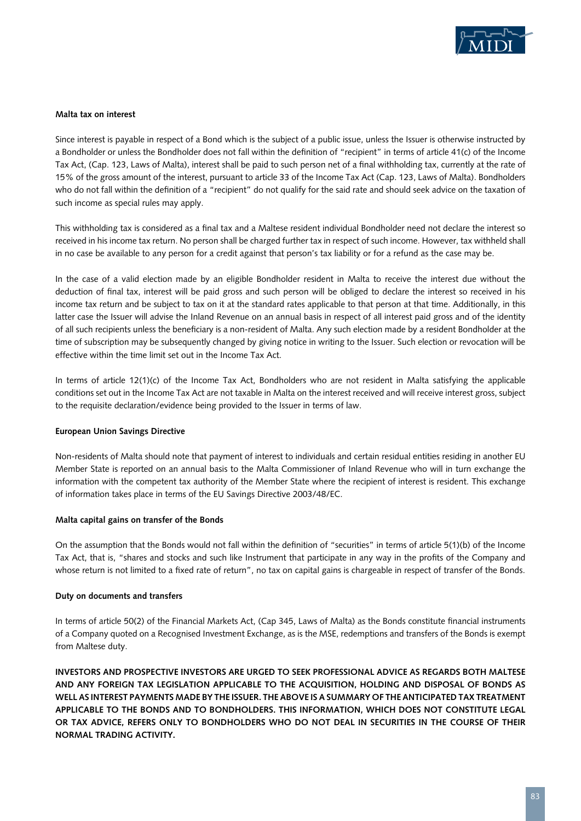

#### **Malta tax on interest**

Since interest is payable in respect of a Bond which is the subject of a public issue, unless the Issuer is otherwise instructed by a Bondholder or unless the Bondholder does not fall within the definition of "recipient" in terms of article 41(c) of the Income Tax Act, (Cap. 123, Laws of Malta), interest shall be paid to such person net of a final withholding tax, currently at the rate of 15% of the gross amount of the interest, pursuant to article 33 of the Income Tax Act (Cap. 123, Laws of Malta). Bondholders who do not fall within the definition of a "recipient" do not qualify for the said rate and should seek advice on the taxation of such income as special rules may apply.

This withholding tax is considered as a final tax and a Maltese resident individual Bondholder need not declare the interest so received in his income tax return. No person shall be charged further tax in respect of such income. However, tax withheld shall in no case be available to any person for a credit against that person's tax liability or for a refund as the case may be.

In the case of a valid election made by an eligible Bondholder resident in Malta to receive the interest due without the deduction of final tax, interest will be paid gross and such person will be obliged to declare the interest so received in his income tax return and be subject to tax on it at the standard rates applicable to that person at that time. Additionally, in this latter case the Issuer will advise the Inland Revenue on an annual basis in respect of all interest paid gross and of the identity of all such recipients unless the beneficiary is a non-resident of Malta. Any such election made by a resident Bondholder at the time of subscription may be subsequently changed by giving notice in writing to the Issuer. Such election or revocation will be effective within the time limit set out in the Income Tax Act.

In terms of article 12(1)(c) of the Income Tax Act, Bondholders who are not resident in Malta satisfying the applicable conditions set out in the Income Tax Act are not taxable in Malta on the interest received and will receive interest gross, subject to the requisite declaration/evidence being provided to the Issuer in terms of law.

# **European Union Savings Directive**

Non-residents of Malta should note that payment of interest to individuals and certain residual entities residing in another EU Member State is reported on an annual basis to the Malta Commissioner of Inland Revenue who will in turn exchange the information with the competent tax authority of the Member State where the recipient of interest is resident. This exchange of information takes place in terms of the EU Savings Directive 2003/48/EC.

#### **Malta capital gains on transfer of the Bonds**

On the assumption that the Bonds would not fall within the definition of "securities" in terms of article 5(1)(b) of the Income Tax Act, that is, "shares and stocks and such like Instrument that participate in any way in the profits of the Company and whose return is not limited to a fixed rate of return", no tax on capital gains is chargeable in respect of transfer of the Bonds.

# **Duty on documents and transfers**

In terms of article 50(2) of the Financial Markets Act, (Cap 345, Laws of Malta) as the Bonds constitute financial instruments of a Company quoted on a Recognised Investment Exchange, as is the MSE, redemptions and transfers of the Bonds is exempt from Maltese duty.

**INVESTORS AND PROSPECTIVE INVESTORS ARE URGED TO SEEK PROFESSIONAL ADVICE AS REGARDS BOTH MALTESE AND ANY FOREIGN TAX LEGISLATION APPLICABLE TO THE ACQUISITION, HOLDING AND DISPOSAL OF BONDS AS WELL AS INTEREST PAYMENTS MADE BY THE ISSUER. THE ABOVE IS A SUMMARY OF THE ANTICIPATED TAX TREATMENT APPLICABLE TO THE BONDS AND TO BONDHOLDERS. THIS INFORMATION, WHICH DOES NOT CONSTITUTE LEGAL OR TAX ADVICE, REFERS ONLY TO BONDHOLDERS WHO DO NOT DEAL IN SECURITIES IN THE COURSE OF THEIR NORMAL TRADING ACTIVITY.**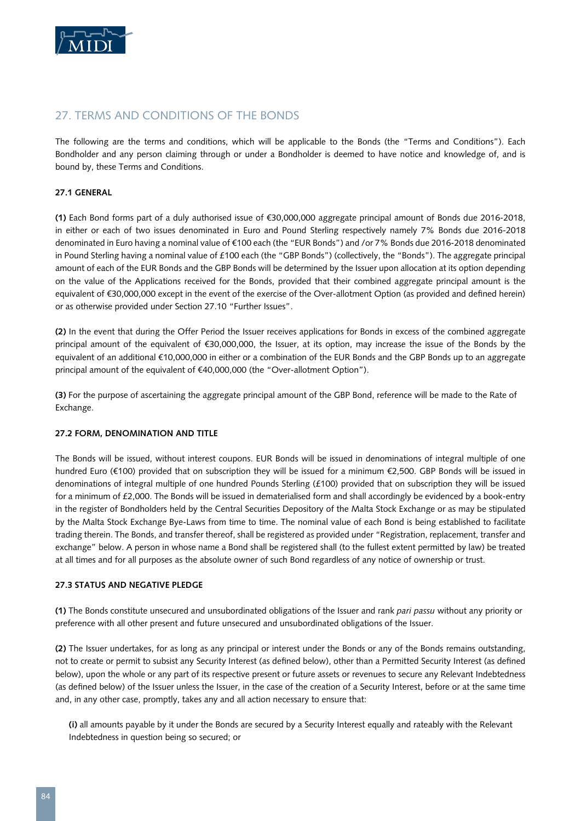

# 27. TERMS AND CONDITIONS OF THE BONDS

The following are the terms and conditions, which will be applicable to the Bonds (the "Terms and Conditions"). Each Bondholder and any person claiming through or under a Bondholder is deemed to have notice and knowledge of, and is bound by, these Terms and Conditions.

#### **27.1 General**

**(1)** Each Bond forms part of a duly authorised issue of €30,000,000 aggregate principal amount of Bonds due 2016-2018, in either or each of two issues denominated in Euro and Pound Sterling respectively namely 7% Bonds due 2016-2018 denominated in Euro having a nominal value of €100 each (the "EUR Bonds") and /or 7% Bonds due 2016-2018 denominated in Pound Sterling having a nominal value of £100 each (the "GBP Bonds") (collectively, the "Bonds"). The aggregate principal amount of each of the EUR Bonds and the GBP Bonds will be determined by the Issuer upon allocation at its option depending on the value of the Applications received for the Bonds, provided that their combined aggregate principal amount is the equivalent of €30,000,000 except in the event of the exercise of the Over-allotment Option (as provided and defined herein) or as otherwise provided under Section 27.10 "Further Issues".

**(2)** In the event that during the Offer Period the Issuer receives applications for Bonds in excess of the combined aggregate principal amount of the equivalent of €30,000,000, the Issuer, at its option, may increase the issue of the Bonds by the equivalent of an additional €10,000,000 in either or a combination of the EUR Bonds and the GBP Bonds up to an aggregate principal amount of the equivalent of €40,000,000 (the "Over-allotment Option").

**(3)** For the purpose of ascertaining the aggregate principal amount of the GBP Bond, reference will be made to the Rate of Exchange.

#### **27.2 Form, Denomination and Title**

The Bonds will be issued, without interest coupons. EUR Bonds will be issued in denominations of integral multiple of one hundred Euro (€100) provided that on subscription they will be issued for a minimum €2,500. GBP Bonds will be issued in denominations of integral multiple of one hundred Pounds Sterling (£100) provided that on subscription they will be issued for a minimum of £2,000. The Bonds will be issued in dematerialised form and shall accordingly be evidenced by a book-entry in the register of Bondholders held by the Central Securities Depository of the Malta Stock Exchange or as may be stipulated by the Malta Stock Exchange Bye-Laws from time to time. The nominal value of each Bond is being established to facilitate trading therein. The Bonds, and transfer thereof, shall be registered as provided under "Registration, replacement, transfer and exchange" below. A person in whose name a Bond shall be registered shall (to the fullest extent permitted by law) be treated at all times and for all purposes as the absolute owner of such Bond regardless of any notice of ownership or trust.

#### **27.3 Status and negative pledge**

**(1)** The Bonds constitute unsecured and unsubordinated obligations of the Issuer and rank *pari passu* without any priority or preference with all other present and future unsecured and unsubordinated obligations of the Issuer.

**(2)** The Issuer undertakes, for as long as any principal or interest under the Bonds or any of the Bonds remains outstanding, not to create or permit to subsist any Security Interest (as defined below), other than a Permitted Security Interest (as defined below), upon the whole or any part of its respective present or future assets or revenues to secure any Relevant Indebtedness (as defined below) of the Issuer unless the Issuer, in the case of the creation of a Security Interest, before or at the same time and, in any other case, promptly, takes any and all action necessary to ensure that:

**(i)** all amounts payable by it under the Bonds are secured by a Security Interest equally and rateably with the Relevant Indebtedness in question being so secured; or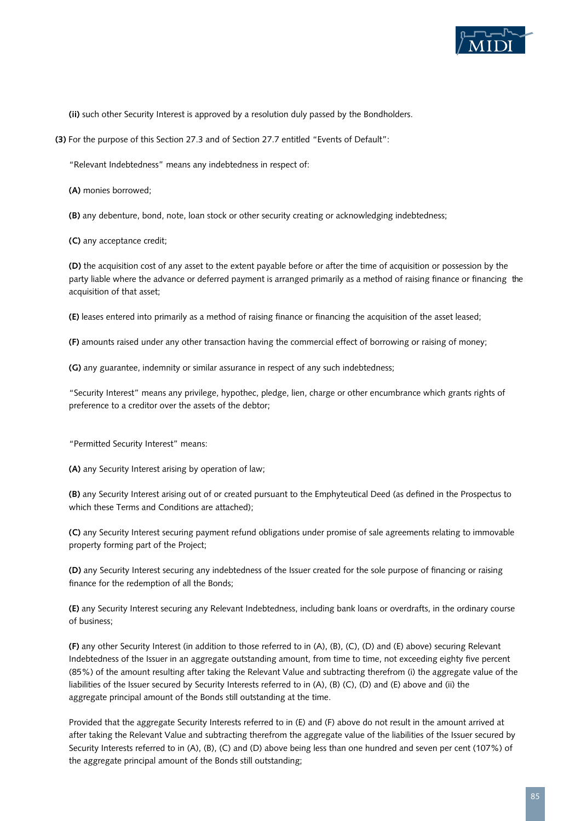

**(ii)** such other Security Interest is approved by a resolution duly passed by the Bondholders.

**(3)** For the purpose of this Section 27.3 and of Section 27.7 entitled "Events of Default":

"Relevant Indebtedness" means any indebtedness in respect of:

**(A)** monies borrowed;

**(B)** any debenture, bond, note, loan stock or other security creating or acknowledging indebtedness;

**(C)** any acceptance credit;

**(D)** the acquisition cost of any asset to the extent payable before or after the time of acquisition or possession by the party liable where the advance or deferred payment is arranged primarily as a method of raising finance or financing the acquisition of that asset;

**(E)** leases entered into primarily as a method of raising finance or financing the acquisition of the asset leased;

**(F)** amounts raised under any other transaction having the commercial effect of borrowing or raising of money;

**(G)** any guarantee, indemnity or similar assurance in respect of any such indebtedness;

"Security Interest" means any privilege, hypothec, pledge, lien, charge or other encumbrance which grants rights of preference to a creditor over the assets of the debtor;

"Permitted Security Interest" means:

**(A)** any Security Interest arising by operation of law;

**(B)** any Security Interest arising out of or created pursuant to the Emphyteutical Deed (as defined in the Prospectus to which these Terms and Conditions are attached);

**(C)** any Security Interest securing payment refund obligations under promise of sale agreements relating to immovable property forming part of the Project;

**(D)** any Security Interest securing any indebtedness of the Issuer created for the sole purpose of financing or raising finance for the redemption of all the Bonds;

**(E)** any Security Interest securing any Relevant Indebtedness, including bank loans or overdrafts, in the ordinary course of business;

**(F)** any other Security Interest (in addition to those referred to in (A), (B), (C), (D) and (E) above) securing Relevant Indebtedness of the Issuer in an aggregate outstanding amount, from time to time, not exceeding eighty five percent (85%) of the amount resulting after taking the Relevant Value and subtracting therefrom (i) the aggregate value of the liabilities of the Issuer secured by Security Interests referred to in (A), (B) (C), (D) and (E) above and (ii) the aggregate principal amount of the Bonds still outstanding at the time.

Provided that the aggregate Security Interests referred to in (E) and (F) above do not result in the amount arrived at after taking the Relevant Value and subtracting therefrom the aggregate value of the liabilities of the Issuer secured by Security Interests referred to in (A), (B), (C) and (D) above being less than one hundred and seven per cent (107%) of the aggregate principal amount of the Bonds still outstanding;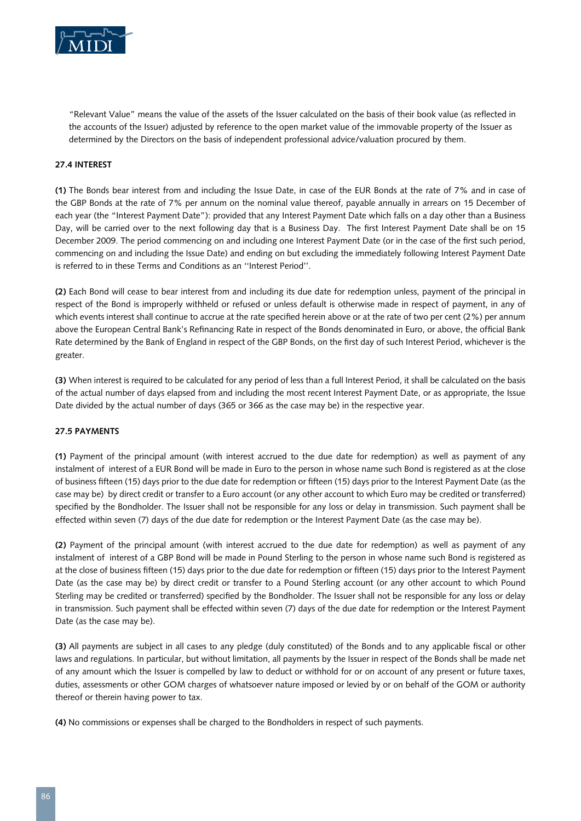

"Relevant Value" means the value of the assets of the Issuer calculated on the basis of their book value (as reflected in the accounts of the Issuer) adjusted by reference to the open market value of the immovable property of the Issuer as determined by the Directors on the basis of independent professional advice/valuation procured by them.

# **27.4 Interest**

**(1)** The Bonds bear interest from and including the Issue Date, in case of the EUR Bonds at the rate of 7% and in case of the GBP Bonds at the rate of 7% per annum on the nominal value thereof, payable annually in arrears on 15 December of each year (the "Interest Payment Date"): provided that any Interest Payment Date which falls on a day other than a Business Day, will be carried over to the next following day that is a Business Day. The first Interest Payment Date shall be on 15 December 2009. The period commencing on and including one Interest Payment Date (or in the case of the first such period, commencing on and including the Issue Date) and ending on but excluding the immediately following Interest Payment Date is referred to in these Terms and Conditions as an ''Interest Period''.

**(2)** Each Bond will cease to bear interest from and including its due date for redemption unless, payment of the principal in respect of the Bond is improperly withheld or refused or unless default is otherwise made in respect of payment, in any of which events interest shall continue to accrue at the rate specified herein above or at the rate of two per cent (2%) per annum above the European Central Bank's Refinancing Rate in respect of the Bonds denominated in Euro, or above, the official Bank Rate determined by the Bank of England in respect of the GBP Bonds, on the first day of such Interest Period, whichever is the greater.

**(3)** When interest is required to be calculated for any period of less than a full Interest Period, it shall be calculated on the basis of the actual number of days elapsed from and including the most recent Interest Payment Date, or as appropriate, the Issue Date divided by the actual number of days (365 or 366 as the case may be) in the respective year.

#### **27.5 Payments**

**(1)** Payment of the principal amount (with interest accrued to the due date for redemption) as well as payment of any instalment of interest of a EUR Bond will be made in Euro to the person in whose name such Bond is registered as at the close of business fifteen (15) days prior to the due date for redemption or fifteen (15) days prior to the Interest Payment Date (as the case may be) by direct credit or transfer to a Euro account (or any other account to which Euro may be credited or transferred) specified by the Bondholder. The Issuer shall not be responsible for any loss or delay in transmission. Such payment shall be effected within seven (7) days of the due date for redemption or the Interest Payment Date (as the case may be).

**(2)** Payment of the principal amount (with interest accrued to the due date for redemption) as well as payment of any instalment of interest of a GBP Bond will be made in Pound Sterling to the person in whose name such Bond is registered as at the close of business fifteen (15) days prior to the due date for redemption or fifteen (15) days prior to the Interest Payment Date (as the case may be) by direct credit or transfer to a Pound Sterling account (or any other account to which Pound Sterling may be credited or transferred) specified by the Bondholder. The Issuer shall not be responsible for any loss or delay in transmission. Such payment shall be effected within seven (7) days of the due date for redemption or the Interest Payment Date (as the case may be).

**(3)** All payments are subject in all cases to any pledge (duly constituted) of the Bonds and to any applicable fiscal or other laws and regulations. In particular, but without limitation, all payments by the Issuer in respect of the Bonds shall be made net of any amount which the Issuer is compelled by law to deduct or withhold for or on account of any present or future taxes, duties, assessments or other GOM charges of whatsoever nature imposed or levied by or on behalf of the GOM or authority thereof or therein having power to tax.

**(4)** No commissions or expenses shall be charged to the Bondholders in respect of such payments.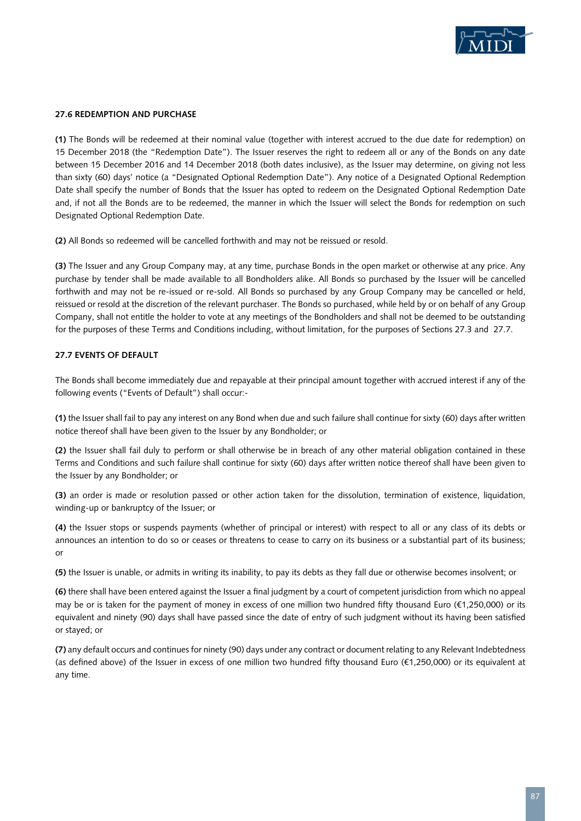

#### **27.6 Redemption and Purchase**

**(1)** The Bonds will be redeemed at their nominal value (together with interest accrued to the due date for redemption) on 15 December 2018 (the "Redemption Date"). The Issuer reserves the right to redeem all or any of the Bonds on any date between 15 December 2016 and 14 December 2018 (both dates inclusive), as the Issuer may determine, on giving not less than sixty (60) days' notice (a "Designated Optional Redemption Date"). Any notice of a Designated Optional Redemption Date shall specify the number of Bonds that the Issuer has opted to redeem on the Designated Optional Redemption Date and, if not all the Bonds are to be redeemed, the manner in which the Issuer will select the Bonds for redemption on such Designated Optional Redemption Date.

**(2)** All Bonds so redeemed will be cancelled forthwith and may not be reissued or resold.

**(3)** The Issuer and any Group Company may, at any time, purchase Bonds in the open market or otherwise at any price. Any purchase by tender shall be made available to all Bondholders alike. All Bonds so purchased by the Issuer will be cancelled forthwith and may not be re-issued or re-sold. All Bonds so purchased by any Group Company may be cancelled or held, reissued or resold at the discretion of the relevant purchaser. The Bonds so purchased, while held by or on behalf of any Group Company, shall not entitle the holder to vote at any meetings of the Bondholders and shall not be deemed to be outstanding for the purposes of these Terms and Conditions including, without limitation, for the purposes of Sections 27.3 and 27.7.

# **27.7 Events of Default**

The Bonds shall become immediately due and repayable at their principal amount together with accrued interest if any of the following events ("Events of Default") shall occur:-

**(1)** the Issuer shall fail to pay any interest on any Bond when due and such failure shall continue for sixty (60) days after written notice thereof shall have been given to the Issuer by any Bondholder; or

**(2)** the Issuer shall fail duly to perform or shall otherwise be in breach of any other material obligation contained in these Terms and Conditions and such failure shall continue for sixty (60) days after written notice thereof shall have been given to the Issuer by any Bondholder; or

**(3)** an order is made or resolution passed or other action taken for the dissolution, termination of existence, liquidation, winding-up or bankruptcy of the Issuer; or

**(4)** the Issuer stops or suspends payments (whether of principal or interest) with respect to all or any class of its debts or announces an intention to do so or ceases or threatens to cease to carry on its business or a substantial part of its business; or

**(5)** the Issuer is unable, or admits in writing its inability, to pay its debts as they fall due or otherwise becomes insolvent; or

**(6)** there shall have been entered against the Issuer a final judgment by a court of competent jurisdiction from which no appeal may be or is taken for the payment of money in excess of one million two hundred fifty thousand Euro (€1,250,000) or its equivalent and ninety (90) days shall have passed since the date of entry of such judgment without its having been satisfied or stayed; or

**(7)** any default occurs and continues for ninety (90) days under any contract or document relating to any Relevant Indebtedness (as defined above) of the Issuer in excess of one million two hundred fifty thousand Euro (€1,250,000) or its equivalent at any time.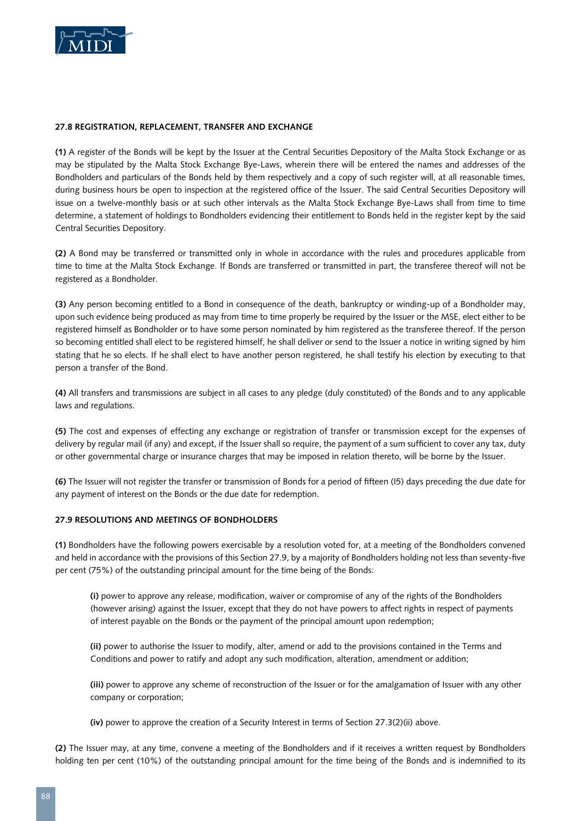

#### **27.8 Registration, Replacement, Transfer and Exchange**

**(1)** A register of the Bonds will be kept by the Issuer at the Central Securities Depository of the Malta Stock Exchange or as may be stipulated by the Malta Stock Exchange Bye-Laws, wherein there will be entered the names and addresses of the Bondholders and particulars of the Bonds held by them respectively and a copy of such register will, at all reasonable times, during business hours be open to inspection at the registered office of the Issuer. The said Central Securities Depository will issue on a twelve-monthly basis or at such other intervals as the Malta Stock Exchange Bye-Laws shall from time to time determine, a statement of holdings to Bondholders evidencing their entitlement to Bonds held in the register kept by the said Central Securities Depository.

**(2)** A Bond may be transferred or transmitted only in whole in accordance with the rules and procedures applicable from time to time at the Malta Stock Exchange. If Bonds are transferred or transmitted in part, the transferee thereof will not be registered as a Bondholder.

**(3)** Any person becoming entitled to a Bond in consequence of the death, bankruptcy or winding-up of a Bondholder may, upon such evidence being produced as may from time to time properly be required by the Issuer or the MSE, elect either to be registered himself as Bondholder or to have some person nominated by him registered as the transferee thereof. If the person so becoming entitled shall elect to be registered himself, he shall deliver or send to the Issuer a notice in writing signed by him stating that he so elects. If he shall elect to have another person registered, he shall testify his election by executing to that person a transfer of the Bond.

**(4)** All transfers and transmissions are subject in all cases to any pledge (duly constituted) of the Bonds and to any applicable laws and regulations.

**(5)** The cost and expenses of effecting any exchange or registration of transfer or transmission except for the expenses of delivery by regular mail (if any) and except, if the Issuer shall so require, the payment of a sum sufficient to cover any tax, duty or other governmental charge or insurance charges that may be imposed in relation thereto, will be borne by the Issuer.

**(6)** The Issuer will not register the transfer or transmission of Bonds for a period of fifteen (I5) days preceding the due date for any payment of interest on the Bonds or the due date for redemption.

#### **27.9 Resolutions and Meetings of Bondholders**

**(1)** Bondholders have the following powers exercisable by a resolution voted for, at a meeting of the Bondholders convened and held in accordance with the provisions of this Section 27.9, by a majority of Bondholders holding not less than seventy-five per cent (75%) of the outstanding principal amount for the time being of the Bonds:

**(i)** power to approve any release, modification, waiver or compromise of any of the rights of the Bondholders (however arising) against the Issuer, except that they do not have powers to affect rights in respect of payments of interest payable on the Bonds or the payment of the principal amount upon redemption;

**(ii)** power to authorise the Issuer to modify, alter, amend or add to the provisions contained in the Terms and Conditions and power to ratify and adopt any such modification, alteration, amendment or addition;

**(iii)** power to approve any scheme of reconstruction of the Issuer or for the amalgamation of Issuer with any other company or corporation;

**(iv)** power to approve the creation of a Security Interest in terms of Section 27.3(2)(ii) above.

**(2)** The Issuer may, at any time, convene a meeting of the Bondholders and if it receives a written request by Bondholders holding ten per cent (10%) of the outstanding principal amount for the time being of the Bonds and is indemnified to its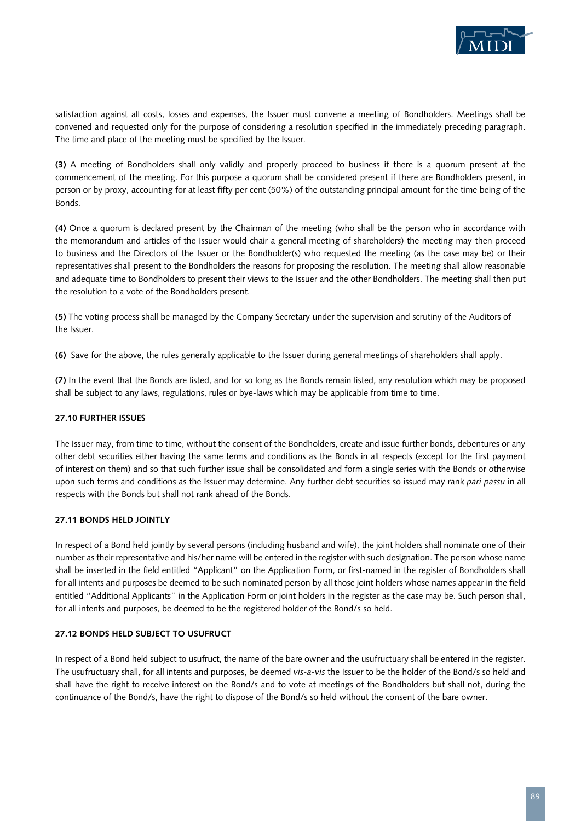

satisfaction against all costs, losses and expenses, the Issuer must convene a meeting of Bondholders. Meetings shall be convened and requested only for the purpose of considering a resolution specified in the immediately preceding paragraph. The time and place of the meeting must be specified by the Issuer.

**(3)** A meeting of Bondholders shall only validly and properly proceed to business if there is a quorum present at the commencement of the meeting. For this purpose a quorum shall be considered present if there are Bondholders present, in person or by proxy, accounting for at least fifty per cent (50%) of the outstanding principal amount for the time being of the Bonds.

**(4)** Once a quorum is declared present by the Chairman of the meeting (who shall be the person who in accordance with the memorandum and articles of the Issuer would chair a general meeting of shareholders) the meeting may then proceed to business and the Directors of the Issuer or the Bondholder(s) who requested the meeting (as the case may be) or their representatives shall present to the Bondholders the reasons for proposing the resolution. The meeting shall allow reasonable and adequate time to Bondholders to present their views to the Issuer and the other Bondholders. The meeting shall then put the resolution to a vote of the Bondholders present.

**(5)** The voting process shall be managed by the Company Secretary under the supervision and scrutiny of the Auditors of the Issuer.

**(6)** Save for the above, the rules generally applicable to the Issuer during general meetings of shareholders shall apply.

**(7)** In the event that the Bonds are listed, and for so long as the Bonds remain listed, any resolution which may be proposed shall be subject to any laws, regulations, rules or bye-laws which may be applicable from time to time.

# **27.10 Further Issues**

The Issuer may, from time to time, without the consent of the Bondholders, create and issue further bonds, debentures or any other debt securities either having the same terms and conditions as the Bonds in all respects (except for the first payment of interest on them) and so that such further issue shall be consolidated and form a single series with the Bonds or otherwise upon such terms and conditions as the Issuer may determine. Any further debt securities so issued may rank *pari passu* in all respects with the Bonds but shall not rank ahead of the Bonds.

# **27.11 Bonds held Jointly**

In respect of a Bond held jointly by several persons (including husband and wife), the joint holders shall nominate one of their number as their representative and his/her name will be entered in the register with such designation. The person whose name shall be inserted in the field entitled "Applicant" on the Application Form, or first-named in the register of Bondholders shall for all intents and purposes be deemed to be such nominated person by all those joint holders whose names appear in the field entitled "Additional Applicants" in the Application Form or joint holders in the register as the case may be. Such person shall, for all intents and purposes, be deemed to be the registered holder of the Bond/s so held.

# **27.12 Bonds held Subject to Usufruct**

In respect of a Bond held subject to usufruct, the name of the bare owner and the usufructuary shall be entered in the register. The usufructuary shall, for all intents and purposes, be deemed *vis-a-vis* the Issuer to be the holder of the Bond/s so held and shall have the right to receive interest on the Bond/s and to vote at meetings of the Bondholders but shall not, during the continuance of the Bond/s, have the right to dispose of the Bond/s so held without the consent of the bare owner.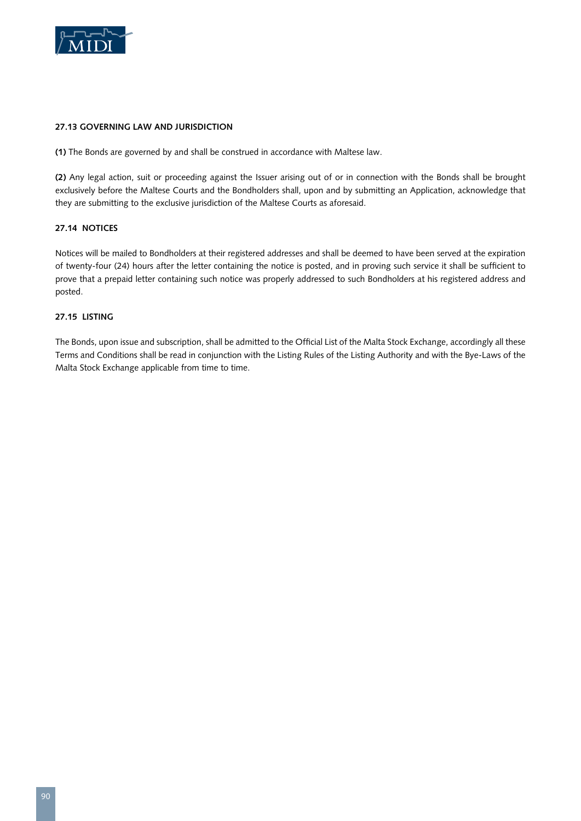

# **27.13 Governing Law and Jurisdiction**

**(1)** The Bonds are governed by and shall be construed in accordance with Maltese law.

**(2)** Any legal action, suit or proceeding against the Issuer arising out of or in connection with the Bonds shall be brought exclusively before the Maltese Courts and the Bondholders shall, upon and by submitting an Application, acknowledge that they are submitting to the exclusive jurisdiction of the Maltese Courts as aforesaid.

# **27.14 Notices**

Notices will be mailed to Bondholders at their registered addresses and shall be deemed to have been served at the expiration of twenty-four (24) hours after the letter containing the notice is posted, and in proving such service it shall be sufficient to prove that a prepaid letter containing such notice was properly addressed to such Bondholders at his registered address and posted.

# **27.15 Listing**

The Bonds, upon issue and subscription, shall be admitted to the Official List of the Malta Stock Exchange, accordingly all these Terms and Conditions shall be read in conjunction with the Listing Rules of the Listing Authority and with the Bye-Laws of the Malta Stock Exchange applicable from time to time.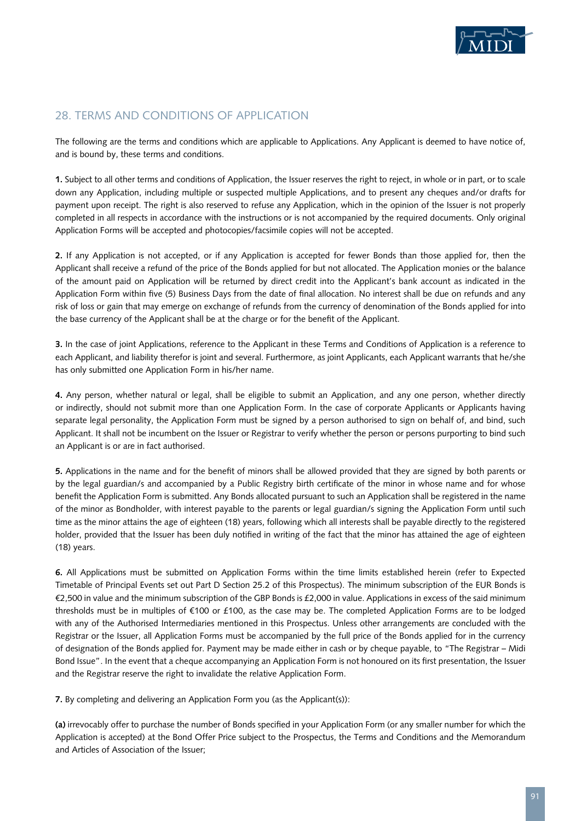

# 28. TERMS AND CONDITIONS OF APPLICATION

The following are the terms and conditions which are applicable to Applications. Any Applicant is deemed to have notice of, and is bound by, these terms and conditions.

**1.** Subject to all other terms and conditions of Application, the Issuer reserves the right to reject, in whole or in part, or to scale down any Application, including multiple or suspected multiple Applications, and to present any cheques and/or drafts for payment upon receipt. The right is also reserved to refuse any Application, which in the opinion of the Issuer is not properly completed in all respects in accordance with the instructions or is not accompanied by the required documents. Only original Application Forms will be accepted and photocopies/facsimile copies will not be accepted.

**2.** If any Application is not accepted, or if any Application is accepted for fewer Bonds than those applied for, then the Applicant shall receive a refund of the price of the Bonds applied for but not allocated. The Application monies or the balance of the amount paid on Application will be returned by direct credit into the Applicant's bank account as indicated in the Application Form within five (5) Business Days from the date of final allocation. No interest shall be due on refunds and any risk of loss or gain that may emerge on exchange of refunds from the currency of denomination of the Bonds applied for into the base currency of the Applicant shall be at the charge or for the benefit of the Applicant.

**3.** In the case of joint Applications, reference to the Applicant in these Terms and Conditions of Application is a reference to each Applicant, and liability therefor is joint and several. Furthermore, as joint Applicants, each Applicant warrants that he/she has only submitted one Application Form in his/her name.

**4.** Any person, whether natural or legal, shall be eligible to submit an Application, and any one person, whether directly or indirectly, should not submit more than one Application Form. In the case of corporate Applicants or Applicants having separate legal personality, the Application Form must be signed by a person authorised to sign on behalf of, and bind, such Applicant. It shall not be incumbent on the Issuer or Registrar to verify whether the person or persons purporting to bind such an Applicant is or are in fact authorised.

**5.** Applications in the name and for the benefit of minors shall be allowed provided that they are signed by both parents or by the legal guardian/s and accompanied by a Public Registry birth certificate of the minor in whose name and for whose benefit the Application Form is submitted. Any Bonds allocated pursuant to such an Application shall be registered in the name of the minor as Bondholder, with interest payable to the parents or legal guardian/s signing the Application Form until such time as the minor attains the age of eighteen (18) years, following which all interests shall be payable directly to the registered holder, provided that the Issuer has been duly notified in writing of the fact that the minor has attained the age of eighteen (18) years.

**6.** All Applications must be submitted on Application Forms within the time limits established herein (refer to Expected Timetable of Principal Events set out Part D Section 25.2 of this Prospectus). The minimum subscription of the EUR Bonds is €2,500 in value and the minimum subscription of the GBP Bonds is £2,000 in value. Applications in excess of the said minimum thresholds must be in multiples of €100 or £100, as the case may be. The completed Application Forms are to be lodged with any of the Authorised Intermediaries mentioned in this Prospectus. Unless other arrangements are concluded with the Registrar or the Issuer, all Application Forms must be accompanied by the full price of the Bonds applied for in the currency of designation of the Bonds applied for. Payment may be made either in cash or by cheque payable, to "The Registrar – Midi Bond Issue". In the event that a cheque accompanying an Application Form is not honoured on its first presentation, the Issuer and the Registrar reserve the right to invalidate the relative Application Form.

**7.** By completing and delivering an Application Form you (as the Applicant(s)):

**(a)** irrevocably offer to purchase the number of Bonds specified in your Application Form (or any smaller number for which the Application is accepted) at the Bond Offer Price subject to the Prospectus, the Terms and Conditions and the Memorandum and Articles of Association of the Issuer;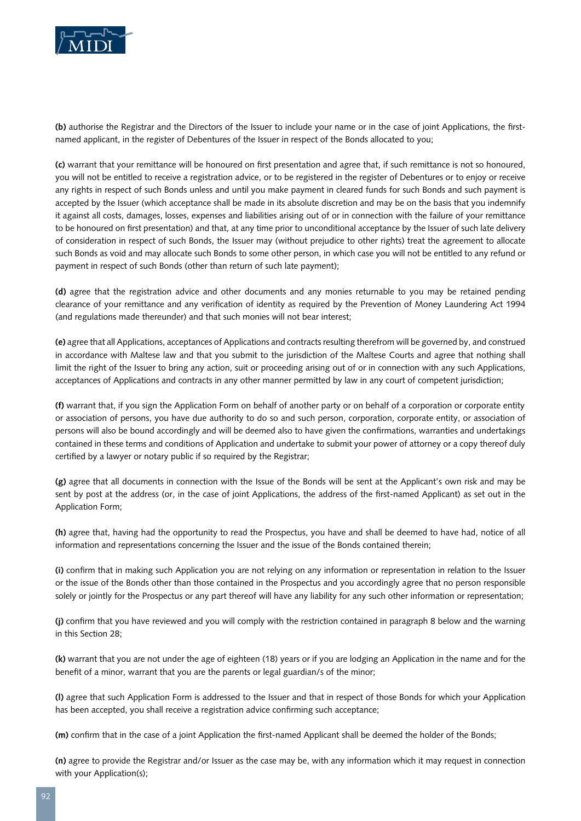

**(b)** authorise the Registrar and the Directors of the Issuer to include your name or in the case of joint Applications, the firstnamed applicant, in the register of Debentures of the Issuer in respect of the Bonds allocated to you;

**(c)** warrant that your remittance will be honoured on first presentation and agree that, if such remittance is not so honoured, you will not be entitled to receive a registration advice, or to be registered in the register of Debentures or to enjoy or receive any rights in respect of such Bonds unless and until you make payment in cleared funds for such Bonds and such payment is accepted by the Issuer (which acceptance shall be made in its absolute discretion and may be on the basis that you indemnify it against all costs, damages, losses, expenses and liabilities arising out of or in connection with the failure of your remittance to be honoured on first presentation) and that, at any time prior to unconditional acceptance by the Issuer of such late delivery of consideration in respect of such Bonds, the Issuer may (without prejudice to other rights) treat the agreement to allocate such Bonds as void and may allocate such Bonds to some other person, in which case you will not be entitled to any refund or payment in respect of such Bonds (other than return of such late payment);

**(d)** agree that the registration advice and other documents and any monies returnable to you may be retained pending clearance of your remittance and any verification of identity as required by the Prevention of Money Laundering Act 1994 (and regulations made thereunder) and that such monies will not bear interest;

**(e)** agree that all Applications, acceptances of Applications and contracts resulting therefrom will be governed by, and construed in accordance with Maltese law and that you submit to the jurisdiction of the Maltese Courts and agree that nothing shall limit the right of the Issuer to bring any action, suit or proceeding arising out of or in connection with any such Applications, acceptances of Applications and contracts in any other manner permitted by law in any court of competent jurisdiction;

**(f)** warrant that, if you sign the Application Form on behalf of another party or on behalf of a corporation or corporate entity or association of persons, you have due authority to do so and such person, corporation, corporate entity, or association of persons will also be bound accordingly and will be deemed also to have given the confirmations, warranties and undertakings contained in these terms and conditions of Application and undertake to submit your power of attorney or a copy thereof duly certified by a lawyer or notary public if so required by the Registrar;

**(g)** agree that all documents in connection with the Issue of the Bonds will be sent at the Applicant's own risk and may be sent by post at the address (or, in the case of joint Applications, the address of the first-named Applicant) as set out in the Application Form;

**(h)** agree that, having had the opportunity to read the Prospectus, you have and shall be deemed to have had, notice of all information and representations concerning the Issuer and the issue of the Bonds contained therein;

**(i)** confirm that in making such Application you are not relying on any information or representation in relation to the Issuer or the issue of the Bonds other than those contained in the Prospectus and you accordingly agree that no person responsible solely or jointly for the Prospectus or any part thereof will have any liability for any such other information or representation;

**(j)** confirm that you have reviewed and you will comply with the restriction contained in paragraph 8 below and the warning in this Section 28;

**(k)** warrant that you are not under the age of eighteen (18) years or if you are lodging an Application in the name and for the benefit of a minor, warrant that you are the parents or legal guardian/s of the minor;

**(l)** agree that such Application Form is addressed to the Issuer and that in respect of those Bonds for which your Application has been accepted, you shall receive a registration advice confirming such acceptance;

**(m)** confirm that in the case of a joint Application the first-named Applicant shall be deemed the holder of the Bonds;

**(n)** agree to provide the Registrar and/or Issuer as the case may be, with any information which it may request in connection with your Application(s);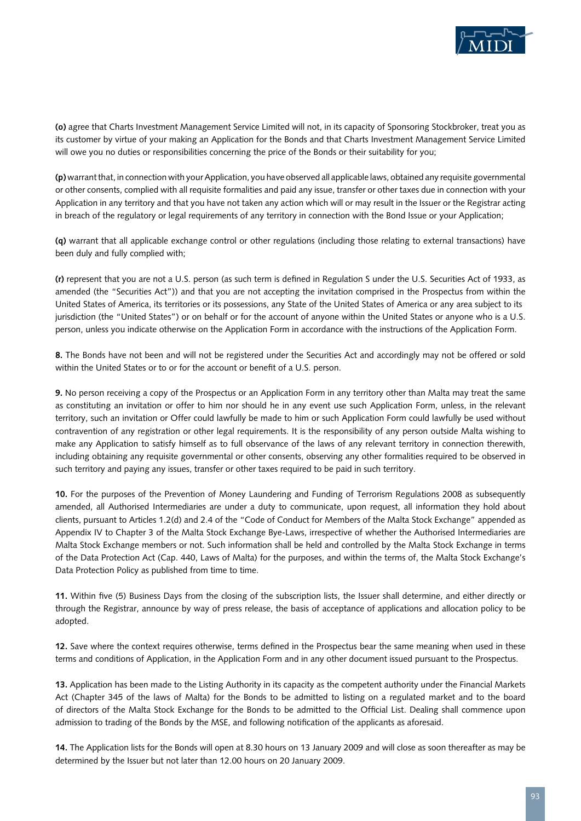

**(o)** agree that Charts Investment Management Service Limited will not, in its capacity of Sponsoring Stockbroker, treat you as its customer by virtue of your making an Application for the Bonds and that Charts Investment Management Service Limited will owe you no duties or responsibilities concerning the price of the Bonds or their suitability for you;

**(p)** warrant that, in connection with your Application, you have observed all applicable laws, obtained any requisite governmental or other consents, complied with all requisite formalities and paid any issue, transfer or other taxes due in connection with your Application in any territory and that you have not taken any action which will or may result in the Issuer or the Registrar acting in breach of the regulatory or legal requirements of any territory in connection with the Bond Issue or your Application;

**(q)** warrant that all applicable exchange control or other regulations (including those relating to external transactions) have been duly and fully complied with;

**(r)** represent that you are not a U.S. person (as such term is defined in Regulation S under the U.S. Securities Act of 1933, as amended (the "Securities Act")) and that you are not accepting the invitation comprised in the Prospectus from within the United States of America, its territories or its possessions, any State of the United States of America or any area subject to its jurisdiction (the "United States") or on behalf or for the account of anyone within the United States or anyone who is a U.S. person, unless you indicate otherwise on the Application Form in accordance with the instructions of the Application Form.

**8.** The Bonds have not been and will not be registered under the Securities Act and accordingly may not be offered or sold within the United States or to or for the account or benefit of a U.S. person.

**9.** No person receiving a copy of the Prospectus or an Application Form in any territory other than Malta may treat the same as constituting an invitation or offer to him nor should he in any event use such Application Form, unless, in the relevant territory, such an invitation or Offer could lawfully be made to him or such Application Form could lawfully be used without contravention of any registration or other legal requirements. It is the responsibility of any person outside Malta wishing to make any Application to satisfy himself as to full observance of the laws of any relevant territory in connection therewith, including obtaining any requisite governmental or other consents, observing any other formalities required to be observed in such territory and paying any issues, transfer or other taxes required to be paid in such territory.

**10.** For the purposes of the Prevention of Money Laundering and Funding of Terrorism Regulations 2008 as subsequently amended, all Authorised Intermediaries are under a duty to communicate, upon request, all information they hold about clients, pursuant to Articles 1.2(d) and 2.4 of the "Code of Conduct for Members of the Malta Stock Exchange" appended as Appendix IV to Chapter 3 of the Malta Stock Exchange Bye-Laws, irrespective of whether the Authorised Intermediaries are Malta Stock Exchange members or not. Such information shall be held and controlled by the Malta Stock Exchange in terms of the Data Protection Act (Cap. 440, Laws of Malta) for the purposes, and within the terms of, the Malta Stock Exchange's Data Protection Policy as published from time to time.

**11.** Within five (5) Business Days from the closing of the subscription lists, the Issuer shall determine, and either directly or through the Registrar, announce by way of press release, the basis of acceptance of applications and allocation policy to be adopted.

**12.** Save where the context requires otherwise, terms defined in the Prospectus bear the same meaning when used in these terms and conditions of Application, in the Application Form and in any other document issued pursuant to the Prospectus.

**13.** Application has been made to the Listing Authority in its capacity as the competent authority under the Financial Markets Act (Chapter 345 of the laws of Malta) for the Bonds to be admitted to listing on a regulated market and to the board of directors of the Malta Stock Exchange for the Bonds to be admitted to the Official List. Dealing shall commence upon admission to trading of the Bonds by the MSE, and following notification of the applicants as aforesaid.

**14.** The Application lists for the Bonds will open at 8.30 hours on 13 January 2009 and will close as soon thereafter as may be determined by the Issuer but not later than 12.00 hours on 20 January 2009.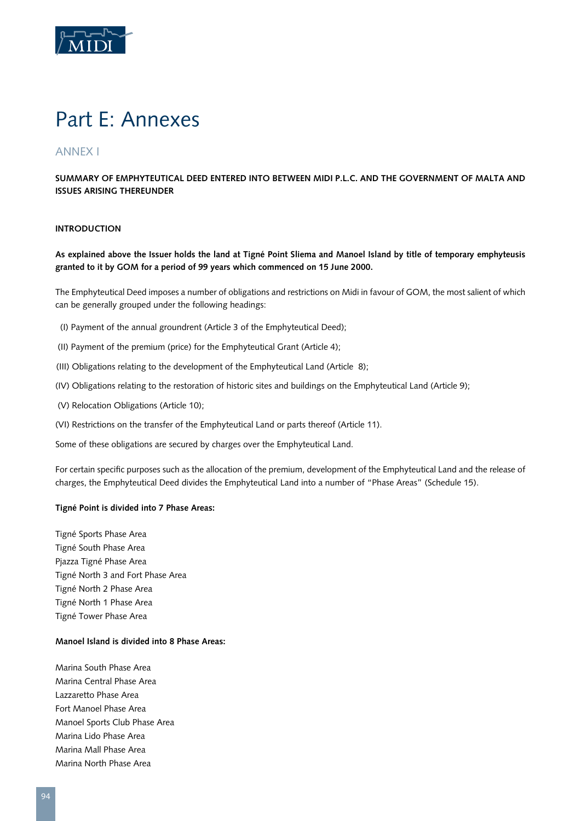

# Part E: Annexes

# Annex I

# **SUMMARY OF EMPHYTEUTICAL DEED ENTERED INTO BETWEEN MIDI P.L.C. AND THE GOVERNMENT OF MALTA AND ISSUES ARISING THEREUNDER**

# **Introduction**

**As explained above the Issuer holds the land at Tigné Point Sliema and Manoel Island by title of temporary emphyteusis granted to it by GOM for a period of 99 years which commenced on 15 June 2000.**

The Emphyteutical Deed imposes a number of obligations and restrictions on Midi in favour of GOM, the most salient of which can be generally grouped under the following headings:

- (I) Payment of the annual groundrent (Article 3 of the Emphyteutical Deed);
- (II) Payment of the premium (price) for the Emphyteutical Grant (Article 4);
- (III) Obligations relating to the development of the Emphyteutical Land (Article 8);
- (IV) Obligations relating to the restoration of historic sites and buildings on the Emphyteutical Land (Article 9);
- (V) Relocation Obligations (Article 10);
- (VI) Restrictions on the transfer of the Emphyteutical Land or parts thereof (Article 11).

Some of these obligations are secured by charges over the Emphyteutical Land.

For certain specific purposes such as the allocation of the premium, development of the Emphyteutical Land and the release of charges, the Emphyteutical Deed divides the Emphyteutical Land into a number of "Phase Areas" (Schedule 15).

#### **Tigné Point is divided into 7 Phase Areas:**

Tigné Sports Phase Area Tigné South Phase Area Pjazza Tigné Phase Area Tigné North 3 and Fort Phase Area Tigné North 2 Phase Area Tigné North 1 Phase Area Tigné Tower Phase Area

#### **Manoel Island is divided into 8 Phase Areas:**

Marina South Phase Area Marina Central Phase Area Lazzaretto Phase Area Fort Manoel Phase Area Manoel Sports Club Phase Area Marina Lido Phase Area Marina Mall Phase Area Marina North Phase Area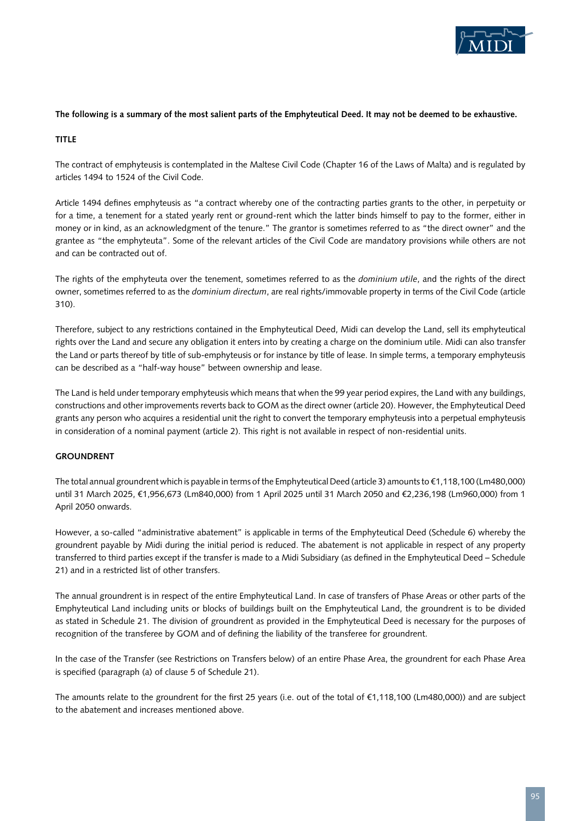

#### **The following is a summary of the most salient parts of the Emphyteutical Deed. It may not be deemed to be exhaustive.**

# **Title**

The contract of emphyteusis is contemplated in the Maltese Civil Code (Chapter 16 of the Laws of Malta) and is regulated by articles 1494 to 1524 of the Civil Code.

Article 1494 defines emphyteusis as "a contract whereby one of the contracting parties grants to the other, in perpetuity or for a time, a tenement for a stated yearly rent or ground-rent which the latter binds himself to pay to the former, either in money or in kind, as an acknowledgment of the tenure." The grantor is sometimes referred to as "the direct owner" and the grantee as "the emphyteuta". Some of the relevant articles of the Civil Code are mandatory provisions while others are not and can be contracted out of.

The rights of the emphyteuta over the tenement, sometimes referred to as the *dominium utile*, and the rights of the direct owner, sometimes referred to as the *dominium directum*, are real rights/immovable property in terms of the Civil Code (article 310).

Therefore, subject to any restrictions contained in the Emphyteutical Deed, Midi can develop the Land, sell its emphyteutical rights over the Land and secure any obligation it enters into by creating a charge on the dominium utile. Midi can also transfer the Land or parts thereof by title of sub-emphyteusis or for instance by title of lease. In simple terms, a temporary emphyteusis can be described as a "half-way house" between ownership and lease.

The Land is held under temporary emphyteusis which means that when the 99 year period expires, the Land with any buildings, constructions and other improvements reverts back to GOM as the direct owner (article 20). However, the Emphyteutical Deed grants any person who acquires a residential unit the right to convert the temporary emphyteusis into a perpetual emphyteusis in consideration of a nominal payment (article 2). This right is not available in respect of non-residential units.

# **Groundrent**

The total annual groundrent which is payable in terms of the Emphyteutical Deed (article 3) amounts to €1,118,100 (Lm480,000) until 31 March 2025, €1,956,673 (Lm840,000) from 1 April 2025 until 31 March 2050 and €2,236,198 (Lm960,000) from 1 April 2050 onwards.

However, a so-called "administrative abatement" is applicable in terms of the Emphyteutical Deed (Schedule 6) whereby the groundrent payable by Midi during the initial period is reduced. The abatement is not applicable in respect of any property transferred to third parties except if the transfer is made to a Midi Subsidiary (as defined in the Emphyteutical Deed – Schedule 21) and in a restricted list of other transfers.

The annual groundrent is in respect of the entire Emphyteutical Land. In case of transfers of Phase Areas or other parts of the Emphyteutical Land including units or blocks of buildings built on the Emphyteutical Land, the groundrent is to be divided as stated in Schedule 21. The division of groundrent as provided in the Emphyteutical Deed is necessary for the purposes of recognition of the transferee by GOM and of defining the liability of the transferee for groundrent.

In the case of the Transfer (see Restrictions on Transfers below) of an entire Phase Area, the groundrent for each Phase Area is specified (paragraph (a) of clause 5 of Schedule 21).

The amounts relate to the groundrent for the first 25 years (i.e. out of the total of €1,118,100 (Lm480,000)) and are subject to the abatement and increases mentioned above.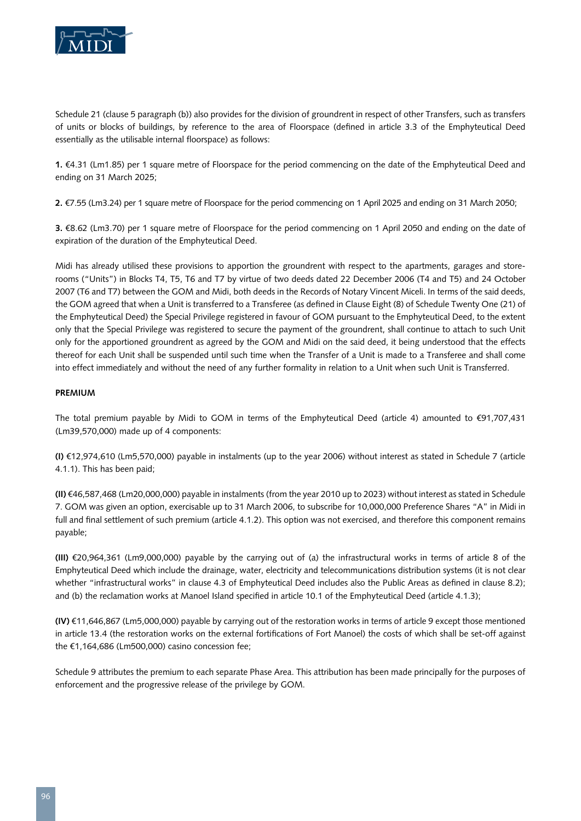

Schedule 21 (clause 5 paragraph (b)) also provides for the division of groundrent in respect of other Transfers, such as transfers of units or blocks of buildings, by reference to the area of Floorspace (defined in article 3.3 of the Emphyteutical Deed essentially as the utilisable internal floorspace) as follows:

**1.** €4.31 (Lm1.85) per 1 square metre of Floorspace for the period commencing on the date of the Emphyteutical Deed and ending on 31 March 2025;

**2.** €7.55 (Lm3.24) per 1 square metre of Floorspace for the period commencing on 1 April 2025 and ending on 31 March 2050;

**3.** €8.62 (Lm3.70) per 1 square metre of Floorspace for the period commencing on 1 April 2050 and ending on the date of expiration of the duration of the Emphyteutical Deed.

Midi has already utilised these provisions to apportion the groundrent with respect to the apartments, garages and storerooms ("Units") in Blocks T4, T5, T6 and T7 by virtue of two deeds dated 22 December 2006 (T4 and T5) and 24 October 2007 (T6 and T7) between the GOM and Midi, both deeds in the Records of Notary Vincent Miceli. In terms of the said deeds, the GOM agreed that when a Unit is transferred to a Transferee (as defined in Clause Eight (8) of Schedule Twenty One (21) of the Emphyteutical Deed) the Special Privilege registered in favour of GOM pursuant to the Emphyteutical Deed, to the extent only that the Special Privilege was registered to secure the payment of the groundrent, shall continue to attach to such Unit only for the apportioned groundrent as agreed by the GOM and Midi on the said deed, it being understood that the effects thereof for each Unit shall be suspended until such time when the Transfer of a Unit is made to a Transferee and shall come into effect immediately and without the need of any further formality in relation to a Unit when such Unit is Transferred.

# **Premium**

The total premium payable by Midi to GOM in terms of the Emphyteutical Deed (article 4) amounted to €91,707,431 (Lm39,570,000) made up of 4 components:

**(I)** €12,974,610 (Lm5,570,000) payable in instalments (up to the year 2006) without interest as stated in Schedule 7 (article 4.1.1). This has been paid;

**(II)** €46,587,468 (Lm20,000,000) payable in instalments (from the year 2010 up to 2023) without interest as stated in Schedule 7. GOM was given an option, exercisable up to 31 March 2006, to subscribe for 10,000,000 Preference Shares "A" in Midi in full and final settlement of such premium (article 4.1.2). This option was not exercised, and therefore this component remains payable;

**(III)** €20,964,361 (Lm9,000,000) payable by the carrying out of (a) the infrastructural works in terms of article 8 of the Emphyteutical Deed which include the drainage, water, electricity and telecommunications distribution systems (it is not clear whether "infrastructural works" in clause 4.3 of Emphyteutical Deed includes also the Public Areas as defined in clause 8.2); and (b) the reclamation works at Manoel Island specified in article 10.1 of the Emphyteutical Deed (article 4.1.3);

**(IV)** €11,646,867 (Lm5,000,000) payable by carrying out of the restoration works in terms of article 9 except those mentioned in article 13.4 (the restoration works on the external fortifications of Fort Manoel) the costs of which shall be set-off against the €1,164,686 (Lm500,000) casino concession fee;

Schedule 9 attributes the premium to each separate Phase Area. This attribution has been made principally for the purposes of enforcement and the progressive release of the privilege by GOM.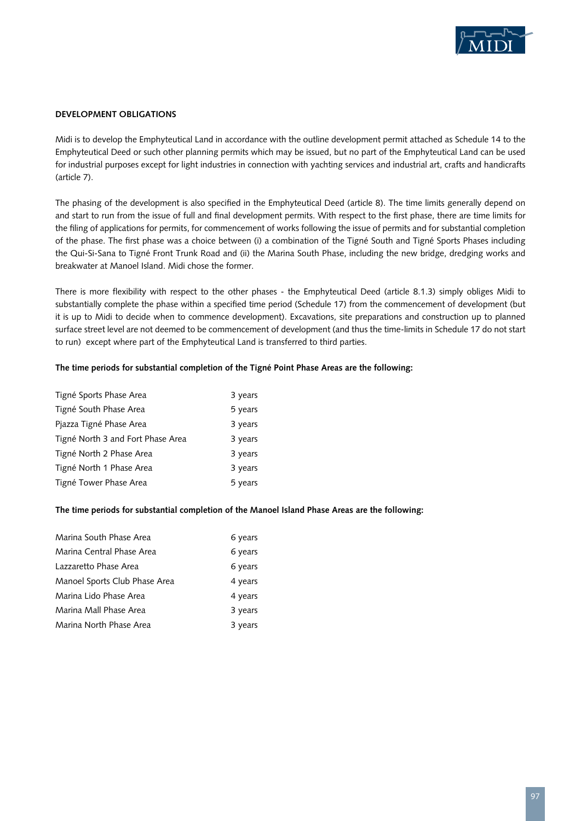

#### **Development Obligations**

Midi is to develop the Emphyteutical Land in accordance with the outline development permit attached as Schedule 14 to the Emphyteutical Deed or such other planning permits which may be issued, but no part of the Emphyteutical Land can be used for industrial purposes except for light industries in connection with yachting services and industrial art, crafts and handicrafts (article 7).

The phasing of the development is also specified in the Emphyteutical Deed (article 8). The time limits generally depend on and start to run from the issue of full and final development permits. With respect to the first phase, there are time limits for the filing of applications for permits, for commencement of works following the issue of permits and for substantial completion of the phase. The first phase was a choice between (i) a combination of the Tigné South and Tigné Sports Phases including the Qui-Si-Sana to Tigné Front Trunk Road and (ii) the Marina South Phase, including the new bridge, dredging works and breakwater at Manoel Island. Midi chose the former.

There is more flexibility with respect to the other phases - the Emphyteutical Deed (article 8.1.3) simply obliges Midi to substantially complete the phase within a specified time period (Schedule 17) from the commencement of development (but it is up to Midi to decide when to commence development). Excavations, site preparations and construction up to planned surface street level are not deemed to be commencement of development (and thus the time-limits in Schedule 17 do not start to run) except where part of the Emphyteutical Land is transferred to third parties.

#### **The time periods for substantial completion of the Tigné Point Phase Areas are the following:**

| Tigné Sports Phase Area           | 3 years |
|-----------------------------------|---------|
| Tigné South Phase Area            | 5 years |
| Pjazza Tigné Phase Area           | 3 years |
| Tigné North 3 and Fort Phase Area | 3 years |
| Tigné North 2 Phase Area          | 3 years |
| Tigné North 1 Phase Area          | 3 years |
| Tigné Tower Phase Area            | 5 years |

#### **The time periods for substantial completion of the Manoel Island Phase Areas are the following:**

| Marina South Phase Area       | 6 years |
|-------------------------------|---------|
| Marina Central Phase Area     | 6 years |
| Lazzaretto Phase Area         | 6 years |
| Manoel Sports Club Phase Area | 4 years |
| Marina Lido Phase Area        | 4 years |
| Marina Mall Phase Area        | 3 years |
| Marina North Phase Area       | 3 years |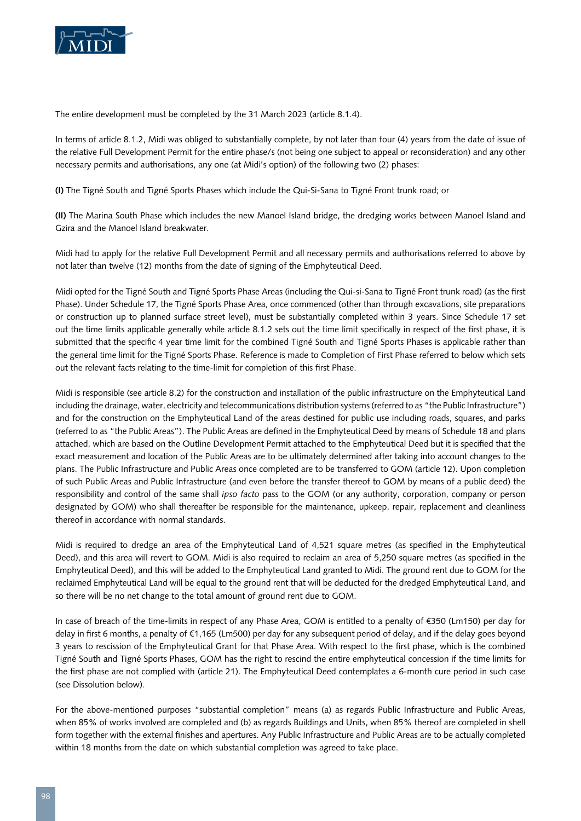

The entire development must be completed by the 31 March 2023 (article 8.1.4).

In terms of article 8.1.2, Midi was obliged to substantially complete, by not later than four (4) years from the date of issue of the relative Full Development Permit for the entire phase/s (not being one subject to appeal or reconsideration) and any other necessary permits and authorisations, any one (at Midi's option) of the following two (2) phases:

**(I)** The Tigné South and Tigné Sports Phases which include the Qui-Si-Sana to Tigné Front trunk road; or

**(II)** The Marina South Phase which includes the new Manoel Island bridge, the dredging works between Manoel Island and Gzira and the Manoel Island breakwater.

Midi had to apply for the relative Full Development Permit and all necessary permits and authorisations referred to above by not later than twelve (12) months from the date of signing of the Emphyteutical Deed.

Midi opted for the Tigné South and Tigné Sports Phase Areas (including the Qui-si-Sana to Tigné Front trunk road) (as the first Phase). Under Schedule 17, the Tigné Sports Phase Area, once commenced (other than through excavations, site preparations or construction up to planned surface street level), must be substantially completed within 3 years. Since Schedule 17 set out the time limits applicable generally while article 8.1.2 sets out the time limit specifically in respect of the first phase, it is submitted that the specific 4 year time limit for the combined Tigné South and Tigné Sports Phases is applicable rather than the general time limit for the Tigné Sports Phase. Reference is made to Completion of First Phase referred to below which sets out the relevant facts relating to the time-limit for completion of this first Phase.

Midi is responsible (see article 8.2) for the construction and installation of the public infrastructure on the Emphyteutical Land including the drainage, water, electricity and telecommunications distribution systems (referred to as "the Public Infrastructure") and for the construction on the Emphyteutical Land of the areas destined for public use including roads, squares, and parks (referred to as "the Public Areas"). The Public Areas are defined in the Emphyteutical Deed by means of Schedule 18 and plans attached, which are based on the Outline Development Permit attached to the Emphyteutical Deed but it is specified that the exact measurement and location of the Public Areas are to be ultimately determined after taking into account changes to the plans. The Public Infrastructure and Public Areas once completed are to be transferred to GOM (article 12). Upon completion of such Public Areas and Public Infrastructure (and even before the transfer thereof to GOM by means of a public deed) the responsibility and control of the same shall *ipso facto* pass to the GOM (or any authority, corporation, company or person designated by GOM) who shall thereafter be responsible for the maintenance, upkeep, repair, replacement and cleanliness thereof in accordance with normal standards.

Midi is required to dredge an area of the Emphyteutical Land of 4,521 square metres (as specified in the Emphyteutical Deed), and this area will revert to GOM. Midi is also required to reclaim an area of 5,250 square metres (as specified in the Emphyteutical Deed), and this will be added to the Emphyteutical Land granted to Midi. The ground rent due to GOM for the reclaimed Emphyteutical Land will be equal to the ground rent that will be deducted for the dredged Emphyteutical Land, and so there will be no net change to the total amount of ground rent due to GOM.

In case of breach of the time-limits in respect of any Phase Area, GOM is entitled to a penalty of €350 (Lm150) per day for delay in first 6 months, a penalty of €1,165 (Lm500) per day for any subsequent period of delay, and if the delay goes beyond 3 years to rescission of the Emphyteutical Grant for that Phase Area. With respect to the first phase, which is the combined Tigné South and Tigné Sports Phases, GOM has the right to rescind the entire emphyteutical concession if the time limits for the first phase are not complied with (article 21). The Emphyteutical Deed contemplates a 6-month cure period in such case (see Dissolution below).

For the above-mentioned purposes "substantial completion" means (a) as regards Public Infrastructure and Public Areas, when 85% of works involved are completed and (b) as regards Buildings and Units, when 85% thereof are completed in shell form together with the external finishes and apertures. Any Public Infrastructure and Public Areas are to be actually completed within 18 months from the date on which substantial completion was agreed to take place.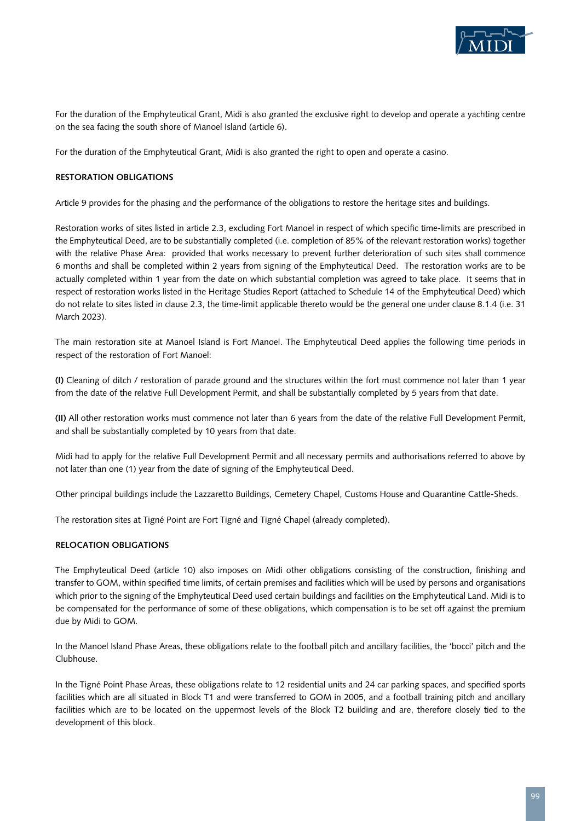

For the duration of the Emphyteutical Grant, Midi is also granted the exclusive right to develop and operate a yachting centre on the sea facing the south shore of Manoel Island (article 6).

For the duration of the Emphyteutical Grant, Midi is also granted the right to open and operate a casino.

#### **Restoration Obligations**

Article 9 provides for the phasing and the performance of the obligations to restore the heritage sites and buildings.

Restoration works of sites listed in article 2.3, excluding Fort Manoel in respect of which specific time-limits are prescribed in the Emphyteutical Deed, are to be substantially completed (i.e. completion of 85% of the relevant restoration works) together with the relative Phase Area: provided that works necessary to prevent further deterioration of such sites shall commence 6 months and shall be completed within 2 years from signing of the Emphyteutical Deed. The restoration works are to be actually completed within 1 year from the date on which substantial completion was agreed to take place. It seems that in respect of restoration works listed in the Heritage Studies Report (attached to Schedule 14 of the Emphyteutical Deed) which do not relate to sites listed in clause 2.3, the time-limit applicable thereto would be the general one under clause 8.1.4 (i.e. 31 March 2023).

The main restoration site at Manoel Island is Fort Manoel. The Emphyteutical Deed applies the following time periods in respect of the restoration of Fort Manoel:

**(I)** Cleaning of ditch / restoration of parade ground and the structures within the fort must commence not later than 1 year from the date of the relative Full Development Permit, and shall be substantially completed by 5 years from that date.

**(II)** All other restoration works must commence not later than 6 years from the date of the relative Full Development Permit, and shall be substantially completed by 10 years from that date.

Midi had to apply for the relative Full Development Permit and all necessary permits and authorisations referred to above by not later than one (1) year from the date of signing of the Emphyteutical Deed.

Other principal buildings include the Lazzaretto Buildings, Cemetery Chapel, Customs House and Quarantine Cattle-Sheds.

The restoration sites at Tigné Point are Fort Tigné and Tigné Chapel (already completed).

# **Relocation Obligations**

The Emphyteutical Deed (article 10) also imposes on Midi other obligations consisting of the construction, finishing and transfer to GOM, within specified time limits, of certain premises and facilities which will be used by persons and organisations which prior to the signing of the Emphyteutical Deed used certain buildings and facilities on the Emphyteutical Land. Midi is to be compensated for the performance of some of these obligations, which compensation is to be set off against the premium due by Midi to GOM.

In the Manoel Island Phase Areas, these obligations relate to the football pitch and ancillary facilities, the 'bocci' pitch and the Clubhouse.

In the Tigné Point Phase Areas, these obligations relate to 12 residential units and 24 car parking spaces, and specified sports facilities which are all situated in Block T1 and were transferred to GOM in 2005, and a football training pitch and ancillary facilities which are to be located on the uppermost levels of the Block T2 building and are, therefore closely tied to the development of this block.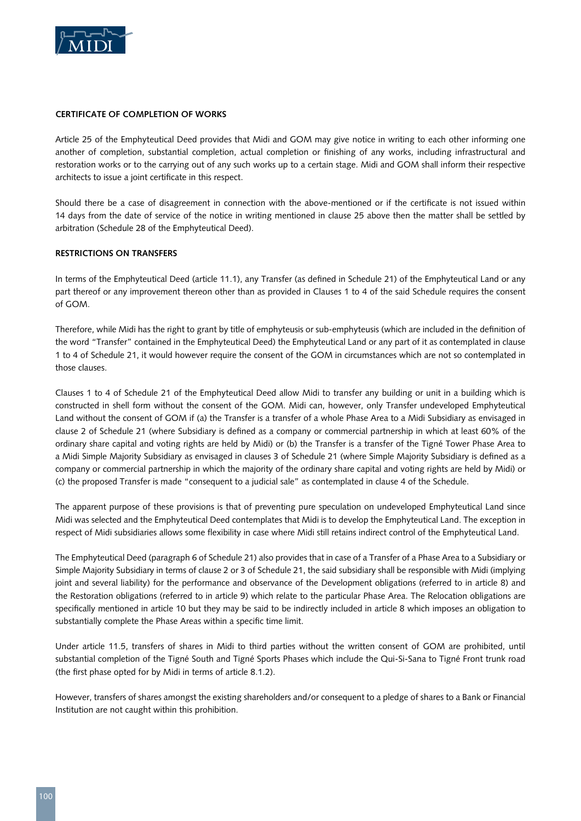

#### **Certificate of Completion of Works**

Article 25 of the Emphyteutical Deed provides that Midi and GOM may give notice in writing to each other informing one another of completion, substantial completion, actual completion or finishing of any works, including infrastructural and restoration works or to the carrying out of any such works up to a certain stage. Midi and GOM shall inform their respective architects to issue a joint certificate in this respect.

Should there be a case of disagreement in connection with the above-mentioned or if the certificate is not issued within 14 days from the date of service of the notice in writing mentioned in clause 25 above then the matter shall be settled by arbitration (Schedule 28 of the Emphyteutical Deed).

#### **Restrictions on Transfers**

In terms of the Emphyteutical Deed (article 11.1), any Transfer (as defined in Schedule 21) of the Emphyteutical Land or any part thereof or any improvement thereon other than as provided in Clauses 1 to 4 of the said Schedule requires the consent of GOM.

Therefore, while Midi has the right to grant by title of emphyteusis or sub-emphyteusis (which are included in the definition of the word "Transfer" contained in the Emphyteutical Deed) the Emphyteutical Land or any part of it as contemplated in clause 1 to 4 of Schedule 21, it would however require the consent of the GOM in circumstances which are not so contemplated in those clauses.

Clauses 1 to 4 of Schedule 21 of the Emphyteutical Deed allow Midi to transfer any building or unit in a building which is constructed in shell form without the consent of the GOM. Midi can, however, only Transfer undeveloped Emphyteutical Land without the consent of GOM if (a) the Transfer is a transfer of a whole Phase Area to a Midi Subsidiary as envisaged in clause 2 of Schedule 21 (where Subsidiary is defined as a company or commercial partnership in which at least 60% of the ordinary share capital and voting rights are held by Midi) or (b) the Transfer is a transfer of the Tigné Tower Phase Area to a Midi Simple Majority Subsidiary as envisaged in clauses 3 of Schedule 21 (where Simple Majority Subsidiary is defined as a company or commercial partnership in which the majority of the ordinary share capital and voting rights are held by Midi) or (c) the proposed Transfer is made "consequent to a judicial sale" as contemplated in clause 4 of the Schedule.

The apparent purpose of these provisions is that of preventing pure speculation on undeveloped Emphyteutical Land since Midi was selected and the Emphyteutical Deed contemplates that Midi is to develop the Emphyteutical Land. The exception in respect of Midi subsidiaries allows some flexibility in case where Midi still retains indirect control of the Emphyteutical Land.

The Emphyteutical Deed (paragraph 6 of Schedule 21) also provides that in case of a Transfer of a Phase Area to a Subsidiary or Simple Majority Subsidiary in terms of clause 2 or 3 of Schedule 21, the said subsidiary shall be responsible with Midi (implying joint and several liability) for the performance and observance of the Development obligations (referred to in article 8) and the Restoration obligations (referred to in article 9) which relate to the particular Phase Area. The Relocation obligations are specifically mentioned in article 10 but they may be said to be indirectly included in article 8 which imposes an obligation to substantially complete the Phase Areas within a specific time limit.

Under article 11.5, transfers of shares in Midi to third parties without the written consent of GOM are prohibited, until substantial completion of the Tigné South and Tigné Sports Phases which include the Qui-Si-Sana to Tigné Front trunk road (the first phase opted for by Midi in terms of article 8.1.2).

However, transfers of shares amongst the existing shareholders and/or consequent to a pledge of shares to a Bank or Financial Institution are not caught within this prohibition.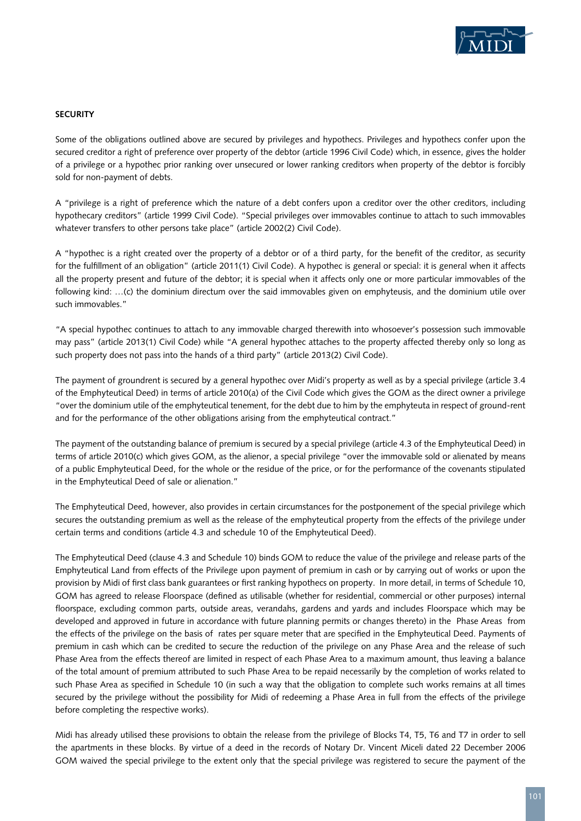

#### **Security**

Some of the obligations outlined above are secured by privileges and hypothecs. Privileges and hypothecs confer upon the secured creditor a right of preference over property of the debtor (article 1996 Civil Code) which, in essence, gives the holder of a privilege or a hypothec prior ranking over unsecured or lower ranking creditors when property of the debtor is forcibly sold for non-payment of debts.

A "privilege is a right of preference which the nature of a debt confers upon a creditor over the other creditors, including hypothecary creditors" (article 1999 Civil Code). "Special privileges over immovables continue to attach to such immovables whatever transfers to other persons take place" (article 2002(2) Civil Code).

A "hypothec is a right created over the property of a debtor or of a third party, for the benefit of the creditor, as security for the fulfillment of an obligation" (article 2011(1) Civil Code). A hypothec is general or special: it is general when it affects all the property present and future of the debtor; it is special when it affects only one or more particular immovables of the following kind: …(c) the dominium directum over the said immovables given on emphyteusis, and the dominium utile over such immovables."

"A special hypothec continues to attach to any immovable charged therewith into whosoever's possession such immovable may pass" (article 2013(1) Civil Code) while "A general hypothec attaches to the property affected thereby only so long as such property does not pass into the hands of a third party" (article 2013(2) Civil Code).

The payment of groundrent is secured by a general hypothec over Midi's property as well as by a special privilege (article 3.4 of the Emphyteutical Deed) in terms of article 2010(a) of the Civil Code which gives the GOM as the direct owner a privilege "over the dominium utile of the emphyteutical tenement, for the debt due to him by the emphyteuta in respect of ground-rent and for the performance of the other obligations arising from the emphyteutical contract."

The payment of the outstanding balance of premium is secured by a special privilege (article 4.3 of the Emphyteutical Deed) in terms of article 2010(c) which gives GOM, as the alienor, a special privilege "over the immovable sold or alienated by means of a public Emphyteutical Deed, for the whole or the residue of the price, or for the performance of the covenants stipulated in the Emphyteutical Deed of sale or alienation."

The Emphyteutical Deed, however, also provides in certain circumstances for the postponement of the special privilege which secures the outstanding premium as well as the release of the emphyteutical property from the effects of the privilege under certain terms and conditions (article 4.3 and schedule 10 of the Emphyteutical Deed).

The Emphyteutical Deed (clause 4.3 and Schedule 10) binds GOM to reduce the value of the privilege and release parts of the Emphyteutical Land from effects of the Privilege upon payment of premium in cash or by carrying out of works or upon the provision by Midi of first class bank guarantees or first ranking hypothecs on property. In more detail, in terms of Schedule 10, GOM has agreed to release Floorspace (defined as utilisable (whether for residential, commercial or other purposes) internal floorspace, excluding common parts, outside areas, verandahs, gardens and yards and includes Floorspace which may be developed and approved in future in accordance with future planning permits or changes thereto) in the Phase Areas from the effects of the privilege on the basis of rates per square meter that are specified in the Emphyteutical Deed. Payments of premium in cash which can be credited to secure the reduction of the privilege on any Phase Area and the release of such Phase Area from the effects thereof are limited in respect of each Phase Area to a maximum amount, thus leaving a balance of the total amount of premium attributed to such Phase Area to be repaid necessarily by the completion of works related to such Phase Area as specified in Schedule 10 (in such a way that the obligation to complete such works remains at all times secured by the privilege without the possibility for Midi of redeeming a Phase Area in full from the effects of the privilege before completing the respective works).

Midi has already utilised these provisions to obtain the release from the privilege of Blocks T4, T5, T6 and T7 in order to sell the apartments in these blocks. By virtue of a deed in the records of Notary Dr. Vincent Miceli dated 22 December 2006 GOM waived the special privilege to the extent only that the special privilege was registered to secure the payment of the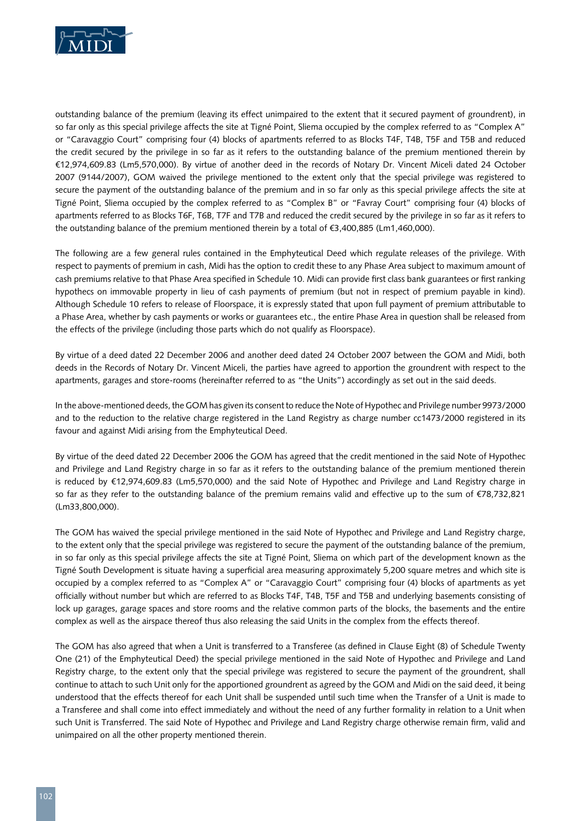

outstanding balance of the premium (leaving its effect unimpaired to the extent that it secured payment of groundrent), in so far only as this special privilege affects the site at Tigné Point, Sliema occupied by the complex referred to as "Complex A" or "Caravaggio Court" comprising four (4) blocks of apartments referred to as Blocks T4F, T4B, T5F and T5B and reduced the credit secured by the privilege in so far as it refers to the outstanding balance of the premium mentioned therein by €12,974,609.83 (Lm5,570,000). By virtue of another deed in the records of Notary Dr. Vincent Miceli dated 24 October 2007 (9144/2007), GOM waived the privilege mentioned to the extent only that the special privilege was registered to secure the payment of the outstanding balance of the premium and in so far only as this special privilege affects the site at Tigné Point, Sliema occupied by the complex referred to as "Complex B" or "Favray Court" comprising four (4) blocks of apartments referred to as Blocks T6F, T6B, T7F and T7B and reduced the credit secured by the privilege in so far as it refers to the outstanding balance of the premium mentioned therein by a total of €3,400,885 (Lm1,460,000).

The following are a few general rules contained in the Emphyteutical Deed which regulate releases of the privilege. With respect to payments of premium in cash, Midi has the option to credit these to any Phase Area subject to maximum amount of cash premiums relative to that Phase Area specified in Schedule 10. Midi can provide first class bank guarantees or first ranking hypothecs on immovable property in lieu of cash payments of premium (but not in respect of premium payable in kind). Although Schedule 10 refers to release of Floorspace, it is expressly stated that upon full payment of premium attributable to a Phase Area, whether by cash payments or works or guarantees etc., the entire Phase Area in question shall be released from the effects of the privilege (including those parts which do not qualify as Floorspace).

By virtue of a deed dated 22 December 2006 and another deed dated 24 October 2007 between the GOM and Midi, both deeds in the Records of Notary Dr. Vincent Miceli, the parties have agreed to apportion the groundrent with respect to the apartments, garages and store-rooms (hereinafter referred to as "the Units") accordingly as set out in the said deeds.

In the above-mentioned deeds, the GOM has given its consent to reduce the Note of Hypothec and Privilege number 9973/2000 and to the reduction to the relative charge registered in the Land Registry as charge number cc1473/2000 registered in its favour and against Midi arising from the Emphyteutical Deed.

By virtue of the deed dated 22 December 2006 the GOM has agreed that the credit mentioned in the said Note of Hypothec and Privilege and Land Registry charge in so far as it refers to the outstanding balance of the premium mentioned therein is reduced by €12,974,609.83 (Lm5,570,000) and the said Note of Hypothec and Privilege and Land Registry charge in so far as they refer to the outstanding balance of the premium remains valid and effective up to the sum of €78,732,821 (Lm33,800,000).

The GOM has waived the special privilege mentioned in the said Note of Hypothec and Privilege and Land Registry charge, to the extent only that the special privilege was registered to secure the payment of the outstanding balance of the premium, in so far only as this special privilege affects the site at Tigné Point, Sliema on which part of the development known as the Tigné South Development is situate having a superficial area measuring approximately 5,200 square metres and which site is occupied by a complex referred to as "Complex A" or "Caravaggio Court" comprising four (4) blocks of apartments as yet officially without number but which are referred to as Blocks T4F, T4B, T5F and T5B and underlying basements consisting of lock up garages, garage spaces and store rooms and the relative common parts of the blocks, the basements and the entire complex as well as the airspace thereof thus also releasing the said Units in the complex from the effects thereof.

The GOM has also agreed that when a Unit is transferred to a Transferee (as defined in Clause Eight (8) of Schedule Twenty One (21) of the Emphyteutical Deed) the special privilege mentioned in the said Note of Hypothec and Privilege and Land Registry charge, to the extent only that the special privilege was registered to secure the payment of the groundrent, shall continue to attach to such Unit only for the apportioned groundrent as agreed by the GOM and Midi on the said deed, it being understood that the effects thereof for each Unit shall be suspended until such time when the Transfer of a Unit is made to a Transferee and shall come into effect immediately and without the need of any further formality in relation to a Unit when such Unit is Transferred. The said Note of Hypothec and Privilege and Land Registry charge otherwise remain firm, valid and unimpaired on all the other property mentioned therein.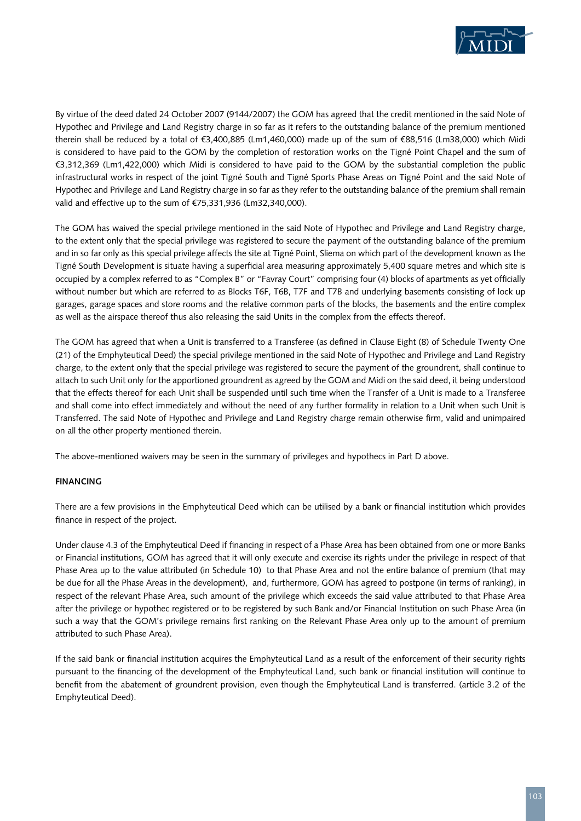

By virtue of the deed dated 24 October 2007 (9144/2007) the GOM has agreed that the credit mentioned in the said Note of Hypothec and Privilege and Land Registry charge in so far as it refers to the outstanding balance of the premium mentioned therein shall be reduced by a total of €3,400,885 (Lm1,460,000) made up of the sum of €88,516 (Lm38,000) which Midi is considered to have paid to the GOM by the completion of restoration works on the Tigné Point Chapel and the sum of €3,312,369 (Lm1,422,000) which Midi is considered to have paid to the GOM by the substantial completion the public infrastructural works in respect of the joint Tigné South and Tigné Sports Phase Areas on Tigné Point and the said Note of Hypothec and Privilege and Land Registry charge in so far as they refer to the outstanding balance of the premium shall remain valid and effective up to the sum of €75,331,936 (Lm32,340,000).

The GOM has waived the special privilege mentioned in the said Note of Hypothec and Privilege and Land Registry charge, to the extent only that the special privilege was registered to secure the payment of the outstanding balance of the premium and in so far only as this special privilege affects the site at Tigné Point, Sliema on which part of the development known as the Tigné South Development is situate having a superficial area measuring approximately 5,400 square metres and which site is occupied by a complex referred to as "Complex B" or "Favray Court" comprising four (4) blocks of apartments as yet officially without number but which are referred to as Blocks T6F, T6B, T7F and T7B and underlying basements consisting of lock up garages, garage spaces and store rooms and the relative common parts of the blocks, the basements and the entire complex as well as the airspace thereof thus also releasing the said Units in the complex from the effects thereof.

The GOM has agreed that when a Unit is transferred to a Transferee (as defined in Clause Eight (8) of Schedule Twenty One (21) of the Emphyteutical Deed) the special privilege mentioned in the said Note of Hypothec and Privilege and Land Registry charge, to the extent only that the special privilege was registered to secure the payment of the groundrent, shall continue to attach to such Unit only for the apportioned groundrent as agreed by the GOM and Midi on the said deed, it being understood that the effects thereof for each Unit shall be suspended until such time when the Transfer of a Unit is made to a Transferee and shall come into effect immediately and without the need of any further formality in relation to a Unit when such Unit is Transferred. The said Note of Hypothec and Privilege and Land Registry charge remain otherwise firm, valid and unimpaired on all the other property mentioned therein.

The above-mentioned waivers may be seen in the summary of privileges and hypothecs in Part D above.

# **Financing**

There are a few provisions in the Emphyteutical Deed which can be utilised by a bank or financial institution which provides finance in respect of the project.

Under clause 4.3 of the Emphyteutical Deed if financing in respect of a Phase Area has been obtained from one or more Banks or Financial institutions, GOM has agreed that it will only execute and exercise its rights under the privilege in respect of that Phase Area up to the value attributed (in Schedule 10) to that Phase Area and not the entire balance of premium (that may be due for all the Phase Areas in the development), and, furthermore, GOM has agreed to postpone (in terms of ranking), in respect of the relevant Phase Area, such amount of the privilege which exceeds the said value attributed to that Phase Area after the privilege or hypothec registered or to be registered by such Bank and/or Financial Institution on such Phase Area (in such a way that the GOM's privilege remains first ranking on the Relevant Phase Area only up to the amount of premium attributed to such Phase Area).

If the said bank or financial institution acquires the Emphyteutical Land as a result of the enforcement of their security rights pursuant to the financing of the development of the Emphyteutical Land, such bank or financial institution will continue to benefit from the abatement of groundrent provision, even though the Emphyteutical Land is transferred. (article 3.2 of the Emphyteutical Deed).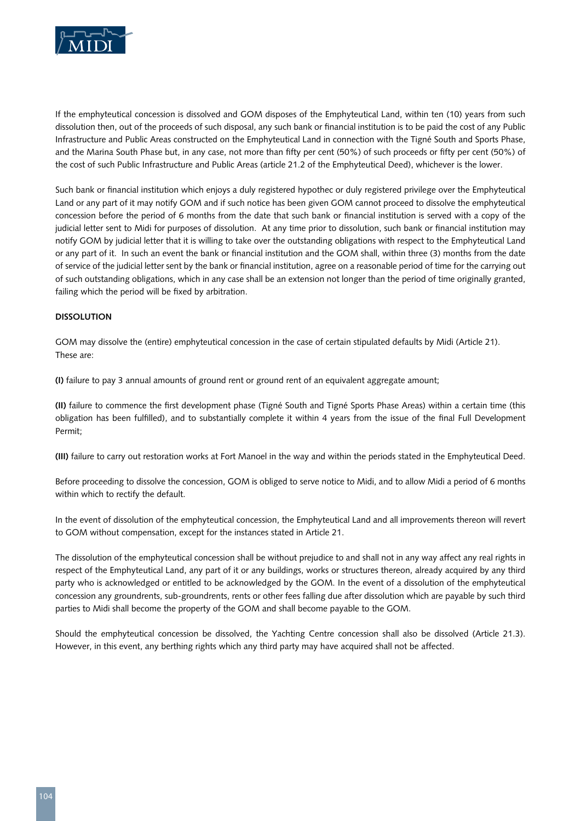

If the emphyteutical concession is dissolved and GOM disposes of the Emphyteutical Land, within ten (10) years from such dissolution then, out of the proceeds of such disposal, any such bank or financial institution is to be paid the cost of any Public Infrastructure and Public Areas constructed on the Emphyteutical Land in connection with the Tigné South and Sports Phase, and the Marina South Phase but, in any case, not more than fifty per cent (50%) of such proceeds or fifty per cent (50%) of the cost of such Public Infrastructure and Public Areas (article 21.2 of the Emphyteutical Deed), whichever is the lower.

Such bank or financial institution which enjoys a duly registered hypothec or duly registered privilege over the Emphyteutical Land or any part of it may notify GOM and if such notice has been given GOM cannot proceed to dissolve the emphyteutical concession before the period of 6 months from the date that such bank or financial institution is served with a copy of the judicial letter sent to Midi for purposes of dissolution. At any time prior to dissolution, such bank or financial institution may notify GOM by judicial letter that it is willing to take over the outstanding obligations with respect to the Emphyteutical Land or any part of it. In such an event the bank or financial institution and the GOM shall, within three (3) months from the date of service of the judicial letter sent by the bank or financial institution, agree on a reasonable period of time for the carrying out of such outstanding obligations, which in any case shall be an extension not longer than the period of time originally granted, failing which the period will be fixed by arbitration.

# **Dissolution**

GOM may dissolve the (entire) emphyteutical concession in the case of certain stipulated defaults by Midi (Article 21). These are:

**(I)** failure to pay 3 annual amounts of ground rent or ground rent of an equivalent aggregate amount;

**(II)** failure to commence the first development phase (Tigné South and Tigné Sports Phase Areas) within a certain time (this obligation has been fulfilled), and to substantially complete it within 4 years from the issue of the final Full Development Permit;

**(III)** failure to carry out restoration works at Fort Manoel in the way and within the periods stated in the Emphyteutical Deed.

Before proceeding to dissolve the concession, GOM is obliged to serve notice to Midi, and to allow Midi a period of 6 months within which to rectify the default.

In the event of dissolution of the emphyteutical concession, the Emphyteutical Land and all improvements thereon will revert to GOM without compensation, except for the instances stated in Article 21.

The dissolution of the emphyteutical concession shall be without prejudice to and shall not in any way affect any real rights in respect of the Emphyteutical Land, any part of it or any buildings, works or structures thereon, already acquired by any third party who is acknowledged or entitled to be acknowledged by the GOM. In the event of a dissolution of the emphyteutical concession any groundrents, sub-groundrents, rents or other fees falling due after dissolution which are payable by such third parties to Midi shall become the property of the GOM and shall become payable to the GOM.

Should the emphyteutical concession be dissolved, the Yachting Centre concession shall also be dissolved (Article 21.3). However, in this event, any berthing rights which any third party may have acquired shall not be affected.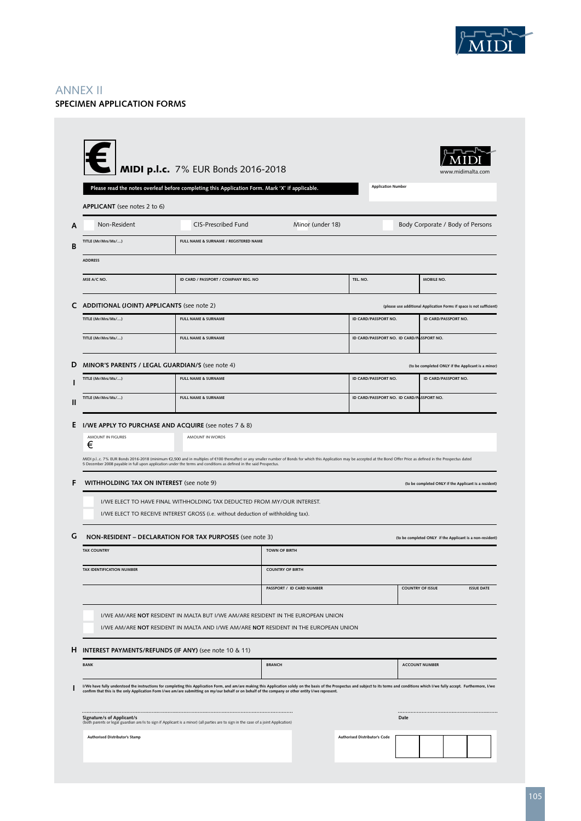

# ANNEX II **SPECIMEN APPLICATION FORMS**

| APPLICANT (see notes 2 to 6)                    | MIDI p.l.c. 7% EUR Bonds 2016-2018<br>Please read the notes overleaf before completing this Application Form. Mark 'X' if applicable.                                                                                                                                                                                                                                                |                           | <b>Application Number</b>                 | www.midimalta.com                                                    |
|-------------------------------------------------|--------------------------------------------------------------------------------------------------------------------------------------------------------------------------------------------------------------------------------------------------------------------------------------------------------------------------------------------------------------------------------------|---------------------------|-------------------------------------------|----------------------------------------------------------------------|
| Non-Resident                                    | <b>CIS-Prescribed Fund</b>                                                                                                                                                                                                                                                                                                                                                           | Minor (under 18)          |                                           | Body Corporate / Body of Persons                                     |
| TITLE (Mr/Mrs/Ms/)                              | FULL NAME & SURNAME / REGISTERED NAME                                                                                                                                                                                                                                                                                                                                                |                           |                                           |                                                                      |
| <b>ADDRESS</b>                                  |                                                                                                                                                                                                                                                                                                                                                                                      |                           |                                           |                                                                      |
| MSE A/C NO.                                     | ID CARD / PASSPORT / COMPANY REG. NO                                                                                                                                                                                                                                                                                                                                                 |                           | TEL. NO.                                  | MOBILE NO.                                                           |
| ADDITIONAL (JOINT) APPLICANTS (see note 2)      |                                                                                                                                                                                                                                                                                                                                                                                      |                           |                                           | (please use additional Application Forms if space is not sufficient) |
| TITLE (Mr/Mrs/Ms/)                              | <b>FULL NAME &amp; SURNAME</b>                                                                                                                                                                                                                                                                                                                                                       |                           | ID CARD/PASSPORT NO.                      | ID CARD/PASSPORT NO.                                                 |
| TITLE (Mr/Mrs/Ms/)                              | <b>FULL NAME &amp; SURNAME</b>                                                                                                                                                                                                                                                                                                                                                       |                           | ID CARD/PASSPORT NO. ID CARD/PASSPORT NO. |                                                                      |
|                                                 | MINOR'S PARENTS / LEGAL GUARDIAN/S (see note 4)                                                                                                                                                                                                                                                                                                                                      |                           |                                           | (to be completed ONLY if the Applicant is a minor)                   |
| TITLE (Mr/Mrs/Ms/)                              | <b>FULL NAME &amp; SURNAME</b>                                                                                                                                                                                                                                                                                                                                                       |                           | ID CARD/PASSPORT NO.                      | ID CARD/PASSPORT NO.                                                 |
| TITLE (Mr/Mrs/Ms/)                              | <b>FULL NAME &amp; SURNAME</b>                                                                                                                                                                                                                                                                                                                                                       |                           | ID CARD/PASSPORT NO. ID CARD/PASSPORT NO. |                                                                      |
|                                                 | I/WE APPLY TO PURCHASE AND ACQUIRE (see notes 7 & 8)                                                                                                                                                                                                                                                                                                                                 |                           |                                           |                                                                      |
| AMOUNT IN FIGURES<br>€                          | AMOUNT IN WORDS                                                                                                                                                                                                                                                                                                                                                                      |                           |                                           |                                                                      |
|                                                 |                                                                                                                                                                                                                                                                                                                                                                                      |                           |                                           |                                                                      |
|                                                 | MIDI p.lc. 7% EUR Bonds 2016-2018 (minimum €2,500 and in multiples of €100 thereafter) or any smaller number of Bonds for which this Application may be accepted at the Bond Offer Price as defined in the Prospectus dated                                                                                                                                                          |                           |                                           |                                                                      |
|                                                 | 5 December 2008 payable in full upon application under the terms and conditions as defined in the said Prospectus.                                                                                                                                                                                                                                                                   |                           |                                           |                                                                      |
|                                                 | WITHHOLDING TAX ON INTEREST (see note 9)                                                                                                                                                                                                                                                                                                                                             |                           |                                           | (to be completed ONLY if the Applicant is a resident)                |
|                                                 | I/WE ELECT TO HAVE FINAL WITHHOLDING TAX DEDUCTED FROM MY/OUR INTEREST.<br>I/WE ELECT TO RECEIVE INTEREST GROSS (i.e. without deduction of withholding tax).                                                                                                                                                                                                                         |                           |                                           |                                                                      |
|                                                 | NON-RESIDENT - DECLARATION FOR TAX PURPOSES (see note 3)                                                                                                                                                                                                                                                                                                                             |                           |                                           | (to be completed ONLY if the Applicant is a non-resident)            |
|                                                 |                                                                                                                                                                                                                                                                                                                                                                                      | <b>TOWN OF BIRTH</b>      |                                           |                                                                      |
| <b>TAX COUNTRY</b><br>TAX IDENTIFICATION NUMBER |                                                                                                                                                                                                                                                                                                                                                                                      | <b>COUNTRY OF BIRTH</b>   |                                           |                                                                      |
|                                                 |                                                                                                                                                                                                                                                                                                                                                                                      | PASSPORT / ID CARD NUMBER |                                           | <b>COUNTRY OF ISSUE</b><br><b>ISSUE DATE</b>                         |
|                                                 | I/WE AM/ARE NOT RESIDENT IN MALTA BUT I/WE AM/ARE RESIDENT IN THE EUROPEAN UNION                                                                                                                                                                                                                                                                                                     |                           |                                           |                                                                      |
|                                                 | I/WE AM/ARE NOT RESIDENT IN MALTA AND I/WE AM/ARE NOT RESIDENT IN THE EUROPEAN UNION                                                                                                                                                                                                                                                                                                 |                           |                                           |                                                                      |
|                                                 | <b>INTEREST PAYMENTS/REFUNDS (IF ANY)</b> (see note 10 & 11)                                                                                                                                                                                                                                                                                                                         |                           |                                           |                                                                      |
| <b>BANK</b>                                     |                                                                                                                                                                                                                                                                                                                                                                                      | <b>BRANCH</b>             |                                           | <b>ACCOUNT NUMBER</b>                                                |
|                                                 | I/We have fully understood the instructions for completing this Application Form, and am/are making this Application solely on the basis of the Prospectus and subject to its terms and conditions which I/we fully accept. Fu<br>confirm that this is the only Application Form I/we am/are submitting on my/our behalf or on behalf of the company or other entity I/we represent. |                           |                                           |                                                                      |
| Signature/s of Applicant/s                      | (both parents or legal guardian are/is to sign if Applicant is a minor) (all parties are to sign in the case of a joint Application)                                                                                                                                                                                                                                                 |                           | Date                                      |                                                                      |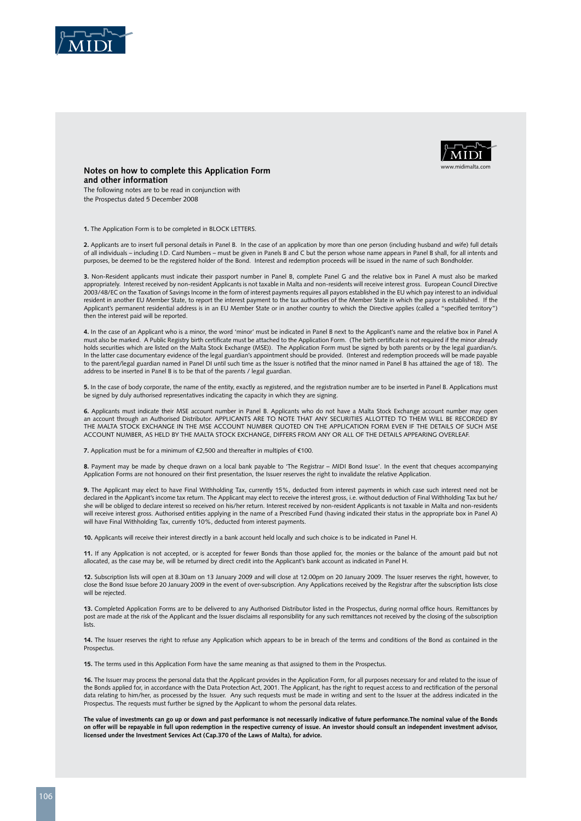



**Notes on how to complete this Application Form and other information** The following notes are to be read in conjunction with

the Prospectus dated 5 December 2008

**1.** The Application Form is to be completed in BLOCK LETTERS.

**2.** Applicants are to insert full personal details in Panel B. In the case of an application by more than one person (including husband and wife) full details of all individuals – including I.D. Card Numbers – must be given in Panels B and C but the person whose name appears in Panel B shall, for all intents and purposes, be deemed to be the registered holder of the Bond. Interest and redemption proceeds will be issued in the name of such Bondholder.

**3.** Non-Resident applicants must indicate their passport number in Panel B, complete Panel G and the relative box in Panel A must also be marked appropriately. Interest received by non-resident Applicants is not taxable in Malta and non-residents will receive interest gross. European Council Directive 2003/48/EC on the Taxation of Savings Income in the form of interest payments requires all payors established in the EU which pay interest to an individual resident in another EU Member State, to report the interest payment to the tax authorities of the Member State in which the payor is established. If the Applicant's permanent residential address is in an EU Member State or in another country to which the Directive applies (called a "specified territory") then the interest paid will be reported.

**4.** In the case of an Applicant who is a minor, the word 'minor' must be indicated in Panel B next to the Applicant's name and the relative box in Panel A must also be marked. A Public Registry birth certificate must be attached to the Application Form. (The birth certificate is not required if the minor already holds securities which are listed on the Malta Stock Exchange (MSE)). The Application Form must be signed by both parents or by the legal guardian/s. In the latter case documentary evidence of the legal guardian's appointment should be provided. (Interest and redemption proceeds will be made payable to the parent/legal guardian named in Panel DI until such time as the Issuer is notified that the minor named in Panel B has attained the age of 18). The address to be inserted in Panel B is to be that of the parents / legal guardian.

**5.** In the case of body corporate, the name of the entity, exactly as registered, and the registration number are to be inserted in Panel B. Applications must be signed by duly authorised representatives indicating the capacity in which they are signing.

**6.** Applicants must indicate their MSE account number in Panel B. Applicants who do not have a Malta Stock Exchange account number may open an account through an Authorised Distributor. APPLICANTS ARE TO NOTE THAT ANY SECURITIES ALLOTTED TO THEM WILL BE RECORDED BY THE MALTA STOCK EXCHANGE IN THE MSE ACCOUNT NUMBER QUOTED ON THE APPLICATION FORM EVEN IF THE DETAILS OF SUCH MSE ACCOUNT NUMBER, AS HELD BY THE MALTA STOCK EXCHANGE, DIFFERS FROM ANY OR ALL OF THE DETAILS APPEARING OVERLEAF.

**7.** Application must be for a minimum of  $\epsilon$  500 and thereafter in multiples of  $\epsilon$  100.

**8.** Payment may be made by cheque drawn on a local bank payable to 'The Registrar – MIDI Bond Issue'. In the event that cheques accompanying Application Forms are not honoured on their first presentation, the Issuer reserves the right to invalidate the relative Application.

**9.** The Applicant may elect to have Final Withholding Tax, currently 15%, deducted from interest payments in which case such interest need not be declared in the Applicant's income tax return. The Applicant may elect to receive the interest gross, i.e. without deduction of Final Withholding Tax but he/ she will be obliged to declare interest so received on his/her return. Interest received by non-resident Applicants is not taxable in Malta and non-residents will receive interest gross. Authorised entities applying in the name of a Prescribed Fund (having indicated their status in the appropriate box in Panel A) will have Final Withholding Tax, currently 10%, deducted from interest payments.

**10.** Applicants will receive their interest directly in a bank account held locally and such choice is to be indicated in Panel H.

**11.** If any Application is not accepted, or is accepted for fewer Bonds than those applied for, the monies or the balance of the amount paid but not allocated, as the case may be, will be returned by direct credit into the Applicant's bank account as indicated in Panel H.

**12.** Subscription lists will open at 8.30am on 13 January 2009 and will close at 12.00pm on 20 January 2009. The Issuer reserves the right, however, to close the Bond Issue before 20 January 2009 in the event of over-subscription. Any Applications received by the Registrar after the subscription lists close will be rejected.

**13.** Completed Application Forms are to be delivered to any Authorised Distributor listed in the Prospectus, during normal office hours. Remittances by post are made at the risk of the Applicant and the Issuer disclaims all responsibility for any such remittances not received by the closing of the subscription lists.

**14.** The Issuer reserves the right to refuse any Application which appears to be in breach of the terms and conditions of the Bond as contained in the Prospectus.

**15.** The terms used in this Application Form have the same meaning as that assigned to them in the Prospectus.

**16.** The Issuer may process the personal data that the Applicant provides in the Application Form, for all purposes necessary for and related to the issue of the Bonds applied for, in accordance with the Data Protection Act, 2001. The Applicant, has the right to request access to and rectification of the personal data relating to him/her, as processed by the Issuer. Any such requests must be made in writing and sent to the Issuer at the address indicated in the Prospectus. The requests must further be signed by the Applicant to whom the personal data relates.

**The value of investments can go up or down and past performance is not necessarily indicative of future performance.The nominal value of the Bonds on offer will be repayable in full upon redemption in the respective currency of issue. An investor should consult an independent investment advisor, licensed under the Investment Services Act (Cap.370 of the Laws of Malta), for advice.**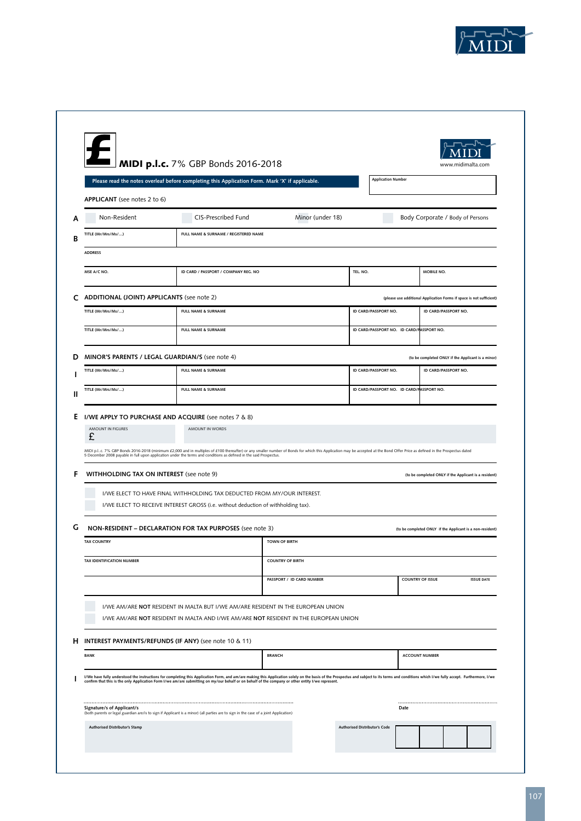

|                                            | MIDI p.l.c. 7% GBP Bonds 2016-2018                                                                                                                                                                                                                                                                                                                                                                                           |                                                      |                           | www.midimalta.com                                                          |                   |
|--------------------------------------------|------------------------------------------------------------------------------------------------------------------------------------------------------------------------------------------------------------------------------------------------------------------------------------------------------------------------------------------------------------------------------------------------------------------------------|------------------------------------------------------|---------------------------|----------------------------------------------------------------------------|-------------------|
|                                            | Please read the notes overleaf before completing this Application Form. Mark 'X' if applicable.                                                                                                                                                                                                                                                                                                                              |                                                      | <b>Application Number</b> |                                                                            |                   |
| APPLICANT (see notes 2 to 6)               |                                                                                                                                                                                                                                                                                                                                                                                                                              |                                                      |                           |                                                                            |                   |
| Non-Resident                               | CIS-Prescribed Fund                                                                                                                                                                                                                                                                                                                                                                                                          | Minor (under 18)                                     |                           | Body Corporate / Body of Persons                                           |                   |
| TITLE (Mr/Mrs/Ms/)                         | FULL NAME & SURNAME / REGISTERED NAME                                                                                                                                                                                                                                                                                                                                                                                        |                                                      |                           |                                                                            |                   |
| <b>ADDRESS</b>                             |                                                                                                                                                                                                                                                                                                                                                                                                                              |                                                      |                           |                                                                            |                   |
| MSE A/C NO.                                | ID CARD / PASSPORT / COMPANY REG. NO                                                                                                                                                                                                                                                                                                                                                                                         |                                                      | TEL. NO.                  | MOBILE NO.                                                                 |                   |
| ADDITIONAL (JOINT) APPLICANTS (see note 2) |                                                                                                                                                                                                                                                                                                                                                                                                                              |                                                      |                           | (please use additional Application Forms if space is not sufficient)       |                   |
| TITLE (Mr/Mrs/Ms/)                         | FULL NAME & SURNAME                                                                                                                                                                                                                                                                                                                                                                                                          |                                                      | ID CARD/PASSPORT NO.      | ID CARD/PASSPORT NO.                                                       |                   |
| TITLE (Mr/Mrs/Ms/)                         | <b>FULL NAME &amp; SURNAME</b>                                                                                                                                                                                                                                                                                                                                                                                               |                                                      |                           | ID CARD/PASSPORT NO. ID CARD/FASSPORT NO.                                  |                   |
|                                            |                                                                                                                                                                                                                                                                                                                                                                                                                              |                                                      |                           |                                                                            |                   |
| TITLE (Mr/Mrs/Ms/)                         | MINOR'S PARENTS / LEGAL GUARDIAN/S (see note 4)<br><b>FULL NAME &amp; SURNAME</b>                                                                                                                                                                                                                                                                                                                                            |                                                      | ID CARD/PASSPORT NO.      | (to be completed ONLY if the Applicant is a minor)<br>ID CARD/PASSPORT NO. |                   |
| TITLE (Mr/Mrs/Ms/)                         | <b>FULL NAME &amp; SURNAME</b>                                                                                                                                                                                                                                                                                                                                                                                               |                                                      |                           | ID CARD/PASSPORT NO. ID CARD/PASSPORT NO.                                  |                   |
|                                            |                                                                                                                                                                                                                                                                                                                                                                                                                              |                                                      |                           |                                                                            |                   |
| AMOUNT IN FIGURES<br>£                     | I/WE APPLY TO PURCHASE AND ACQUIRE (see notes 7 & 8)<br>AMOUNT IN WORDS<br>MIDI p.lc. 7% GBP Bonds 2016-2018 (minimum £2,000 and in multiples of £100 thereafter) or any smaller number of Bonds for which this Application may be accepted at the Bond Offer Price as defined in the Prospectus dated<br>5 December 2008 payable in full upon application under the terms and conditions as defined in the said Prospectus. |                                                      |                           |                                                                            |                   |
| WITHHOLDING TAX ON INTEREST (see note 9)   |                                                                                                                                                                                                                                                                                                                                                                                                                              |                                                      |                           | (to be completed ONLY if the Applicant is a resident)                      |                   |
|                                            | I/WE ELECT TO HAVE FINAL WITHHOLDING TAX DEDUCTED FROM MY/OUR INTEREST.<br>I/WE ELECT TO RECEIVE INTEREST GROSS (i.e. without deduction of withholding tax).                                                                                                                                                                                                                                                                 |                                                      |                           |                                                                            |                   |
|                                            | NON-RESIDENT - DECLARATION FOR TAX PURPOSES (see note 3)                                                                                                                                                                                                                                                                                                                                                                     |                                                      |                           | (to be completed ONLY if the Applicant is a non-resident)                  |                   |
| <b>TAX COUNTRY</b>                         |                                                                                                                                                                                                                                                                                                                                                                                                                              | <b>TOWN OF BIRTH</b>                                 |                           |                                                                            |                   |
| TAX IDENTIFICATION NUMBER                  |                                                                                                                                                                                                                                                                                                                                                                                                                              | <b>COUNTRY OF BIRTH</b>                              |                           |                                                                            |                   |
|                                            |                                                                                                                                                                                                                                                                                                                                                                                                                              | PASSPORT / ID CARD NUMBER<br><b>COUNTRY OF ISSUE</b> |                           |                                                                            | <b>ISSUE DATE</b> |
|                                            | I/WE AM/ARE NOT RESIDENT IN MALTA BUT I/WE AM/ARE RESIDENT IN THE EUROPEAN UNION<br>I/WE AM/ARE NOT RESIDENT IN MALTA AND I/WE AM/ARE NOT RESIDENT IN THE EUROPEAN UNION                                                                                                                                                                                                                                                     |                                                      |                           |                                                                            |                   |
|                                            | INTEREST PAYMENTS/REFUNDS (IF ANY) (see note 10 & 11)                                                                                                                                                                                                                                                                                                                                                                        |                                                      |                           |                                                                            |                   |
|                                            |                                                                                                                                                                                                                                                                                                                                                                                                                              | <b>BRANCH</b>                                        |                           | <b>ACCOUNT NUMBER</b>                                                      |                   |
| <b>BANK</b>                                |                                                                                                                                                                                                                                                                                                                                                                                                                              |                                                      |                           |                                                                            |                   |
|                                            | I/We have fully understood the instructions for completing this Application Form, and am/are making this Application solely on the basis of the Prospectus and subject to its terms and conditions which I/we fully accept. Fu<br>confirm that this is the only Application Form I/we am/are submitting on my/our behalf or on behalf of the company or other entity I/we represent.                                         |                                                      |                           |                                                                            |                   |
| Signature/s of Applicant/s                 | (both parents or legal guardian are/is to sign if Applicant is a minor) (all parties are to sign in the case of a joint Application)                                                                                                                                                                                                                                                                                         |                                                      |                           | Date                                                                       |                   |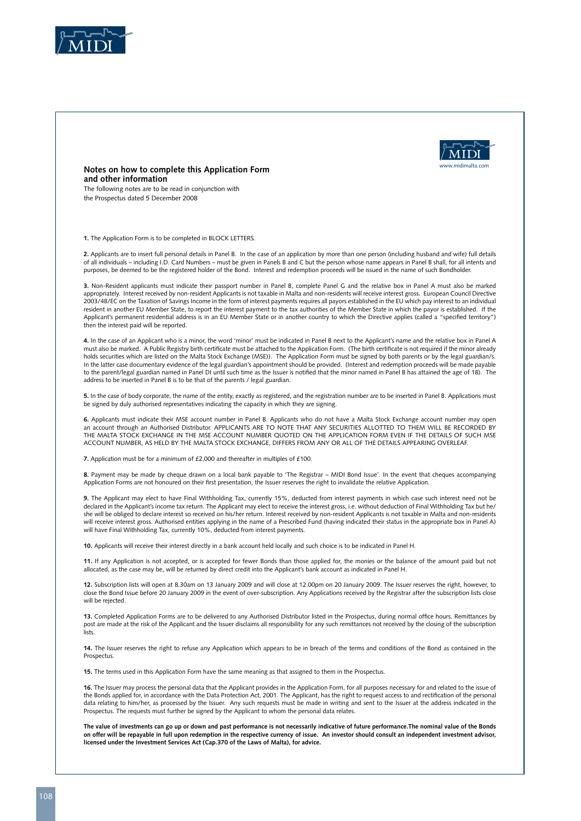



**Notes on how to complete this Application Form and other information**

The following notes are to be read in conjunction with the Prospectus dated 5 December 2008

**1.** The Application Form is to be completed in BLOCK LETTERS.

**2.** Applicants are to insert full personal details in Panel B. In the case of an application by more than one person (including husband and wife) full details of all individuals – including I.D. Card Numbers – must be given in Panels B and C but the person whose name appears in Panel B shall, for all intents and purposes, be deemed to be the registered holder of the Bond. Interest and redemption proceeds will be issued in the name of such Bondholder.

**3.** Non-Resident applicants must indicate their passport number in Panel B, complete Panel G and the relative box in Panel A must also be marked appropriately. Interest received by non-resident Applicants is not taxable in Malta and non-residents will receive interest gross. European Council Directive 2003/48/EC on the Taxation of Savings Income in the form of interest payments requires all payors established in the EU which pay interest to an individual resident in another EU Member State, to report the interest payment to the tax authorities of the Member State in which the payor is established. If the Applicant's permanent residential address is in an EU Member State or in another country to which the Directive applies (called a "specified territory") then the interest paid will be reported.

**4.** In the case of an Applicant who is a minor, the word 'minor' must be indicated in Panel B next to the Applicant's name and the relative box in Panel A must also be marked. A Public Registry birth certificate must be attached to the Application Form. (The birth certificate is not required if the minor already holds securities which are listed on the Malta Stock Exchange (MSE)). The Application Form must be signed by both parents or by the legal guardian/s. In the latter case documentary evidence of the legal guardian's appointment should be provided. (Interest and redemption proceeds will be made payable to the parent/legal guardian named in Panel DI until such time as the Issuer is notified that the minor named in Panel B has attained the age of 18). The address to be inserted in Panel B is to be that of the parents / legal guardian.

**5.** In the case of body corporate, the name of the entity, exactly as registered, and the registration number are to be inserted in Panel B. Applications must be signed by duly authorised representatives indicating the capacity in which they are signing.

**6.** Applicants must indicate their MSE account number in Panel B. Applicants who do not have a Malta Stock Exchange account number may open an account through an Authorised Distributor. APPLICANTS ARE TO NOTE THAT ANY SECURITIES ALLOTTED TO THEM WILL BE RECORDED BY THE MALTA STOCK EXCHANGE IN THE MSE ACCOUNT NUMBER QUOTED ON THE APPLICATION FORM EVEN IF THE DETAILS OF SUCH MSE ACCOUNT NUMBER, AS HELD BY THE MALTA STOCK EXCHANGE, DIFFERS FROM ANY OR ALL OF THE DETAILS APPEARING OVERLEAF.

**7.** Application must be for a minimum of £2,000 and thereafter in multiples of £100.

**8.** Payment may be made by cheque drawn on a local bank payable to 'The Registrar – MIDI Bond Issue'. In the event that cheques accompanying Application Forms are not honoured on their first presentation, the Issuer reserves the right to invalidate the relative Application.

**9.** The Applicant may elect to have Final Withholding Tax, currently 15%, deducted from interest payments in which case such interest need not be declared in the Applicant's income tax return. The Applicant may elect to receive the interest gross, i.e. without deduction of Final Withholding Tax but he/ she will be obliged to declare interest so received on his/her return. Interest received by non-resident Applicants is not taxable in Malta and non-residents will receive interest gross. Authorised entities applying in the name of a Prescribed Fund (having indicated their status in the appropriate box in Panel A) will have Final Withholding Tax, currently 10%, deducted from interest payments.

**10.** Applicants will receive their interest directly in a bank account held locally and such choice is to be indicated in Panel H.

**11.** If any Application is not accepted, or is accepted for fewer Bonds than those applied for, the monies or the balance of the amount paid but not allocated, as the case may be, will be returned by direct credit into the Applicant's bank account as indicated in Panel H.

**12.** Subscription lists will open at 8.30am on 13 January 2009 and will close at 12.00pm on 20 January 2009. The Issuer reserves the right, however, to close the Bond Issue before 20 January 2009 in the event of over-subscription. Any Applications received by the Registrar after the subscription lists close will be rejected.

**13.** Completed Application Forms are to be delivered to any Authorised Distributor listed in the Prospectus, during normal office hours. Remittances by post are made at the risk of the Applicant and the Issuer disclaims all responsibility for any such remittances not received by the closing of the subscription lists.

**14.** The Issuer reserves the right to refuse any Application which appears to be in breach of the terms and conditions of the Bond as contained in the **Prospectus** 

**15.** The terms used in this Application Form have the same meaning as that assigned to them in the Prospectus.

**16.** The Issuer may process the personal data that the Applicant provides in the Application Form, for all purposes necessary for and related to the issue of the Bonds applied for, in accordance with the Data Protection Act, 2001. The Applicant, has the right to request access to and rectification of the personal data relating to him/her, as processed by the Issuer. Any such requests must be made in writing and sent to the Issuer at the address indicated in the Prospectus. The requests must further be signed by the Applicant to whom the personal data relates.

**The value of investments can go up or down and past performance is not necessarily indicative of future performance.The nominal value of the Bonds on offer will be repayable in full upon redemption in the respective currency of issue. An investor should consult an independent investment advisor, licensed under the Investment Services Act (Cap.370 of the Laws of Malta), for advice.**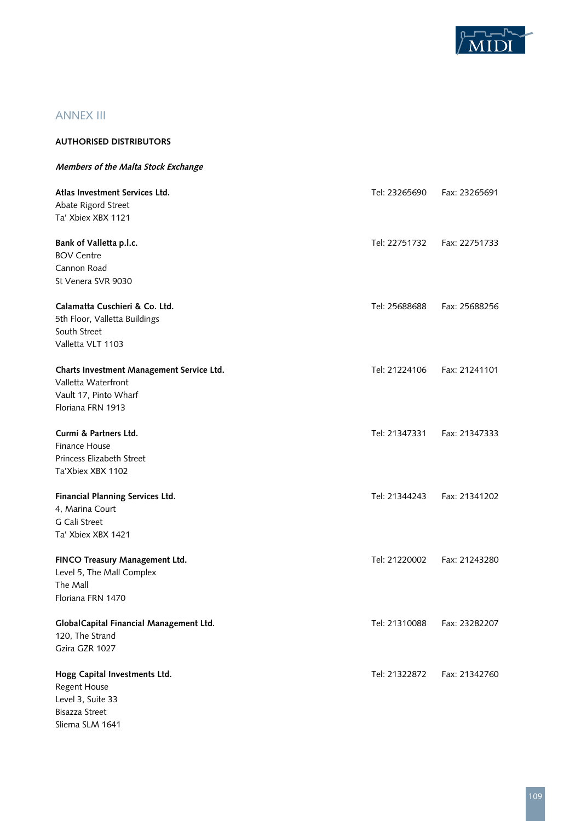

# ANNEX III

Sliema SLM 1641

| <b>AUTHORISED DISTRIBUTORS</b>            |               |               |
|-------------------------------------------|---------------|---------------|
| Members of the Malta Stock Exchange       |               |               |
| Atlas Investment Services Ltd.            | Tel: 23265690 | Fax: 23265691 |
| Abate Rigord Street                       |               |               |
| Ta' Xbiex XBX 1121                        |               |               |
| Bank of Valletta p.l.c.                   | Tel: 22751732 | Fax: 22751733 |
| <b>BOV Centre</b>                         |               |               |
| Cannon Road                               |               |               |
| St Venera SVR 9030                        |               |               |
| Calamatta Cuschieri & Co. Ltd.            | Tel: 25688688 | Fax: 25688256 |
| 5th Floor, Valletta Buildings             |               |               |
| South Street                              |               |               |
| Valletta VLT 1103                         |               |               |
| Charts Investment Management Service Ltd. | Tel: 21224106 | Fax: 21241101 |
| Valletta Waterfront                       |               |               |
| Vault 17, Pinto Wharf                     |               |               |
| Floriana FRN 1913                         |               |               |
| Curmi & Partners Ltd.                     | Tel: 21347331 | Fax: 21347333 |
| Finance House                             |               |               |
| Princess Elizabeth Street                 |               |               |
| Ta'Xbiex XBX 1102                         |               |               |
| Financial Planning Services Ltd.          | Tel: 21344243 | Fax: 21341202 |
| 4, Marina Court                           |               |               |
| G Cali Street                             |               |               |
| Ta' Xbiex XBX 1421                        |               |               |
| FINCO Treasury Management Ltd.            | Tel: 21220002 | Fax: 21243280 |
| Level 5, The Mall Complex                 |               |               |
| The Mall                                  |               |               |
| Floriana FRN 1470                         |               |               |
| GlobalCapital Financial Management Ltd.   | Tel: 21310088 | Fax: 23282207 |
| 120, The Strand                           |               |               |
| Gzira GZR 1027                            |               |               |
| Hogg Capital Investments Ltd.             | Tel: 21322872 | Fax: 21342760 |
| <b>Regent House</b>                       |               |               |
| Level 3, Suite 33                         |               |               |
| Bisazza Street                            |               |               |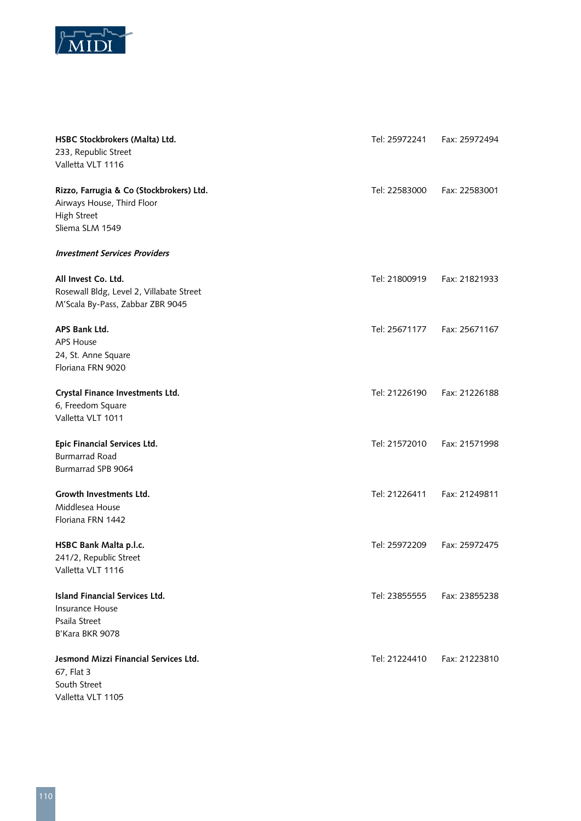

| HSBC Stockbrokers (Malta) Ltd.<br>233, Republic Street<br>Valletta VLT 1116                              | Tel: 25972241 | Fax: 25972494 |
|----------------------------------------------------------------------------------------------------------|---------------|---------------|
| Rizzo, Farrugia & Co (Stockbrokers) Ltd.<br>Airways House, Third Floor<br>High Street<br>Sliema SLM 1549 | Tel: 22583000 | Fax: 22583001 |
| <b>Investment Services Providers</b>                                                                     |               |               |
| All Invest Co. Ltd.<br>Rosewall Bldg, Level 2, Villabate Street<br>M'Scala By-Pass, Zabbar ZBR 9045      | Tel: 21800919 | Fax: 21821933 |
| APS Bank Ltd.<br><b>APS House</b><br>24, St. Anne Square<br>Floriana FRN 9020                            | Tel: 25671177 | Fax: 25671167 |
| Crystal Finance Investments Ltd.<br>6, Freedom Square<br>Valletta VLT 1011                               | Tel: 21226190 | Fax: 21226188 |
| Epic Financial Services Ltd.<br><b>Burmarrad Road</b><br>Burmarrad SPB 9064                              | Tel: 21572010 | Fax: 21571998 |
| Growth Investments Ltd.<br>Middlesea House<br>Floriana FRN 1442                                          | Tel: 21226411 | Fax: 21249811 |
| HSBC Bank Malta p.l.c.<br>241/2, Republic Street<br>Valletta VLT 1116                                    | Tel: 25972209 | Fax: 25972475 |
| <b>Island Financial Services Ltd.</b><br>Insurance House<br>Psaila Street<br>B'Kara BKR 9078             | Tel: 23855555 | Fax: 23855238 |
| Jesmond Mizzi Financial Services Ltd.<br>67, Flat 3<br>South Street<br>Valletta VLT 1105                 | Tel: 21224410 | Fax: 21223810 |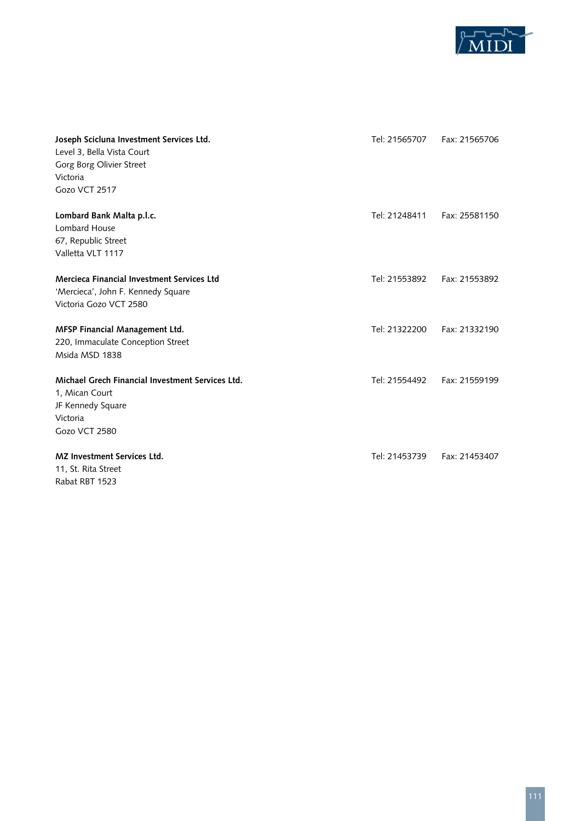

| Joseph Scicluna Investment Services Ltd.<br>Level 3, Bella Vista Court<br>Gorg Borg Olivier Street<br>Victoria<br>Gozo VCT 2517 | Tel: 21565707 | Fax: 21565706 |
|---------------------------------------------------------------------------------------------------------------------------------|---------------|---------------|
| Lombard Bank Malta p.l.c.<br>Lombard House<br>67, Republic Street<br>Valletta VLT 1117                                          | Tel: 21248411 | Fax: 25581150 |
| Mercieca Financial Investment Services Ltd<br>'Mercieca', John F. Kennedy Square<br>Victoria Gozo VCT 2580                      | Tel: 21553892 | Fax: 21553892 |
| MFSP Financial Management Ltd.<br>220, Immaculate Conception Street<br>Msida MSD 1838                                           | Tel: 21322200 | Fax: 21332190 |
| Michael Grech Financial Investment Services Ltd.<br>1, Mican Court<br>JF Kennedy Square<br>Victoria<br>Gozo VCT 2580            | Tel: 21554492 | Fax: 21559199 |
| <b>MZ Investment Services Ltd.</b><br>11, St. Rita Street<br>Rabat RBT 1523                                                     | Tel: 21453739 | Fax: 21453407 |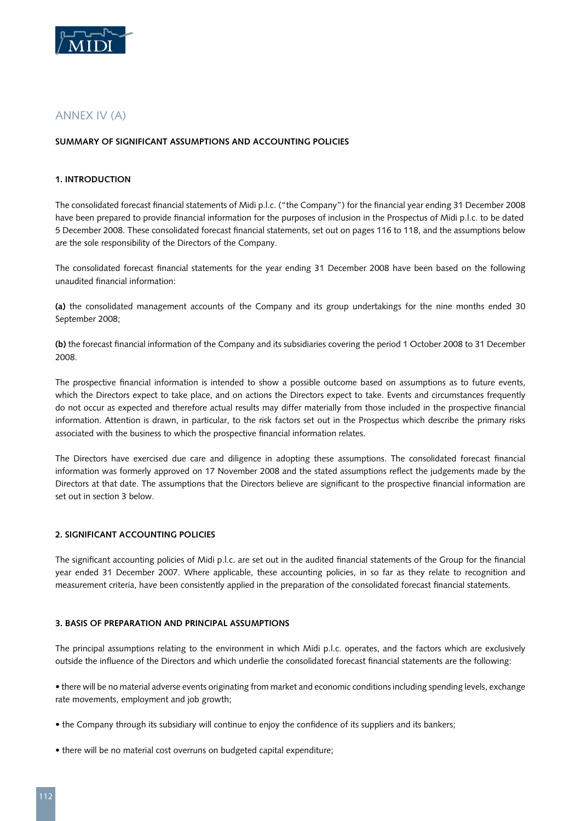

# ANNEX IV (a)

#### **Summary of significant assumptions and accounting policies**

#### **1. Introduction**

The consolidated forecast financial statements of Midi p.l.c. ("the Company") for the financial year ending 31 December 2008 have been prepared to provide financial information for the purposes of inclusion in the Prospectus of Midi p.l.c. to be dated 5 December 2008. These consolidated forecast financial statements, set out on pages 116 to 118, and the assumptions below are the sole responsibility of the Directors of the Company.

The consolidated forecast financial statements for the year ending 31 December 2008 have been based on the following unaudited financial information:

**(a)** the consolidated management accounts of the Company and its group undertakings for the nine months ended 30 September 2008;

**(b)** the forecast financial information of the Company and its subsidiaries covering the period 1 October 2008 to 31 December 2008.

The prospective financial information is intended to show a possible outcome based on assumptions as to future events, which the Directors expect to take place, and on actions the Directors expect to take. Events and circumstances frequently do not occur as expected and therefore actual results may differ materially from those included in the prospective financial information. Attention is drawn, in particular, to the risk factors set out in the Prospectus which describe the primary risks associated with the business to which the prospective financial information relates.

The Directors have exercised due care and diligence in adopting these assumptions. The consolidated forecast financial information was formerly approved on 17 November 2008 and the stated assumptions reflect the judgements made by the Directors at that date. The assumptions that the Directors believe are significant to the prospective financial information are set out in section 3 below.

#### **2. Significant accounting policies**

The significant accounting policies of Midi p.l.c. are set out in the audited financial statements of the Group for the financial year ended 31 December 2007. Where applicable, these accounting policies, in so far as they relate to recognition and measurement criteria, have been consistently applied in the preparation of the consolidated forecast financial statements.

#### **3. Basis of preparation and principal assumptions**

The principal assumptions relating to the environment in which Midi p.l.c. operates, and the factors which are exclusively outside the influence of the Directors and which underlie the consolidated forecast financial statements are the following:

• there will be no material adverse events originating from market and economic conditions including spending levels, exchange rate movements, employment and job growth;

- the Company through its subsidiary will continue to enjoy the confidence of its suppliers and its bankers;
- there will be no material cost overruns on budgeted capital expenditure;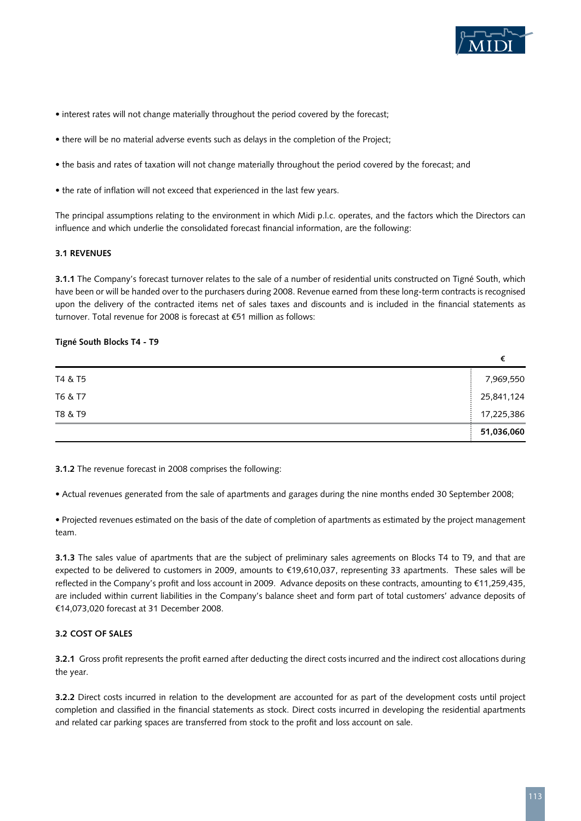

- interest rates will not change materially throughout the period covered by the forecast;
- there will be no material adverse events such as delays in the completion of the Project;
- the basis and rates of taxation will not change materially throughout the period covered by the forecast; and
- the rate of inflation will not exceed that experienced in the last few years.

The principal assumptions relating to the environment in which Midi p.l.c. operates, and the factors which the Directors can influence and which underlie the consolidated forecast financial information, are the following:

#### **3.1 Revenues**

**3.1.1** The Company's forecast turnover relates to the sale of a number of residential units constructed on Tigné South, which have been or will be handed over to the purchasers during 2008. Revenue earned from these long-term contracts is recognised upon the delivery of the contracted items net of sales taxes and discounts and is included in the financial statements as turnover. Total revenue for 2008 is forecast at €51 million as follows:

#### **Tigné South Blocks T4 - T9**

| T4 & T5 | 7,969,550  |
|---------|------------|
| T6 & T7 | 25,841,124 |
| T8 & T9 | 17,225,386 |
|         | 51,036,060 |

**3.1.2** The revenue forecast in 2008 comprises the following:

• Actual revenues generated from the sale of apartments and garages during the nine months ended 30 September 2008;

• Projected revenues estimated on the basis of the date of completion of apartments as estimated by the project management team.

**3.1.3** The sales value of apartments that are the subject of preliminary sales agreements on Blocks T4 to T9, and that are expected to be delivered to customers in 2009, amounts to €19,610,037, representing 33 apartments. These sales will be reflected in the Company's profit and loss account in 2009. Advance deposits on these contracts, amounting to €11,259,435, are included within current liabilities in the Company's balance sheet and form part of total customers' advance deposits of €14,073,020 forecast at 31 December 2008.

#### **3.2 Cost of sales**

**3.2.1** Gross profit represents the profit earned after deducting the direct costs incurred and the indirect cost allocations during the year.

**3.2.2** Direct costs incurred in relation to the development are accounted for as part of the development costs until project completion and classified in the financial statements as stock. Direct costs incurred in developing the residential apartments and related car parking spaces are transferred from stock to the profit and loss account on sale.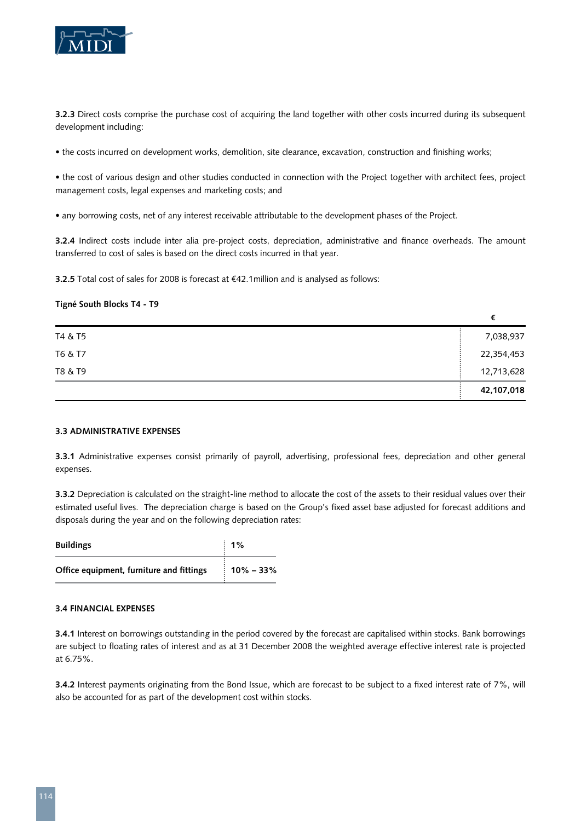

**3.2.3** Direct costs comprise the purchase cost of acquiring the land together with other costs incurred during its subsequent development including:

• the costs incurred on development works, demolition, site clearance, excavation, construction and finishing works;

• the cost of various design and other studies conducted in connection with the Project together with architect fees, project management costs, legal expenses and marketing costs; and

• any borrowing costs, net of any interest receivable attributable to the development phases of the Project.

**3.2.4** Indirect costs include inter alia pre-project costs, depreciation, administrative and finance overheads. The amount transferred to cost of sales is based on the direct costs incurred in that year.

**3.2.5** Total cost of sales for 2008 is forecast at €42.1million and is analysed as follows:

#### **Tigné South Blocks T4 - T9**

| T4 & T5 | 7,038,937  |
|---------|------------|
| T6 & T7 | 22,354,453 |
| T8 & T9 | 12,713,628 |
|         | 42,107,018 |

#### **3.3 Administrative expenses**

**3.3.1** Administrative expenses consist primarily of payroll, advertising, professional fees, depreciation and other general expenses.

**3.3.2** Depreciation is calculated on the straight-line method to allocate the cost of the assets to their residual values over their estimated useful lives. The depreciation charge is based on the Group's fixed asset base adjusted for forecast additions and disposals during the year and on the following depreciation rates:

| <b>Buildings</b>                         | $: 1\%$                 |
|------------------------------------------|-------------------------|
| Office equipment, furniture and fittings | $\frac{1}{2}$ 10% – 33% |

#### **3.4 Financial expenses**

**3.4.1** Interest on borrowings outstanding in the period covered by the forecast are capitalised within stocks. Bank borrowings are subject to floating rates of interest and as at 31 December 2008 the weighted average effective interest rate is projected at 6.75%.

**3.4.2** Interest payments originating from the Bond Issue, which are forecast to be subject to a fixed interest rate of 7%, will also be accounted for as part of the development cost within stocks.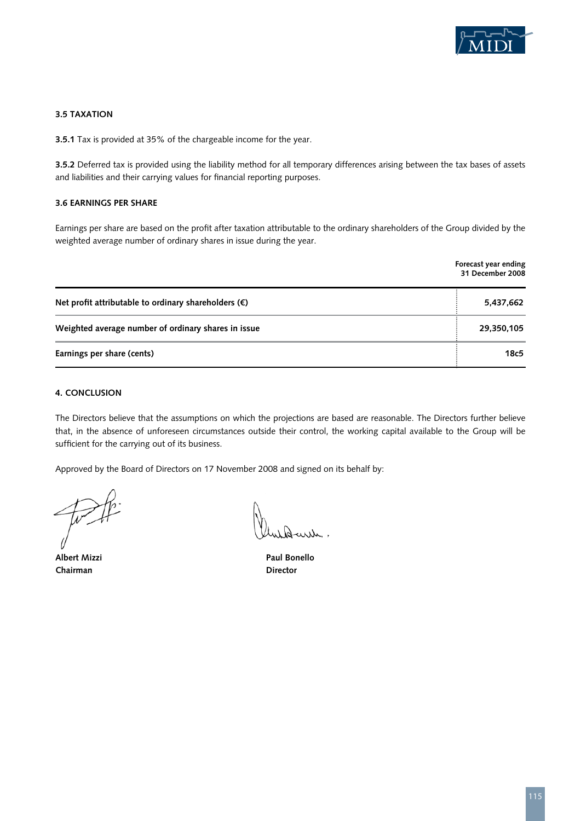

#### **3.5 Taxation**

**3.5.1** Tax is provided at 35% of the chargeable income for the year.

**3.5.2** Deferred tax is provided using the liability method for all temporary differences arising between the tax bases of assets and liabilities and their carrying values for financial reporting purposes.

#### **3.6 Earnings per share**

Earnings per share are based on the profit after taxation attributable to the ordinary shareholders of the Group divided by the weighted average number of ordinary shares in issue during the year.

|                                                               | Forecast year ending<br>31 December 2008 |
|---------------------------------------------------------------|------------------------------------------|
| Net profit attributable to ordinary shareholders $(\epsilon)$ | 5,437,662                                |
| Weighted average number of ordinary shares in issue           | 29,350,105                               |
| Earnings per share (cents)                                    | 18c5                                     |

#### **4. Conclusion**

The Directors believe that the assumptions on which the projections are based are reasonable. The Directors further believe that, in the absence of unforeseen circumstances outside their control, the working capital available to the Group will be sufficient for the carrying out of its business.

Approved by the Board of Directors on 17 November 2008 and signed on its behalf by:

**Chairman** Director

**Albert Mizzi Paul Bonello**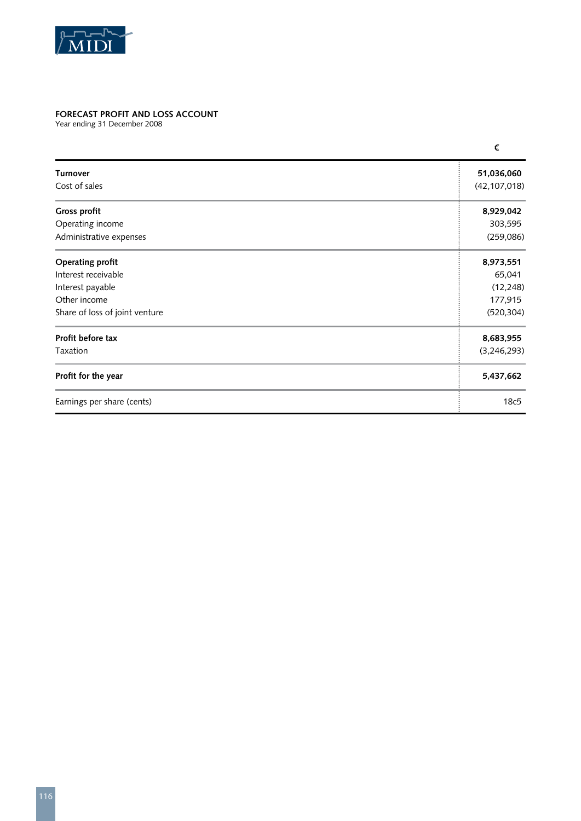

## **Forecast Profit and Loss account**

Year ending 31 December 2008

|                                | €              |
|--------------------------------|----------------|
| <b>Turnover</b>                | 51,036,060     |
| Cost of sales                  | (42, 107, 018) |
| Gross profit                   | 8,929,042      |
| Operating income               | 303,595        |
| Administrative expenses        | (259, 086)     |
| Operating profit               | 8,973,551      |
| Interest receivable            | 65,041         |
| Interest payable               | (12, 248)      |
| Other income                   | 177,915        |
| Share of loss of joint venture | (520, 304)     |
| Profit before tax              | 8,683,955      |
| Taxation                       | (3,246,293)    |
| Profit for the year            | 5,437,662      |
| Earnings per share (cents)     | 18c5           |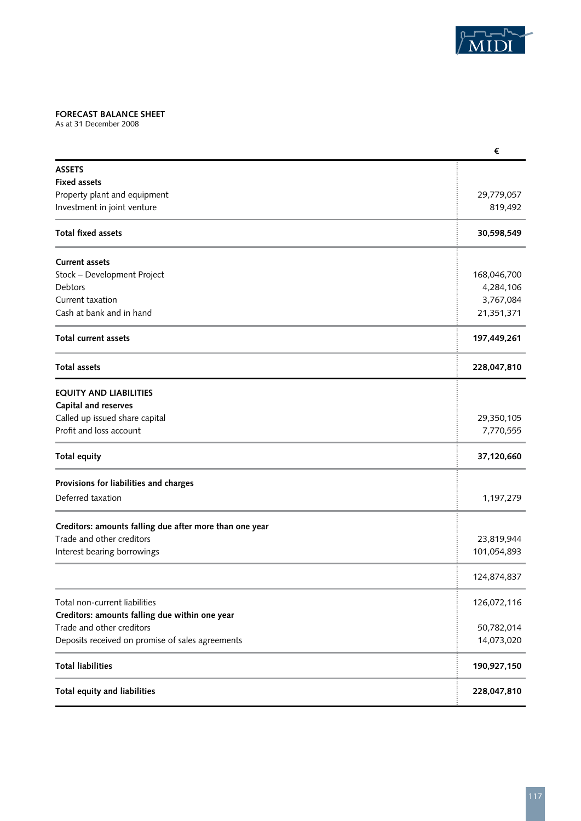

## **Forecast Balance Sheet**

As at 31 December 2008

|                                                         | €           |
|---------------------------------------------------------|-------------|
| <b>ASSETS</b>                                           |             |
| <b>Fixed assets</b>                                     |             |
| Property plant and equipment                            | 29,779,057  |
| Investment in joint venture                             | 819,492     |
| <b>Total fixed assets</b>                               | 30,598,549  |
| <b>Current assets</b>                                   |             |
| Stock - Development Project                             | 168,046,700 |
| Debtors                                                 | 4,284,106   |
| Current taxation                                        | 3,767,084   |
| Cash at bank and in hand                                | 21,351,371  |
| <b>Total current assets</b>                             | 197,449,261 |
| <b>Total assets</b>                                     | 228,047,810 |
| <b>EQUITY AND LIABILITIES</b>                           |             |
| Capital and reserves                                    |             |
| Called up issued share capital                          | 29,350,105  |
| Profit and loss account                                 | 7,770,555   |
| <b>Total equity</b>                                     | 37,120,660  |
| Provisions for liabilities and charges                  |             |
| Deferred taxation                                       | 1,197,279   |
| Creditors: amounts falling due after more than one year |             |
| Trade and other creditors                               | 23,819,944  |
| Interest bearing borrowings                             | 101,054,893 |
|                                                         | 124,874,837 |
| Total non-current liabilities                           | 126,072,116 |
| Creditors: amounts falling due within one year          |             |
| Trade and other creditors                               | 50,782,014  |
| Deposits received on promise of sales agreements        | 14,073,020  |
| <b>Total liabilities</b>                                | 190,927,150 |
| Total equity and liabilities                            | 228,047,810 |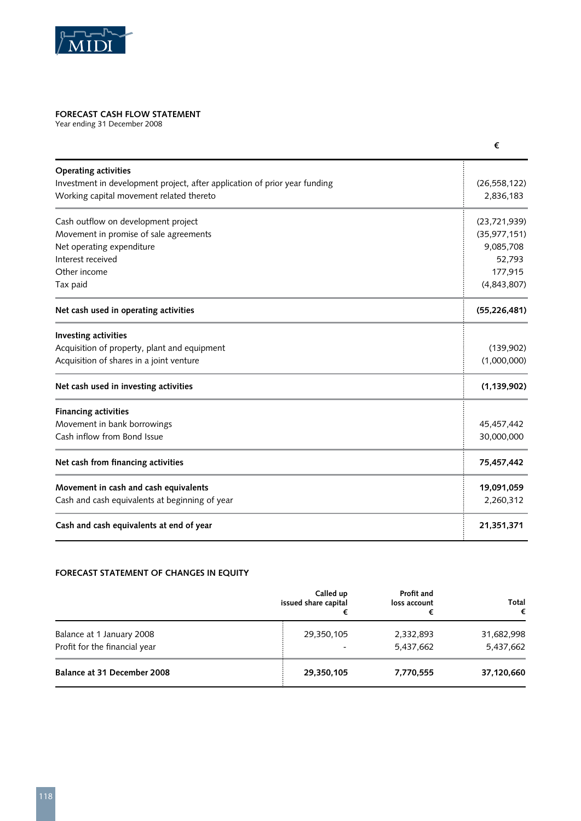

# **Forecast Cash Flow Statement**

Year ending 31 December 2008

| <b>Operating activities</b>                                                |                |
|----------------------------------------------------------------------------|----------------|
| Investment in development project, after application of prior year funding | (26, 558, 122) |
| Working capital movement related thereto                                   | 2,836,183      |
| Cash outflow on development project                                        | (23,721,939)   |
| Movement in promise of sale agreements                                     | (35, 977, 151) |
| Net operating expenditure                                                  | 9,085,708      |
| Interest received                                                          | 52,793         |
| Other income                                                               | 177,915        |
| Tax paid                                                                   | (4,843,807)    |
| Net cash used in operating activities                                      | (55, 226, 481) |
| Investing activities                                                       |                |
| Acquisition of property, plant and equipment                               | (139,902)      |
| Acquisition of shares in a joint venture                                   | (1,000,000)    |
| Net cash used in investing activities                                      | (1, 139, 902)  |
| <b>Financing activities</b>                                                |                |
| Movement in bank borrowings                                                | 45,457,442     |
| Cash inflow from Bond Issue                                                | 30,000,000     |
| Net cash from financing activities                                         | 75,457,442     |
| Movement in cash and cash equivalents                                      | 19,091,059     |
| Cash and cash equivalents at beginning of year                             | 2,260,312      |
| Cash and cash equivalents at end of year                                   | 21,351,371     |

# **Forecast Statement of Changes in Equity**

|                               | Called up            | Profit and   | Total      |
|-------------------------------|----------------------|--------------|------------|
|                               | issued share capital | loss account | €          |
| Balance at 1 January 2008     | 29,350,105           | 2,332,893    | 31,682,998 |
| Profit for the financial year |                      | 5,437,662    | 5,437,662  |
| Balance at 31 December 2008   | 29,350,105           | 7,770,555    | 37,120,660 |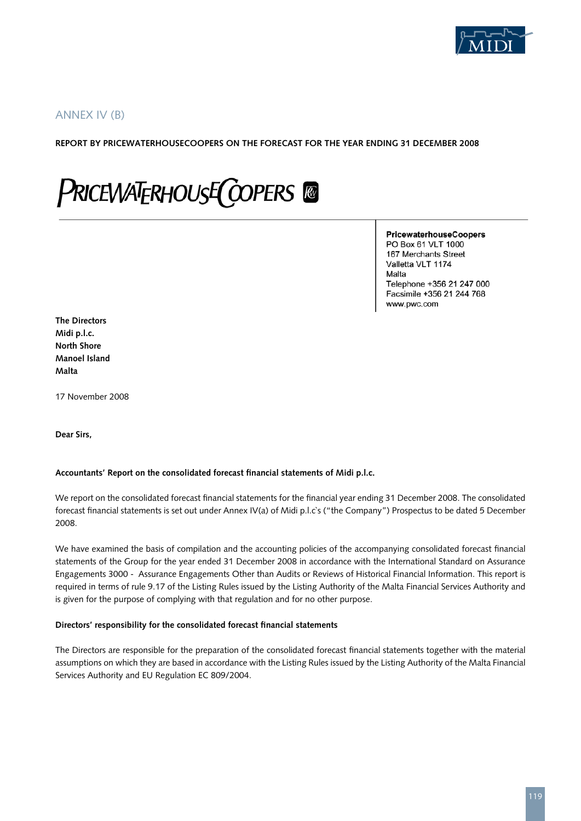

# ANNEX IV (b)

#### **REPORT BY PRICEWATERHOUSECOOPERS ON THE FORECAST FOR THE YEAR ENDING 31 DECEMBER 2008**

# **PRICEWATERHOUSE COPERS**

#### PricewaterhouseCoopers PO Box 61 VLT 1000 167 Merchants Street Valletta VLT 1174 Malta Telephone +356 21 247 000 Facsimile +356 21 244 768

www.pwc.com

**The Directors Midi p.l.c. North Shore Manoel Island Malta**

17 November 2008

**Dear Sirs,**

#### **Accountants' Report on the consolidated forecast financial statements of Midi p.l.c.**

We report on the consolidated forecast financial statements for the financial year ending 31 December 2008. The consolidated forecast financial statements is set out under Annex IV(a) of Midi p.l.c`s ("the Company") Prospectus to be dated 5 December 2008.

We have examined the basis of compilation and the accounting policies of the accompanying consolidated forecast financial statements of the Group for the year ended 31 December 2008 in accordance with the International Standard on Assurance Engagements 3000 - Assurance Engagements Other than Audits or Reviews of Historical Financial Information. This report is required in terms of rule 9.17 of the Listing Rules issued by the Listing Authority of the Malta Financial Services Authority and is given for the purpose of complying with that regulation and for no other purpose.

#### **Directors' responsibility for the consolidated forecast financial statements**

The Directors are responsible for the preparation of the consolidated forecast financial statements together with the material assumptions on which they are based in accordance with the Listing Rules issued by the Listing Authority of the Malta Financial Services Authority and EU Regulation EC 809/2004.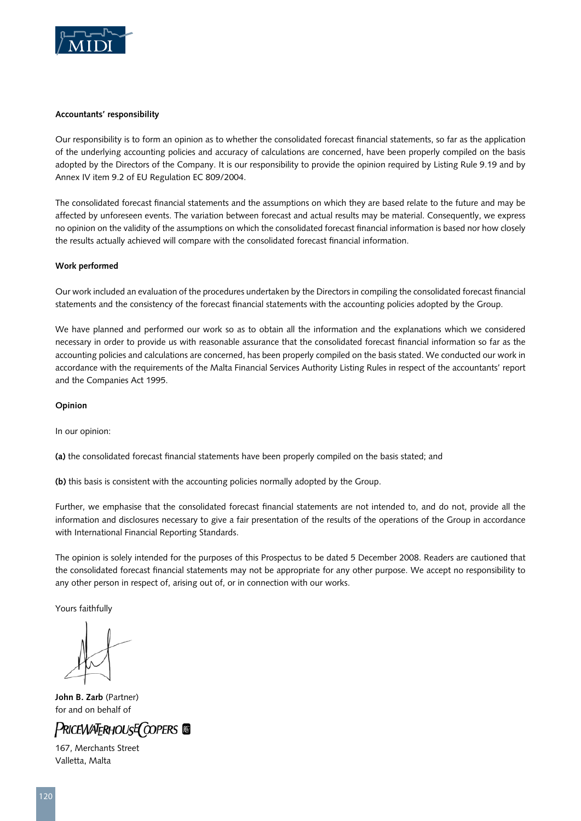

#### **Accountants' responsibility**

Our responsibility is to form an opinion as to whether the consolidated forecast financial statements, so far as the application of the underlying accounting policies and accuracy of calculations are concerned, have been properly compiled on the basis adopted by the Directors of the Company. It is our responsibility to provide the opinion required by Listing Rule 9.19 and by Annex IV item 9.2 of EU Regulation EC 809/2004.

The consolidated forecast financial statements and the assumptions on which they are based relate to the future and may be affected by unforeseen events. The variation between forecast and actual results may be material. Consequently, we express no opinion on the validity of the assumptions on which the consolidated forecast financial information is based nor how closely the results actually achieved will compare with the consolidated forecast financial information.

#### **Work performed**

Our work included an evaluation of the procedures undertaken by the Directors in compiling the consolidated forecast financial statements and the consistency of the forecast financial statements with the accounting policies adopted by the Group.

We have planned and performed our work so as to obtain all the information and the explanations which we considered necessary in order to provide us with reasonable assurance that the consolidated forecast financial information so far as the accounting policies and calculations are concerned, has been properly compiled on the basis stated. We conducted our work in accordance with the requirements of the Malta Financial Services Authority Listing Rules in respect of the accountants' report and the Companies Act 1995.

#### **Opinion**

In our opinion:

**(a)** the consolidated forecast financial statements have been properly compiled on the basis stated; and

**(b)** this basis is consistent with the accounting policies normally adopted by the Group.

Further, we emphasise that the consolidated forecast financial statements are not intended to, and do not, provide all the information and disclosures necessary to give a fair presentation of the results of the operations of the Group in accordance with International Financial Reporting Standards.

The opinion is solely intended for the purposes of this Prospectus to be dated 5 December 2008. Readers are cautioned that the consolidated forecast financial statements may not be appropriate for any other purpose. We accept no responsibility to any other person in respect of, arising out of, or in connection with our works.

Yours faithfully

**John B. Zarb** (Partner) for and on behalf of

# **PRICEWATERHOUSE COPERS**

167, Merchants Street Valletta, Malta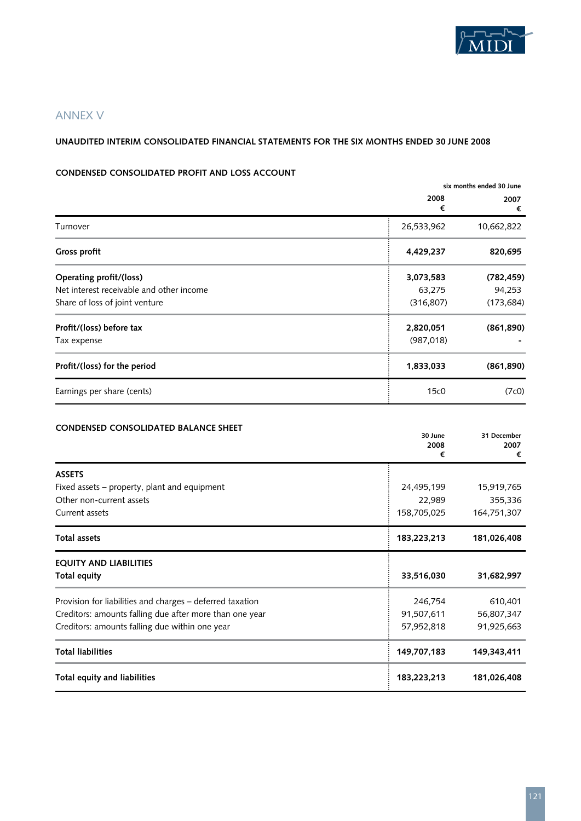

# ANNEX V

#### **UNAUDITED INTERIM CONSOLIDATED FINANCIAL STATEMENTS FOR THE SIX MONTHS ENDED 30 JUNE 2008**

#### **CONDENSED CONSOLIDATED PROFIT AND LOSS ACCOUNT**

|                                          | six months ended 30 June |            |
|------------------------------------------|--------------------------|------------|
|                                          | 2008<br>€                | 2007<br>€  |
| Turnover                                 | 26,533,962               | 10,662,822 |
| Gross profit                             | 4,429,237                | 820,695    |
| Operating profit/(loss)                  | 3,073,583                | (782, 459) |
| Net interest receivable and other income | 63,275                   | 94,253     |
| Share of loss of joint venture           | (316, 807)               | (173, 684) |
| Profit/(loss) before tax                 | 2,820,051                | (861, 890) |
| Tax expense                              | (987, 018)               |            |
| Profit/(loss) for the period             | 1,833,033                | (861, 890) |
| Earnings per share (cents)               | 15c0                     | (7c0)      |

| <b>CONDENSED CONSOLIDATED BALANCE SHEET</b>               | 30 June<br>2008<br>€ | 31 December<br>2007<br>€ |
|-----------------------------------------------------------|----------------------|--------------------------|
| <b>ASSETS</b>                                             |                      |                          |
| Fixed assets – property, plant and equipment              | 24,495,199           | 15,919,765               |
| Other non-current assets                                  | 22,989               | 355,336                  |
| Current assets                                            | 158,705,025          | 164,751,307              |
| Total assets                                              | 183,223,213          | 181,026,408              |
| <b>EQUITY AND LIABILITIES</b>                             |                      |                          |
| Total equity                                              | 33,516,030           | 31,682,997               |
| Provision for liabilities and charges - deferred taxation | 246,754              | 610,401                  |
| Creditors: amounts falling due after more than one year   | 91,507,611           | 56,807,347               |
| Creditors: amounts falling due within one year            | 57,952,818           | 91,925,663               |
| <b>Total liabilities</b>                                  | 149,707,183          | 149,343,411              |
| Total equity and liabilities                              | 183,223,213          | 181,026,408              |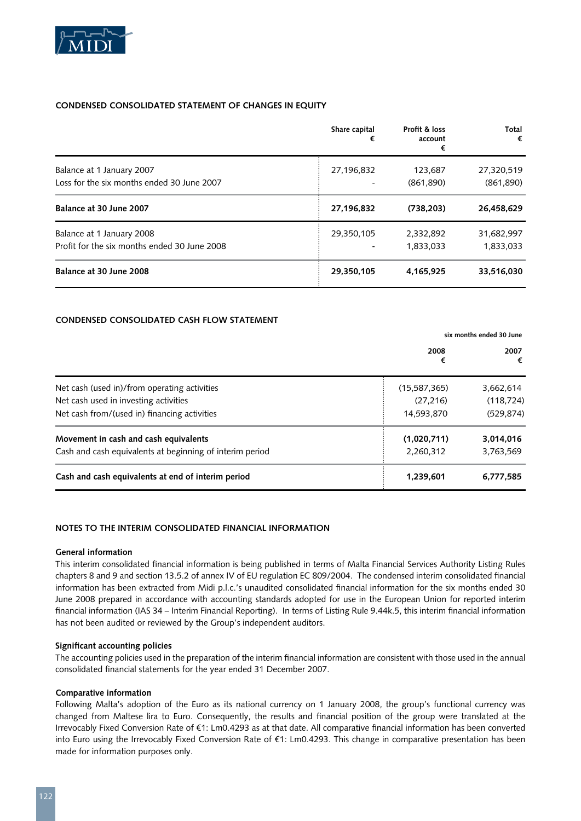

#### **CONDENSED CONSOLIDATED STATEMENT OF CHANGES IN EQUITY**

|                                                                           | Share capital<br>€ | Profit & loss<br>account<br>€ | Total<br>€               |
|---------------------------------------------------------------------------|--------------------|-------------------------------|--------------------------|
| Balance at 1 January 2007<br>Loss for the six months ended 30 June 2007   | 27,196,832         | 123,687<br>(861,890)          | 27,320,519<br>(861, 890) |
| Balance at 30 June 2007                                                   | 27,196,832         | (738, 203)                    | 26,458,629               |
| Balance at 1 January 2008<br>Profit for the six months ended 30 June 2008 | 29,350,105         | 2,332,892<br>1,833,033        | 31,682,997<br>1,833,033  |
| Balance at 30 June 2008                                                   | 29,350,105         | 4,165,925                     | 33,516,030               |

#### **CONDENSED CONSOLIDATED CASH FLOW STATEMENT**

|                                                          |                | six months ended 30 June |  |
|----------------------------------------------------------|----------------|--------------------------|--|
|                                                          | 2008<br>€      | 2007<br>€                |  |
| Net cash (used in)/from operating activities             | (15, 587, 365) | 3,662,614                |  |
| Net cash used in investing activities                    | (27.216)       | (118, 724)               |  |
| Net cash from/(used in) financing activities             | 14,593,870     | (529, 874)               |  |
| Movement in cash and cash equivalents                    | (1,020,711)    | 3,014,016                |  |
| Cash and cash equivalents at beginning of interim period | 2,260,312      | 3,763,569                |  |
| Cash and cash equivalents at end of interim period       | 1,239,601      | 6,777,585                |  |

#### **NOTES TO THE INTERIM CONSOLIDATED FINANCIAL INFORMATION**

#### **General information**

This interim consolidated financial information is being published in terms of Malta Financial Services Authority Listing Rules chapters 8 and 9 and section 13.5.2 of annex IV of EU regulation EC 809/2004. The condensed interim consolidated financial information has been extracted from Midi p.l.c.'s unaudited consolidated financial information for the six months ended 30 June 2008 prepared in accordance with accounting standards adopted for use in the European Union for reported interim financial information (IAS 34 – Interim Financial Reporting). In terms of Listing Rule 9.44k.5, this interim financial information has not been audited or reviewed by the Group's independent auditors.

#### **Significant accounting policies**

The accounting policies used in the preparation of the interim financial information are consistent with those used in the annual consolidated financial statements for the year ended 31 December 2007.

#### **Comparative information**

Following Malta's adoption of the Euro as its national currency on 1 January 2008, the group's functional currency was changed from Maltese lira to Euro. Consequently, the results and financial position of the group were translated at the Irrevocably Fixed Conversion Rate of €1: Lm0.4293 as at that date. All comparative financial information has been converted into Euro using the Irrevocably Fixed Conversion Rate of €1: Lm0.4293. This change in comparative presentation has been made for information purposes only.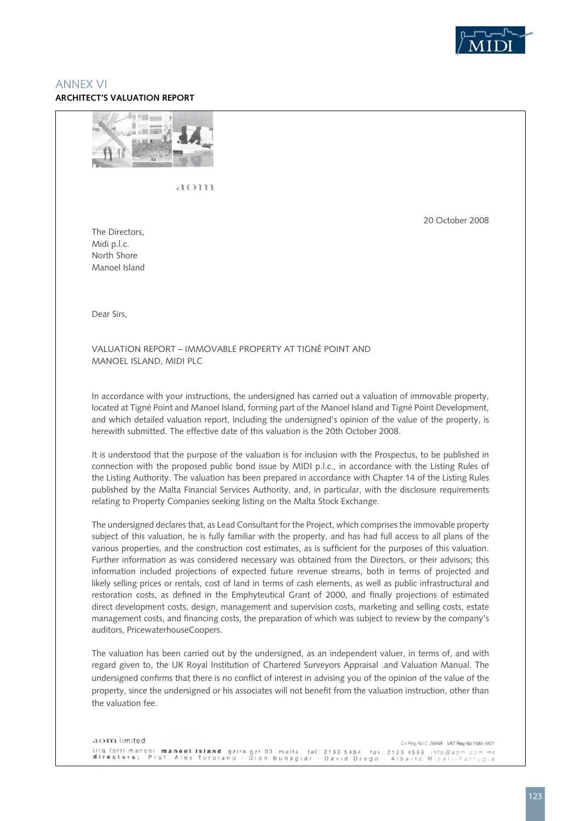

#### ANNEX VI **Architect's Valuation Report**



aom

20 October 2008

The Directors, Midi p.l.c. North Shore Manoel Island

Dear Sirs,

VALUATION REPORT – IMMOVABLE PROPERTY AT TIGNé POINT AND MANOEL ISLAND, MIDI plc

In accordance with your instructions, the undersigned has carried out a valuation of immovable property, located at Tigné Point and Manoel Island, forming part of the Manoel Island and Tigné Point Development, and which detailed valuation report, including the undersigned's opinion of the value of the property, is herewith submitted. The effective date of this valuation is the 20th October 2008.

It is understood that the purpose of the valuation is for inclusion with the Prospectus, to be published in connection with the proposed public bond issue by MIDI p.l.c., in accordance with the Listing Rules of the Listing Authority. The valuation has been prepared in accordance with Chapter 14 of the Listing Rules published by the Malta Financial Services Authority, and, in particular, with the disclosure requirements relating to Property Companies seeking listing on the Malta Stock Exchange.

The undersigned declares that, as Lead Consultant for the Project, which comprises the immovable property subject of this valuation, he is fully familiar with the property, and has had full access to all plans of the various properties, and the construction cost estimates, as is sufficient for the purposes of this valuation. Further information as was considered necessary was obtained from the Directors, or their advisors; this information included projections of expected future revenue streams, both in terms of projected and likely selling prices or rentals, cost of land in terms of cash elements, as well as public infrastructural and restoration costs, as defined in the Emphyteutical Grant of 2000, and finally projections of estimated direct development costs, design, management and supervision costs, marketing and selling costs, estate management costs, and financing costs, the preparation of which was subject to review by the company's auditors, PricewaterhouseCoopers.

The valuation has been carried out by the undersigned, as an independent valuer, in terms of, and with regard given to, the UK Royal Institution of Chartered Surveyors Appraisal .and Valuation Manual. The undersigned confirms that there is no conflict of interest in advising you of the opinion of the value of the property, since the undersigned or his associates will not benefit from the valuation instruction, other than the valuation fee.

aom limited Co Reg No C-26848 VAT Reg No 1584-5501 triq forti manoel **manoel island** gziragzr 03 malta tel: 2133 5454 fax: 2133 4558 info@aom.com.mt<br><mark>directors: P</mark>rof. Alex Torpiano · Dion Buhagiar · David Drago · Alberto Miceli-Farrugia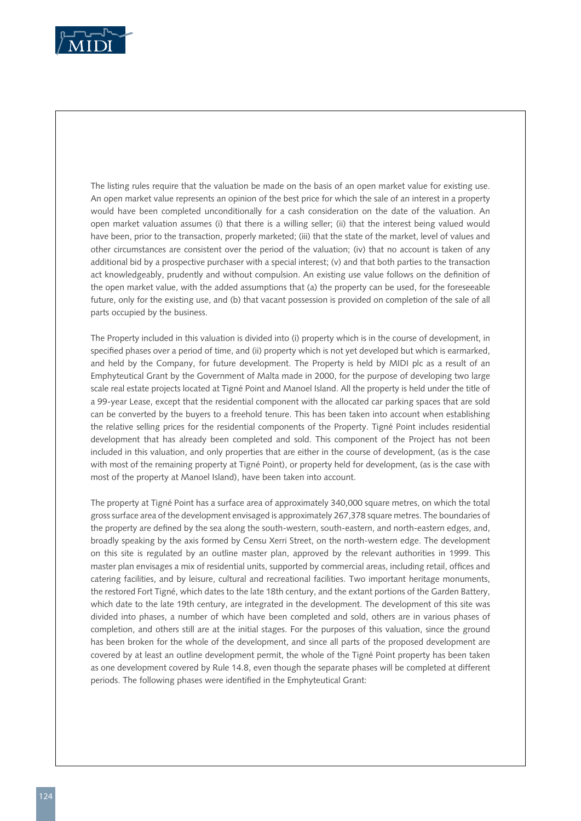

The listing rules require that the valuation be made on the basis of an open market value for existing use. An open market value represents an opinion of the best price for which the sale of an interest in a property would have been completed unconditionally for a cash consideration on the date of the valuation. An open market valuation assumes (i) that there is a willing seller; (ii) that the interest being valued would have been, prior to the transaction, properly marketed; (iii) that the state of the market, level of values and other circumstances are consistent over the period of the valuation; (iv) that no account is taken of any additional bid by a prospective purchaser with a special interest; (v) and that both parties to the transaction act knowledgeably, prudently and without compulsion. An existing use value follows on the definition of the open market value, with the added assumptions that (a) the property can be used, for the foreseeable future, only for the existing use, and (b) that vacant possession is provided on completion of the sale of all parts occupied by the business.

The Property included in this valuation is divided into (i) property which is in the course of development, in specified phases over a period of time, and (ii) property which is not yet developed but which is earmarked, and held by the Company, for future development. The Property is held by MIDI plc as a result of an Emphyteutical Grant by the Government of Malta made in 2000, for the purpose of developing two large scale real estate projects located at Tigné Point and Manoel Island. All the property is held under the title of a 99-year Lease, except that the residential component with the allocated car parking spaces that are sold can be converted by the buyers to a freehold tenure. This has been taken into account when establishing the relative selling prices for the residential components of the Property. Tigné Point includes residential development that has already been completed and sold. This component of the Project has not been included in this valuation, and only properties that are either in the course of development, (as is the case with most of the remaining property at Tigné Point), or property held for development, (as is the case with most of the property at Manoel Island), have been taken into account.

The property at Tigné Point has a surface area of approximately 340,000 square metres, on which the total gross surface area of the development envisaged is approximately 267,378 square metres. The boundaries of the property are defined by the sea along the south-western, south-eastern, and north-eastern edges, and, broadly speaking by the axis formed by Censu Xerri Street, on the north-western edge. The development on this site is regulated by an outline master plan, approved by the relevant authorities in 1999. This master plan envisages a mix of residential units, supported by commercial areas, including retail, offices and catering facilities, and by leisure, cultural and recreational facilities. Two important heritage monuments, the restored Fort Tigné, which dates to the late 18th century, and the extant portions of the Garden Battery, which date to the late 19th century, are integrated in the development. The development of this site was divided into phases, a number of which have been completed and sold, others are in various phases of completion, and others still are at the initial stages. For the purposes of this valuation, since the ground has been broken for the whole of the development, and since all parts of the proposed development are covered by at least an outline development permit, the whole of the Tigné Point property has been taken as one development covered by Rule 14.8, even though the separate phases will be completed at different periods. The following phases were identified in the Emphyteutical Grant: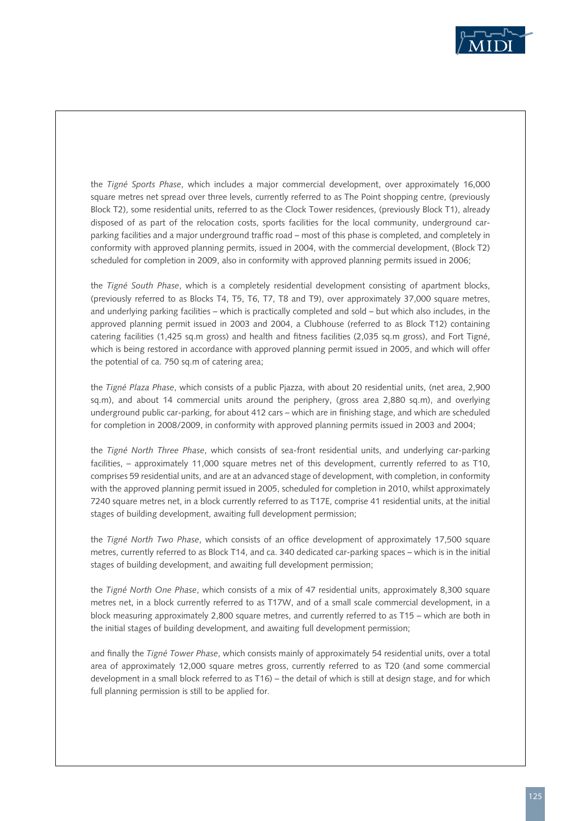

the *Tigné Sports Phase*, which includes a major commercial development, over approximately 16,000 square metres net spread over three levels, currently referred to as The Point shopping centre, (previously Block T2), some residential units, referred to as the Clock Tower residences, (previously Block T1), already disposed of as part of the relocation costs, sports facilities for the local community, underground carparking facilities and a major underground traffic road – most of this phase is completed, and completely in conformity with approved planning permits, issued in 2004, with the commercial development, (Block T2) scheduled for completion in 2009, also in conformity with approved planning permits issued in 2006;

the *Tigné South Phase*, which is a completely residential development consisting of apartment blocks, (previously referred to as Blocks T4, T5, T6, T7, T8 and T9), over approximately 37,000 square metres, and underlying parking facilities – which is practically completed and sold – but which also includes, in the approved planning permit issued in 2003 and 2004, a Clubhouse (referred to as Block T12) containing catering facilities (1,425 sq.m gross) and health and fitness facilities (2,035 sq.m gross), and Fort Tigné, which is being restored in accordance with approved planning permit issued in 2005, and which will offer the potential of ca. 750 sq.m of catering area;

the *Tigné Plaza Phase*, which consists of a public Pjazza, with about 20 residential units, (net area, 2,900 sq.m), and about 14 commercial units around the periphery, (gross area 2,880 sq.m), and overlying underground public car-parking, for about 412 cars – which are in finishing stage, and which are scheduled for completion in 2008/2009, in conformity with approved planning permits issued in 2003 and 2004;

the *Tigné North Three Phase*, which consists of sea-front residential units, and underlying car-parking facilities, – approximately 11,000 square metres net of this development, currently referred to as T10, comprises 59 residential units, and are at an advanced stage of development, with completion, in conformity with the approved planning permit issued in 2005, scheduled for completion in 2010, whilst approximately 7240 square metres net, in a block currently referred to as T17E, comprise 41 residential units, at the initial stages of building development, awaiting full development permission;

the *Tigné North Two Phase*, which consists of an office development of approximately 17,500 square metres, currently referred to as Block T14, and ca. 340 dedicated car-parking spaces – which is in the initial stages of building development, and awaiting full development permission;

the *Tigné North One Phase*, which consists of a mix of 47 residential units, approximately 8,300 square metres net, in a block currently referred to as T17W, and of a small scale commercial development, in a block measuring approximately 2,800 square metres, and currently referred to as T15 – which are both in the initial stages of building development, and awaiting full development permission;

and finally the *Tigné Tower Phase*, which consists mainly of approximately 54 residential units, over a total area of approximately 12,000 square metres gross, currently referred to as T20 (and some commercial development in a small block referred to as T16) – the detail of which is still at design stage, and for which full planning permission is still to be applied for.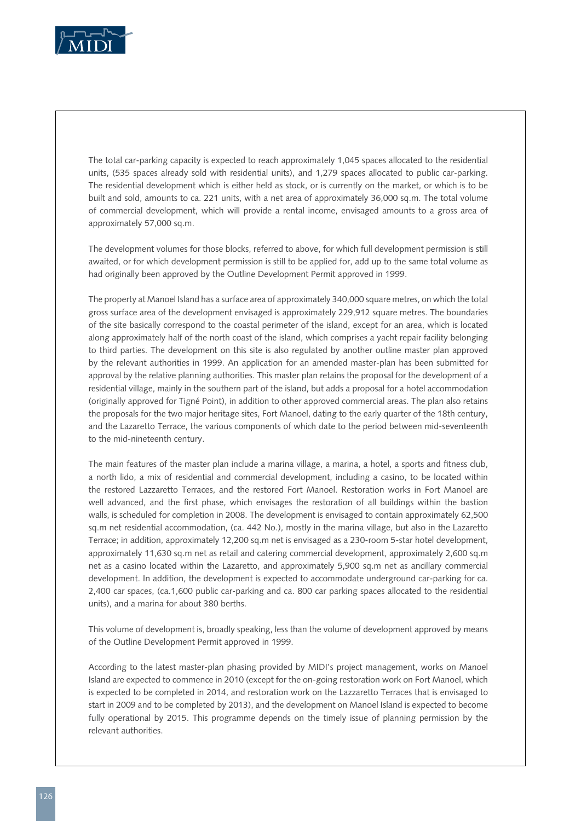

The total car-parking capacity is expected to reach approximately 1,045 spaces allocated to the residential units, (535 spaces already sold with residential units), and 1,279 spaces allocated to public car-parking. The residential development which is either held as stock, or is currently on the market, or which is to be built and sold, amounts to ca. 221 units, with a net area of approximately 36,000 sq.m. The total volume of commercial development, which will provide a rental income, envisaged amounts to a gross area of approximately 57,000 sq.m.

The development volumes for those blocks, referred to above, for which full development permission is still awaited, or for which development permission is still to be applied for, add up to the same total volume as had originally been approved by the Outline Development Permit approved in 1999.

The property at Manoel Island has a surface area of approximately 340,000 square metres, on which the total gross surface area of the development envisaged is approximately 229,912 square metres. The boundaries of the site basically correspond to the coastal perimeter of the island, except for an area, which is located along approximately half of the north coast of the island, which comprises a yacht repair facility belonging to third parties. The development on this site is also regulated by another outline master plan approved by the relevant authorities in 1999. An application for an amended master-plan has been submitted for approval by the relative planning authorities. This master plan retains the proposal for the development of a residential village, mainly in the southern part of the island, but adds a proposal for a hotel accommodation (originally approved for Tigné Point), in addition to other approved commercial areas. The plan also retains the proposals for the two major heritage sites, Fort Manoel, dating to the early quarter of the 18th century, and the Lazaretto Terrace, the various components of which date to the period between mid-seventeenth to the mid-nineteenth century.

The main features of the master plan include a marina village, a marina, a hotel, a sports and fitness club, a north lido, a mix of residential and commercial development, including a casino, to be located within the restored Lazzaretto Terraces, and the restored Fort Manoel. Restoration works in Fort Manoel are well advanced, and the first phase, which envisages the restoration of all buildings within the bastion walls, is scheduled for completion in 2008. The development is envisaged to contain approximately 62,500 sq.m net residential accommodation, (ca. 442 No.), mostly in the marina village, but also in the Lazaretto Terrace; in addition, approximately 12,200 sq.m net is envisaged as a 230-room 5-star hotel development, approximately 11,630 sq.m net as retail and catering commercial development, approximately 2,600 sq.m net as a casino located within the Lazaretto, and approximately 5,900 sq.m net as ancillary commercial development. In addition, the development is expected to accommodate underground car-parking for ca. 2,400 car spaces, (ca.1,600 public car-parking and ca. 800 car parking spaces allocated to the residential units), and a marina for about 380 berths.

This volume of development is, broadly speaking, less than the volume of development approved by means of the Outline Development Permit approved in 1999.

According to the latest master-plan phasing provided by MIDI's project management, works on Manoel Island are expected to commence in 2010 (except for the on-going restoration work on Fort Manoel, which is expected to be completed in 2014, and restoration work on the Lazzaretto Terraces that is envisaged to start in 2009 and to be completed by 2013), and the development on Manoel Island is expected to become fully operational by 2015. This programme depends on the timely issue of planning permission by the relevant authorities.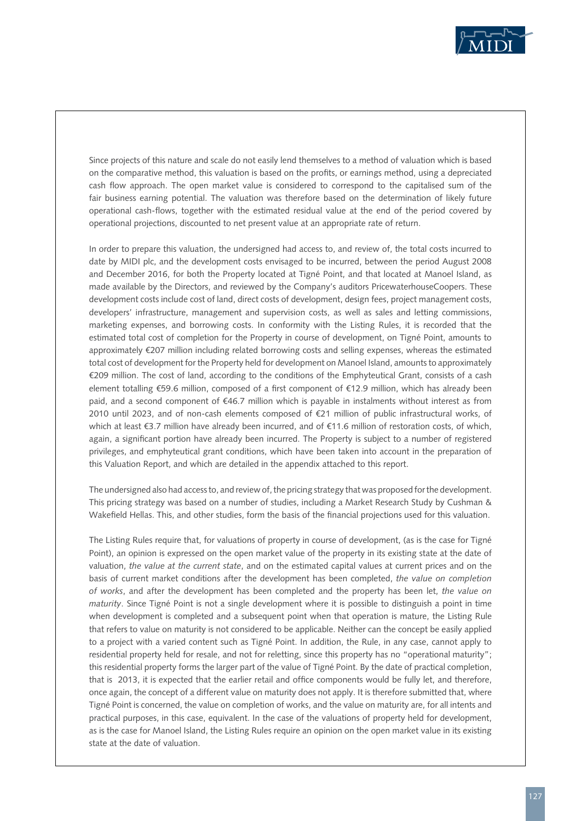

Since projects of this nature and scale do not easily lend themselves to a method of valuation which is based on the comparative method, this valuation is based on the profits, or earnings method, using a depreciated cash flow approach. The open market value is considered to correspond to the capitalised sum of the fair business earning potential. The valuation was therefore based on the determination of likely future operational cash-flows, together with the estimated residual value at the end of the period covered by operational projections, discounted to net present value at an appropriate rate of return.

In order to prepare this valuation, the undersigned had access to, and review of, the total costs incurred to date by MIDI plc, and the development costs envisaged to be incurred, between the period August 2008 and December 2016, for both the Property located at Tigné Point, and that located at Manoel Island, as made available by the Directors, and reviewed by the Company's auditors PricewaterhouseCoopers. These development costs include cost of land, direct costs of development, design fees, project management costs, developers' infrastructure, management and supervision costs, as well as sales and letting commissions, marketing expenses, and borrowing costs. In conformity with the Listing Rules, it is recorded that the estimated total cost of completion for the Property in course of development, on Tigné Point, amounts to approximately €207 million including related borrowing costs and selling expenses, whereas the estimated total cost of development for the Property held for development on Manoel Island, amounts to approximately €209 million. The cost of land, according to the conditions of the Emphyteutical Grant, consists of a cash element totalling €59.6 million, composed of a first component of €12.9 million, which has already been paid, and a second component of €46.7 million which is payable in instalments without interest as from 2010 until 2023, and of non-cash elements composed of €21 million of public infrastructural works, of which at least €3.7 million have already been incurred, and of €11.6 million of restoration costs, of which, again, a significant portion have already been incurred. The Property is subject to a number of registered privileges, and emphyteutical grant conditions, which have been taken into account in the preparation of this Valuation Report, and which are detailed in the appendix attached to this report.

The undersigned also had access to, and review of, the pricing strategy that was proposed for the development. This pricing strategy was based on a number of studies, including a Market Research Study by Cushman & Wakefield Hellas. This, and other studies, form the basis of the financial projections used for this valuation.

The Listing Rules require that, for valuations of property in course of development, (as is the case for Tigné Point), an opinion is expressed on the open market value of the property in its existing state at the date of valuation, *the value at the current state*, and on the estimated capital values at current prices and on the basis of current market conditions after the development has been completed, *the value on completion of works*, and after the development has been completed and the property has been let, *the value on maturity*. Since Tigné Point is not a single development where it is possible to distinguish a point in time when development is completed and a subsequent point when that operation is mature, the Listing Rule that refers to value on maturity is not considered to be applicable. Neither can the concept be easily applied to a project with a varied content such as Tigné Point. In addition, the Rule, in any case, cannot apply to residential property held for resale, and not for reletting, since this property has no "operational maturity"; this residential property forms the larger part of the value of Tigné Point. By the date of practical completion, that is 2013, it is expected that the earlier retail and office components would be fully let, and therefore, once again, the concept of a different value on maturity does not apply. It is therefore submitted that, where Tigné Point is concerned, the value on completion of works, and the value on maturity are, for all intents and practical purposes, in this case, equivalent. In the case of the valuations of property held for development, as is the case for Manoel Island, the Listing Rules require an opinion on the open market value in its existing state at the date of valuation.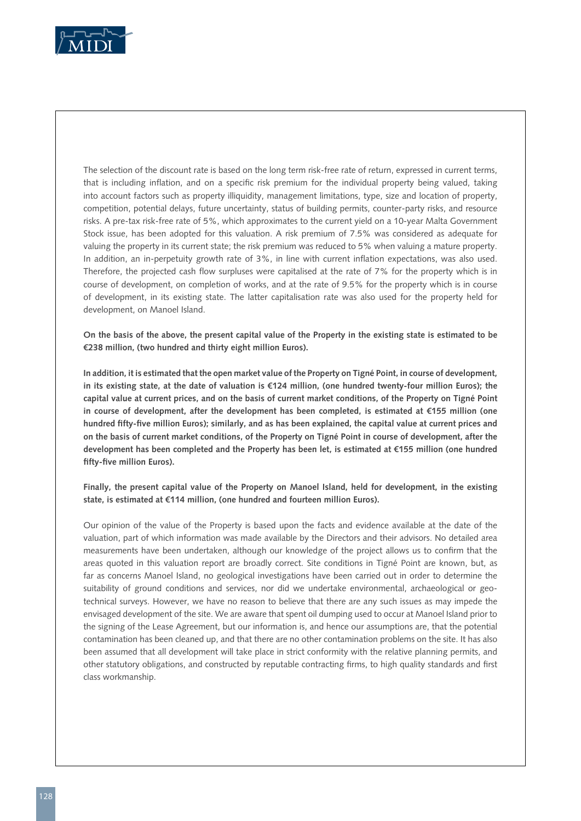

The selection of the discount rate is based on the long term risk-free rate of return, expressed in current terms, that is including inflation, and on a specific risk premium for the individual property being valued, taking into account factors such as property illiquidity, management limitations, type, size and location of property, competition, potential delays, future uncertainty, status of building permits, counter-party risks, and resource risks. A pre-tax risk-free rate of 5%, which approximates to the current yield on a 10-year Malta Government Stock issue, has been adopted for this valuation. A risk premium of 7.5% was considered as adequate for valuing the property in its current state; the risk premium was reduced to 5% when valuing a mature property. In addition, an in-perpetuity growth rate of 3%, in line with current inflation expectations, was also used. Therefore, the projected cash flow surpluses were capitalised at the rate of 7% for the property which is in course of development, on completion of works, and at the rate of 9.5% for the property which is in course of development, in its existing state. The latter capitalisation rate was also used for the property held for development, on Manoel Island.

**On the basis of the above, the present capital value of the Property in the existing state is estimated to be €238 million, (two hundred and thirty eight million Euros).**

**In addition, it is estimated that the open market value of the Property on Tigné Point, in course of development, in its existing state, at the date of valuation is €124 million, (one hundred twenty-four million Euros); the capital value at current prices, and on the basis of current market conditions, of the Property on Tigné Point in course of development, after the development has been completed, is estimated at €155 million (one hundred fifty-five million Euros); similarly, and as has been explained, the capital value at current prices and on the basis of current market conditions, of the Property on Tigné Point in course of development, after the development has been completed and the Property has been let, is estimated at €155 million (one hundred fifty-five million Euros).** 

**Finally, the present capital value of the Property on Manoel Island, held for development, in the existing state, is estimated at €114 million, (one hundred and fourteen million Euros).**

Our opinion of the value of the Property is based upon the facts and evidence available at the date of the valuation, part of which information was made available by the Directors and their advisors. No detailed area measurements have been undertaken, although our knowledge of the project allows us to confirm that the areas quoted in this valuation report are broadly correct. Site conditions in Tigné Point are known, but, as far as concerns Manoel Island, no geological investigations have been carried out in order to determine the suitability of ground conditions and services, nor did we undertake environmental, archaeological or geotechnical surveys. However, we have no reason to believe that there are any such issues as may impede the envisaged development of the site. We are aware that spent oil dumping used to occur at Manoel Island prior to the signing of the Lease Agreement, but our information is, and hence our assumptions are, that the potential contamination has been cleaned up, and that there are no other contamination problems on the site. It has also been assumed that all development will take place in strict conformity with the relative planning permits, and other statutory obligations, and constructed by reputable contracting firms, to high quality standards and first class workmanship.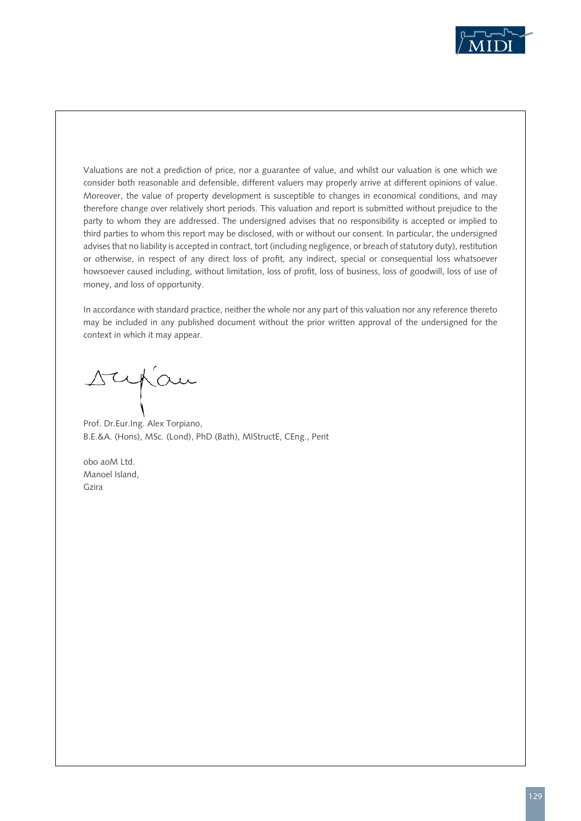

Valuations are not a prediction of price, nor a guarantee of value, and whilst our valuation is one which we consider both reasonable and defensible, different valuers may properly arrive at different opinions of value. Moreover, the value of property development is susceptible to changes in economical conditions, and may therefore change over relatively short periods. This valuation and report is submitted without prejudice to the party to whom they are addressed. The undersigned advises that no responsibility is accepted or implied to third parties to whom this report may be disclosed, with or without our consent. In particular, the undersigned advises that no liability is accepted in contract, tort (including negligence, or breach of statutory duty), restitution or otherwise, in respect of any direct loss of profit, any indirect, special or consequential loss whatsoever howsoever caused including, without limitation, loss of profit, loss of business, loss of goodwill, loss of use of money, and loss of opportunity.

In accordance with standard practice, neither the whole nor any part of this valuation nor any reference thereto may be included in any published document without the prior written approval of the undersigned for the context in which it may appear.

rupau

Prof. Dr.Eur.Ing. Alex Torpiano, B.E.&A. (Hons), MSc. (Lond), PhD (Bath), MIStructE, CEng., Perit

obo aoM Ltd. Manoel Island, Gzira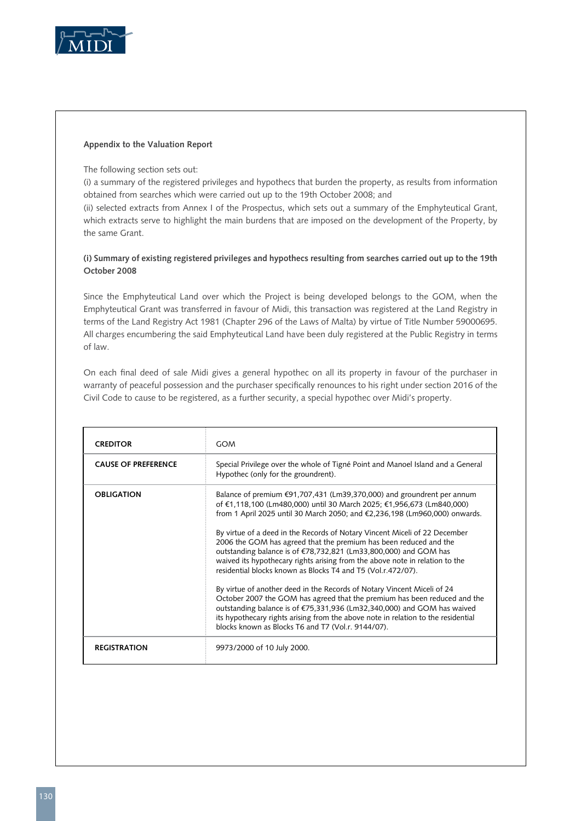

#### **Appendix to the Valuation Report**

The following section sets out:

(i) a summary of the registered privileges and hypothecs that burden the property, as results from information obtained from searches which were carried out up to the 19th October 2008; and

(ii) selected extracts from Annex I of the Prospectus, which sets out a summary of the Emphyteutical Grant, which extracts serve to highlight the main burdens that are imposed on the development of the Property, by the same Grant.

#### **(i) Summary of existing registered privileges and hypothecs resulting from searches carried out up to the 19th October 2008**

Since the Emphyteutical Land over which the Project is being developed belongs to the GOM, when the Emphyteutical Grant was transferred in favour of Midi, this transaction was registered at the Land Registry in terms of the Land Registry Act 1981 (Chapter 296 of the Laws of Malta) by virtue of Title Number 59000695. All charges encumbering the said Emphyteutical Land have been duly registered at the Public Registry in terms of law.

On each final deed of sale Midi gives a general hypothec on all its property in favour of the purchaser in warranty of peaceful possession and the purchaser specifically renounces to his right under section 2016 of the Civil Code to cause to be registered, as a further security, a special hypothec over Midi's property.

| <b>CREDITOR</b>            | <b>GOM</b>                                                                                                                                                                                                                                                                                                                                                                                                                                                                                                                                                                                                                                                                                                                                                                                                                                                                                                                                                                                   |
|----------------------------|----------------------------------------------------------------------------------------------------------------------------------------------------------------------------------------------------------------------------------------------------------------------------------------------------------------------------------------------------------------------------------------------------------------------------------------------------------------------------------------------------------------------------------------------------------------------------------------------------------------------------------------------------------------------------------------------------------------------------------------------------------------------------------------------------------------------------------------------------------------------------------------------------------------------------------------------------------------------------------------------|
| <b>CAUSE OF PREFERENCE</b> | Special Privilege over the whole of Tigné Point and Manoel Island and a General<br>Hypothec (only for the groundrent).                                                                                                                                                                                                                                                                                                                                                                                                                                                                                                                                                                                                                                                                                                                                                                                                                                                                       |
| <b>OBLIGATION</b>          | Balance of premium $\epsilon$ 91,707,431 (Lm39,370,000) and groundrent per annum<br>of €1,118,100 (Lm480,000) until 30 March 2025; €1,956,673 (Lm840,000)<br>from 1 April 2025 until 30 March 2050; and €2,236,198 (Lm960,000) onwards.<br>By virtue of a deed in the Records of Notary Vincent Miceli of 22 December<br>2006 the GOM has agreed that the premium has been reduced and the<br>outstanding balance is of €78,732,821 (Lm33,800,000) and GOM has<br>waived its hypothecary rights arising from the above note in relation to the<br>residential blocks known as Blocks T4 and T5 (Vol.r.472/07).<br>By virtue of another deed in the Records of Notary Vincent Miceli of 24<br>October 2007 the GOM has agreed that the premium has been reduced and the<br>outstanding balance is of €75,331,936 (Lm32,340,000) and GOM has waived<br>its hypothecary rights arising from the above note in relation to the residential<br>blocks known as Blocks T6 and T7 (Vol.r. 9144/07). |
| <b>REGISTRATION</b>        | 9973/2000 of 10 July 2000.                                                                                                                                                                                                                                                                                                                                                                                                                                                                                                                                                                                                                                                                                                                                                                                                                                                                                                                                                                   |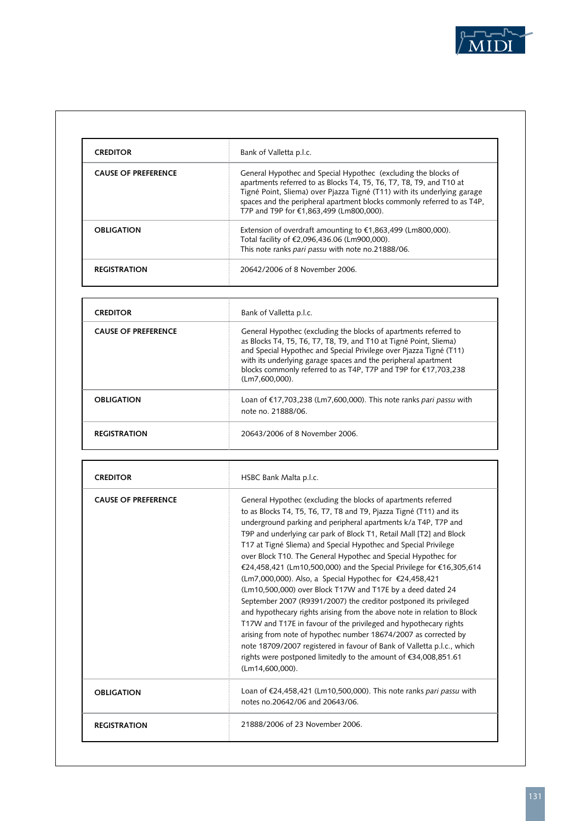

| <b>CREDITOR</b>            | Bank of Valletta p.l.c.                                                                                                                                                                                                                                                                                                                |
|----------------------------|----------------------------------------------------------------------------------------------------------------------------------------------------------------------------------------------------------------------------------------------------------------------------------------------------------------------------------------|
| <b>CAUSE OF PREFERENCE</b> | General Hypothec and Special Hypothec (excluding the blocks of<br>apartments referred to as Blocks T4, T5, T6, T7, T8, T9, and T10 at<br>Tigné Point, Sliema) over Pjazza Tigné (T11) with its underlying garage<br>spaces and the peripheral apartment blocks commonly referred to as T4P,<br>T7P and T9P for €1.863.499 (Lm800.000). |
| <b>OBLIGATION</b>          | Extension of overdraft amounting to $\epsilon$ 1,863,499 (Lm800,000).<br>Total facility of €2,096,436.06 (Lm900,000).<br>This note ranks pari passu with note no.21888/06.                                                                                                                                                             |
| <b>REGISTRATION</b>        | 20642/2006 of 8 November 2006.                                                                                                                                                                                                                                                                                                         |

| <b>CREDITOR</b>            | Bank of Valletta p.l.c.                                                                                                                                                                                                                                                                                                                                               |
|----------------------------|-----------------------------------------------------------------------------------------------------------------------------------------------------------------------------------------------------------------------------------------------------------------------------------------------------------------------------------------------------------------------|
| <b>CAUSE OF PREFERENCE</b> | General Hypothec (excluding the blocks of apartments referred to<br>as Blocks T4, T5, T6, T7, T8, T9, and T10 at Tigné Point, Sliema)<br>and Special Hypothec and Special Privilege over Pjazza Tigné (T11)<br>with its underlying garage spaces and the peripheral apartment<br>blocks commonly referred to as T4P, T7P and T9P for €17,703,238<br>$(Lm7.600.000)$ . |
| <b>OBLIGATION</b>          | Loan of €17,703,238 (Lm7,600,000). This note ranks pari passu with<br>note no. 21888/06.                                                                                                                                                                                                                                                                              |
| <b>REGISTRATION</b>        | 20643/2006 of 8 November 2006                                                                                                                                                                                                                                                                                                                                         |

| <b>CREDITOR</b>            | HSBC Bank Malta p.l.c.                                                                                                                                                                                                                                                                                                                                                                                                                                                                                                                                                                                                                                                                                                                                                                                                                                                                                                                                                                                                                                                     |
|----------------------------|----------------------------------------------------------------------------------------------------------------------------------------------------------------------------------------------------------------------------------------------------------------------------------------------------------------------------------------------------------------------------------------------------------------------------------------------------------------------------------------------------------------------------------------------------------------------------------------------------------------------------------------------------------------------------------------------------------------------------------------------------------------------------------------------------------------------------------------------------------------------------------------------------------------------------------------------------------------------------------------------------------------------------------------------------------------------------|
| <b>CAUSE OF PREFERENCE</b> | General Hypothec (excluding the blocks of apartments referred<br>to as Blocks T4, T5, T6, T7, T8 and T9, Pjazza Tigné (T11) and its<br>underground parking and peripheral apartments k/a T4P, T7P and<br>T9P and underlying car park of Block T1, Retail Mall [T2] and Block<br>T17 at Tigné Sliema) and Special Hypothec and Special Privilege<br>over Block T10. The General Hypothec and Special Hypothec for<br>€24,458,421 (Lm10,500,000) and the Special Privilege for €16,305,614<br>(Lm7,000,000). Also, a Special Hypothec for €24,458,421<br>(Lm10,500,000) over Block T17W and T17E by a deed dated 24<br>September 2007 (R9391/2007) the creditor postponed its privileged<br>and hypothecary rights arising from the above note in relation to Block<br>T17W and T17E in favour of the privileged and hypothecary rights<br>arising from note of hypothec number 18674/2007 as corrected by<br>note 18709/2007 registered in favour of Bank of Valletta p.l.c., which<br>rights were postponed limitedly to the amount of $€34,008,851.61$<br>(Lm14,600,000). |
| <b>OBLIGATION</b>          | Loan of €24,458,421 (Lm10,500,000). This note ranks pari passu with<br>notes no.20642/06 and 20643/06.                                                                                                                                                                                                                                                                                                                                                                                                                                                                                                                                                                                                                                                                                                                                                                                                                                                                                                                                                                     |
| <b>REGISTRATION</b>        | 21888/2006 of 23 November 2006                                                                                                                                                                                                                                                                                                                                                                                                                                                                                                                                                                                                                                                                                                                                                                                                                                                                                                                                                                                                                                             |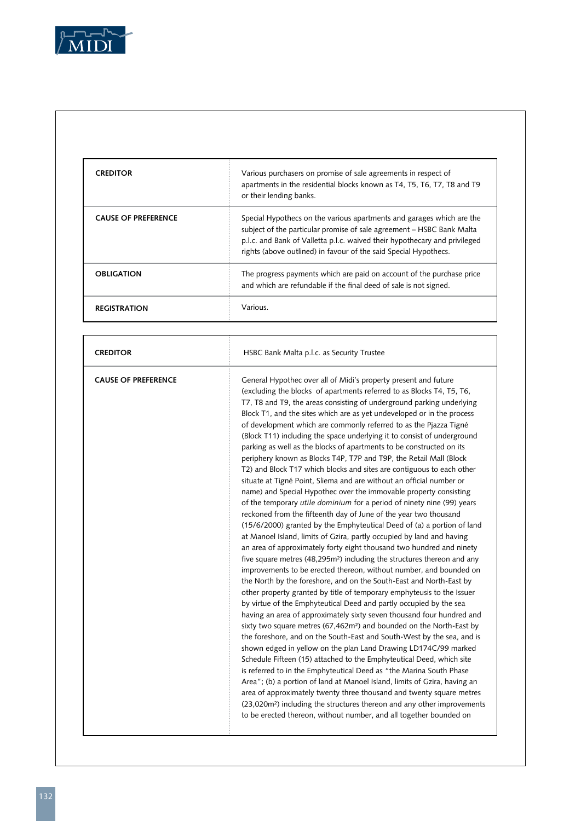

Г

| <b>CREDITOR</b>            | Various purchasers on promise of sale agreements in respect of<br>apartments in the residential blocks known as T4, T5, T6, T7, T8 and T9<br>or their lending banks.                                                                                                                             |
|----------------------------|--------------------------------------------------------------------------------------------------------------------------------------------------------------------------------------------------------------------------------------------------------------------------------------------------|
| <b>CAUSE OF PREFERENCE</b> | Special Hypothecs on the various apartments and garages which are the<br>subject of the particular promise of sale agreement – HSBC Bank Malta<br>p.l.c. and Bank of Valletta p.l.c. waived their hypothecary and privileged<br>rights (above outlined) in favour of the said Special Hypothecs. |
| <b>OBLIGATION</b>          | The progress payments which are paid on account of the purchase price<br>and which are refundable if the final deed of sale is not signed.                                                                                                                                                       |
| <b>REGISTRATION</b>        | Various.                                                                                                                                                                                                                                                                                         |

٦

| <b>CREDITOR</b>            | HSBC Bank Malta p.l.c. as Security Trustee                                                                                                                                                                                                                                                                                                                                                                                                                                                                                                                                                                                                                                                                                                                                                                                                                                                                                                                                                                                                                                                                                                                                                                                                                                                                                                                                                                                                                                                                                                                                                                                                                                                                                                                                                                                                                                                                                                                                                                                                                                                                                                                                                                                                                                                                                                              |
|----------------------------|---------------------------------------------------------------------------------------------------------------------------------------------------------------------------------------------------------------------------------------------------------------------------------------------------------------------------------------------------------------------------------------------------------------------------------------------------------------------------------------------------------------------------------------------------------------------------------------------------------------------------------------------------------------------------------------------------------------------------------------------------------------------------------------------------------------------------------------------------------------------------------------------------------------------------------------------------------------------------------------------------------------------------------------------------------------------------------------------------------------------------------------------------------------------------------------------------------------------------------------------------------------------------------------------------------------------------------------------------------------------------------------------------------------------------------------------------------------------------------------------------------------------------------------------------------------------------------------------------------------------------------------------------------------------------------------------------------------------------------------------------------------------------------------------------------------------------------------------------------------------------------------------------------------------------------------------------------------------------------------------------------------------------------------------------------------------------------------------------------------------------------------------------------------------------------------------------------------------------------------------------------------------------------------------------------------------------------------------------------|
| <b>CAUSE OF PREFERENCE</b> | General Hypothec over all of Midi's property present and future<br>(excluding the blocks of apartments referred to as Blocks T4, T5, T6,<br>T7, T8 and T9, the areas consisting of underground parking underlying<br>Block T1, and the sites which are as yet undeveloped or in the process<br>of development which are commonly referred to as the Pjazza Tigné<br>(Block T11) including the space underlying it to consist of underground<br>parking as well as the blocks of apartments to be constructed on its<br>periphery known as Blocks T4P, T7P and T9P, the Retail Mall (Block<br>T2) and Block T17 which blocks and sites are contiguous to each other<br>situate at Tigné Point, Sliema and are without an official number or<br>name) and Special Hypothec over the immovable property consisting<br>of the temporary utile dominium for a period of ninety nine (99) years<br>reckoned from the fifteenth day of June of the year two thousand<br>(15/6/2000) granted by the Emphyteutical Deed of (a) a portion of land<br>at Manoel Island, limits of Gzira, partly occupied by land and having<br>an area of approximately forty eight thousand two hundred and ninety<br>five square metres (48,295m <sup>2</sup> ) including the structures thereon and any<br>improvements to be erected thereon, without number, and bounded on<br>the North by the foreshore, and on the South-East and North-East by<br>other property granted by title of temporary emphyteusis to the Issuer<br>by virtue of the Emphyteutical Deed and partly occupied by the sea<br>having an area of approximately sixty seven thousand four hundred and<br>sixty two square metres (67,462m <sup>2</sup> ) and bounded on the North-East by<br>the foreshore, and on the South-East and South-West by the sea, and is<br>shown edged in yellow on the plan Land Drawing LD174C/99 marked<br>Schedule Fifteen (15) attached to the Emphyteutical Deed, which site<br>is referred to in the Emphyteutical Deed as "the Marina South Phase<br>Area"; (b) a portion of land at Manoel Island, limits of Gzira, having an<br>area of approximately twenty three thousand and twenty square metres<br>(23,020m <sup>2</sup> ) including the structures thereon and any other improvements<br>to be erected thereon, without number, and all together bounded on |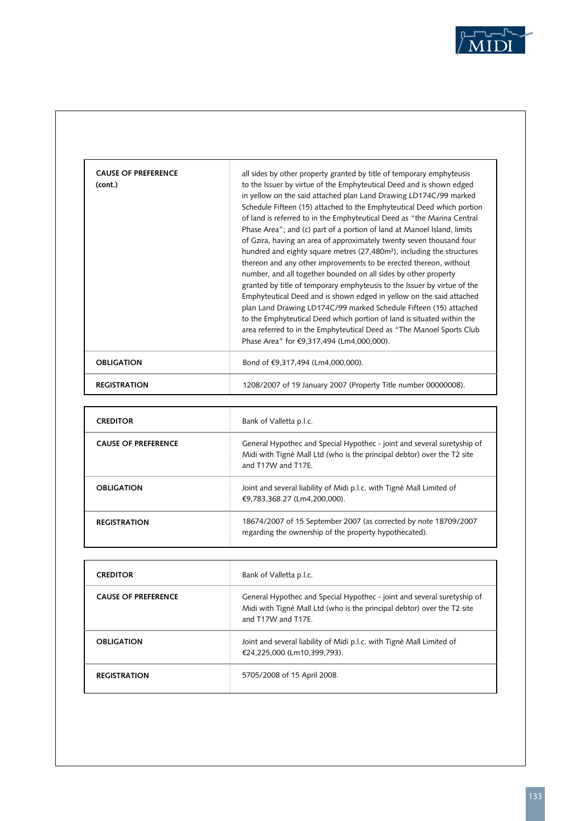

| (cont.)           | to the Issuer by virtue of the Emphyteutical Deed and is shown edged<br>in yellow on the said attached plan Land Drawing LD174C/99 marked<br>Schedule Fifteen (15) attached to the Emphyteutical Deed which portion<br>of land is referred to in the Emphyteutical Deed as "the Marina Central<br>Phase Area"; and (c) part of a portion of land at Manoel Island, limits<br>of Gzira, having an area of approximately twenty seven thousand four<br>hundred and eighty square metres (27,480m <sup>2</sup> ), including the structures<br>thereon and any other improvements to be erected thereon, without<br>number, and all together bounded on all sides by other property |
|-------------------|---------------------------------------------------------------------------------------------------------------------------------------------------------------------------------------------------------------------------------------------------------------------------------------------------------------------------------------------------------------------------------------------------------------------------------------------------------------------------------------------------------------------------------------------------------------------------------------------------------------------------------------------------------------------------------|
|                   | granted by title of temporary emphyteusis to the Issuer by virtue of the<br>Emphyteutical Deed and is shown edged in yellow on the said attached<br>plan Land Drawing LD174C/99 marked Schedule Fifteen (15) attached<br>to the Emphyteutical Deed which portion of land is situated within the<br>area referred to in the Emphyteutical Deed as "The Manoel Sports Club<br>Phase Area" for €9,317,494 (Lm4,000,000).                                                                                                                                                                                                                                                           |
| <b>OBLIGATION</b> | Bond of €9,317,494 (Lm4,000,000).                                                                                                                                                                                                                                                                                                                                                                                                                                                                                                                                                                                                                                               |

| <b>CREDITOR</b>            | Bank of Valletta p.l.c.                                                                                                                                                 |
|----------------------------|-------------------------------------------------------------------------------------------------------------------------------------------------------------------------|
| <b>CAUSE OF PREFERENCE</b> | General Hypothec and Special Hypothec - joint and several suretyship of<br>Midi with Tigné Mall Ltd (who is the principal debtor) over the T2 site<br>and T17W and T17F |
| <b>OBLIGATION</b>          | Joint and several liability of Midi p.l.c. with Tigné Mall Limited of<br>€9.783.368.27 (Lm4.200.000).                                                                   |
| <b>REGISTRATION</b>        | 18674/2007 of 15 September 2007 (as corrected by note 18709/2007<br>regarding the ownership of the property hypothecated).                                              |

| <b>CREDITOR</b>            | Bank of Valletta p.l.c.                                                                                                                                                 |
|----------------------------|-------------------------------------------------------------------------------------------------------------------------------------------------------------------------|
| <b>CAUSE OF PREFERENCE</b> | General Hypothec and Special Hypothec - joint and several suretyship of<br>Midi with Tigné Mall Ltd (who is the principal debtor) over the T2 site<br>and T17W and T17F |
| <b>OBLIGATION</b>          | Joint and several liability of Midi p.l.c. with Tigné Mall Limited of<br>€24.225.000 (Lm10.399.793).                                                                    |
| <b>REGISTRATION</b>        | 5705/2008 of 15 April 2008.                                                                                                                                             |